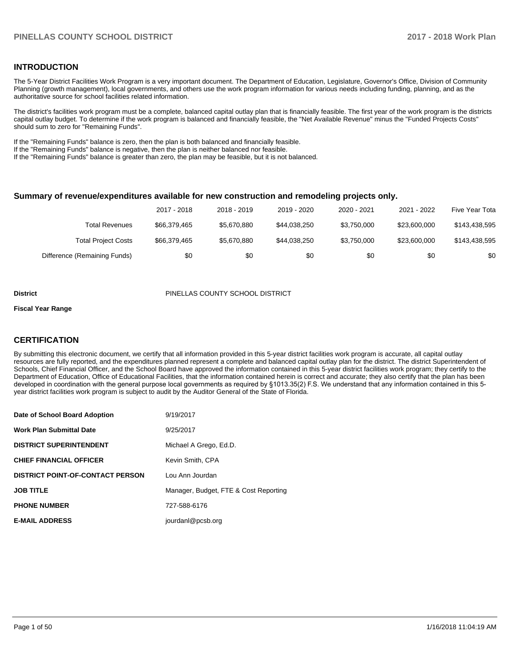#### **INTRODUCTION**

The 5-Year District Facilities Work Program is a very important document. The Department of Education, Legislature, Governor's Office, Division of Community Planning (growth management), local governments, and others use the work program information for various needs including funding, planning, and as the authoritative source for school facilities related information.

The district's facilities work program must be a complete, balanced capital outlay plan that is financially feasible. The first year of the work program is the districts capital outlay budget. To determine if the work program is balanced and financially feasible, the "Net Available Revenue" minus the "Funded Projects Costs" should sum to zero for "Remaining Funds".

If the "Remaining Funds" balance is zero, then the plan is both balanced and financially feasible.

If the "Remaining Funds" balance is negative, then the plan is neither balanced nor feasible.

If the "Remaining Funds" balance is greater than zero, the plan may be feasible, but it is not balanced.

#### **Summary of revenue/expenditures available for new construction and remodeling projects only.**

|                              | 2017 - 2018  | 2018 - 2019 | 2019 - 2020  | 2020 - 2021 | 2021 - 2022  | Five Year Tota |
|------------------------------|--------------|-------------|--------------|-------------|--------------|----------------|
| Total Revenues               | \$66,379,465 | \$5,670,880 | \$44.038.250 | \$3,750,000 | \$23,600,000 | \$143,438,595  |
| <b>Total Project Costs</b>   | \$66,379,465 | \$5.670.880 | \$44.038.250 | \$3,750,000 | \$23,600,000 | \$143,438,595  |
| Difference (Remaining Funds) | \$0          | \$0         | \$0          | \$0         | \$0          | \$0            |

#### **District** PINELLAS COUNTY SCHOOL DISTRICT

#### **Fiscal Year Range**

#### **CERTIFICATION**

By submitting this electronic document, we certify that all information provided in this 5-year district facilities work program is accurate, all capital outlay resources are fully reported, and the expenditures planned represent a complete and balanced capital outlay plan for the district. The district Superintendent of Schools, Chief Financial Officer, and the School Board have approved the information contained in this 5-year district facilities work program; they certify to the Department of Education, Office of Educational Facilities, that the information contained herein is correct and accurate; they also certify that the plan has been developed in coordination with the general purpose local governments as required by §1013.35(2) F.S. We understand that any information contained in this 5year district facilities work program is subject to audit by the Auditor General of the State of Florida.

| Date of School Board Adoption           | 9/19/2017                             |
|-----------------------------------------|---------------------------------------|
| <b>Work Plan Submittal Date</b>         | 9/25/2017                             |
| <b>DISTRICT SUPERINTENDENT</b>          | Michael A Grego, Ed.D.                |
| <b>CHIEF FINANCIAL OFFICER</b>          | Kevin Smith, CPA                      |
| <b>DISTRICT POINT-OF-CONTACT PERSON</b> | Lou Ann Jourdan                       |
| <b>JOB TITLE</b>                        | Manager, Budget, FTE & Cost Reporting |
| <b>PHONE NUMBER</b>                     | 727-588-6176                          |
| <b>E-MAIL ADDRESS</b>                   | jourdanl@pcsb.org                     |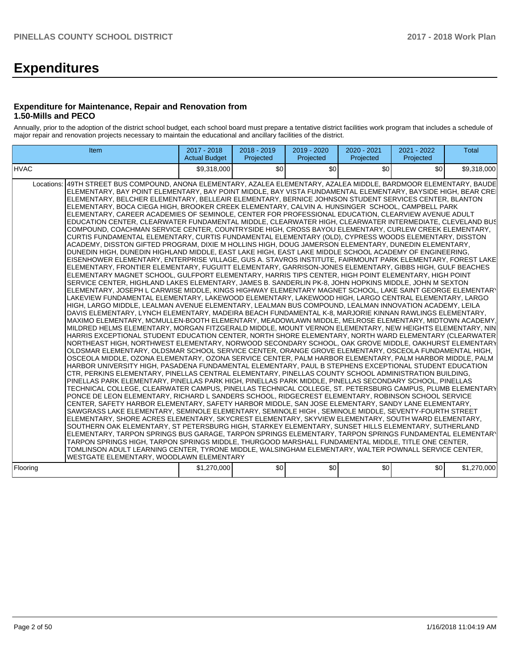# **Expenditures**

#### **Expenditure for Maintenance, Repair and Renovation from 1.50-Mills and PECO**

Annually, prior to the adoption of the district school budget, each school board must prepare a tentative district facilities work program that includes a schedule of major repair and renovation projects necessary to maintain the educational and ancillary facilities of the district.

| Item                                                                                                                                                                                                                                                                                                                                                                                                                                                                                                                                                                                                                                                                                                                                                                                                                                                                                                                                                                                                                                                                                                                                                                                                                                                                                                                                                                                                                                                                                                                                                                                                                                                                                                                                                                                                                                                                                                                                                                                                                                                                                                                                                                                                                                                                                                                                                                                                                                                                                                                                                                                                                                                                                                                                                                                                                                                                                                                                                                                                                                                                                                                                                                                                                                                                                                                                                                                                                                                                                                                                                                                                                                                                                                                                                                                                                                                                                                                                                                                                               | 2017 - 2018<br><b>Actual Budget</b> | $2018 - 2019$<br>Projected | 2019 - 2020<br>Projected | 2020 - 2021<br>Projected | 2021 - 2022<br>Projected | <b>Total</b> |
|--------------------------------------------------------------------------------------------------------------------------------------------------------------------------------------------------------------------------------------------------------------------------------------------------------------------------------------------------------------------------------------------------------------------------------------------------------------------------------------------------------------------------------------------------------------------------------------------------------------------------------------------------------------------------------------------------------------------------------------------------------------------------------------------------------------------------------------------------------------------------------------------------------------------------------------------------------------------------------------------------------------------------------------------------------------------------------------------------------------------------------------------------------------------------------------------------------------------------------------------------------------------------------------------------------------------------------------------------------------------------------------------------------------------------------------------------------------------------------------------------------------------------------------------------------------------------------------------------------------------------------------------------------------------------------------------------------------------------------------------------------------------------------------------------------------------------------------------------------------------------------------------------------------------------------------------------------------------------------------------------------------------------------------------------------------------------------------------------------------------------------------------------------------------------------------------------------------------------------------------------------------------------------------------------------------------------------------------------------------------------------------------------------------------------------------------------------------------------------------------------------------------------------------------------------------------------------------------------------------------------------------------------------------------------------------------------------------------------------------------------------------------------------------------------------------------------------------------------------------------------------------------------------------------------------------------------------------------------------------------------------------------------------------------------------------------------------------------------------------------------------------------------------------------------------------------------------------------------------------------------------------------------------------------------------------------------------------------------------------------------------------------------------------------------------------------------------------------------------------------------------------------------------------------------------------------------------------------------------------------------------------------------------------------------------------------------------------------------------------------------------------------------------------------------------------------------------------------------------------------------------------------------------------------------------------------------------------------------------------------------------------------|-------------------------------------|----------------------------|--------------------------|--------------------------|--------------------------|--------------|
| <b>HVAC</b>                                                                                                                                                                                                                                                                                                                                                                                                                                                                                                                                                                                                                                                                                                                                                                                                                                                                                                                                                                                                                                                                                                                                                                                                                                                                                                                                                                                                                                                                                                                                                                                                                                                                                                                                                                                                                                                                                                                                                                                                                                                                                                                                                                                                                                                                                                                                                                                                                                                                                                                                                                                                                                                                                                                                                                                                                                                                                                                                                                                                                                                                                                                                                                                                                                                                                                                                                                                                                                                                                                                                                                                                                                                                                                                                                                                                                                                                                                                                                                                                        | \$9.318.000                         | \$0 <sub>1</sub>           | \$0                      | \$0                      | \$0                      | \$9.318.000  |
| Locations: 49TH STREET BUS COMPOUND, ANONA ELEMENTARY, AZALEA ELEMENTARY, AZALEA MIDDLE, BARDMOOR ELEMENTARY, BAUDE<br>ELEMENTARY, BAY POINT ELEMENTARY, BAY POINT MIDDLE, BAY VISTA FUNDAMENTAL ELEMENTARY, BAYSIDE HIGH, BEAR CRE<br>ELEMENTARY, BELCHER ELEMENTARY, BELLEAIR ELEMENTARY, BERNICE JOHNSON STUDENT SERVICES CENTER, BLANTON<br>ELEMENTARY, BOCA CIEGA HIGH, BROOKER CREEK ELEMENTARY, CALVIN A. HUNSINGER SCHOOL, CAMPBELL PARK<br>ELEMENTARY, CAREER ACADEMIES OF SEMINOLE, CENTER FOR PROFESSIONAL EDUCATION, CLEARVIEW AVENUE ADULT<br>EDUCATION CENTER, CLEARWATER FUNDAMENTAL MIDDLE, CLEARWATER HIGH, CLEARWATER INTERMEDIATE, CLEVELAND BUS<br>COMPOUND, COACHMAN SERVICE CENTER, COUNTRYSIDE HIGH, CROSS BAYOU ELEMENTARY, CURLEW CREEK ELEMENTARY,<br>CURTIS FUNDAMENTAL ELEMENTARY, CURTIS FUNDAMENTAL ELEMENTARY (OLD), CYPRESS WOODS ELEMENTARY, DISSTON<br>ACADEMY, DISSTON GIFTED PROGRAM, DIXIE M HOLLINS HIGH, DOUG JAMERSON ELEMENTARY, DUNEDIN ELEMENTARY,<br>DUNEDIN HIGH, DUNEDIN HIGHLAND MIDDLE, EAST LAKE HIGH, EAST LAKE MIDDLE SCHOOL ACADEMY OF ENGINEERING,<br>EISENHOWER ELEMENTARY, ENTERPRISE VILLAGE, GUS A. STAVROS INSTITUTE, FAIRMOUNT PARK ELEMENTARY, FOREST LAKE<br>IELEMENTARY. FRONTIER ELEMENTARY. FUGUITT ELEMENTARY. GARRISON-JONES ELEMENTARY. GIBBS HIGH. GULF BEACHES<br>ELEMENTARY MAGNET SCHOOL, GULFPORT ELEMENTARY, HARRIS TIPS CENTER, HIGH POINT ELEMENTARY, HIGH POINT<br>SERVICE CENTER, HIGHLAND LAKES ELEMENTARY, JAMES B. SANDERLIN PK-8, JOHN HOPKINS MIDDLE, JOHN M SEXTON<br>ELEMENTARY, JOSEPH L CARWISE MIDDLE, KINGS HIGHWAY ELEMENTARY MAGNET SCHOOL, LAKE SAINT GEORGE ELEMENTARY<br>LAKEVIEW FUNDAMENTAL ELEMENTARY, LAKEWOOD ELEMENTARY, LAKEWOOD HIGH, LARGO CENTRAL ELEMENTARY, LARGO<br>HIGH, LARGO MIDDLE, LEALMAN AVENUE ELEMENTARY, LEALMAN BUS COMPOUND, LEALMAN INNOVATION ACADEMY, LEILA<br>DAVIS ELEMENTARY, LYNCH ELEMENTARY, MADEIRA BEACH FUNDAMENTAL K-8, MARJORIE KINNAN RAWLINGS ELEMENTARY,<br>MAXIMO ELEMENTARY, MCMULLEN-BOOTH ELEMENTARY, MEADOWLAWN MIDDLE, MELROSE ELEMENTARY, MIDTOWN ACADEMY,<br>MILDRED HELMS ELEMENTARY, MORGAN FITZGERALD MIDDLE, MOUNT VERNON ELEMENTARY, NEW HEIGHTS ELEMENTARY, NIN<br>HARRIS EXCEPTIONAL STUDENT EDUCATION CENTER. NORTH SHORE ELEMENTARY. NORTH WARD ELEMENTARY (CLEARWATER<br>NORTHEAST HIGH, NORTHWEST ELEMENTARY, NORWOOD SECONDARY SCHOOL, OAK GROVE MIDDLE, OAKHURST ELEMENTARY<br>OLDSMAR ELEMENTARY, OLDSMAR SCHOOL SERVICE CENTER, ORANGE GROVE ELEMENTARY, OSCEOLA FUNDAMENTAL HIGH.<br>OSCEOLA MIDDLE, OZONA ELEMENTARY, OZONA SERVICE CENTER, PALM HARBOR ELEMENTARY, PALM HARBOR MIDDLE, PALM<br>HARBOR UNIVERSITY HIGH, PASADENA FUNDAMENTAL ELEMENTARY, PAUL B STEPHENS EXCEPTIONAL STUDENT EDUCATION<br>CTR, PERKINS ELEMENTARY, PINELLAS CENTRAL ELEMENTARY, PINELLAS COUNTY SCHOOL ADMINISTRATION BUILDING,<br>PINELLAS PARK ELEMENTARY, PINELLAS PARK HIGH, PINELLAS PARK MIDDLE, PINELLAS SECONDARY SCHOOL, PINELLAS<br>TECHNICAL COLLEGE, CLEARWATER CAMPUS, PINELLAS TECHNICAL COLLEGE, ST. PETERSBURG CAMPUS, PLUMB ELEMENTARY<br>PONCE DE LEON ELEMENTARY, RICHARD L SANDERS SCHOOL, RIDGECREST ELEMENTARY, ROBINSON SCHOOL SERVICE<br>CENTER, SAFETY HARBOR ELEMENTARY, SAFETY HARBOR MIDDLE, SAN JOSE ELEMENTARY, SANDY LANE ELEMENTARY,<br>SAWGRASS LAKE ELEMENTARY, SEMINOLE ELEMENTARY, SEMINOLE HIGH, SEMINOLE MIDDLE, SEVENTY-FOURTH STREET<br>ELEMENTARY, SHORE ACRES ELEMENTARY, SKYCREST ELEMENTARY, SKYVIEW ELEMENTARY, SOUTH WARD ELEMENTARY,<br>SOUTHERN OAK ELEMENTARY, ST PETERSBURG HIGH, STARKEY ELEMENTARY, SUNSET HILLS ELEMENTARY, SUTHERLAND<br>ELEMENTARY. TARPON SPRINGS BUS GARAGE. TARPON SPRINGS ELEMENTARY. TARPON SPRINGS FUNDAMENTAL ELEMENTARY<br>TARPON SPRINGS HIGH, TARPON SPRINGS MIDDLE, THURGOOD MARSHALL FUNDAMENTAL MIDDLE, TITLE ONE CENTER,<br>TOMLINSON ADULT LEARNING CENTER, TYRONE MIDDLE, WALSINGHAM ELEMENTARY, WALTER POWNALL SERVICE CENTER,<br>WESTGATE ELEMENTARY, WOODLAWN ELEMENTARY |                                     |                            |                          |                          |                          |              |
| Flooring                                                                                                                                                                                                                                                                                                                                                                                                                                                                                                                                                                                                                                                                                                                                                                                                                                                                                                                                                                                                                                                                                                                                                                                                                                                                                                                                                                                                                                                                                                                                                                                                                                                                                                                                                                                                                                                                                                                                                                                                                                                                                                                                                                                                                                                                                                                                                                                                                                                                                                                                                                                                                                                                                                                                                                                                                                                                                                                                                                                                                                                                                                                                                                                                                                                                                                                                                                                                                                                                                                                                                                                                                                                                                                                                                                                                                                                                                                                                                                                                           | \$1,270,000                         | \$0                        | \$0                      | \$0                      | \$0                      | \$1,270,000  |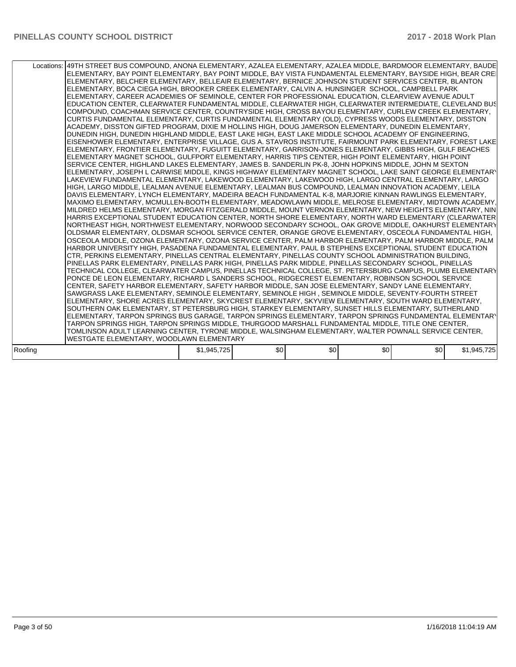| Locations:   49TH STREET BUS COMPOUND, ANONA ELEMENTARY, AZALEA ELEMENTARY, AZALEA MIDDLE, BARDMOOR ELEMENTARY, BAUDE<br>ELEMENTARY, BAY POINT ELEMENTARY, BAY POINT MIDDLE, BAY VISTA FUNDAMENTAL ELEMENTARY, BAYSIDE HIGH, BEAR CREI<br>ELEMENTARY, BELCHER ELEMENTARY, BELLEAIR ELEMENTARY, BERNICE JOHNSON STUDENT SERVICES CENTER, BLANTON<br>ELEMENTARY, BOCA CIEGA HIGH, BROOKER CREEK ELEMENTARY, CALVIN A. HUNSINGER SCHOOL, CAMPBELL PARK<br>ELEMENTARY, CAREER ACADEMIES OF SEMINOLE, CENTER FOR PROFESSIONAL EDUCATION, CLEARVIEW AVENUE ADULT<br>EDUCATION CENTER, CLEARWATER FUNDAMENTAL MIDDLE, CLEARWATER HIGH, CLEARWATER INTERMEDIATE, CLEVELAND BUS<br>COMPOUND, COACHMAN SERVICE CENTER, COUNTRYSIDE HIGH, CROSS BAYOU ELEMENTARY, CURLEW CREEK ELEMENTARY,<br>CURTIS FUNDAMENTAL ELEMENTARY, CURTIS FUNDAMENTAL ELEMENTARY (OLD), CYPRESS WOODS ELEMENTARY, DISSTON<br>ACADEMY, DISSTON GIFTED PROGRAM, DIXIE M HOLLINS HIGH, DOUG JAMERSON ELEMENTARY, DUNEDIN ELEMENTARY,<br>DUNEDIN HIGH, DUNEDIN HIGHLAND MIDDLE, EAST LAKE HIGH, EAST LAKE MIDDLE SCHOOL ACADEMY OF ENGINEERING,<br>IEISENHOWER ELEMENTARY. ENTERPRISE VILLAGE. GUS A. STAVROS INSTITUTE. FAIRMOUNT PARK ELEMENTARY. FOREST LAKE<br>ELEMENTARY, FRONTIER ELEMENTARY, FUGUITT ELEMENTARY, GARRISON-JONES ELEMENTARY, GIBBS HIGH, GULF BEACHES<br>ELEMENTARY MAGNET SCHOOL, GULFPORT ELEMENTARY, HARRIS TIPS CENTER, HIGH POINT ELEMENTARY, HIGH POINT<br>SERVICE CENTER, HIGHLAND LAKES ELEMENTARY, JAMES B. SANDERLIN PK-8, JOHN HOPKINS MIDDLE, JOHN M SEXTON<br>ELEMENTARY, JOSEPH L CARWISE MIDDLE, KINGS HIGHWAY ELEMENTARY MAGNET SCHOOL, LAKE SAINT GEORGE ELEMENTARY<br>LAKEVIEW FUNDAMENTAL ELEMENTARY, LAKEWOOD ELEMENTARY, LAKEWOOD HIGH, LARGO CENTRAL ELEMENTARY, LARGO<br>HIGH, LARGO MIDDLE, LEALMAN AVENUE ELEMENTARY, LEALMAN BUS COMPOUND, LEALMAN INNOVATION ACADEMY, LEILA<br>DAVIS ELEMENTARY, LYNCH ELEMENTARY, MADEIRA BEACH FUNDAMENTAL K-8, MARJORIE KINNAN RAWLINGS ELEMENTARY,<br>MAXIMO ELEMENTARY, MCMULLEN-BOOTH ELEMENTARY, MEADOWLAWN MIDDLE, MELROSE ELEMENTARY, MIDTOWN ACADEMY,<br>MILDRED HELMS ELEMENTARY, MORGAN FITZGERALD MIDDLE, MOUNT VERNON ELEMENTARY, NEW HEIGHTS ELEMENTARY, NIN<br>HARRIS EXCEPTIONAL STUDENT EDUCATION CENTER, NORTH SHORE ELEMENTARY, NORTH WARD ELEMENTARY (CLEARWATER<br>NORTHEAST HIGH, NORTHWEST ELEMENTARY, NORWOOD SECONDARY SCHOOL, OAK GROVE MIDDLE, OAKHURST ELEMENTARY<br>OLDSMAR ELEMENTARY, OLDSMAR SCHOOL SERVICE CENTER, ORANGE GROVE ELEMENTARY, OSCEOLA FUNDAMENTAL HIGH,<br>OSCEOLA MIDDLE, OZONA ELEMENTARY, OZONA SERVICE CENTER, PALM HARBOR ELEMENTARY, PALM HARBOR MIDDLE, PALM<br>HARBOR UNIVERSITY HIGH, PASADENA FUNDAMENTAL ELEMENTARY, PAUL B STEPHENS EXCEPTIONAL STUDENT EDUCATION<br>CTR, PERKINS ELEMENTARY, PINELLAS CENTRAL ELEMENTARY, PINELLAS COUNTY SCHOOL ADMINISTRATION BUILDING,<br>PINELLAS PARK ELEMENTARY. PINELLAS PARK HIGH. PINELLAS PARK MIDDLE. PINELLAS SECONDARY SCHOOL. PINELLAS<br>TECHNICAL COLLEGE, CLEARWATER CAMPUS, PINELLAS TECHNICAL COLLEGE, ST. PETERSBURG CAMPUS, PLUMB ELEMENTARY<br>PONCE DE LEON ELEMENTARY, RICHARD L SANDERS SCHOOL, RIDGECREST ELEMENTARY, ROBINSON SCHOOL SERVICE<br>CENTER, SAFETY HARBOR ELEMENTARY, SAFETY HARBOR MIDDLE, SAN JOSE ELEMENTARY, SANDY LANE ELEMENTARY,<br>SAWGRASS LAKE ELEMENTARY, SEMINOLE ELEMENTARY, SEMINOLE HIGH, SEMINOLE MIDDLE, SEVENTY-FOURTH STREET<br>ELEMENTARY, SHORE ACRES ELEMENTARY, SKYCREST ELEMENTARY, SKYVIEW ELEMENTARY, SOUTH WARD ELEMENTARY,<br>SOUTHERN OAK ELEMENTARY, ST PETERSBURG HIGH, STARKEY ELEMENTARY, SUNSET HILLS ELEMENTARY, SUTHERLAND<br>ELEMENTARY, TARPON SPRINGS BUS GARAGE, TARPON SPRINGS ELEMENTARY, TARPON SPRINGS FUNDAMENTAL ELEMENTARY<br>TARPON SPRINGS HIGH, TARPON SPRINGS MIDDLE, THURGOOD MARSHALL FUNDAMENTAL MIDDLE, TITLE ONE CENTER,<br>TOMLINSON ADULT LEARNING CENTER, TYRONE MIDDLE, WALSINGHAM ELEMENTARY, WALTER POWNALL SERVICE CENTER, |             |     |     |                  |     |             |
|---------------------------------------------------------------------------------------------------------------------------------------------------------------------------------------------------------------------------------------------------------------------------------------------------------------------------------------------------------------------------------------------------------------------------------------------------------------------------------------------------------------------------------------------------------------------------------------------------------------------------------------------------------------------------------------------------------------------------------------------------------------------------------------------------------------------------------------------------------------------------------------------------------------------------------------------------------------------------------------------------------------------------------------------------------------------------------------------------------------------------------------------------------------------------------------------------------------------------------------------------------------------------------------------------------------------------------------------------------------------------------------------------------------------------------------------------------------------------------------------------------------------------------------------------------------------------------------------------------------------------------------------------------------------------------------------------------------------------------------------------------------------------------------------------------------------------------------------------------------------------------------------------------------------------------------------------------------------------------------------------------------------------------------------------------------------------------------------------------------------------------------------------------------------------------------------------------------------------------------------------------------------------------------------------------------------------------------------------------------------------------------------------------------------------------------------------------------------------------------------------------------------------------------------------------------------------------------------------------------------------------------------------------------------------------------------------------------------------------------------------------------------------------------------------------------------------------------------------------------------------------------------------------------------------------------------------------------------------------------------------------------------------------------------------------------------------------------------------------------------------------------------------------------------------------------------------------------------------------------------------------------------------------------------------------------------------------------------------------------------------------------------------------------------------------------------------------------------------------------------------------------------------------------------------------------------------------------------------------------------------------------------------------------------------------------------------------------------------------------------------------------------------------------------------------------------------------------------------------------------------------------------------------------------------------------------------------------------------|-------------|-----|-----|------------------|-----|-------------|
| WESTGATE ELEMENTARY, WOODLAWN ELEMENTARY                                                                                                                                                                                                                                                                                                                                                                                                                                                                                                                                                                                                                                                                                                                                                                                                                                                                                                                                                                                                                                                                                                                                                                                                                                                                                                                                                                                                                                                                                                                                                                                                                                                                                                                                                                                                                                                                                                                                                                                                                                                                                                                                                                                                                                                                                                                                                                                                                                                                                                                                                                                                                                                                                                                                                                                                                                                                                                                                                                                                                                                                                                                                                                                                                                                                                                                                                                                                                                                                                                                                                                                                                                                                                                                                                                                                                                                                                                                                  |             |     |     |                  |     |             |
|                                                                                                                                                                                                                                                                                                                                                                                                                                                                                                                                                                                                                                                                                                                                                                                                                                                                                                                                                                                                                                                                                                                                                                                                                                                                                                                                                                                                                                                                                                                                                                                                                                                                                                                                                                                                                                                                                                                                                                                                                                                                                                                                                                                                                                                                                                                                                                                                                                                                                                                                                                                                                                                                                                                                                                                                                                                                                                                                                                                                                                                                                                                                                                                                                                                                                                                                                                                                                                                                                                                                                                                                                                                                                                                                                                                                                                                                                                                                                                           |             |     |     |                  |     |             |
| Roofing                                                                                                                                                                                                                                                                                                                                                                                                                                                                                                                                                                                                                                                                                                                                                                                                                                                                                                                                                                                                                                                                                                                                                                                                                                                                                                                                                                                                                                                                                                                                                                                                                                                                                                                                                                                                                                                                                                                                                                                                                                                                                                                                                                                                                                                                                                                                                                                                                                                                                                                                                                                                                                                                                                                                                                                                                                                                                                                                                                                                                                                                                                                                                                                                                                                                                                                                                                                                                                                                                                                                                                                                                                                                                                                                                                                                                                                                                                                                                                   | \$1,945,725 | \$0 | \$0 | \$0 <sub>1</sub> | \$0 | \$1,945,725 |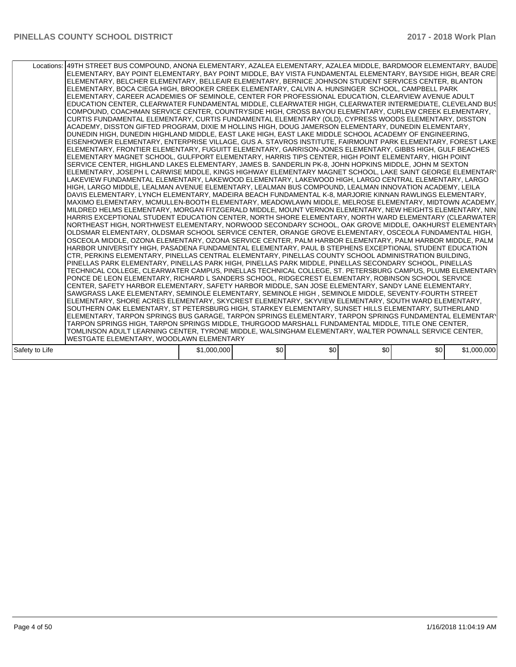|                | Locations: 49TH STREET BUS COMPOUND, ANONA ELEMENTARY, AZALEA ELEMENTARY, AZALEA MIDDLE, BARDMOOR ELEMENTARY, BAUDE<br>ELEMENTARY, BAY POINT ELEMENTARY, BAY POINT MIDDLE, BAY VISTA FUNDAMENTAL ELEMENTARY, BAYSIDE HIGH, BEAR CREI<br>ELEMENTARY, BELCHER ELEMENTARY, BELLEAIR ELEMENTARY, BERNICE JOHNSON STUDENT SERVICES CENTER, BLANTON<br>ELEMENTARY, BOCA CIEGA HIGH, BROOKER CREEK ELEMENTARY, CALVIN A. HUNSINGER SCHOOL, CAMPBELL PARK<br>ELEMENTARY, CAREER ACADEMIES OF SEMINOLE, CENTER FOR PROFESSIONAL EDUCATION, CLEARVIEW AVENUE ADULT<br>EDUCATION CENTER, CLEARWATER FUNDAMENTAL MIDDLE, CLEARWATER HIGH, CLEARWATER INTERMEDIATE, CLEVELAND BUS<br>COMPOUND, COACHMAN SERVICE CENTER, COUNTRYSIDE HIGH, CROSS BAYOU ELEMENTARY, CURLEW CREEK ELEMENTARY,<br>CURTIS FUNDAMENTAL ELEMENTARY, CURTIS FUNDAMENTAL ELEMENTARY (OLD), CYPRESS WOODS ELEMENTARY, DISSTON<br>ACADEMY, DISSTON GIFTED PROGRAM, DIXIE M HOLLINS HIGH, DOUG JAMERSON ELEMENTARY, DUNEDIN ELEMENTARY,<br>DUNEDIN HIGH. DUNEDIN HIGHLAND MIDDLE. EAST LAKE HIGH. EAST LAKE MIDDLE SCHOOL ACADEMY OF ENGINEERING.<br>EISENHOWER ELEMENTARY, ENTERPRISE VILLAGE, GUS A. STAVROS INSTITUTE, FAIRMOUNT PARK ELEMENTARY, FOREST LAKE<br>ELEMENTARY, FRONTIER ELEMENTARY, FUGUITT ELEMENTARY, GARRISON-JONES ELEMENTARY, GIBBS HIGH, GULF BEACHES<br>ELEMENTARY MAGNET SCHOOL, GULFPORT ELEMENTARY, HARRIS TIPS CENTER, HIGH POINT ELEMENTARY, HIGH POINT<br>SERVICE CENTER, HIGHLAND LAKES ELEMENTARY, JAMES B. SANDERLIN PK-8, JOHN HOPKINS MIDDLE, JOHN M SEXTON<br>ELEMENTARY, JOSEPH L CARWISE MIDDLE, KINGS HIGHWAY ELEMENTARY MAGNET SCHOOL, LAKE SAINT GEORGE ELEMENTARY<br>LAKEVIEW FUNDAMENTAL ELEMENTARY, LAKEWOOD ELEMENTARY, LAKEWOOD HIGH, LARGO CENTRAL ELEMENTARY, LARGO<br>HIGH, LARGO MIDDLE, LEALMAN AVENUE ELEMENTARY, LEALMAN BUS COMPOUND, LEALMAN INNOVATION ACADEMY, LEILA<br>DAVIS ELEMENTARY, LYNCH ELEMENTARY, MADEIRA BEACH FUNDAMENTAL K-8, MARJORIE KINNAN RAWLINGS ELEMENTARY,<br>MAXIMO ELEMENTARY, MCMULLEN-BOOTH ELEMENTARY, MEADOWLAWN MIDDLE, MELROSE ELEMENTARY, MIDTOWN ACADEMY,<br>MILDRED HELMS ELEMENTARY, MORGAN FITZGERALD MIDDLE, MOUNT VERNON ELEMENTARY, NEW HEIGHTS ELEMENTARY, NIN<br>HARRIS EXCEPTIONAL STUDENT EDUCATION CENTER, NORTH SHORE ELEMENTARY, NORTH WARD ELEMENTARY (CLEARWATER<br>NORTHEAST HIGH, NORTHWEST ELEMENTARY, NORWOOD SECONDARY SCHOOL, OAK GROVE MIDDLE, OAKHURST ELEMENTARY<br>OLDSMAR ELEMENTARY, OLDSMAR SCHOOL SERVICE CENTER, ORANGE GROVE ELEMENTARY, OSCEOLA FUNDAMENTAL HIGH,<br>OSCEOLA MIDDLE, OZONA ELEMENTARY, OZONA SERVICE CENTER, PALM HARBOR ELEMENTARY, PALM HARBOR MIDDLE, PALM<br>HARBOR UNIVERSITY HIGH, PASADENA FUNDAMENTAL ELEMENTARY, PAUL B STEPHENS EXCEPTIONAL STUDENT EDUCATION<br>CTR. PERKINS ELEMENTARY. PINELLAS CENTRAL ELEMENTARY. PINELLAS COUNTY SCHOOL ADMINISTRATION BUILDING.<br>PINELLAS PARK ELEMENTARY. PINELLAS PARK HIGH. PINELLAS PARK MIDDLE. PINELLAS SECONDARY SCHOOL. PINELLAS<br>TECHNICAL COLLEGE, CLEARWATER CAMPUS, PINELLAS TECHNICAL COLLEGE, ST. PETERSBURG CAMPUS, PLUMB ELEMENTARY<br>PONCE DE LEON ELEMENTARY, RICHARD L SANDERS SCHOOL, RIDGECREST ELEMENTARY, ROBINSON SCHOOL SERVICE<br>CENTER, SAFETY HARBOR ELEMENTARY, SAFETY HARBOR MIDDLE, SAN JOSE ELEMENTARY, SANDY LANE ELEMENTARY,<br>SAWGRASS LAKE ELEMENTARY, SEMINOLE ELEMENTARY, SEMINOLE HIGH, SEMINOLE MIDDLE, SEVENTY-FOURTH STREET<br>ELEMENTARY, SHORE ACRES ELEMENTARY, SKYCREST ELEMENTARY, SKYVIEW ELEMENTARY, SOUTH WARD ELEMENTARY,<br>SOUTHERN OAK ELEMENTARY, ST PETERSBURG HIGH, STARKEY ELEMENTARY, SUNSET HILLS ELEMENTARY, SUTHERLAND<br>ELEMENTARY, TARPON SPRINGS BUS GARAGE, TARPON SPRINGS ELEMENTARY, TARPON SPRINGS FUNDAMENTAL ELEMENTARY<br>TARPON SPRINGS HIGH, TARPON SPRINGS MIDDLE, THURGOOD MARSHALL FUNDAMENTAL MIDDLE, TITLE ONE CENTER,<br>TOMLINSON ADULT LEARNING CENTER, TYRONE MIDDLE, WALSINGHAM ELEMENTARY, WALTER POWNALL SERVICE CENTER, |             |     |     |     |     |             |
|----------------|------------------------------------------------------------------------------------------------------------------------------------------------------------------------------------------------------------------------------------------------------------------------------------------------------------------------------------------------------------------------------------------------------------------------------------------------------------------------------------------------------------------------------------------------------------------------------------------------------------------------------------------------------------------------------------------------------------------------------------------------------------------------------------------------------------------------------------------------------------------------------------------------------------------------------------------------------------------------------------------------------------------------------------------------------------------------------------------------------------------------------------------------------------------------------------------------------------------------------------------------------------------------------------------------------------------------------------------------------------------------------------------------------------------------------------------------------------------------------------------------------------------------------------------------------------------------------------------------------------------------------------------------------------------------------------------------------------------------------------------------------------------------------------------------------------------------------------------------------------------------------------------------------------------------------------------------------------------------------------------------------------------------------------------------------------------------------------------------------------------------------------------------------------------------------------------------------------------------------------------------------------------------------------------------------------------------------------------------------------------------------------------------------------------------------------------------------------------------------------------------------------------------------------------------------------------------------------------------------------------------------------------------------------------------------------------------------------------------------------------------------------------------------------------------------------------------------------------------------------------------------------------------------------------------------------------------------------------------------------------------------------------------------------------------------------------------------------------------------------------------------------------------------------------------------------------------------------------------------------------------------------------------------------------------------------------------------------------------------------------------------------------------------------------------------------------------------------------------------------------------------------------------------------------------------------------------------------------------------------------------------------------------------------------------------------------------------------------------------------------------------------------------------------------------------------------------------------------------------------------------------------------------------------------------------------------------------------------------|-------------|-----|-----|-----|-----|-------------|
|                | WESTGATE ELEMENTARY, WOODLAWN ELEMENTARY                                                                                                                                                                                                                                                                                                                                                                                                                                                                                                                                                                                                                                                                                                                                                                                                                                                                                                                                                                                                                                                                                                                                                                                                                                                                                                                                                                                                                                                                                                                                                                                                                                                                                                                                                                                                                                                                                                                                                                                                                                                                                                                                                                                                                                                                                                                                                                                                                                                                                                                                                                                                                                                                                                                                                                                                                                                                                                                                                                                                                                                                                                                                                                                                                                                                                                                                                                                                                                                                                                                                                                                                                                                                                                                                                                                                                                                                                                                               |             |     |     |     |     |             |
| Safety to Life |                                                                                                                                                                                                                                                                                                                                                                                                                                                                                                                                                                                                                                                                                                                                                                                                                                                                                                                                                                                                                                                                                                                                                                                                                                                                                                                                                                                                                                                                                                                                                                                                                                                                                                                                                                                                                                                                                                                                                                                                                                                                                                                                                                                                                                                                                                                                                                                                                                                                                                                                                                                                                                                                                                                                                                                                                                                                                                                                                                                                                                                                                                                                                                                                                                                                                                                                                                                                                                                                                                                                                                                                                                                                                                                                                                                                                                                                                                                                                                        | \$1,000,000 | \$0 | \$0 | \$0 | \$0 | \$1,000,000 |
|                |                                                                                                                                                                                                                                                                                                                                                                                                                                                                                                                                                                                                                                                                                                                                                                                                                                                                                                                                                                                                                                                                                                                                                                                                                                                                                                                                                                                                                                                                                                                                                                                                                                                                                                                                                                                                                                                                                                                                                                                                                                                                                                                                                                                                                                                                                                                                                                                                                                                                                                                                                                                                                                                                                                                                                                                                                                                                                                                                                                                                                                                                                                                                                                                                                                                                                                                                                                                                                                                                                                                                                                                                                                                                                                                                                                                                                                                                                                                                                                        |             |     |     |     |     |             |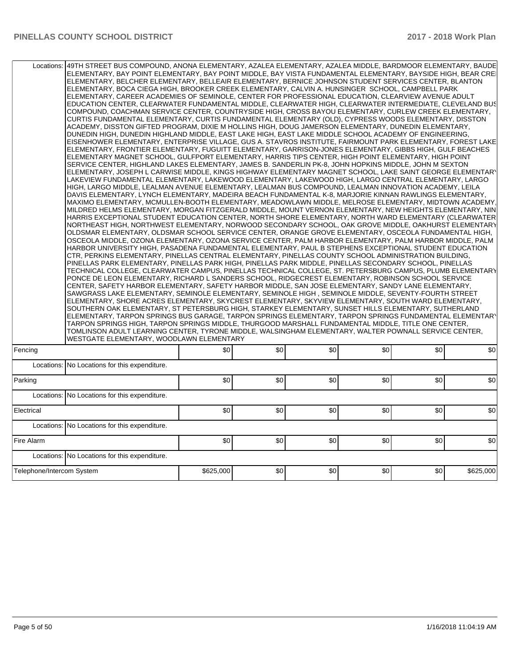| Locations:                | 49TH STREET BUS COMPOUND, ANONA ELEMENTARY, AZALEA ELEMENTARY, AZALEA MIDDLE, BARDMOOR ELEMENTARY, BAUDE<br>ELEMENTARY, BAY POINT ELEMENTARY, BAY POINT MIDDLE, BAY VISTA FUNDAMENTAL ELEMENTARY, BAYSIDE HIGH, BEAR CREI<br>ELEMENTARY, BELCHER ELEMENTARY, BELLEAIR ELEMENTARY, BERNICE JOHNSON STUDENT SERVICES CENTER, BLANTON<br>ELEMENTARY, BOCA CIEGA HIGH, BROOKER CREEK ELEMENTARY, CALVIN A. HUNSINGER SCHOOL, CAMPBELL PARK<br>ELEMENTARY, CAREER ACADEMIES OF SEMINOLE, CENTER FOR PROFESSIONAL EDUCATION, CLEARVIEW AVENUE ADULT<br>EDUCATION CENTER, CLEARWATER FUNDAMENTAL MIDDLE, CLEARWATER HIGH, CLEARWATER INTERMEDIATE, CLEVELAND BUS<br>COMPOUND, COACHMAN SERVICE CENTER, COUNTRYSIDE HIGH, CROSS BAYOU ELEMENTARY, CURLEW CREEK ELEMENTARY,<br>CURTIS FUNDAMENTAL ELEMENTARY, CURTIS FUNDAMENTAL ELEMENTARY (OLD), CYPRESS WOODS ELEMENTARY, DISSTON<br>ACADEMY, DISSTON GIFTED PROGRAM, DIXIE M HOLLINS HIGH, DOUG JAMERSON ELEMENTARY, DUNEDIN ELEMENTARY,<br>DUNEDIN HIGH, DUNEDIN HIGHLAND MIDDLE, EAST LAKE HIGH, EAST LAKE MIDDLE SCHOOL ACADEMY OF ENGINEERING,<br>EISENHOWER ELEMENTARY, ENTERPRISE VILLAGE, GUS A. STAVROS INSTITUTE, FAIRMOUNT PARK ELEMENTARY, FOREST LAKE<br>ELEMENTARY, FRONTIER ELEMENTARY, FUGUITT ELEMENTARY, GARRISON-JONES ELEMENTARY, GIBBS HIGH, GULF BEACHES<br>ELEMENTARY MAGNET SCHOOL, GULFPORT ELEMENTARY, HARRIS TIPS CENTER, HIGH POINT ELEMENTARY, HIGH POINT<br>SERVICE CENTER, HIGHLAND LAKES ELEMENTARY, JAMES B. SANDERLIN PK-8, JOHN HOPKINS MIDDLE, JOHN M SEXTON<br>ELEMENTARY, JOSEPH L CARWISE MIDDLE, KINGS HIGHWAY ELEMENTARY MAGNET SCHOOL, LAKE SAINT GEORGE ELEMENTARY<br>LAKEVIEW FUNDAMENTAL ELEMENTARY, LAKEWOOD ELEMENTARY, LAKEWOOD HIGH, LARGO CENTRAL ELEMENTARY, LARGO<br>HIGH, LARGO MIDDLE, LEALMAN AVENUE ELEMENTARY, LEALMAN BUS COMPOUND, LEALMAN INNOVATION ACADEMY, LEILA<br>DAVIS ELEMENTARY, LYNCH ELEMENTARY, MADEIRA BEACH FUNDAMENTAL K-8, MARJORIE KINNAN RAWLINGS ELEMENTARY,<br>MAXIMO ELEMENTARY, MCMULLEN-BOOTH ELEMENTARY, MEADOWLAWN MIDDLE, MELROSE ELEMENTARY, MIDTOWN ACADEMY,<br>MILDRED HELMS ELEMENTARY, MORGAN FITZGERALD MIDDLE, MOUNT VERNON ELEMENTARY, NEW HEIGHTS ELEMENTARY, NIN<br>HARRIS EXCEPTIONAL STUDENT EDUCATION CENTER, NORTH SHORE ELEMENTARY, NORTH WARD ELEMENTARY (CLEARWATER<br>NORTHEAST HIGH. NORTHWEST ELEMENTARY. NORWOOD SECONDARY SCHOOL. OAK GROVE MIDDLE. OAKHURST ELEMENTARY<br>OLDSMAR ELEMENTARY, OLDSMAR SCHOOL SERVICE CENTER, ORANGE GROVE ELEMENTARY, OSCEOLA FUNDAMENTAL HIGH,<br>OSCEOLA MIDDLE, OZONA ELEMENTARY, OZONA SERVICE CENTER, PALM HARBOR ELEMENTARY, PALM HARBOR MIDDLE, PALM<br>HARBOR UNIVERSITY HIGH, PASADENA FUNDAMENTAL ELEMENTARY, PAUL B STEPHENS EXCEPTIONAL STUDENT EDUCATION<br>CTR, PERKINS ELEMENTARY, PINELLAS CENTRAL ELEMENTARY, PINELLAS COUNTY SCHOOL ADMINISTRATION BUILDING,<br>PINELLAS PARK ELEMENTARY, PINELLAS PARK HIGH, PINELLAS PARK MIDDLE, PINELLAS SECONDARY SCHOOL, PINELLAS<br>TECHNICAL COLLEGE, CLEARWATER CAMPUS, PINELLAS TECHNICAL COLLEGE, ST. PETERSBURG CAMPUS, PLUMB ELEMENTARY<br>PONCE DE LEON ELEMENTARY, RICHARD L SANDERS SCHOOL, RIDGECREST ELEMENTARY, ROBINSON SCHOOL SERVICE<br>CENTER, SAFETY HARBOR ELEMENTARY, SAFETY HARBOR MIDDLE, SAN JOSE ELEMENTARY, SANDY LANE ELEMENTARY,<br>SAWGRASS LAKE ELEMENTARY, SEMINOLE ELEMENTARY, SEMINOLE HIGH, SEMINOLE MIDDLE, SEVENTY-FOURTH STREET<br>ELEMENTARY, SHORE ACRES ELEMENTARY, SKYCREST ELEMENTARY, SKYVIEW ELEMENTARY, SOUTH WARD ELEMENTARY,<br>SOUTHERN OAK ELEMENTARY, ST PETERSBURG HIGH, STARKEY ELEMENTARY, SUNSET HILLS ELEMENTARY, SUTHERLAND<br>ELEMENTARY, TARPON SPRINGS BUS GARAGE, TARPON SPRINGS ELEMENTARY, TARPON SPRINGS FUNDAMENTAL ELEMENTARY<br>TARPON SPRINGS HIGH, TARPON SPRINGS MIDDLE, THURGOOD MARSHALL FUNDAMENTAL MIDDLE, TITLE ONE CENTER,<br>TOMLINSON ADULT LEARNING CENTER, TYRONE MIDDLE, WALSINGHAM ELEMENTARY, WALTER POWNALL SERVICE CENTER,<br>WESTGATE ELEMENTARY, WOODLAWN ELEMENTARY |           |     |     |     |     |           |
|---------------------------|---------------------------------------------------------------------------------------------------------------------------------------------------------------------------------------------------------------------------------------------------------------------------------------------------------------------------------------------------------------------------------------------------------------------------------------------------------------------------------------------------------------------------------------------------------------------------------------------------------------------------------------------------------------------------------------------------------------------------------------------------------------------------------------------------------------------------------------------------------------------------------------------------------------------------------------------------------------------------------------------------------------------------------------------------------------------------------------------------------------------------------------------------------------------------------------------------------------------------------------------------------------------------------------------------------------------------------------------------------------------------------------------------------------------------------------------------------------------------------------------------------------------------------------------------------------------------------------------------------------------------------------------------------------------------------------------------------------------------------------------------------------------------------------------------------------------------------------------------------------------------------------------------------------------------------------------------------------------------------------------------------------------------------------------------------------------------------------------------------------------------------------------------------------------------------------------------------------------------------------------------------------------------------------------------------------------------------------------------------------------------------------------------------------------------------------------------------------------------------------------------------------------------------------------------------------------------------------------------------------------------------------------------------------------------------------------------------------------------------------------------------------------------------------------------------------------------------------------------------------------------------------------------------------------------------------------------------------------------------------------------------------------------------------------------------------------------------------------------------------------------------------------------------------------------------------------------------------------------------------------------------------------------------------------------------------------------------------------------------------------------------------------------------------------------------------------------------------------------------------------------------------------------------------------------------------------------------------------------------------------------------------------------------------------------------------------------------------------------------------------------------------------------------------------------------------------------------------------------------------------------------------------------------------------------------------------------------------------------------------------------------|-----------|-----|-----|-----|-----|-----------|
| Fencing                   |                                                                                                                                                                                                                                                                                                                                                                                                                                                                                                                                                                                                                                                                                                                                                                                                                                                                                                                                                                                                                                                                                                                                                                                                                                                                                                                                                                                                                                                                                                                                                                                                                                                                                                                                                                                                                                                                                                                                                                                                                                                                                                                                                                                                                                                                                                                                                                                                                                                                                                                                                                                                                                                                                                                                                                                                                                                                                                                                                                                                                                                                                                                                                                                                                                                                                                                                                                                                                                                                                                                                                                                                                                                                                                                                                                                                                                                                                                                                                                                                         | \$0       | \$0 | \$0 | \$0 | \$0 | \$0       |
|                           | Locations: No Locations for this expenditure.                                                                                                                                                                                                                                                                                                                                                                                                                                                                                                                                                                                                                                                                                                                                                                                                                                                                                                                                                                                                                                                                                                                                                                                                                                                                                                                                                                                                                                                                                                                                                                                                                                                                                                                                                                                                                                                                                                                                                                                                                                                                                                                                                                                                                                                                                                                                                                                                                                                                                                                                                                                                                                                                                                                                                                                                                                                                                                                                                                                                                                                                                                                                                                                                                                                                                                                                                                                                                                                                                                                                                                                                                                                                                                                                                                                                                                                                                                                                                           |           |     |     |     |     |           |
| Parking                   |                                                                                                                                                                                                                                                                                                                                                                                                                                                                                                                                                                                                                                                                                                                                                                                                                                                                                                                                                                                                                                                                                                                                                                                                                                                                                                                                                                                                                                                                                                                                                                                                                                                                                                                                                                                                                                                                                                                                                                                                                                                                                                                                                                                                                                                                                                                                                                                                                                                                                                                                                                                                                                                                                                                                                                                                                                                                                                                                                                                                                                                                                                                                                                                                                                                                                                                                                                                                                                                                                                                                                                                                                                                                                                                                                                                                                                                                                                                                                                                                         | \$0       | \$0 | \$0 | \$0 | \$0 | \$0       |
|                           | Locations: No Locations for this expenditure.                                                                                                                                                                                                                                                                                                                                                                                                                                                                                                                                                                                                                                                                                                                                                                                                                                                                                                                                                                                                                                                                                                                                                                                                                                                                                                                                                                                                                                                                                                                                                                                                                                                                                                                                                                                                                                                                                                                                                                                                                                                                                                                                                                                                                                                                                                                                                                                                                                                                                                                                                                                                                                                                                                                                                                                                                                                                                                                                                                                                                                                                                                                                                                                                                                                                                                                                                                                                                                                                                                                                                                                                                                                                                                                                                                                                                                                                                                                                                           |           |     |     |     |     |           |
|                           |                                                                                                                                                                                                                                                                                                                                                                                                                                                                                                                                                                                                                                                                                                                                                                                                                                                                                                                                                                                                                                                                                                                                                                                                                                                                                                                                                                                                                                                                                                                                                                                                                                                                                                                                                                                                                                                                                                                                                                                                                                                                                                                                                                                                                                                                                                                                                                                                                                                                                                                                                                                                                                                                                                                                                                                                                                                                                                                                                                                                                                                                                                                                                                                                                                                                                                                                                                                                                                                                                                                                                                                                                                                                                                                                                                                                                                                                                                                                                                                                         |           |     |     |     |     |           |
| Electrical                |                                                                                                                                                                                                                                                                                                                                                                                                                                                                                                                                                                                                                                                                                                                                                                                                                                                                                                                                                                                                                                                                                                                                                                                                                                                                                                                                                                                                                                                                                                                                                                                                                                                                                                                                                                                                                                                                                                                                                                                                                                                                                                                                                                                                                                                                                                                                                                                                                                                                                                                                                                                                                                                                                                                                                                                                                                                                                                                                                                                                                                                                                                                                                                                                                                                                                                                                                                                                                                                                                                                                                                                                                                                                                                                                                                                                                                                                                                                                                                                                         | \$0       | \$0 | \$0 | \$0 | \$0 | \$0       |
|                           | Locations: No Locations for this expenditure.                                                                                                                                                                                                                                                                                                                                                                                                                                                                                                                                                                                                                                                                                                                                                                                                                                                                                                                                                                                                                                                                                                                                                                                                                                                                                                                                                                                                                                                                                                                                                                                                                                                                                                                                                                                                                                                                                                                                                                                                                                                                                                                                                                                                                                                                                                                                                                                                                                                                                                                                                                                                                                                                                                                                                                                                                                                                                                                                                                                                                                                                                                                                                                                                                                                                                                                                                                                                                                                                                                                                                                                                                                                                                                                                                                                                                                                                                                                                                           |           |     |     |     |     |           |
| Fire Alarm                |                                                                                                                                                                                                                                                                                                                                                                                                                                                                                                                                                                                                                                                                                                                                                                                                                                                                                                                                                                                                                                                                                                                                                                                                                                                                                                                                                                                                                                                                                                                                                                                                                                                                                                                                                                                                                                                                                                                                                                                                                                                                                                                                                                                                                                                                                                                                                                                                                                                                                                                                                                                                                                                                                                                                                                                                                                                                                                                                                                                                                                                                                                                                                                                                                                                                                                                                                                                                                                                                                                                                                                                                                                                                                                                                                                                                                                                                                                                                                                                                         | \$0       | \$0 | \$0 | \$0 | \$0 | \$0       |
|                           | Locations: No Locations for this expenditure.                                                                                                                                                                                                                                                                                                                                                                                                                                                                                                                                                                                                                                                                                                                                                                                                                                                                                                                                                                                                                                                                                                                                                                                                                                                                                                                                                                                                                                                                                                                                                                                                                                                                                                                                                                                                                                                                                                                                                                                                                                                                                                                                                                                                                                                                                                                                                                                                                                                                                                                                                                                                                                                                                                                                                                                                                                                                                                                                                                                                                                                                                                                                                                                                                                                                                                                                                                                                                                                                                                                                                                                                                                                                                                                                                                                                                                                                                                                                                           |           |     |     |     |     |           |
| Telephone/Intercom System |                                                                                                                                                                                                                                                                                                                                                                                                                                                                                                                                                                                                                                                                                                                                                                                                                                                                                                                                                                                                                                                                                                                                                                                                                                                                                                                                                                                                                                                                                                                                                                                                                                                                                                                                                                                                                                                                                                                                                                                                                                                                                                                                                                                                                                                                                                                                                                                                                                                                                                                                                                                                                                                                                                                                                                                                                                                                                                                                                                                                                                                                                                                                                                                                                                                                                                                                                                                                                                                                                                                                                                                                                                                                                                                                                                                                                                                                                                                                                                                                         | \$625,000 | \$0 | \$0 | \$0 | \$0 | \$625,000 |
|                           |                                                                                                                                                                                                                                                                                                                                                                                                                                                                                                                                                                                                                                                                                                                                                                                                                                                                                                                                                                                                                                                                                                                                                                                                                                                                                                                                                                                                                                                                                                                                                                                                                                                                                                                                                                                                                                                                                                                                                                                                                                                                                                                                                                                                                                                                                                                                                                                                                                                                                                                                                                                                                                                                                                                                                                                                                                                                                                                                                                                                                                                                                                                                                                                                                                                                                                                                                                                                                                                                                                                                                                                                                                                                                                                                                                                                                                                                                                                                                                                                         |           |     |     |     |     |           |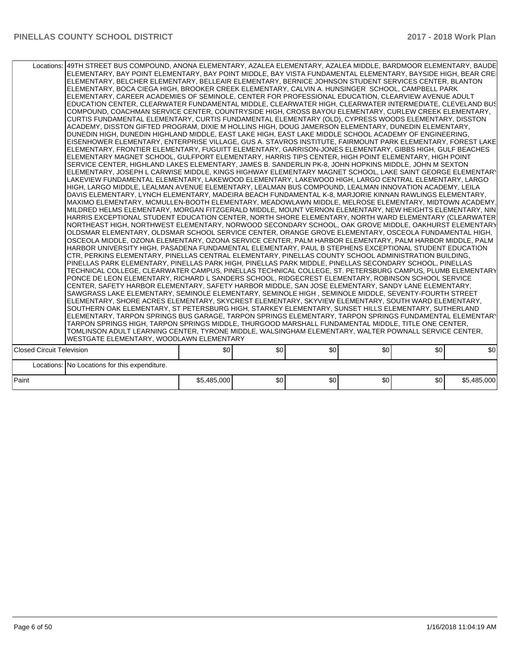|                                  | Locations: 49TH STREET BUS COMPOUND, ANONA ELEMENTARY, AZALEA ELEMENTARY, AZALEA MIDDLE, BARDMOOR ELEMENTARY, BAUDE<br>ELEMENTARY, BAY POINT ELEMENTARY, BAY POINT MIDDLE, BAY VISTA FUNDAMENTAL ELEMENTARY, BAYSIDE HIGH, BEAR CREI<br>ELEMENTARY, BELCHER ELEMENTARY, BELLEAIR ELEMENTARY, BERNICE JOHNSON STUDENT SERVICES CENTER, BLANTON<br>ELEMENTARY, BOCA CIEGA HIGH, BROOKER CREEK ELEMENTARY, CALVIN A. HUNSINGER SCHOOL, CAMPBELL PARK<br>ELEMENTARY, CAREER ACADEMIES OF SEMINOLE, CENTER FOR PROFESSIONAL EDUCATION, CLEARVIEW AVENUE ADULT<br>EDUCATION CENTER, CLEARWATER FUNDAMENTAL MIDDLE, CLEARWATER HIGH, CLEARWATER INTERMEDIATE, CLEVELAND BUS<br>COMPOUND, COACHMAN SERVICE CENTER, COUNTRYSIDE HIGH, CROSS BAYOU ELEMENTARY, CURLEW CREEK ELEMENTARY,<br>CURTIS FUNDAMENTAL ELEMENTARY, CURTIS FUNDAMENTAL ELEMENTARY (OLD), CYPRESS WOODS ELEMENTARY, DISSTON<br>ACADEMY, DISSTON GIFTED PROGRAM, DIXIE M HOLLINS HIGH, DOUG JAMERSON ELEMENTARY, DUNEDIN ELEMENTARY,<br>DUNEDIN HIGH, DUNEDIN HIGHLAND MIDDLE, EAST LAKE HIGH, EAST LAKE MIDDLE SCHOOL ACADEMY OF ENGINEERING,<br> EISENHOWER ELEMENTARY, ENTERPRISE VILLAGE, GUS A. STAVROS INSTITUTE, FAIRMOUNT PARK ELEMENTARY, FOREST LAKE <br>ELEMENTARY, FRONTIER ELEMENTARY, FUGUITT ELEMENTARY, GARRISON-JONES ELEMENTARY, GIBBS HIGH, GULF BEACHES<br>ELEMENTARY MAGNET SCHOOL, GULFPORT ELEMENTARY, HARRIS TIPS CENTER, HIGH POINT ELEMENTARY, HIGH POINT<br>SERVICE CENTER, HIGHLAND LAKES ELEMENTARY, JAMES B. SANDERLIN PK-8, JOHN HOPKINS MIDDLE, JOHN M SEXTON<br>ELEMENTARY, JOSEPH L CARWISE MIDDLE, KINGS HIGHWAY ELEMENTARY MAGNET SCHOOL, LAKE SAINT GEORGE ELEMENTARY<br>LAKEVIEW FUNDAMENTAL ELEMENTARY, LAKEWOOD ELEMENTARY, LAKEWOOD HIGH, LARGO CENTRAL ELEMENTARY, LARGO<br>HIGH, LARGO MIDDLE, LEALMAN AVENUE ELEMENTARY, LEALMAN BUS COMPOUND, LEALMAN INNOVATION ACADEMY, LEILA<br>DAVIS ELEMENTARY, LYNCH ELEMENTARY, MADEIRA BEACH FUNDAMENTAL K-8, MARJORIE KINNAN RAWLINGS ELEMENTARY,<br>MAXIMO ELEMENTARY, MCMULLEN-BOOTH ELEMENTARY, MEADOWLAWN MIDDLE, MELROSE ELEMENTARY, MIDTOWN ACADEMY,<br>MILDRED HELMS ELEMENTARY, MORGAN FITZGERALD MIDDLE, MOUNT VERNON ELEMENTARY, NEW HEIGHTS ELEMENTARY, NIN<br>HARRIS EXCEPTIONAL STUDENT EDUCATION CENTER, NORTH SHORE ELEMENTARY, NORTH WARD ELEMENTARY (CLEARWATER<br>NORTHEAST HIGH, NORTHWEST ELEMENTARY, NORWOOD SECONDARY SCHOOL, OAK GROVE MIDDLE, OAKHURST ELEMENTARY<br>OLDSMAR ELEMENTARY, OLDSMAR SCHOOL SERVICE CENTER, ORANGE GROVE ELEMENTARY, OSCEOLA FUNDAMENTAL HIGH,<br>OSCEOLA MIDDLE, OZONA ELEMENTARY, OZONA SERVICE CENTER, PALM HARBOR ELEMENTARY, PALM HARBOR MIDDLE, PALM<br>HARBOR UNIVERSITY HIGH, PASADENA FUNDAMENTAL ELEMENTARY, PAUL B STEPHENS EXCEPTIONAL STUDENT EDUCATION<br>CTR, PERKINS ELEMENTARY, PINELLAS CENTRAL ELEMENTARY, PINELLAS COUNTY SCHOOL ADMINISTRATION BUILDING,<br>PINELLAS PARK ELEMENTARY, PINELLAS PARK HIGH, PINELLAS PARK MIDDLE, PINELLAS SECONDARY SCHOOL, PINELLAS<br>TECHNICAL COLLEGE, CLEARWATER CAMPUS, PINELLAS TECHNICAL COLLEGE, ST. PETERSBURG CAMPUS, PLUMB ELEMENTARY<br>PONCE DE LEON ELEMENTARY, RICHARD L SANDERS SCHOOL, RIDGECREST ELEMENTARY, ROBINSON SCHOOL SERVICE<br>CENTER, SAFETY HARBOR ELEMENTARY, SAFETY HARBOR MIDDLE, SAN JOSE ELEMENTARY, SANDY LANE ELEMENTARY,<br>SAWGRASS LAKE ELEMENTARY, SEMINOLE ELEMENTARY, SEMINOLE HIGH , SEMINOLE MIDDLE, SEVENTY-FOURTH STREET<br>ELEMENTARY, SHORE ACRES ELEMENTARY, SKYCREST ELEMENTARY, SKYVIEW ELEMENTARY, SOUTH WARD ELEMENTARY,<br>SOUTHERN OAK ELEMENTARY, ST PETERSBURG HIGH, STARKEY ELEMENTARY, SUNSET HILLS ELEMENTARY, SUTHERLAND<br>ELEMENTARY, TARPON SPRINGS BUS GARAGE, TARPON SPRINGS ELEMENTARY, TARPON SPRINGS FUNDAMENTAL ELEMENTARY<br>TARPON SPRINGS HIGH, TARPON SPRINGS MIDDLE, THURGOOD MARSHALL FUNDAMENTAL MIDDLE, TITLE ONE CENTER,<br>TOMLINSON ADULT LEARNING CENTER, TYRONE MIDDLE, WALSINGHAM ELEMENTARY, WALTER POWNALL SERVICE CENTER, |             |     |     |     |     |             |
|----------------------------------|---------------------------------------------------------------------------------------------------------------------------------------------------------------------------------------------------------------------------------------------------------------------------------------------------------------------------------------------------------------------------------------------------------------------------------------------------------------------------------------------------------------------------------------------------------------------------------------------------------------------------------------------------------------------------------------------------------------------------------------------------------------------------------------------------------------------------------------------------------------------------------------------------------------------------------------------------------------------------------------------------------------------------------------------------------------------------------------------------------------------------------------------------------------------------------------------------------------------------------------------------------------------------------------------------------------------------------------------------------------------------------------------------------------------------------------------------------------------------------------------------------------------------------------------------------------------------------------------------------------------------------------------------------------------------------------------------------------------------------------------------------------------------------------------------------------------------------------------------------------------------------------------------------------------------------------------------------------------------------------------------------------------------------------------------------------------------------------------------------------------------------------------------------------------------------------------------------------------------------------------------------------------------------------------------------------------------------------------------------------------------------------------------------------------------------------------------------------------------------------------------------------------------------------------------------------------------------------------------------------------------------------------------------------------------------------------------------------------------------------------------------------------------------------------------------------------------------------------------------------------------------------------------------------------------------------------------------------------------------------------------------------------------------------------------------------------------------------------------------------------------------------------------------------------------------------------------------------------------------------------------------------------------------------------------------------------------------------------------------------------------------------------------------------------------------------------------------------------------------------------------------------------------------------------------------------------------------------------------------------------------------------------------------------------------------------------------------------------------------------------------------------------------------------------------------------------------------------------------------------------------------------------------------------------------------------------------------------------------|-------------|-----|-----|-----|-----|-------------|
|                                  | WESTGATE ELEMENTARY, WOODLAWN ELEMENTARY                                                                                                                                                                                                                                                                                                                                                                                                                                                                                                                                                                                                                                                                                                                                                                                                                                                                                                                                                                                                                                                                                                                                                                                                                                                                                                                                                                                                                                                                                                                                                                                                                                                                                                                                                                                                                                                                                                                                                                                                                                                                                                                                                                                                                                                                                                                                                                                                                                                                                                                                                                                                                                                                                                                                                                                                                                                                                                                                                                                                                                                                                                                                                                                                                                                                                                                                                                                                                                                                                                                                                                                                                                                                                                                                                                                                                                                                                                                                  |             |     |     |     |     |             |
| <b>Closed Circuit Television</b> |                                                                                                                                                                                                                                                                                                                                                                                                                                                                                                                                                                                                                                                                                                                                                                                                                                                                                                                                                                                                                                                                                                                                                                                                                                                                                                                                                                                                                                                                                                                                                                                                                                                                                                                                                                                                                                                                                                                                                                                                                                                                                                                                                                                                                                                                                                                                                                                                                                                                                                                                                                                                                                                                                                                                                                                                                                                                                                                                                                                                                                                                                                                                                                                                                                                                                                                                                                                                                                                                                                                                                                                                                                                                                                                                                                                                                                                                                                                                                                           | \$0         | \$0 | \$0 | \$0 | \$0 | \$0         |
|                                  | Locations: No Locations for this expenditure.                                                                                                                                                                                                                                                                                                                                                                                                                                                                                                                                                                                                                                                                                                                                                                                                                                                                                                                                                                                                                                                                                                                                                                                                                                                                                                                                                                                                                                                                                                                                                                                                                                                                                                                                                                                                                                                                                                                                                                                                                                                                                                                                                                                                                                                                                                                                                                                                                                                                                                                                                                                                                                                                                                                                                                                                                                                                                                                                                                                                                                                                                                                                                                                                                                                                                                                                                                                                                                                                                                                                                                                                                                                                                                                                                                                                                                                                                                                             |             |     |     |     |     |             |
| Paint                            |                                                                                                                                                                                                                                                                                                                                                                                                                                                                                                                                                                                                                                                                                                                                                                                                                                                                                                                                                                                                                                                                                                                                                                                                                                                                                                                                                                                                                                                                                                                                                                                                                                                                                                                                                                                                                                                                                                                                                                                                                                                                                                                                                                                                                                                                                                                                                                                                                                                                                                                                                                                                                                                                                                                                                                                                                                                                                                                                                                                                                                                                                                                                                                                                                                                                                                                                                                                                                                                                                                                                                                                                                                                                                                                                                                                                                                                                                                                                                                           | \$5,485,000 | \$0 | \$0 | \$0 | \$0 | \$5,485,000 |
|                                  |                                                                                                                                                                                                                                                                                                                                                                                                                                                                                                                                                                                                                                                                                                                                                                                                                                                                                                                                                                                                                                                                                                                                                                                                                                                                                                                                                                                                                                                                                                                                                                                                                                                                                                                                                                                                                                                                                                                                                                                                                                                                                                                                                                                                                                                                                                                                                                                                                                                                                                                                                                                                                                                                                                                                                                                                                                                                                                                                                                                                                                                                                                                                                                                                                                                                                                                                                                                                                                                                                                                                                                                                                                                                                                                                                                                                                                                                                                                                                                           |             |     |     |     |     |             |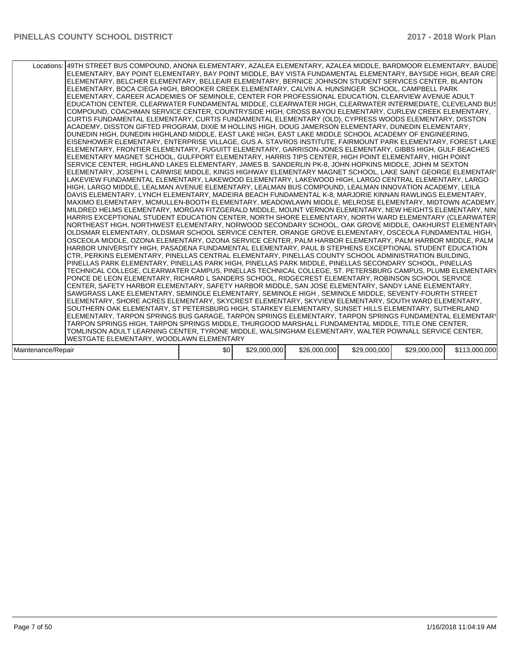| Locations:   49TH STREET BUS COMPOUND, ANONA ELEMENTARY, AZALEA ELEMENTARY, AZALEA MIDDLE, BARDMOOR ELEMENTARY, BAUDE<br> ELEMENTARY, BAY POINT ELEMENTARY, BAY POINT MIDDLE, BAY VISTA FUNDAMENTAL ELEMENTARY, BAYSIDE HIGH, BEAR CREI<br>ELEMENTARY, BELCHER ELEMENTARY, BELLEAIR ELEMENTARY, BERNICE JOHNSON STUDENT SERVICES CENTER, BLANTON<br>ELEMENTARY, BOCA CIEGA HIGH, BROOKER CREEK ELEMENTARY, CALVIN A. HUNSINGER SCHOOL, CAMPBELL PARK<br>ELEMENTARY, CAREER ACADEMIES OF SEMINOLE, CENTER FOR PROFESSIONAL EDUCATION, CLEARVIEW AVENUE ADULT<br>EDUCATION CENTER. CLEARWATER FUNDAMENTAL MIDDLE. CLEARWATER HIGH. CLEARWATER INTERMEDIATE. CLEVELAND BUS<br>COMPOUND, COACHMAN SERVICE CENTER, COUNTRYSIDE HIGH, CROSS BAYOU ELEMENTARY, CURLEW CREEK ELEMENTARY,<br>CURTIS FUNDAMENTAL ELEMENTARY, CURTIS FUNDAMENTAL ELEMENTARY (OLD), CYPRESS WOODS ELEMENTARY, DISSTON<br>ACADEMY, DISSTON GIFTED PROGRAM, DIXIE M HOLLINS HIGH, DOUG JAMERSON ELEMENTARY, DUNEDIN ELEMENTARY,<br>DUNEDIN HIGH. DUNEDIN HIGHLAND MIDDLE. EAST LAKE HIGH. EAST LAKE MIDDLE SCHOOL ACADEMY OF ENGINEERING.<br> EISENHOWER ELEMENTARY, ENTERPRISE VILLAGE, GUS A. STAVROS INSTITUTE, FAIRMOUNT PARK ELEMENTARY, FOREST LAKE <br>ELEMENTARY, FRONTIER ELEMENTARY, FUGUITT ELEMENTARY, GARRISON-JONES ELEMENTARY, GIBBS HIGH, GULF BEACHES<br>ELEMENTARY MAGNET SCHOOL, GULFPORT ELEMENTARY, HARRIS TIPS CENTER, HIGH POINT ELEMENTARY, HIGH POINT<br>SERVICE CENTER, HIGHLAND LAKES ELEMENTARY, JAMES B. SANDERLIN PK-8, JOHN HOPKINS MIDDLE, JOHN M SEXTON<br>ELEMENTARY, JOSEPH L CARWISE MIDDLE, KINGS HIGHWAY ELEMENTARY MAGNET SCHOOL, LAKE SAINT GEORGE ELEMENTARY<br>LAKEVIEW FUNDAMENTAL ELEMENTARY, LAKEWOOD ELEMENTARY, LAKEWOOD HIGH, LARGO CENTRAL ELEMENTARY, LARGO<br>HIGH, LARGO MIDDLE, LEALMAN AVENUE ELEMENTARY, LEALMAN BUS COMPOUND, LEALMAN INNOVATION ACADEMY, LEILA<br>IDAVIS ELEMENTARY. LYNCH ELEMENTARY. MADEIRA BEACH FUNDAMENTAL K-8. MARJORIE KINNAN RAWLINGS ELEMENTARY.<br>MAXIMO ELEMENTARY, MCMULLEN-BOOTH ELEMENTARY, MEADOWLAWN MIDDLE, MELROSE ELEMENTARY, MIDTOWN ACADEMY,<br>MILDRED HELMS ELEMENTARY, MORGAN FITZGERALD MIDDLE, MOUNT VERNON ELEMENTARY, NEW HEIGHTS ELEMENTARY, NIN<br>HARRIS EXCEPTIONAL STUDENT EDUCATION CENTER, NORTH SHORE ELEMENTARY, NORTH WARD ELEMENTARY (CLEARWATER<br>NORTHEAST HIGH, NORTHWEST ELEMENTARY, NORWOOD SECONDARY SCHOOL, OAK GROVE MIDDLE, OAKHURST ELEMENTARY<br>OLDSMAR ELEMENTARY, OLDSMAR SCHOOL SERVICE CENTER, ORANGE GROVE ELEMENTARY, OSCEOLA FUNDAMENTAL HIGH,<br>OSCEOLA MIDDLE, OZONA ELEMENTARY, OZONA SERVICE CENTER, PALM HARBOR ELEMENTARY, PALM HARBOR MIDDLE, PALM<br>HARBOR UNIVERSITY HIGH, PASADENA FUNDAMENTAL ELEMENTARY, PAUL B STEPHENS EXCEPTIONAL STUDENT EDUCATION<br>CTR, PERKINS ELEMENTARY, PINELLAS CENTRAL ELEMENTARY, PINELLAS COUNTY SCHOOL ADMINISTRATION BUILDING,<br>PINELLAS PARK ELEMENTARY, PINELLAS PARK HIGH, PINELLAS PARK MIDDLE, PINELLAS SECONDARY SCHOOL, PINELLAS<br>TECHNICAL COLLEGE, CLEARWATER CAMPUS, PINELLAS TECHNICAL COLLEGE, ST. PETERSBURG CAMPUS, PLUMB ELEMENTARY<br>PONCE DE LEON ELEMENTARY, RICHARD L SANDERS SCHOOL, RIDGECREST ELEMENTARY, ROBINSON SCHOOL SERVICE<br>CENTER. SAFETY HARBOR ELEMENTARY. SAFETY HARBOR MIDDLE, SAN JOSE ELEMENTARY. SANDY LANE ELEMENTARY.<br>SAWGRASS LAKE ELEMENTARY, SEMINOLE ELEMENTARY, SEMINOLE HIGH, SEMINOLE MIDDLE, SEVENTY-FOURTH STREET<br>ELEMENTARY, SHORE ACRES ELEMENTARY, SKYCREST ELEMENTARY, SKYVIEW ELEMENTARY, SOUTH WARD ELEMENTARY,<br>SOUTHERN OAK ELEMENTARY, ST PETERSBURG HIGH, STARKEY ELEMENTARY, SUNSET HILLS ELEMENTARY, SUTHERLAND<br> ELEMENTARY, TARPON SPRINGS BUS GARAGE, TARPON SPRINGS ELEMENTARY, TARPON SPRINGS FUNDAMENTAL ELEMENTARY<br>TARPON SPRINGS HIGH, TARPON SPRINGS MIDDLE, THURGOOD MARSHALL FUNDAMENTAL MIDDLE, TITLE ONE CENTER,<br>TOMLINSON ADULT LEARNING CENTER, TYRONE MIDDLE, WALSINGHAM ELEMENTARY, WALTER POWNALL SERVICE CENTER,<br>WESTGATE ELEMENTARY, WOODLAWN ELEMENTARY |     |              |              |              |              |               |
|---------------------------------------------------------------------------------------------------------------------------------------------------------------------------------------------------------------------------------------------------------------------------------------------------------------------------------------------------------------------------------------------------------------------------------------------------------------------------------------------------------------------------------------------------------------------------------------------------------------------------------------------------------------------------------------------------------------------------------------------------------------------------------------------------------------------------------------------------------------------------------------------------------------------------------------------------------------------------------------------------------------------------------------------------------------------------------------------------------------------------------------------------------------------------------------------------------------------------------------------------------------------------------------------------------------------------------------------------------------------------------------------------------------------------------------------------------------------------------------------------------------------------------------------------------------------------------------------------------------------------------------------------------------------------------------------------------------------------------------------------------------------------------------------------------------------------------------------------------------------------------------------------------------------------------------------------------------------------------------------------------------------------------------------------------------------------------------------------------------------------------------------------------------------------------------------------------------------------------------------------------------------------------------------------------------------------------------------------------------------------------------------------------------------------------------------------------------------------------------------------------------------------------------------------------------------------------------------------------------------------------------------------------------------------------------------------------------------------------------------------------------------------------------------------------------------------------------------------------------------------------------------------------------------------------------------------------------------------------------------------------------------------------------------------------------------------------------------------------------------------------------------------------------------------------------------------------------------------------------------------------------------------------------------------------------------------------------------------------------------------------------------------------------------------------------------------------------------------------------------------------------------------------------------------------------------------------------------------------------------------------------------------------------------------------------------------------------------------------------------------------------------------------------------------------------------------------------------------------------------------------------------------------------------------------------------------------------------------------------------------------------------------|-----|--------------|--------------|--------------|--------------|---------------|
|                                                                                                                                                                                                                                                                                                                                                                                                                                                                                                                                                                                                                                                                                                                                                                                                                                                                                                                                                                                                                                                                                                                                                                                                                                                                                                                                                                                                                                                                                                                                                                                                                                                                                                                                                                                                                                                                                                                                                                                                                                                                                                                                                                                                                                                                                                                                                                                                                                                                                                                                                                                                                                                                                                                                                                                                                                                                                                                                                                                                                                                                                                                                                                                                                                                                                                                                                                                                                                                                                                                                                                                                                                                                                                                                                                                                                                                                                                                                                                                                                           |     |              |              |              |              |               |
|                                                                                                                                                                                                                                                                                                                                                                                                                                                                                                                                                                                                                                                                                                                                                                                                                                                                                                                                                                                                                                                                                                                                                                                                                                                                                                                                                                                                                                                                                                                                                                                                                                                                                                                                                                                                                                                                                                                                                                                                                                                                                                                                                                                                                                                                                                                                                                                                                                                                                                                                                                                                                                                                                                                                                                                                                                                                                                                                                                                                                                                                                                                                                                                                                                                                                                                                                                                                                                                                                                                                                                                                                                                                                                                                                                                                                                                                                                                                                                                                                           |     |              |              |              |              |               |
| Maintenance/Repair                                                                                                                                                                                                                                                                                                                                                                                                                                                                                                                                                                                                                                                                                                                                                                                                                                                                                                                                                                                                                                                                                                                                                                                                                                                                                                                                                                                                                                                                                                                                                                                                                                                                                                                                                                                                                                                                                                                                                                                                                                                                                                                                                                                                                                                                                                                                                                                                                                                                                                                                                                                                                                                                                                                                                                                                                                                                                                                                                                                                                                                                                                                                                                                                                                                                                                                                                                                                                                                                                                                                                                                                                                                                                                                                                                                                                                                                                                                                                                                                        | \$0 | \$29,000,000 | \$26,000,000 | \$29,000,000 | \$29,000,000 | \$113,000,000 |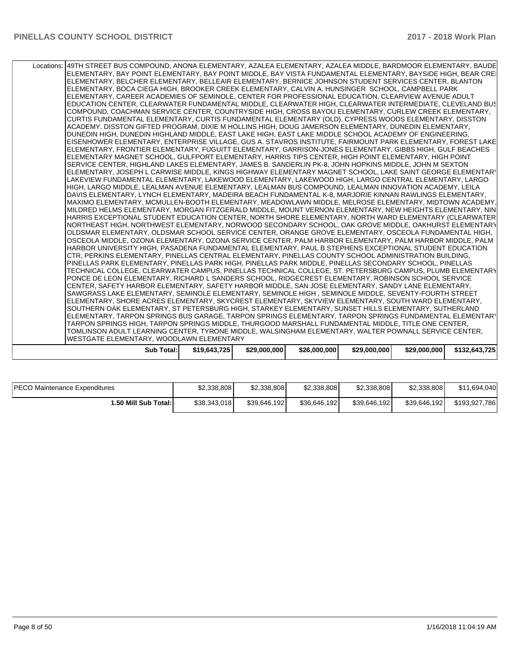| WESTGATE ELEMENTARY, WOODLAWN ELEMENTARY                                                                                                                                                                           |  |  |  |
|--------------------------------------------------------------------------------------------------------------------------------------------------------------------------------------------------------------------|--|--|--|
| TOMLINSON ADULT LEARNING CENTER, TYRONE MIDDLE, WALSINGHAM ELEMENTARY, WALTER POWNALL SERVICE CENTER,                                                                                                              |  |  |  |
| TARPON SPRINGS HIGH, TARPON SPRINGS MIDDLE, THURGOOD MARSHALL FUNDAMENTAL MIDDLE, TITLE ONE CENTER,                                                                                                                |  |  |  |
| ELEMENTARY, TARPON SPRINGS BUS GARAGE, TARPON SPRINGS ELEMENTARY, TARPON SPRINGS FUNDAMENTAL ELEMENTARY                                                                                                            |  |  |  |
| SOUTHERN OAK ELEMENTARY, ST PETERSBURG HIGH, STARKEY ELEMENTARY, SUNSET HILLS ELEMENTARY, SUTHERLAND                                                                                                               |  |  |  |
| ELEMENTARY, SHORE ACRES ELEMENTARY, SKYCREST ELEMENTARY, SKYVIEW ELEMENTARY, SOUTH WARD ELEMENTARY,                                                                                                                |  |  |  |
| SAWGRASS LAKE ELEMENTARY, SEMINOLE ELEMENTARY, SEMINOLE HIGH, SEMINOLE MIDDLE, SEVENTY-FOURTH STREET                                                                                                               |  |  |  |
| CENTER, SAFETY HARBOR ELEMENTARY, SAFETY HARBOR MIDDLE, SAN JOSE ELEMENTARY, SANDY LANE ELEMENTARY,                                                                                                                |  |  |  |
| PONCE DE LEON ELEMENTARY. RICHARD L SANDERS SCHOOL. RIDGECREST ELEMENTARY. ROBINSON SCHOOL SERVICE                                                                                                                 |  |  |  |
| TECHNICAL COLLEGE, CLEARWATER CAMPUS, PINELLAS TECHNICAL COLLEGE, ST. PETERSBURG CAMPUS, PLUMB ELEMENTARY                                                                                                          |  |  |  |
| PINELLAS PARK ELEMENTARY. PINELLAS PARK HIGH. PINELLAS PARK MIDDLE. PINELLAS SECONDARY SCHOOL. PINELLAS                                                                                                            |  |  |  |
| CTR, PERKINS ELEMENTARY, PINELLAS CENTRAL ELEMENTARY, PINELLAS COUNTY SCHOOL ADMINISTRATION BUILDING,                                                                                                              |  |  |  |
| OSCEOLA MIDDLE, OZONA ELEMENTARY, OZONA SERVICE CENTER, PALM HARBOR ELEMENTARY, PALM HARBOR MIDDLE, PALM<br>HARBOR UNIVERSITY HIGH, PASADENA FUNDAMENTAL ELEMENTARY, PAUL B STEPHENS EXCEPTIONAL STUDENT EDUCATION |  |  |  |
| OLDSMAR ELEMENTARY, OLDSMAR SCHOOL SERVICE CENTER, ORANGE GROVE ELEMENTARY, OSCEOLA FUNDAMENTAL HIGH,                                                                                                              |  |  |  |
| NORTHEAST HIGH, NORTHWEST ELEMENTARY, NORWOOD SECONDARY SCHOOL, OAK GROVE MIDDLE, OAKHURST ELEMENTARY                                                                                                              |  |  |  |
| HARRIS EXCEPTIONAL STUDENT EDUCATION CENTER, NORTH SHORE ELEMENTARY, NORTH WARD ELEMENTARY (CLEARWATER                                                                                                             |  |  |  |
| MILDRED HELMS ELEMENTARY, MORGAN FITZGERALD MIDDLE, MOUNT VERNON ELEMENTARY, NEW HEIGHTS ELEMENTARY, NIN                                                                                                           |  |  |  |
| MAXIMO ELEMENTARY. MCMULLEN-BOOTH ELEMENTARY. MEADOWLAWN MIDDLE. MELROSE ELEMENTARY. MIDTOWN ACADEMY.                                                                                                              |  |  |  |
| DAVIS ELEMENTARY, LYNCH ELEMENTARY, MADEIRA BEACH FUNDAMENTAL K-8, MARJORIE KINNAN RAWLINGS ELEMENTARY,                                                                                                            |  |  |  |
| HIGH, LARGO MIDDLE, LEALMAN AVENUE ELEMENTARY, LEALMAN BUS COMPOUND, LEALMAN INNOVATION ACADEMY, LEILA                                                                                                             |  |  |  |
| LAKEVIEW FUNDAMENTAL ELEMENTARY, LAKEWOOD ELEMENTARY, LAKEWOOD HIGH, LARGO CENTRAL ELEMENTARY, LARGO                                                                                                               |  |  |  |
| ELEMENTARY, JOSEPH L CARWISE MIDDLE, KINGS HIGHWAY ELEMENTARY MAGNET SCHOOL, LAKE SAINT GEORGE ELEMENTARY                                                                                                          |  |  |  |
| SERVICE CENTER, HIGHLAND LAKES ELEMENTARY, JAMES B. SANDERLIN PK-8, JOHN HOPKINS MIDDLE, JOHN M SEXTON                                                                                                             |  |  |  |
| ELEMENTARY MAGNET SCHOOL, GULFPORT ELEMENTARY, HARRIS TIPS CENTER, HIGH POINT ELEMENTARY, HIGH POINT                                                                                                               |  |  |  |
| ELEMENTARY, FRONTIER ELEMENTARY, FUGUITT ELEMENTARY, GARRISON-JONES ELEMENTARY, GIBBS HIGH, GULF BEACHES                                                                                                           |  |  |  |
| EISENHOWER ELEMENTARY, ENTERPRISE VILLAGE, GUS A. STAVROS INSTITUTE, FAIRMOUNT PARK ELEMENTARY, FOREST LAKE                                                                                                        |  |  |  |
| DUNEDIN HIGH. DUNEDIN HIGHLAND MIDDLE. EAST LAKE HIGH. EAST LAKE MIDDLE SCHOOL ACADEMY OF ENGINEERING.                                                                                                             |  |  |  |
| ACADEMY, DISSTON GIFTED PROGRAM, DIXIE M HOLLINS HIGH, DOUG JAMERSON ELEMENTARY, DUNEDIN ELEMENTARY,                                                                                                               |  |  |  |
| CURTIS FUNDAMENTAL ELEMENTARY, CURTIS FUNDAMENTAL ELEMENTARY (OLD), CYPRESS WOODS ELEMENTARY, DISSTON                                                                                                              |  |  |  |
| COMPOUND, COACHMAN SERVICE CENTER, COUNTRYSIDE HIGH, CROSS BAYOU ELEMENTARY, CURLEW CREEK ELEMENTARY,                                                                                                              |  |  |  |
| EDUCATION CENTER, CLEARWATER FUNDAMENTAL MIDDLE, CLEARWATER HIGH, CLEARWATER INTERMEDIATE, CLEVELAND BUS                                                                                                           |  |  |  |
| ELEMENTARY, CAREER ACADEMIES OF SEMINOLE, CENTER FOR PROFESSIONAL EDUCATION, CLEARVIEW AVENUE ADULT                                                                                                                |  |  |  |
| ELEMENTARY, BOCA CIEGA HIGH, BROOKER CREEK ELEMENTARY, CALVIN A. HUNSINGER SCHOOL, CAMPBELL PARK                                                                                                                   |  |  |  |
| ELEMENTARY, BELCHER ELEMENTARY, BELLEAIR ELEMENTARY, BERNICE JOHNSON STUDENT SERVICES CENTER, BLANTON                                                                                                              |  |  |  |
| ELEMENTARY, BAY POINT ELEMENTARY, BAY POINT MIDDLE, BAY VISTA FUNDAMENTAL ELEMENTARY, BAYSIDE HIGH, BEAR CREI                                                                                                      |  |  |  |
| Locations:   49TH STREET BUS COMPOUND, ANONA ELEMENTARY, AZALEA ELEMENTARY, AZALEA MIDDLE, BARDMOOR ELEMENTARY, BAUDE                                                                                              |  |  |  |

| <b>PECO Maintenance Expenditures</b> | \$2,338,808  | \$2,338,808  | \$2,338,808  | \$2,338,808  | \$2,338,808  | \$11,694,040  |
|--------------------------------------|--------------|--------------|--------------|--------------|--------------|---------------|
| 1.50 Mill Sub Total:                 | \$38.343.018 | \$39,646,192 | \$36,646,192 | \$39,646,192 | \$39,646,192 | \$193,927,786 |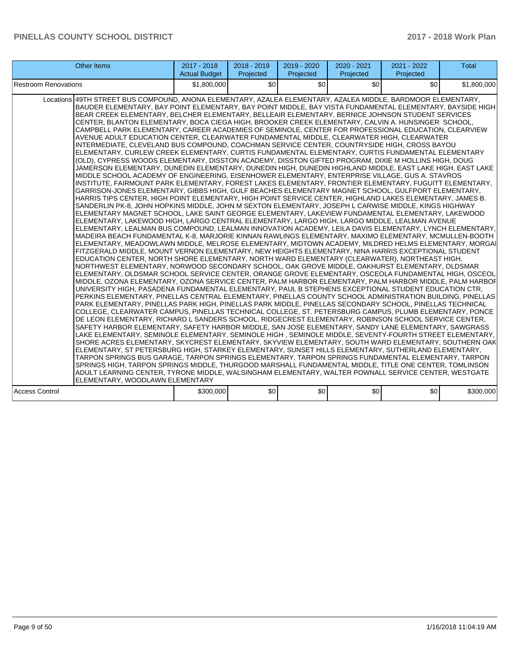| <b>Other Items</b>                                                                                                                                                                                                                                                                                                                                                                                                                                                                                                                                                                                                                                                                                                                                                                                                                                                                                                                                                                                                                                                                                                                                                                                                                                                                                                                                                                                                                                                                                                                                                                                                                                                                                                                                                                                                                                                                                                                                                                                                                                                                                                                                                                                                                                                                                                                                                                                                                                                                                                                                                                                                                                                                                                                                                                                                                                                                                                                                                                                                                                                                                                                                                                                                                                                                                                                                                                                                                                                                                                                                                                                                                                                                                                                                                                                                                                                                                                                                                                                                            | $2017 - 2018$<br><b>Actual Budget</b> | $2018 - 2019$<br>Projected | 2019 - 2020<br>Projected | 2020 - 2021<br>Projected | 2021 - 2022<br>Projected | <b>Total</b> |
|-------------------------------------------------------------------------------------------------------------------------------------------------------------------------------------------------------------------------------------------------------------------------------------------------------------------------------------------------------------------------------------------------------------------------------------------------------------------------------------------------------------------------------------------------------------------------------------------------------------------------------------------------------------------------------------------------------------------------------------------------------------------------------------------------------------------------------------------------------------------------------------------------------------------------------------------------------------------------------------------------------------------------------------------------------------------------------------------------------------------------------------------------------------------------------------------------------------------------------------------------------------------------------------------------------------------------------------------------------------------------------------------------------------------------------------------------------------------------------------------------------------------------------------------------------------------------------------------------------------------------------------------------------------------------------------------------------------------------------------------------------------------------------------------------------------------------------------------------------------------------------------------------------------------------------------------------------------------------------------------------------------------------------------------------------------------------------------------------------------------------------------------------------------------------------------------------------------------------------------------------------------------------------------------------------------------------------------------------------------------------------------------------------------------------------------------------------------------------------------------------------------------------------------------------------------------------------------------------------------------------------------------------------------------------------------------------------------------------------------------------------------------------------------------------------------------------------------------------------------------------------------------------------------------------------------------------------------------------------------------------------------------------------------------------------------------------------------------------------------------------------------------------------------------------------------------------------------------------------------------------------------------------------------------------------------------------------------------------------------------------------------------------------------------------------------------------------------------------------------------------------------------------------------------------------------------------------------------------------------------------------------------------------------------------------------------------------------------------------------------------------------------------------------------------------------------------------------------------------------------------------------------------------------------------------------------------------------------------------------------------------------------------------|---------------------------------------|----------------------------|--------------------------|--------------------------|--------------------------|--------------|
| <b>Restroom Renovations</b>                                                                                                                                                                                                                                                                                                                                                                                                                                                                                                                                                                                                                                                                                                                                                                                                                                                                                                                                                                                                                                                                                                                                                                                                                                                                                                                                                                                                                                                                                                                                                                                                                                                                                                                                                                                                                                                                                                                                                                                                                                                                                                                                                                                                                                                                                                                                                                                                                                                                                                                                                                                                                                                                                                                                                                                                                                                                                                                                                                                                                                                                                                                                                                                                                                                                                                                                                                                                                                                                                                                                                                                                                                                                                                                                                                                                                                                                                                                                                                                                   | \$1,800,000                           | \$0                        | \$0                      | \$0                      | \$0                      | \$1,800,000  |
| Locations 49TH STREET BUS COMPOUND, ANONA ELEMENTARY, AZALEA ELEMENTARY, AZALEA MIDDLE, BARDMOOR ELEMENTARY,<br>BAUDER ELEMENTARY, BAY POINT ELEMENTARY, BAY POINT MIDDLE, BAY VISTA FUNDAMENTAL ELEMENTARY, BAYSIDE HIGH<br>BEAR CREEK ELEMENTARY. BELCHER ELEMENTARY. BELLEAIR ELEMENTARY. BERNICE JOHNSON STUDENT SERVICES<br>CENTER, BLANTON ELEMENTARY, BOCA CIEGA HIGH, BROOKER CREEK ELEMENTARY, CALVIN A. HUNSINGER SCHOOL,<br>CAMPBELL PARK ELEMENTARY, CAREER ACADEMIES OF SEMINOLE, CENTER FOR PROFESSIONAL EDUCATION, CLEARVIEW<br>AVENUE ADULT EDUCATION CENTER, CLEARWATER FUNDAMENTAL MIDDLE, CLEARWATER HIGH, CLEARWATER<br>INTERMEDIATE, CLEVELAND BUS COMPOUND, COACHMAN SERVICE CENTER, COUNTRYSIDE HIGH, CROSS BAYOU<br>ELEMENTARY, CURLEW CREEK ELEMENTARY, CURTIS FUNDAMENTAL ELEMENTARY, CURTIS FUNDAMENTAL ELEMENTARY<br>(OLD), CYPRESS WOODS ELEMENTARY, DISSTON ACADEMY, DISSTON GIFTED PROGRAM, DIXIE M HOLLINS HIGH, DOUG<br>JAMERSON ELEMENTARY, DUNEDIN ELEMENTARY, DUNEDIN HIGH, DUNEDIN HIGHLAND MIDDLE, EAST LAKE HIGH, EAST LAKE<br>MIDDLE SCHOOL ACADEMY OF ENGINEERING, EISENHOWER ELEMENTARY, ENTERPRISE VILLAGE, GUS A. STAVROS<br>INSTITUTE, FAIRMOUNT PARK ELEMENTARY, FOREST LAKES ELEMENTARY, FRONTIER ELEMENTARY, FUGUITT ELEMENTARY,<br>GARRISON-JONES ELEMENTARY, GIBBS HIGH, GULF BEACHES ELEMENTARY MAGNET SCHOOL, GULFPORT ELEMENTARY,<br>HARRIS TIPS CENTER, HIGH POINT ELEMENTARY, HIGH POINT SERVICE CENTER, HIGHLAND LAKES ELEMENTARY, JAMES B.<br>SANDERLIN PK-8, JOHN HOPKINS MIDDLE, JOHN M SEXTON ELEMENTARY, JOSEPH L CARWISE MIDDLE, KINGS HIGHWAY<br>ELEMENTARY MAGNET SCHOOL, LAKE SAINT GEORGE ELEMENTARY, LAKEVIEW FUNDAMENTAL ELEMENTARY, LAKEWOOD<br>ELEMENTARY, LAKEWOOD HIGH, LARGO CENTRAL ELEMENTARY, LARGO HIGH, LARGO MIDDLE, LEALMAN AVENUE<br>ELEMENTARY, LEALMAN BUS COMPOUND, LEALMAN INNOVATION ACADEMY, LEILA DAVIS ELEMENTARY, LYNCH ELEMENTARY,<br>MADEIRA BEACH FUNDAMENTAL K-8, MARJORIE KINNAN RAWLINGS ELEMENTARY, MAXIMO ELEMENTARY, MCMULLEN-BOOTH<br>ELEMENTARY, MEADOWLAWN MIDDLE, MELROSE ELEMENTARY, MIDTOWN ACADEMY, MILDRED HELMS ELEMENTARY, MORGAI<br>FITZGERALD MIDDLE, MOUNT VERNON ELEMENTARY, NEW HEIGHTS ELEMENTARY, NINA HARRIS EXCEPTIONAL STUDENT<br>EDUCATION CENTER, NORTH SHORE ELEMENTARY, NORTH WARD ELEMENTARY (CLEARWATER), NORTHEAST HIGH,<br>NORTHWEST ELEMENTARY, NORWOOD SECONDARY SCHOOL, OAK GROVE MIDDLE, OAKHURST ELEMENTARY, OLDSMAR<br>ELEMENTARY, OLDSMAR SCHOOL SERVICE CENTER, ORANGE GROVE ELEMENTARY, OSCEOLA FUNDAMENTAL HIGH, OSCEOL<br>MIDDLE, OZONA ELEMENTARY, OZONA SERVICE CENTER, PALM HARBOR ELEMENTARY, PALM HARBOR MIDDLE, PALM HARBOF<br>UNIVERSITY HIGH, PASADENA FUNDAMENTAL ELEMENTARY, PAUL B STEPHENS EXCEPTIONAL STUDENT EDUCATION CTR,<br>PERKINS ELEMENTARY, PINELLAS CENTRAL ELEMENTARY, PINELLAS COUNTY SCHOOL ADMINISTRATION BUILDING, PINELLAS<br>PARK ELEMENTARY, PINELLAS PARK HIGH, PINELLAS PARK MIDDLE, PINELLAS SECONDARY SCHOOL, PINELLAS TECHNICAL<br>COLLEGE, CLEARWATER CAMPUS, PINELLAS TECHNICAL COLLEGE, ST. PETERSBURG CAMPUS, PLUMB ELEMENTARY, PONCE<br>DE LEON ELEMENTARY, RICHARD L SANDERS SCHOOL, RIDGECREST ELEMENTARY, ROBINSON SCHOOL SERVICE CENTER,<br>SAFETY HARBOR ELEMENTARY, SAFETY HARBOR MIDDLE, SAN JOSE ELEMENTARY, SANDY LANE ELEMENTARY, SAWGRASS<br>LAKE ELEMENTARY, SEMINOLE ELEMENTARY, SEMINOLE HIGH , SEMINOLE MIDDLE, SEVENTY-FOURTH STREET ELEMENTARY,<br>SHORE ACRES ELEMENTARY, SKYCREST ELEMENTARY, SKYVIEW ELEMENTARY, SOUTH WARD ELEMENTARY, SOUTHERN OAK<br>ELEMENTARY, ST PETERSBURG HIGH, STARKEY ELEMENTARY, SUNSET HILLS ELEMENTARY, SUTHERLAND ELEMENTARY,<br>TARPON SPRINGS BUS GARAGE, TARPON SPRINGS ELEMENTARY, TARPON SPRINGS FUNDAMENTAL ELEMENTARY, TARPON<br>SPRINGS HIGH, TARPON SPRINGS MIDDLE, THURGOOD MARSHALL FUNDAMENTAL MIDDLE. TITLE ONE CENTER, TOMLINSON<br>ADULT LEARNING CENTER, TYRONE MIDDLE, WALSINGHAM ELEMENTARY, WALTER POWNALL SERVICE CENTER, WESTGATE<br>ELEMENTARY, WOODLAWN ELEMENTARY |                                       |                            |                          |                          |                          |              |
| <b>Access Control</b>                                                                                                                                                                                                                                                                                                                                                                                                                                                                                                                                                                                                                                                                                                                                                                                                                                                                                                                                                                                                                                                                                                                                                                                                                                                                                                                                                                                                                                                                                                                                                                                                                                                                                                                                                                                                                                                                                                                                                                                                                                                                                                                                                                                                                                                                                                                                                                                                                                                                                                                                                                                                                                                                                                                                                                                                                                                                                                                                                                                                                                                                                                                                                                                                                                                                                                                                                                                                                                                                                                                                                                                                                                                                                                                                                                                                                                                                                                                                                                                                         | \$300,000                             | \$0                        | \$0                      | \$0                      | \$0                      | \$300,000    |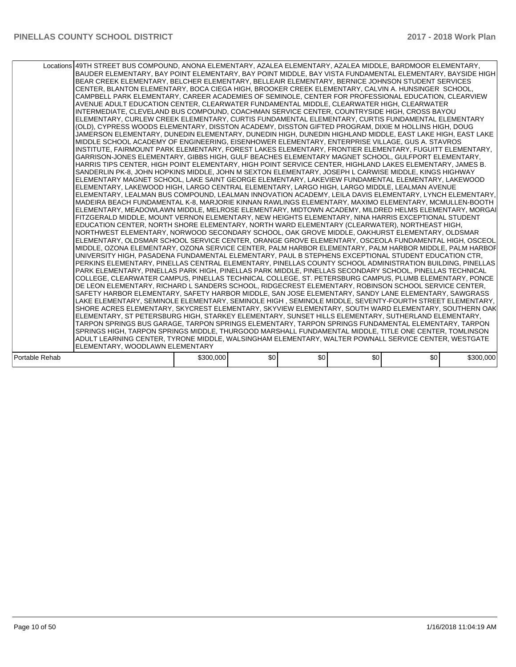|                | Locations 49TH STREET BUS COMPOUND, ANONA ELEMENTARY, AZALEA ELEMENTARY, AZALEA MIDDLE, BARDMOOR ELEMENTARY,<br>BAUDER ELEMENTARY, BAY POINT ELEMENTARY, BAY POINT MIDDLE, BAY VISTA FUNDAMENTAL ELEMENTARY, BAYSIDE HIGH<br>BEAR CREEK ELEMENTARY, BELCHER ELEMENTARY, BELLEAIR ELEMENTARY, BERNICE JOHNSON STUDENT SERVICES<br>CENTER, BLANTON ELEMENTARY, BOCA CIEGA HIGH, BROOKER CREEK ELEMENTARY, CALVIN A. HUNSINGER SCHOOL,<br>CAMPBELL PARK ELEMENTARY, CAREER ACADEMIES OF SEMINOLE, CENTER FOR PROFESSIONAL EDUCATION, CLEARVIEW<br>AVENUE ADULT EDUCATION CENTER. CLEARWATER FUNDAMENTAL MIDDLE. CLEARWATER HIGH. CLEARWATER<br>INTERMEDIATE, CLEVELAND BUS COMPOUND, COACHMAN SERVICE CENTER, COUNTRYSIDE HIGH, CROSS BAYOU<br>ELEMENTARY, CURLEW CREEK ELEMENTARY, CURTIS FUNDAMENTAL ELEMENTARY, CURTIS FUNDAMENTAL ELEMENTARY<br>(OLD), CYPRESS WOODS ELEMENTARY, DISSTON ACADEMY, DISSTON GIFTED PROGRAM, DIXIE M HOLLINS HIGH, DOUG<br>JAMERSON ELEMENTARY, DUNEDIN ELEMENTARY, DUNEDIN HIGH, DUNEDIN HIGHLAND MIDDLE, EAST LAKE HIGH, EAST LAKE<br>MIDDLE SCHOOL ACADEMY OF ENGINEERING, EISENHOWER ELEMENTARY, ENTERPRISE VILLAGE, GUS A. STAVROS<br>INSTITUTE, FAIRMOUNT PARK ELEMENTARY, FOREST LAKES ELEMENTARY, FRONTIER ELEMENTARY, FUGUITT ELEMENTARY,<br>GARRISON-JONES ELEMENTARY, GIBBS HIGH, GULF BEACHES ELEMENTARY MAGNET SCHOOL, GULFPORT ELEMENTARY,<br>HARRIS TIPS CENTER. HIGH POINT ELEMENTARY. HIGH POINT SERVICE CENTER. HIGHLAND LAKES ELEMENTARY. JAMES B.<br>SANDERLIN PK-8, JOHN HOPKINS MIDDLE, JOHN M SEXTON ELEMENTARY, JOSEPH L CARWISE MIDDLE, KINGS HIGHWAY<br>ELEMENTARY MAGNET SCHOOL, LAKE SAINT GEORGE ELEMENTARY, LAKEVIEW FUNDAMENTAL ELEMENTARY, LAKEWOOD<br>IELEMENTARY. LAKEWOOD HIGH. LARGO CENTRAL ELEMENTARY. LARGO HIGH. LARGO MIDDLE. LEALMAN AVENUE<br>ELEMENTARY, LEALMAN BUS COMPOUND, LEALMAN INNOVATION ACADEMY, LEILA DAVIS ELEMENTARY, LYNCH ELEMENTARY,<br>IMADEIRA BEACH FUNDAMENTAL K-8. MARJORIE KINNAN RAWLINGS ELEMENTARY. MAXIMO ELEMENTARY. MCMULLEN-BOOTH<br>ELEMENTARY, MEADOWLAWN MIDDLE, MELROSE ELEMENTARY, MIDTOWN ACADEMY, MILDRED HELMS ELEMENTARY, MORGAI<br>FITZGERALD MIDDLE, MOUNT VERNON ELEMENTARY, NEW HEIGHTS ELEMENTARY, NINA HARRIS EXCEPTIONAL STUDENT<br>EDUCATION CENTER, NORTH SHORE ELEMENTARY, NORTH WARD ELEMENTARY (CLEARWATER), NORTHEAST HIGH,<br>NORTHWEST ELEMENTARY, NORWOOD SECONDARY SCHOOL, OAK GROVE MIDDLE, OAKHURST ELEMENTARY, OLDSMAR<br>IELEMENTARY, OLDSMAR SCHOOL SERVICE CENTER, ORANGE GROVE ELEMENTARY, OSCEOLA FUNDAMENTAL HIGH, OSCEOL<br>MIDDLE, OZONA ELEMENTARY, OZONA SERVICE CENTER, PALM HARBOR ELEMENTARY, PALM HARBOR MIDDLE, PALM HARBOF<br>UNIVERSITY HIGH, PASADENA FUNDAMENTAL ELEMENTARY, PAUL B STEPHENS EXCEPTIONAL STUDENT EDUCATION CTR,<br>PERKINS ELEMENTARY, PINELLAS CENTRAL ELEMENTARY, PINELLAS COUNTY SCHOOL ADMINISTRATION BUILDING, PINELLAS<br>PARK ELEMENTARY, PINELLAS PARK HIGH, PINELLAS PARK MIDDLE, PINELLAS SECONDARY SCHOOL, PINELLAS TECHNICAL<br>COLLEGE, CLEARWATER CAMPUS, PINELLAS TECHNICAL COLLEGE, ST. PETERSBURG CAMPUS, PLUMB ELEMENTARY, PONCE<br>DE LEON ELEMENTARY, RICHARD L SANDERS SCHOOL, RIDGECREST ELEMENTARY, ROBINSON SCHOOL SERVICE CENTER,<br>ISAFETY HARBOR ELEMENTARY, SAFETY HARBOR MIDDLE, SAN JOSE ELEMENTARY, SANDY LANE ELEMENTARY, SAWGRASS<br>LAKE ELEMENTARY, SEMINOLE ELEMENTARY, SEMINOLE HIGH , SEMINOLE MIDDLE, SEVENTY-FOURTH STREET ELEMENTARY,<br>SHORE ACRES ELEMENTARY, SKYCREST ELEMENTARY, SKYVIEW ELEMENTARY, SOUTH WARD ELEMENTARY, SOUTHERN OAK<br>ELEMENTARY, ST PETERSBURG HIGH, STARKEY ELEMENTARY, SUNSET HILLS ELEMENTARY, SUTHERLAND ELEMENTARY,<br>TARPON SPRINGS BUS GARAGE, TARPON SPRINGS ELEMENTARY, TARPON SPRINGS FUNDAMENTAL ELEMENTARY, TARPON<br>SPRINGS HIGH. TARPON SPRINGS MIDDLE. THURGOOD MARSHALL FUNDAMENTAL MIDDLE. TITLE ONE CENTER. TOMLINSON<br>ADULT LEARNING CENTER, TYRONE MIDDLE, WALSINGHAM ELEMENTARY, WALTER POWNALL SERVICE CENTER, WESTGATE |           |     |     |     |     |           |  |
|----------------|------------------------------------------------------------------------------------------------------------------------------------------------------------------------------------------------------------------------------------------------------------------------------------------------------------------------------------------------------------------------------------------------------------------------------------------------------------------------------------------------------------------------------------------------------------------------------------------------------------------------------------------------------------------------------------------------------------------------------------------------------------------------------------------------------------------------------------------------------------------------------------------------------------------------------------------------------------------------------------------------------------------------------------------------------------------------------------------------------------------------------------------------------------------------------------------------------------------------------------------------------------------------------------------------------------------------------------------------------------------------------------------------------------------------------------------------------------------------------------------------------------------------------------------------------------------------------------------------------------------------------------------------------------------------------------------------------------------------------------------------------------------------------------------------------------------------------------------------------------------------------------------------------------------------------------------------------------------------------------------------------------------------------------------------------------------------------------------------------------------------------------------------------------------------------------------------------------------------------------------------------------------------------------------------------------------------------------------------------------------------------------------------------------------------------------------------------------------------------------------------------------------------------------------------------------------------------------------------------------------------------------------------------------------------------------------------------------------------------------------------------------------------------------------------------------------------------------------------------------------------------------------------------------------------------------------------------------------------------------------------------------------------------------------------------------------------------------------------------------------------------------------------------------------------------------------------------------------------------------------------------------------------------------------------------------------------------------------------------------------------------------------------------------------------------------------------------------------------------------------------------------------------------------------------------------------------------------------------------------------------------------------------------------------------------------------------------------------------------------------------------------------------------------------------------------------------------------------------------------------------------------------------------------------------------------------------------------------------------------------------|-----------|-----|-----|-----|-----|-----------|--|
|                | IELEMENTARY. WOODLAWN ELEMENTARY                                                                                                                                                                                                                                                                                                                                                                                                                                                                                                                                                                                                                                                                                                                                                                                                                                                                                                                                                                                                                                                                                                                                                                                                                                                                                                                                                                                                                                                                                                                                                                                                                                                                                                                                                                                                                                                                                                                                                                                                                                                                                                                                                                                                                                                                                                                                                                                                                                                                                                                                                                                                                                                                                                                                                                                                                                                                                                                                                                                                                                                                                                                                                                                                                                                                                                                                                                                                                                                                                                                                                                                                                                                                                                                                                                                                                                                                                                                                                               |           |     |     |     |     |           |  |
|                |                                                                                                                                                                                                                                                                                                                                                                                                                                                                                                                                                                                                                                                                                                                                                                                                                                                                                                                                                                                                                                                                                                                                                                                                                                                                                                                                                                                                                                                                                                                                                                                                                                                                                                                                                                                                                                                                                                                                                                                                                                                                                                                                                                                                                                                                                                                                                                                                                                                                                                                                                                                                                                                                                                                                                                                                                                                                                                                                                                                                                                                                                                                                                                                                                                                                                                                                                                                                                                                                                                                                                                                                                                                                                                                                                                                                                                                                                                                                                                                                |           |     |     |     |     |           |  |
| Portable Rehab |                                                                                                                                                                                                                                                                                                                                                                                                                                                                                                                                                                                                                                                                                                                                                                                                                                                                                                                                                                                                                                                                                                                                                                                                                                                                                                                                                                                                                                                                                                                                                                                                                                                                                                                                                                                                                                                                                                                                                                                                                                                                                                                                                                                                                                                                                                                                                                                                                                                                                                                                                                                                                                                                                                                                                                                                                                                                                                                                                                                                                                                                                                                                                                                                                                                                                                                                                                                                                                                                                                                                                                                                                                                                                                                                                                                                                                                                                                                                                                                                | \$300,000 | \$0 | \$0 | \$0 | \$0 | \$300,000 |  |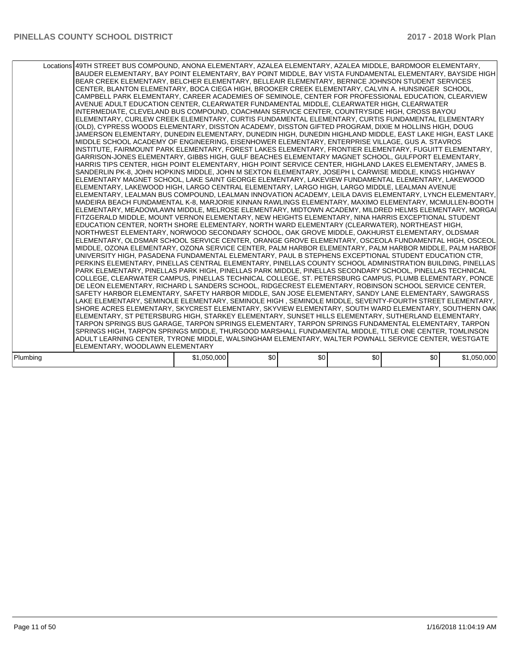|          | Locations 49TH STREET BUS COMPOUND, ANONA ELEMENTARY, AZALEA ELEMENTARY, AZALEA MIDDLE, BARDMOOR ELEMENTARY,<br>BAUDER ELEMENTARY, BAY POINT ELEMENTARY, BAY POINT MIDDLE, BAY VISTA FUNDAMENTAL ELEMENTARY, BAYSIDE HIGH<br>BEAR CREEK ELEMENTARY, BELCHER ELEMENTARY, BELLEAIR ELEMENTARY, BERNICE JOHNSON STUDENT SERVICES<br>CENTER, BLANTON ELEMENTARY, BOCA CIEGA HIGH, BROOKER CREEK ELEMENTARY, CALVIN A. HUNSINGER SCHOOL,<br>CAMPBELL PARK ELEMENTARY, CAREER ACADEMIES OF SEMINOLE, CENTER FOR PROFESSIONAL EDUCATION, CLEARVIEW<br>AVENUE ADULT EDUCATION CENTER, CLEARWATER FUNDAMENTAL MIDDLE, CLEARWATER HIGH, CLEARWATER<br>INTERMEDIATE, CLEVELAND BUS COMPOUND, COACHMAN SERVICE CENTER, COUNTRYSIDE HIGH, CROSS BAYOU<br>ELEMENTARY, CURLEW CREEK ELEMENTARY, CURTIS FUNDAMENTAL ELEMENTARY, CURTIS FUNDAMENTAL ELEMENTARY<br>(OLD), CYPRESS WOODS ELEMENTARY, DISSTON ACADEMY, DISSTON GIFTED PROGRAM, DIXIE M HOLLINS HIGH, DOUG<br>JAMERSON ELEMENTARY, DUNEDIN ELEMENTARY, DUNEDIN HIGH, DUNEDIN HIGHLAND MIDDLE, EAST LAKE HIGH, EAST LAKE<br>MIDDLE SCHOOL ACADEMY OF ENGINEERING, EISENHOWER ELEMENTARY, ENTERPRISE VILLAGE, GUS A. STAVROS<br>INSTITUTE, FAIRMOUNT PARK ELEMENTARY, FOREST LAKES ELEMENTARY, FRONTIER ELEMENTARY, FUGUITT ELEMENTARY,<br>GARRISON-JONES ELEMENTARY, GIBBS HIGH, GULF BEACHES ELEMENTARY MAGNET SCHOOL, GULFPORT ELEMENTARY,<br>HARRIS TIPS CENTER, HIGH POINT ELEMENTARY, HIGH POINT SERVICE CENTER, HIGHLAND LAKES ELEMENTARY, JAMES B.<br>SANDERLIN PK-8, JOHN HOPKINS MIDDLE, JOHN M SEXTON ELEMENTARY, JOSEPH L CARWISE MIDDLE, KINGS HIGHWAY<br>ELEMENTARY MAGNET SCHOOL, LAKE SAINT GEORGE ELEMENTARY, LAKEVIEW FUNDAMENTAL ELEMENTARY, LAKEWOOD<br>ELEMENTARY, LAKEWOOD HIGH, LARGO CENTRAL ELEMENTARY, LARGO HIGH, LARGO MIDDLE, LEALMAN AVENUE<br>IELEMENTARY. LEALMAN BUS COMPOUND. LEALMAN INNOVATION ACADEMY. LEILA DAVIS ELEMENTARY. LYNCH ELEMENTARY.<br>MADEIRA BEACH FUNDAMENTAL K-8, MARJORIE KINNAN RAWLINGS ELEMENTARY, MAXIMO ELEMENTARY, MCMULLEN-BOOTH<br>ELEMENTARY, MEADOWLAWN MIDDLE, MELROSE ELEMENTARY, MIDTOWN ACADEMY, MILDRED HELMS ELEMENTARY, MORGAI<br>FITZGERALD MIDDLE. MOUNT VERNON ELEMENTARY. NEW HEIGHTS ELEMENTARY. NINA HARRIS EXCEPTIONAL STUDENT<br>EDUCATION CENTER, NORTH SHORE ELEMENTARY, NORTH WARD ELEMENTARY (CLEARWATER), NORTHEAST HIGH,<br>NORTHWEST ELEMENTARY, NORWOOD SECONDARY SCHOOL, OAK GROVE MIDDLE, OAKHURST ELEMENTARY, OLDSMAR<br>ELEMENTARY, OLDSMAR SCHOOL SERVICE CENTER, ORANGE GROVE ELEMENTARY, OSCEOLA FUNDAMENTAL HIGH, OSCEOL<br>MIDDLE, OZONA ELEMENTARY, OZONA SERVICE CENTER, PALM HARBOR ELEMENTARY, PALM HARBOR MIDDLE, PALM HARBOF<br>UNIVERSITY HIGH, PASADENA FUNDAMENTAL ELEMENTARY, PAUL B STEPHENS EXCEPTIONAL STUDENT EDUCATION CTR,<br>PERKINS ELEMENTARY, PINELLAS CENTRAL ELEMENTARY, PINELLAS COUNTY SCHOOL ADMINISTRATION BUILDING, PINELLAS<br>PARK ELEMENTARY, PINELLAS PARK HIGH, PINELLAS PARK MIDDLE, PINELLAS SECONDARY SCHOOL, PINELLAS TECHNICAL<br>COLLEGE, CLEARWATER CAMPUS, PINELLAS TECHNICAL COLLEGE, ST. PETERSBURG CAMPUS, PLUMB ELEMENTARY, PONCE<br>DE LEON ELEMENTARY, RICHARD L SANDERS SCHOOL, RIDGECREST ELEMENTARY, ROBINSON SCHOOL SERVICE CENTER,<br>SAFETY HARBOR ELEMENTARY, SAFETY HARBOR MIDDLE, SAN JOSE ELEMENTARY, SANDY LANE ELEMENTARY, SAWGRASS<br>LAKE ELEMENTARY, SEMINOLE ELEMENTARY, SEMINOLE HIGH , SEMINOLE MIDDLE, SEVENTY-FOURTH STREET ELEMENTARY,<br>ISHORE ACRES ELEMENTARY. SKYCREST ELEMENTARY. SKYVIEW ELEMENTARY. SOUTH WARD ELEMENTARY. SOUTHERN OAK<br>ELEMENTARY, ST PETERSBURG HIGH, STARKEY ELEMENTARY, SUNSET HILLS ELEMENTARY, SUTHERLAND ELEMENTARY,<br>TARPON SPRINGS BUS GARAGE, TARPON SPRINGS ELEMENTARY, TARPON SPRINGS FUNDAMENTAL ELEMENTARY, TARPON<br>SPRINGS HIGH, TARPON SPRINGS MIDDLE, THURGOOD MARSHALL FUNDAMENTAL MIDDLE, TITLE ONE CENTER, TOMLINSON<br>ADULT LEARNING CENTER, TYRONE MIDDLE, WALSINGHAM ELEMENTARY, WALTER POWNALL SERVICE CENTER, WESTGATE |             |     |     |     |     |             |  |
|----------|----------------------------------------------------------------------------------------------------------------------------------------------------------------------------------------------------------------------------------------------------------------------------------------------------------------------------------------------------------------------------------------------------------------------------------------------------------------------------------------------------------------------------------------------------------------------------------------------------------------------------------------------------------------------------------------------------------------------------------------------------------------------------------------------------------------------------------------------------------------------------------------------------------------------------------------------------------------------------------------------------------------------------------------------------------------------------------------------------------------------------------------------------------------------------------------------------------------------------------------------------------------------------------------------------------------------------------------------------------------------------------------------------------------------------------------------------------------------------------------------------------------------------------------------------------------------------------------------------------------------------------------------------------------------------------------------------------------------------------------------------------------------------------------------------------------------------------------------------------------------------------------------------------------------------------------------------------------------------------------------------------------------------------------------------------------------------------------------------------------------------------------------------------------------------------------------------------------------------------------------------------------------------------------------------------------------------------------------------------------------------------------------------------------------------------------------------------------------------------------------------------------------------------------------------------------------------------------------------------------------------------------------------------------------------------------------------------------------------------------------------------------------------------------------------------------------------------------------------------------------------------------------------------------------------------------------------------------------------------------------------------------------------------------------------------------------------------------------------------------------------------------------------------------------------------------------------------------------------------------------------------------------------------------------------------------------------------------------------------------------------------------------------------------------------------------------------------------------------------------------------------------------------------------------------------------------------------------------------------------------------------------------------------------------------------------------------------------------------------------------------------------------------------------------------------------------------------------------------------------------------------------------------------------------------------------------------------------------------------------------|-------------|-----|-----|-----|-----|-------------|--|
|          |                                                                                                                                                                                                                                                                                                                                                                                                                                                                                                                                                                                                                                                                                                                                                                                                                                                                                                                                                                                                                                                                                                                                                                                                                                                                                                                                                                                                                                                                                                                                                                                                                                                                                                                                                                                                                                                                                                                                                                                                                                                                                                                                                                                                                                                                                                                                                                                                                                                                                                                                                                                                                                                                                                                                                                                                                                                                                                                                                                                                                                                                                                                                                                                                                                                                                                                                                                                                                                                                                                                                                                                                                                                                                                                                                                                                                                                                                                                                                                                              |             |     |     |     |     |             |  |
|          | IELEMENTARY. WOODLAWN ELEMENTARY                                                                                                                                                                                                                                                                                                                                                                                                                                                                                                                                                                                                                                                                                                                                                                                                                                                                                                                                                                                                                                                                                                                                                                                                                                                                                                                                                                                                                                                                                                                                                                                                                                                                                                                                                                                                                                                                                                                                                                                                                                                                                                                                                                                                                                                                                                                                                                                                                                                                                                                                                                                                                                                                                                                                                                                                                                                                                                                                                                                                                                                                                                                                                                                                                                                                                                                                                                                                                                                                                                                                                                                                                                                                                                                                                                                                                                                                                                                                                             |             |     |     |     |     |             |  |
| Plumbing |                                                                                                                                                                                                                                                                                                                                                                                                                                                                                                                                                                                                                                                                                                                                                                                                                                                                                                                                                                                                                                                                                                                                                                                                                                                                                                                                                                                                                                                                                                                                                                                                                                                                                                                                                                                                                                                                                                                                                                                                                                                                                                                                                                                                                                                                                                                                                                                                                                                                                                                                                                                                                                                                                                                                                                                                                                                                                                                                                                                                                                                                                                                                                                                                                                                                                                                                                                                                                                                                                                                                                                                                                                                                                                                                                                                                                                                                                                                                                                                              | \$1,050,000 | \$0 | \$0 | \$0 | \$0 | \$1,050,000 |  |
|          |                                                                                                                                                                                                                                                                                                                                                                                                                                                                                                                                                                                                                                                                                                                                                                                                                                                                                                                                                                                                                                                                                                                                                                                                                                                                                                                                                                                                                                                                                                                                                                                                                                                                                                                                                                                                                                                                                                                                                                                                                                                                                                                                                                                                                                                                                                                                                                                                                                                                                                                                                                                                                                                                                                                                                                                                                                                                                                                                                                                                                                                                                                                                                                                                                                                                                                                                                                                                                                                                                                                                                                                                                                                                                                                                                                                                                                                                                                                                                                                              |             |     |     |     |     |             |  |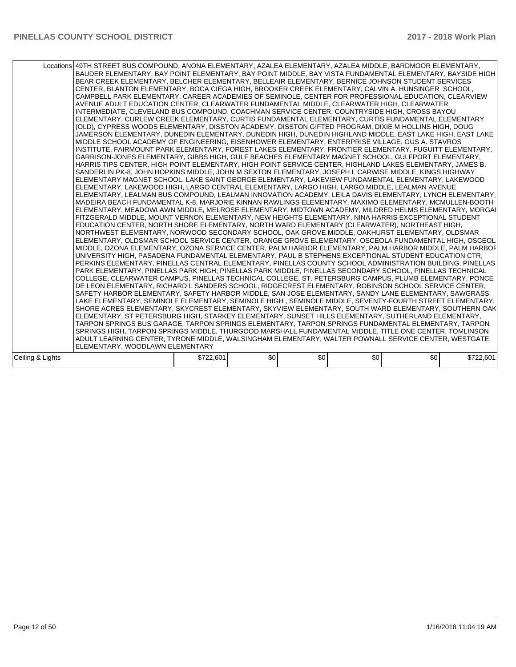|                  | Locations 49TH STREET BUS COMPOUND, ANONA ELEMENTARY, AZALEA ELEMENTARY, AZALEA MIDDLE, BARDMOOR ELEMENTARY,<br>BAUDER ELEMENTARY, BAY POINT ELEMENTARY, BAY POINT MIDDLE, BAY VISTA FUNDAMENTAL ELEMENTARY, BAYSIDE HIGH<br>BEAR CREEK ELEMENTARY, BELCHER ELEMENTARY, BELLEAIR ELEMENTARY, BERNICE JOHNSON STUDENT SERVICES<br>CENTER, BLANTON ELEMENTARY, BOCA CIEGA HIGH, BROOKER CREEK ELEMENTARY, CALVIN A. HUNSINGER SCHOOL,<br>CAMPBELL PARK ELEMENTARY. CAREER ACADEMIES OF SEMINOLE. CENTER FOR PROFESSIONAL EDUCATION. CLEARVIEW<br>AVENUE ADULT EDUCATION CENTER, CLEARWATER FUNDAMENTAL MIDDLE, CLEARWATER HIGH, CLEARWATER<br>INTERMEDIATE, CLEVELAND BUS COMPOUND, COACHMAN SERVICE CENTER, COUNTRYSIDE HIGH, CROSS BAYOU<br>ELEMENTARY, CURLEW CREEK ELEMENTARY, CURTIS FUNDAMENTAL ELEMENTARY, CURTIS FUNDAMENTAL ELEMENTARY<br>(OLD), CYPRESS WOODS ELEMENTARY, DISSTON ACADEMY, DISSTON GIFTED PROGRAM, DIXIE M HOLLINS HIGH, DOUG<br>JAMERSON ELEMENTARY, DUNEDIN ELEMENTARY, DUNEDIN HIGH, DUNEDIN HIGHLAND MIDDLE, EAST LAKE HIGH, EAST LAKE<br>MIDDLE SCHOOL ACADEMY OF ENGINEERING, EISENHOWER ELEMENTARY, ENTERPRISE VILLAGE, GUS A. STAVROS<br>INSTITUTE, FAIRMOUNT PARK ELEMENTARY, FOREST LAKES ELEMENTARY, FRONTIER ELEMENTARY, FUGUITT ELEMENTARY,<br>GARRISON-JONES ELEMENTARY, GIBBS HIGH, GULF BEACHES ELEMENTARY MAGNET SCHOOL, GULFPORT ELEMENTARY,<br>HARRIS TIPS CENTER, HIGH POINT ELEMENTARY, HIGH POINT SERVICE CENTER, HIGHLAND LAKES ELEMENTARY, JAMES B.<br>SANDERLIN PK-8, JOHN HOPKINS MIDDLE, JOHN M SEXTON ELEMENTARY, JOSEPH L CARWISE MIDDLE, KINGS HIGHWAY<br>ELEMENTARY MAGNET SCHOOL, LAKE SAINT GEORGE ELEMENTARY, LAKEVIEW FUNDAMENTAL ELEMENTARY, LAKEWOOD<br> ELEMENTARY, LAKEWOOD HIGH, LARGO CENTRAL ELEMENTARY, LARGO HIGH, LARGO MIDDLE, LEALMAN AVENUE<br>IELEMENTARY. LEALMAN BUS COMPOUND. LEALMAN INNOVATION ACADEMY. LEILA DAVIS ELEMENTARY. LYNCH ELEMENTARY.<br>MADEIRA BEACH FUNDAMENTAL K-8, MARJORIE KINNAN RAWLINGS ELEMENTARY, MAXIMO ELEMENTARY, MCMULLEN-BOOTH<br>ELEMENTARY, MEADOWLAWN MIDDLE, MELROSE ELEMENTARY, MIDTOWN ACADEMY, MILDRED HELMS ELEMENTARY, MORGAI<br>FITZGERALD MIDDLE, MOUNT VERNON ELEMENTARY, NEW HEIGHTS ELEMENTARY, NINA HARRIS EXCEPTIONAL STUDENT<br>EDUCATION CENTER, NORTH SHORE ELEMENTARY, NORTH WARD ELEMENTARY (CLEARWATER), NORTHEAST HIGH,<br>NORTHWEST ELEMENTARY, NORWOOD SECONDARY SCHOOL, OAK GROVE MIDDLE, OAKHURST ELEMENTARY, OLDSMAR<br>ELEMENTARY, OLDSMAR SCHOOL SERVICE CENTER, ORANGE GROVE ELEMENTARY, OSCEOLA FUNDAMENTAL HIGH, OSCEOL<br>MIDDLE, OZONA ELEMENTARY, OZONA SERVICE CENTER, PALM HARBOR ELEMENTARY, PALM HARBOR MIDDLE, PALM HARBOF<br>UNIVERSITY HIGH, PASADENA FUNDAMENTAL ELEMENTARY, PAUL B STEPHENS EXCEPTIONAL STUDENT EDUCATION CTR,<br>PERKINS ELEMENTARY, PINELLAS CENTRAL ELEMENTARY, PINELLAS COUNTY SCHOOL ADMINISTRATION BUILDING, PINELLAS<br>PARK ELEMENTARY, PINELLAS PARK HIGH, PINELLAS PARK MIDDLE, PINELLAS SECONDARY SCHOOL, PINELLAS TECHNICAL<br>COLLEGE, CLEARWATER CAMPUS, PINELLAS TECHNICAL COLLEGE, ST. PETERSBURG CAMPUS, PLUMB ELEMENTARY, PONCE<br>DE LEON ELEMENTARY, RICHARD L SANDERS SCHOOL, RIDGECREST ELEMENTARY, ROBINSON SCHOOL SERVICE CENTER,<br>ISAFETY HARBOR ELEMENTARY, SAFETY HARBOR MIDDLE, SAN JOSE ELEMENTARY, SANDY LANE ELEMENTARY, SAWGRASS<br>LAKE ELEMENTARY, SEMINOLE ELEMENTARY, SEMINOLE HIGH , SEMINOLE MIDDLE, SEVENTY-FOURTH STREET ELEMENTARY,<br>SHORE ACRES ELEMENTARY, SKYCREST ELEMENTARY, SKYVIEW ELEMENTARY, SOUTH WARD ELEMENTARY, SOUTHERN OAK<br>ELEMENTARY, ST PETERSBURG HIGH, STARKEY ELEMENTARY, SUNSET HILLS ELEMENTARY, SUTHERLAND ELEMENTARY,<br>TARPON SPRINGS BUS GARAGE, TARPON SPRINGS ELEMENTARY, TARPON SPRINGS FUNDAMENTAL ELEMENTARY, TARPON<br>SPRINGS HIGH, TARPON SPRINGS MIDDLE, THURGOOD MARSHALL FUNDAMENTAL MIDDLE, TITLE ONE CENTER, TOMLINSON<br>ADULT LEARNING CENTER, TYRONE MIDDLE, WALSINGHAM ELEMENTARY, WALTER POWNALL SERVICE CENTER, WESTGATE<br>ELEMENTARY. WOODLAWN ELEMENTARY |           |     |     |     |     |           |
|------------------|----------------------------------------------------------------------------------------------------------------------------------------------------------------------------------------------------------------------------------------------------------------------------------------------------------------------------------------------------------------------------------------------------------------------------------------------------------------------------------------------------------------------------------------------------------------------------------------------------------------------------------------------------------------------------------------------------------------------------------------------------------------------------------------------------------------------------------------------------------------------------------------------------------------------------------------------------------------------------------------------------------------------------------------------------------------------------------------------------------------------------------------------------------------------------------------------------------------------------------------------------------------------------------------------------------------------------------------------------------------------------------------------------------------------------------------------------------------------------------------------------------------------------------------------------------------------------------------------------------------------------------------------------------------------------------------------------------------------------------------------------------------------------------------------------------------------------------------------------------------------------------------------------------------------------------------------------------------------------------------------------------------------------------------------------------------------------------------------------------------------------------------------------------------------------------------------------------------------------------------------------------------------------------------------------------------------------------------------------------------------------------------------------------------------------------------------------------------------------------------------------------------------------------------------------------------------------------------------------------------------------------------------------------------------------------------------------------------------------------------------------------------------------------------------------------------------------------------------------------------------------------------------------------------------------------------------------------------------------------------------------------------------------------------------------------------------------------------------------------------------------------------------------------------------------------------------------------------------------------------------------------------------------------------------------------------------------------------------------------------------------------------------------------------------------------------------------------------------------------------------------------------------------------------------------------------------------------------------------------------------------------------------------------------------------------------------------------------------------------------------------------------------------------------------------------------------------------------------------------------------------------------------------------------------------------------------------------------------------------------------------------------------------------|-----------|-----|-----|-----|-----|-----------|
| Ceiling & Lights |                                                                                                                                                                                                                                                                                                                                                                                                                                                                                                                                                                                                                                                                                                                                                                                                                                                                                                                                                                                                                                                                                                                                                                                                                                                                                                                                                                                                                                                                                                                                                                                                                                                                                                                                                                                                                                                                                                                                                                                                                                                                                                                                                                                                                                                                                                                                                                                                                                                                                                                                                                                                                                                                                                                                                                                                                                                                                                                                                                                                                                                                                                                                                                                                                                                                                                                                                                                                                                                                                                                                                                                                                                                                                                                                                                                                                                                                                                                                                                                                                                  | \$722,601 | \$0 | \$0 | \$0 | \$0 | \$722,601 |
|                  |                                                                                                                                                                                                                                                                                                                                                                                                                                                                                                                                                                                                                                                                                                                                                                                                                                                                                                                                                                                                                                                                                                                                                                                                                                                                                                                                                                                                                                                                                                                                                                                                                                                                                                                                                                                                                                                                                                                                                                                                                                                                                                                                                                                                                                                                                                                                                                                                                                                                                                                                                                                                                                                                                                                                                                                                                                                                                                                                                                                                                                                                                                                                                                                                                                                                                                                                                                                                                                                                                                                                                                                                                                                                                                                                                                                                                                                                                                                                                                                                                                  |           |     |     |     |     |           |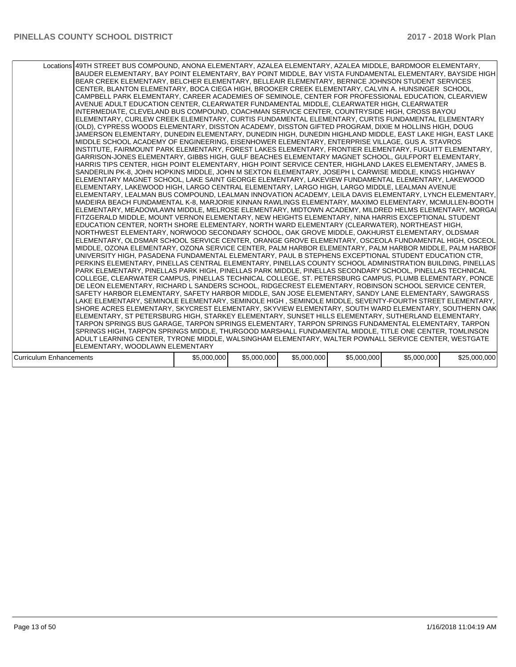|                         | Locations 49TH STREET BUS COMPOUND, ANONA ELEMENTARY, AZALEA ELEMENTARY, AZALEA MIDDLE, BARDMOOR ELEMENTARY,<br>BAUDER ELEMENTARY, BAY POINT ELEMENTARY, BAY POINT MIDDLE, BAY VISTA FUNDAMENTAL ELEMENTARY, BAYSIDE HIGH<br>BEAR CREEK ELEMENTARY, BELCHER ELEMENTARY, BELLEAIR ELEMENTARY, BERNICE JOHNSON STUDENT SERVICES<br>CENTER, BLANTON ELEMENTARY, BOCA CIEGA HIGH, BROOKER CREEK ELEMENTARY, CALVIN A. HUNSINGER SCHOOL,<br>CAMPBELL PARK ELEMENTARY, CAREER ACADEMIES OF SEMINOLE, CENTER FOR PROFESSIONAL EDUCATION, CLEARVIEW<br>AVENUE ADULT EDUCATION CENTER, CLEARWATER FUNDAMENTAL MIDDLE, CLEARWATER HIGH, CLEARWATER<br>INTERMEDIATE, CLEVELAND BUS COMPOUND, COACHMAN SERVICE CENTER, COUNTRYSIDE HIGH, CROSS BAYOU<br>ELEMENTARY, CURLEW CREEK ELEMENTARY, CURTIS FUNDAMENTAL ELEMENTARY, CURTIS FUNDAMENTAL ELEMENTARY<br>(OLD), CYPRESS WOODS ELEMENTARY, DISSTON ACADEMY, DISSTON GIFTED PROGRAM, DIXIE M HOLLINS HIGH, DOUG<br>JAMERSON ELEMENTARY, DUNEDIN ELEMENTARY, DUNEDIN HIGH, DUNEDIN HIGHLAND MIDDLE, EAST LAKE HIGH, EAST LAKE<br>MIDDLE SCHOOL ACADEMY OF ENGINEERING, EISENHOWER ELEMENTARY, ENTERPRISE VILLAGE, GUS A. STAVROS<br>linstitute. Fairmount park elementary. Forest lakes elementary. Frontier elementary. Fuguitt elementary.<br>GARRISON-JONES ELEMENTARY, GIBBS HIGH, GULF BEACHES ELEMENTARY MAGNET SCHOOL, GULFPORT ELEMENTARY,<br>HARRIS TIPS CENTER, HIGH POINT ELEMENTARY, HIGH POINT SERVICE CENTER, HIGHLAND LAKES ELEMENTARY, JAMES B.<br>SANDERLIN PK-8, JOHN HOPKINS MIDDLE, JOHN M SEXTON ELEMENTARY, JOSEPH L CARWISE MIDDLE, KINGS HIGHWAY<br>ELEMENTARY MAGNET SCHOOL, LAKE SAINT GEORGE ELEMENTARY, LAKEVIEW FUNDAMENTAL ELEMENTARY, LAKEWOOD<br>ELEMENTARY, LAKEWOOD HIGH, LARGO CENTRAL ELEMENTARY, LARGO HIGH, LARGO MIDDLE, LEALMAN AVENUE<br>ELEMENTARY, LEALMAN BUS COMPOUND, LEALMAN INNOVATION ACADEMY, LEILA DAVIS ELEMENTARY, LYNCH ELEMENTARY,<br>MADEIRA BEACH FUNDAMENTAL K-8, MARJORIE KINNAN RAWLINGS ELEMENTARY, MAXIMO ELEMENTARY, MCMULLEN-BOOTH<br>ELEMENTARY, MEADOWLAWN MIDDLE, MELROSE ELEMENTARY, MIDTOWN ACADEMY, MILDRED HELMS ELEMENTARY, MORGAI<br>FITZGERALD MIDDLE. MOUNT VERNON ELEMENTARY. NEW HEIGHTS ELEMENTARY. NINA HARRIS EXCEPTIONAL STUDENT<br>EDUCATION CENTER, NORTH SHORE ELEMENTARY, NORTH WARD ELEMENTARY (CLEARWATER), NORTHEAST HIGH,<br>NORTHWEST ELEMENTARY, NORWOOD SECONDARY SCHOOL, OAK GROVE MIDDLE, OAKHURST ELEMENTARY, OLDSMAR<br>ELEMENTARY, OLDSMAR SCHOOL SERVICE CENTER, ORANGE GROVE ELEMENTARY, OSCEOLA FUNDAMENTAL HIGH, OSCEOL<br>MIDDLE, OZONA ELEMENTARY, OZONA SERVICE CENTER, PALM HARBOR ELEMENTARY, PALM HARBOR MIDDLE, PALM HARBOF<br>UNIVERSITY HIGH, PASADENA FUNDAMENTAL ELEMENTARY, PAUL B STEPHENS EXCEPTIONAL STUDENT EDUCATION CTR,<br>PERKINS ELEMENTARY, PINELLAS CENTRAL ELEMENTARY, PINELLAS COUNTY SCHOOL ADMINISTRATION BUILDING, PINELLAS<br>PARK ELEMENTARY, PINELLAS PARK HIGH, PINELLAS PARK MIDDLE, PINELLAS SECONDARY SCHOOL, PINELLAS TECHNICAL<br>COLLEGE, CLEARWATER CAMPUS, PINELLAS TECHNICAL COLLEGE, ST. PETERSBURG CAMPUS, PLUMB ELEMENTARY, PONCE<br>DE LEON ELEMENTARY, RICHARD L SANDERS SCHOOL, RIDGECREST ELEMENTARY, ROBINSON SCHOOL SERVICE CENTER,<br>SAFETY HARBOR ELEMENTARY, SAFETY HARBOR MIDDLE, SAN JOSE ELEMENTARY, SANDY LANE ELEMENTARY, SAWGRASS<br>LAKE ELEMENTARY, SEMINOLE ELEMENTARY, SEMINOLE HIGH , SEMINOLE MIDDLE, SEVENTY-FOURTH STREET ELEMENTARY,<br>ISHORE ACRES ELEMENTARY, SKYCREST ELEMENTARY, SKYVIEW ELEMENTARY, SOUTH WARD ELEMENTARY, SOUTHERN OAK<br>ELEMENTARY. ST PETERSBURG HIGH. STARKEY ELEMENTARY. SUNSET HILLS ELEMENTARY. SUTHERLAND ELEMENTARY.<br>TARPON SPRINGS BUS GARAGE, TARPON SPRINGS ELEMENTARY, TARPON SPRINGS FUNDAMENTAL ELEMENTARY, TARPON<br>SPRINGS HIGH, TARPON SPRINGS MIDDLE, THURGOOD MARSHALL FUNDAMENTAL MIDDLE, TITLE ONE CENTER, TOMLINSON<br>ADULT LEARNING CENTER, TYRONE MIDDLE, WALSINGHAM ELEMENTARY, WALTER POWNALL SERVICE CENTER, WESTGATE |             |             |             |             |             |              |
|-------------------------|----------------------------------------------------------------------------------------------------------------------------------------------------------------------------------------------------------------------------------------------------------------------------------------------------------------------------------------------------------------------------------------------------------------------------------------------------------------------------------------------------------------------------------------------------------------------------------------------------------------------------------------------------------------------------------------------------------------------------------------------------------------------------------------------------------------------------------------------------------------------------------------------------------------------------------------------------------------------------------------------------------------------------------------------------------------------------------------------------------------------------------------------------------------------------------------------------------------------------------------------------------------------------------------------------------------------------------------------------------------------------------------------------------------------------------------------------------------------------------------------------------------------------------------------------------------------------------------------------------------------------------------------------------------------------------------------------------------------------------------------------------------------------------------------------------------------------------------------------------------------------------------------------------------------------------------------------------------------------------------------------------------------------------------------------------------------------------------------------------------------------------------------------------------------------------------------------------------------------------------------------------------------------------------------------------------------------------------------------------------------------------------------------------------------------------------------------------------------------------------------------------------------------------------------------------------------------------------------------------------------------------------------------------------------------------------------------------------------------------------------------------------------------------------------------------------------------------------------------------------------------------------------------------------------------------------------------------------------------------------------------------------------------------------------------------------------------------------------------------------------------------------------------------------------------------------------------------------------------------------------------------------------------------------------------------------------------------------------------------------------------------------------------------------------------------------------------------------------------------------------------------------------------------------------------------------------------------------------------------------------------------------------------------------------------------------------------------------------------------------------------------------------------------------------------------------------------------------------------------------------------------------------------------------------------------------------------------------------------------------------|-------------|-------------|-------------|-------------|-------------|--------------|
|                         |                                                                                                                                                                                                                                                                                                                                                                                                                                                                                                                                                                                                                                                                                                                                                                                                                                                                                                                                                                                                                                                                                                                                                                                                                                                                                                                                                                                                                                                                                                                                                                                                                                                                                                                                                                                                                                                                                                                                                                                                                                                                                                                                                                                                                                                                                                                                                                                                                                                                                                                                                                                                                                                                                                                                                                                                                                                                                                                                                                                                                                                                                                                                                                                                                                                                                                                                                                                                                                                                                                                                                                                                                                                                                                                                                                                                                                                                                                                                                                                              |             |             |             |             |             |              |
|                         | ELEMENTARY, WOODLAWN ELEMENTARY                                                                                                                                                                                                                                                                                                                                                                                                                                                                                                                                                                                                                                                                                                                                                                                                                                                                                                                                                                                                                                                                                                                                                                                                                                                                                                                                                                                                                                                                                                                                                                                                                                                                                                                                                                                                                                                                                                                                                                                                                                                                                                                                                                                                                                                                                                                                                                                                                                                                                                                                                                                                                                                                                                                                                                                                                                                                                                                                                                                                                                                                                                                                                                                                                                                                                                                                                                                                                                                                                                                                                                                                                                                                                                                                                                                                                                                                                                                                                              |             |             |             |             |             |              |
| Curriculum Enhancements |                                                                                                                                                                                                                                                                                                                                                                                                                                                                                                                                                                                                                                                                                                                                                                                                                                                                                                                                                                                                                                                                                                                                                                                                                                                                                                                                                                                                                                                                                                                                                                                                                                                                                                                                                                                                                                                                                                                                                                                                                                                                                                                                                                                                                                                                                                                                                                                                                                                                                                                                                                                                                                                                                                                                                                                                                                                                                                                                                                                                                                                                                                                                                                                                                                                                                                                                                                                                                                                                                                                                                                                                                                                                                                                                                                                                                                                                                                                                                                                              | \$5,000,000 | \$5,000,000 | \$5,000,000 | \$5,000,000 | \$5,000,000 | \$25,000,000 |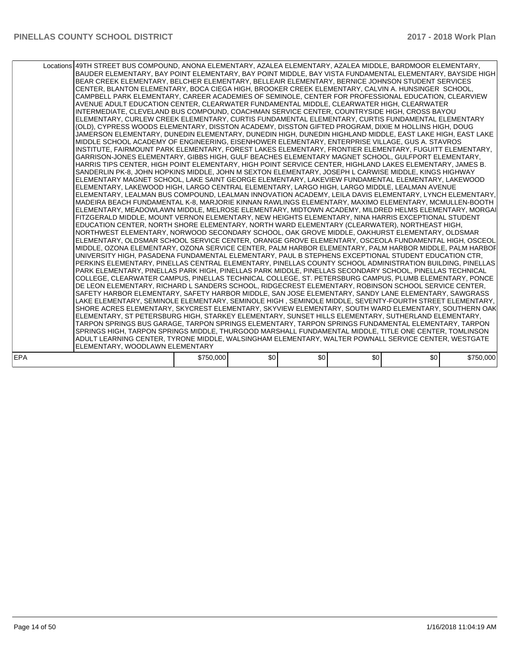|            | Locations 49TH STREET BUS COMPOUND, ANONA ELEMENTARY, AZALEA ELEMENTARY, AZALEA MIDDLE, BARDMOOR ELEMENTARY,<br>BAUDER ELEMENTARY, BAY POINT ELEMENTARY, BAY POINT MIDDLE, BAY VISTA FUNDAMENTAL ELEMENTARY, BAYSIDE HIGH<br>BEAR CREEK ELEMENTARY, BELCHER ELEMENTARY, BELLEAIR ELEMENTARY, BERNICE JOHNSON STUDENT SERVICES<br>CENTER, BLANTON ELEMENTARY, BOCA CIEGA HIGH, BROOKER CREEK ELEMENTARY, CALVIN A. HUNSINGER SCHOOL,<br>CAMPBELL PARK ELEMENTARY, CAREER ACADEMIES OF SEMINOLE, CENTER FOR PROFESSIONAL EDUCATION, CLEARVIEW<br>AVENUE ADULT EDUCATION CENTER, CLEARWATER FUNDAMENTAL MIDDLE, CLEARWATER HIGH, CLEARWATER<br>INTERMEDIATE, CLEVELAND BUS COMPOUND, COACHMAN SERVICE CENTER, COUNTRYSIDE HIGH, CROSS BAYOU<br>IELEMENTARY. CURLEW CREEK ELEMENTARY. CURTIS FUNDAMENTAL ELEMENTARY. CURTIS FUNDAMENTAL ELEMENTARY<br>(OLD), CYPRESS WOODS ELEMENTARY, DISSTON ACADEMY, DISSTON GIFTED PROGRAM, DIXIE M HOLLINS HIGH, DOUG<br>JAMERSON ELEMENTARY, DUNEDIN ELEMENTARY, DUNEDIN HIGH, DUNEDIN HIGHLAND MIDDLE, EAST LAKE HIGH, EAST LAKE<br>MIDDLE SCHOOL ACADEMY OF ENGINEERING. EISENHOWER ELEMENTARY. ENTERPRISE VILLAGE. GUS A. STAVROS<br>INSTITUTE, FAIRMOUNT PARK ELEMENTARY, FOREST LAKES ELEMENTARY, FRONTIER ELEMENTARY, FUGUITT ELEMENTARY,<br>GARRISON-JONES ELEMENTARY, GIBBS HIGH, GULF BEACHES ELEMENTARY MAGNET SCHOOL, GULFPORT ELEMENTARY,<br>HARRIS TIPS CENTER, HIGH POINT ELEMENTARY, HIGH POINT SERVICE CENTER, HIGHLAND LAKES ELEMENTARY, JAMES B.<br>SANDERLIN PK-8, JOHN HOPKINS MIDDLE, JOHN M SEXTON ELEMENTARY, JOSEPH L CARWISE MIDDLE, KINGS HIGHWAY<br>ELEMENTARY MAGNET SCHOOL, LAKE SAINT GEORGE ELEMENTARY, LAKEVIEW FUNDAMENTAL ELEMENTARY, LAKEWOOD<br>ELEMENTARY, LAKEWOOD HIGH, LARGO CENTRAL ELEMENTARY, LARGO HIGH, LARGO MIDDLE, LEALMAN AVENUE<br>IELEMENTARY. LEALMAN BUS COMPOUND. LEALMAN INNOVATION ACADEMY. LEILA DAVIS ELEMENTARY. LYNCH ELEMENTARY.<br>IMADEIRA BEACH FUNDAMENTAL K-8. MARJORIE KINNAN RAWLINGS ELEMENTARY. MAXIMO ELEMENTARY. MCMULLEN-BOOTH<br>ELEMENTARY, MEADOWLAWN MIDDLE, MELROSE ELEMENTARY, MIDTOWN ACADEMY, MILDRED HELMS ELEMENTARY, MORGAI<br>FITZGERALD MIDDLE, MOUNT VERNON ELEMENTARY, NEW HEIGHTS ELEMENTARY, NINA HARRIS EXCEPTIONAL STUDENT<br>EDUCATION CENTER, NORTH SHORE ELEMENTARY, NORTH WARD ELEMENTARY (CLEARWATER), NORTHEAST HIGH,<br>NORTHWEST ELEMENTARY, NORWOOD SECONDARY SCHOOL, OAK GROVE MIDDLE, OAKHURST ELEMENTARY, OLDSMAR<br>ELEMENTARY, OLDSMAR SCHOOL SERVICE CENTER, ORANGE GROVE ELEMENTARY, OSCEOLA FUNDAMENTAL HIGH, OSCEOL<br>MIDDLE, OZONA ELEMENTARY, OZONA SERVICE CENTER, PALM HARBOR ELEMENTARY, PALM HARBOR MIDDLE, PALM HARBOF<br>UNIVERSITY HIGH. PASADENA FUNDAMENTAL ELEMENTARY. PAUL B STEPHENS EXCEPTIONAL STUDENT EDUCATION CTR.<br>PERKINS ELEMENTARY, PINELLAS CENTRAL ELEMENTARY, PINELLAS COUNTY SCHOOL ADMINISTRATION BUILDING, PINELLAS<br>PARK ELEMENTARY, PINELLAS PARK HIGH, PINELLAS PARK MIDDLE, PINELLAS SECONDARY SCHOOL, PINELLAS TECHNICAL<br>COLLEGE, CLEARWATER CAMPUS, PINELLAS TECHNICAL COLLEGE, ST. PETERSBURG CAMPUS, PLUMB ELEMENTARY, PONCE<br>DE LEON ELEMENTARY, RICHARD L SANDERS SCHOOL, RIDGECREST ELEMENTARY, ROBINSON SCHOOL SERVICE CENTER,<br>ISAFETY HARBOR ELEMENTARY, SAFETY HARBOR MIDDLE, SAN JOSE ELEMENTARY, SANDY LANE ELEMENTARY, SAWGRASS<br>LAKE ELEMENTARY, SEMINOLE ELEMENTARY, SEMINOLE HIGH , SEMINOLE MIDDLE, SEVENTY-FOURTH STREET ELEMENTARY,<br>SHORE ACRES ELEMENTARY, SKYCREST ELEMENTARY, SKYVIEW ELEMENTARY, SOUTH WARD ELEMENTARY, SOUTHERN OAK<br>ELEMENTARY, ST PETERSBURG HIGH, STARKEY ELEMENTARY, SUNSET HILLS ELEMENTARY, SUTHERLAND ELEMENTARY,<br>TARPON SPRINGS BUS GARAGE, TARPON SPRINGS ELEMENTARY, TARPON SPRINGS FUNDAMENTAL ELEMENTARY, TARPON<br>SPRINGS HIGH, TARPON SPRINGS MIDDLE, THURGOOD MARSHALL FUNDAMENTAL MIDDLE, TITLE ONE CENTER, TOMLINSON<br>ADULT LEARNING CENTER, TYRONE MIDDLE, WALSINGHAM ELEMENTARY, WALTER POWNALL SERVICE CENTER, WESTGATE<br>ELEMENTARY, WOODLAWN ELEMENTARY |           |     |     |     |     |           |
|------------|-----------------------------------------------------------------------------------------------------------------------------------------------------------------------------------------------------------------------------------------------------------------------------------------------------------------------------------------------------------------------------------------------------------------------------------------------------------------------------------------------------------------------------------------------------------------------------------------------------------------------------------------------------------------------------------------------------------------------------------------------------------------------------------------------------------------------------------------------------------------------------------------------------------------------------------------------------------------------------------------------------------------------------------------------------------------------------------------------------------------------------------------------------------------------------------------------------------------------------------------------------------------------------------------------------------------------------------------------------------------------------------------------------------------------------------------------------------------------------------------------------------------------------------------------------------------------------------------------------------------------------------------------------------------------------------------------------------------------------------------------------------------------------------------------------------------------------------------------------------------------------------------------------------------------------------------------------------------------------------------------------------------------------------------------------------------------------------------------------------------------------------------------------------------------------------------------------------------------------------------------------------------------------------------------------------------------------------------------------------------------------------------------------------------------------------------------------------------------------------------------------------------------------------------------------------------------------------------------------------------------------------------------------------------------------------------------------------------------------------------------------------------------------------------------------------------------------------------------------------------------------------------------------------------------------------------------------------------------------------------------------------------------------------------------------------------------------------------------------------------------------------------------------------------------------------------------------------------------------------------------------------------------------------------------------------------------------------------------------------------------------------------------------------------------------------------------------------------------------------------------------------------------------------------------------------------------------------------------------------------------------------------------------------------------------------------------------------------------------------------------------------------------------------------------------------------------------------------------------------------------------------------------------------------------------------------------------------------------------------------------------------------------------------|-----------|-----|-----|-----|-----|-----------|
| <b>EPA</b> |                                                                                                                                                                                                                                                                                                                                                                                                                                                                                                                                                                                                                                                                                                                                                                                                                                                                                                                                                                                                                                                                                                                                                                                                                                                                                                                                                                                                                                                                                                                                                                                                                                                                                                                                                                                                                                                                                                                                                                                                                                                                                                                                                                                                                                                                                                                                                                                                                                                                                                                                                                                                                                                                                                                                                                                                                                                                                                                                                                                                                                                                                                                                                                                                                                                                                                                                                                                                                                                                                                                                                                                                                                                                                                                                                                                                                                                                                                                                                                                                                                   | \$750,000 | \$0 | \$0 | \$0 | \$0 | \$750,000 |
|            |                                                                                                                                                                                                                                                                                                                                                                                                                                                                                                                                                                                                                                                                                                                                                                                                                                                                                                                                                                                                                                                                                                                                                                                                                                                                                                                                                                                                                                                                                                                                                                                                                                                                                                                                                                                                                                                                                                                                                                                                                                                                                                                                                                                                                                                                                                                                                                                                                                                                                                                                                                                                                                                                                                                                                                                                                                                                                                                                                                                                                                                                                                                                                                                                                                                                                                                                                                                                                                                                                                                                                                                                                                                                                                                                                                                                                                                                                                                                                                                                                                   |           |     |     |     |     |           |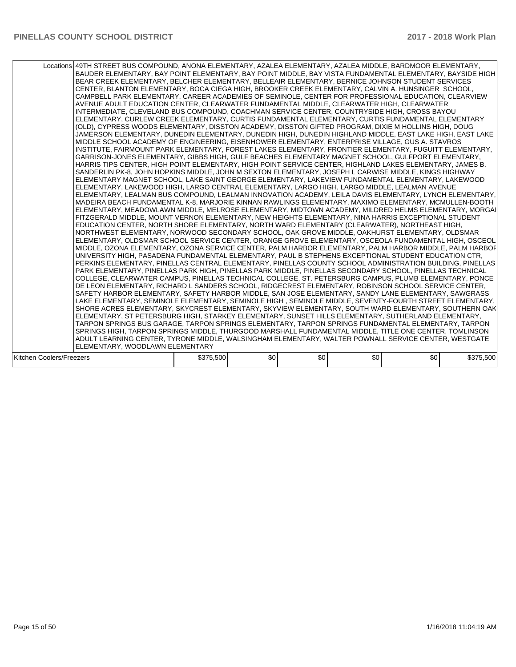|                          | Locations 49TH STREET BUS COMPOUND, ANONA ELEMENTARY, AZALEA ELEMENTARY, AZALEA MIDDLE, BARDMOOR ELEMENTARY,<br>BAUDER ELEMENTARY, BAY POINT ELEMENTARY, BAY POINT MIDDLE, BAY VISTA FUNDAMENTAL ELEMENTARY, BAYSIDE HIGH<br>BEAR CREEK ELEMENTARY, BELCHER ELEMENTARY, BELLEAIR ELEMENTARY, BERNICE JOHNSON STUDENT SERVICES<br>CENTER, BLANTON ELEMENTARY, BOCA CIEGA HIGH, BROOKER CREEK ELEMENTARY, CALVIN A. HUNSINGER SCHOOL,<br>CAMPBELL PARK ELEMENTARY, CAREER ACADEMIES OF SEMINOLE, CENTER FOR PROFESSIONAL EDUCATION, CLEARVIEW<br>AVENUE ADULT EDUCATION CENTER. CLEARWATER FUNDAMENTAL MIDDLE. CLEARWATER HIGH. CLEARWATER<br>INTERMEDIATE, CLEVELAND BUS COMPOUND, COACHMAN SERVICE CENTER, COUNTRYSIDE HIGH, CROSS BAYOU<br>ELEMENTARY, CURLEW CREEK ELEMENTARY, CURTIS FUNDAMENTAL ELEMENTARY, CURTIS FUNDAMENTAL ELEMENTARY<br>(OLD), CYPRESS WOODS ELEMENTARY, DISSTON ACADEMY, DISSTON GIFTED PROGRAM, DIXIE M HOLLINS HIGH, DOUG<br>JAMERSON ELEMENTARY, DUNEDIN ELEMENTARY, DUNEDIN HIGH, DUNEDIN HIGHLAND MIDDLE, EAST LAKE HIGH, EAST LAKE<br>MIDDLE SCHOOL ACADEMY OF ENGINEERING, EISENHOWER ELEMENTARY, ENTERPRISE VILLAGE, GUS A. STAVROS<br>INSTITUTE, FAIRMOUNT PARK ELEMENTARY, FOREST LAKES ELEMENTARY, FRONTIER ELEMENTARY, FUGUITT ELEMENTARY,<br>GARRISON-JONES ELEMENTARY, GIBBS HIGH, GULF BEACHES ELEMENTARY MAGNET SCHOOL, GULFPORT ELEMENTARY,<br>HARRIS TIPS CENTER, HIGH POINT ELEMENTARY, HIGH POINT SERVICE CENTER, HIGHLAND LAKES ELEMENTARY, JAMES B.<br>SANDERLIN PK-8, JOHN HOPKINS MIDDLE, JOHN M SEXTON ELEMENTARY, JOSEPH L CARWISE MIDDLE, KINGS HIGHWAY<br>ELEMENTARY MAGNET SCHOOL, LAKE SAINT GEORGE ELEMENTARY, LAKEVIEW FUNDAMENTAL ELEMENTARY, LAKEWOOD<br>ELEMENTARY, LAKEWOOD HIGH, LARGO CENTRAL ELEMENTARY, LARGO HIGH, LARGO MIDDLE, LEALMAN AVENUE<br>ELEMENTARY, LEALMAN BUS COMPOUND, LEALMAN INNOVATION ACADEMY, LEILA DAVIS ELEMENTARY, LYNCH ELEMENTARY,<br>IMADEIRA BEACH FUNDAMENTAL K-8. MARJORIE KINNAN RAWLINGS ELEMENTARY. MAXIMO ELEMENTARY. MCMULLEN-BOOTH<br>IELEMENTARY. MEADOWLAWN MIDDLE. MELROSE ELEMENTARY. MIDTOWN ACADEMY. MILDRED HELMS ELEMENTARY. MORGAI<br>FITZGERALD MIDDLE, MOUNT VERNON ELEMENTARY, NEW HEIGHTS ELEMENTARY, NINA HARRIS EXCEPTIONAL STUDENT<br>EDUCATION CENTER, NORTH SHORE ELEMENTARY, NORTH WARD ELEMENTARY (CLEARWATER), NORTHEAST HIGH,<br>NORTHWEST ELEMENTARY, NORWOOD SECONDARY SCHOOL, OAK GROVE MIDDLE, OAKHURST ELEMENTARY, OLDSMAR<br>ELEMENTARY, OLDSMAR SCHOOL SERVICE CENTER, ORANGE GROVE ELEMENTARY, OSCEOLA FUNDAMENTAL HIGH, OSCEOL<br>MIDDLE, OZONA ELEMENTARY, OZONA SERVICE CENTER, PALM HARBOR ELEMENTARY, PALM HARBOR MIDDLE, PALM HARBOF<br>UNIVERSITY HIGH, PASADENA FUNDAMENTAL ELEMENTARY, PAUL B STEPHENS EXCEPTIONAL STUDENT EDUCATION CTR,<br>PERKINS ELEMENTARY, PINELLAS CENTRAL ELEMENTARY, PINELLAS COUNTY SCHOOL ADMINISTRATION BUILDING, PINELLAS<br>PARK ELEMENTARY, PINELLAS PARK HIGH, PINELLAS PARK MIDDLE, PINELLAS SECONDARY SCHOOL, PINELLAS TECHNICAL<br>COLLEGE, CLEARWATER CAMPUS, PINELLAS TECHNICAL COLLEGE, ST. PETERSBURG CAMPUS, PLUMB ELEMENTARY, PONCE<br>DE LEON ELEMENTARY, RICHARD L SANDERS SCHOOL, RIDGECREST ELEMENTARY, ROBINSON SCHOOL SERVICE CENTER,<br>SAFETY HARBOR ELEMENTARY, SAFETY HARBOR MIDDLE, SAN JOSE ELEMENTARY, SANDY LANE ELEMENTARY, SAWGRASS<br>LAKE ELEMENTARY, SEMINOLE ELEMENTARY, SEMINOLE HIGH , SEMINOLE MIDDLE, SEVENTY-FOURTH STREET ELEMENTARY,<br>SHORE ACRES ELEMENTARY, SKYCREST ELEMENTARY, SKYVIEW ELEMENTARY, SOUTH WARD ELEMENTARY, SOUTHERN OAK<br>IELEMENTARY. ST PETERSBURG HIGH. STARKEY ELEMENTARY. SUNSET HILLS ELEMENTARY. SUTHERLAND ELEMENTARY.<br>TARPON SPRINGS BUS GARAGE, TARPON SPRINGS ELEMENTARY, TARPON SPRINGS FUNDAMENTAL ELEMENTARY, TARPON<br>SPRINGS HIGH, TARPON SPRINGS MIDDLE, THURGOOD MARSHALL FUNDAMENTAL MIDDLE, TITLE ONE CENTER, TOMLINSON<br>ADULT LEARNING CENTER, TYRONE MIDDLE, WALSINGHAM ELEMENTARY, WALTER POWNALL SERVICE CENTER, WESTGATE |           |     |     |     |     |           |
|--------------------------|-----------------------------------------------------------------------------------------------------------------------------------------------------------------------------------------------------------------------------------------------------------------------------------------------------------------------------------------------------------------------------------------------------------------------------------------------------------------------------------------------------------------------------------------------------------------------------------------------------------------------------------------------------------------------------------------------------------------------------------------------------------------------------------------------------------------------------------------------------------------------------------------------------------------------------------------------------------------------------------------------------------------------------------------------------------------------------------------------------------------------------------------------------------------------------------------------------------------------------------------------------------------------------------------------------------------------------------------------------------------------------------------------------------------------------------------------------------------------------------------------------------------------------------------------------------------------------------------------------------------------------------------------------------------------------------------------------------------------------------------------------------------------------------------------------------------------------------------------------------------------------------------------------------------------------------------------------------------------------------------------------------------------------------------------------------------------------------------------------------------------------------------------------------------------------------------------------------------------------------------------------------------------------------------------------------------------------------------------------------------------------------------------------------------------------------------------------------------------------------------------------------------------------------------------------------------------------------------------------------------------------------------------------------------------------------------------------------------------------------------------------------------------------------------------------------------------------------------------------------------------------------------------------------------------------------------------------------------------------------------------------------------------------------------------------------------------------------------------------------------------------------------------------------------------------------------------------------------------------------------------------------------------------------------------------------------------------------------------------------------------------------------------------------------------------------------------------------------------------------------------------------------------------------------------------------------------------------------------------------------------------------------------------------------------------------------------------------------------------------------------------------------------------------------------------------------------------------------------------------------------------------------------------------------------------------------------------------------------------------------------|-----------|-----|-----|-----|-----|-----------|
|                          |                                                                                                                                                                                                                                                                                                                                                                                                                                                                                                                                                                                                                                                                                                                                                                                                                                                                                                                                                                                                                                                                                                                                                                                                                                                                                                                                                                                                                                                                                                                                                                                                                                                                                                                                                                                                                                                                                                                                                                                                                                                                                                                                                                                                                                                                                                                                                                                                                                                                                                                                                                                                                                                                                                                                                                                                                                                                                                                                                                                                                                                                                                                                                                                                                                                                                                                                                                                                                                                                                                                                                                                                                                                                                                                                                                                                                                                                                                                                                                                               |           |     |     |     |     |           |
|                          | ELEMENTARY, WOODLAWN ELEMENTARY                                                                                                                                                                                                                                                                                                                                                                                                                                                                                                                                                                                                                                                                                                                                                                                                                                                                                                                                                                                                                                                                                                                                                                                                                                                                                                                                                                                                                                                                                                                                                                                                                                                                                                                                                                                                                                                                                                                                                                                                                                                                                                                                                                                                                                                                                                                                                                                                                                                                                                                                                                                                                                                                                                                                                                                                                                                                                                                                                                                                                                                                                                                                                                                                                                                                                                                                                                                                                                                                                                                                                                                                                                                                                                                                                                                                                                                                                                                                                               |           |     |     |     |     |           |
| Kitchen Coolers/Freezers |                                                                                                                                                                                                                                                                                                                                                                                                                                                                                                                                                                                                                                                                                                                                                                                                                                                                                                                                                                                                                                                                                                                                                                                                                                                                                                                                                                                                                                                                                                                                                                                                                                                                                                                                                                                                                                                                                                                                                                                                                                                                                                                                                                                                                                                                                                                                                                                                                                                                                                                                                                                                                                                                                                                                                                                                                                                                                                                                                                                                                                                                                                                                                                                                                                                                                                                                                                                                                                                                                                                                                                                                                                                                                                                                                                                                                                                                                                                                                                                               | \$375,500 | \$0 | \$0 | \$0 | \$0 | \$375,500 |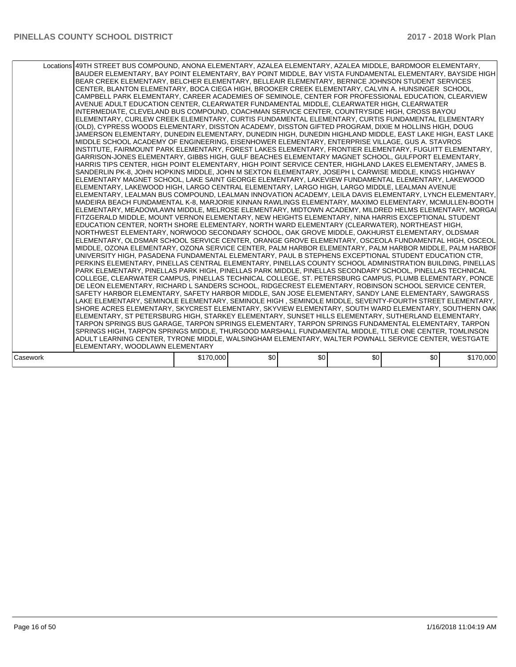|          | Locations 49TH STREET BUS COMPOUND, ANONA ELEMENTARY, AZALEA ELEMENTARY, AZALEA MIDDLE, BARDMOOR ELEMENTARY,<br>BAUDER ELEMENTARY, BAY POINT ELEMENTARY, BAY POINT MIDDLE, BAY VISTA FUNDAMENTAL ELEMENTARY, BAYSIDE HIGH<br>BEAR CREEK ELEMENTARY, BELCHER ELEMENTARY, BELLEAIR ELEMENTARY, BERNICE JOHNSON STUDENT SERVICES<br>CENTER, BLANTON ELEMENTARY, BOCA CIEGA HIGH, BROOKER CREEK ELEMENTARY, CALVIN A. HUNSINGER SCHOOL,<br>CAMPBELL PARK ELEMENTARY, CAREER ACADEMIES OF SEMINOLE, CENTER FOR PROFESSIONAL EDUCATION, CLEARVIEW<br>AVENUE ADULT EDUCATION CENTER, CLEARWATER FUNDAMENTAL MIDDLE, CLEARWATER HIGH, CLEARWATER<br>INTERMEDIATE, CLEVELAND BUS COMPOUND, COACHMAN SERVICE CENTER, COUNTRYSIDE HIGH, CROSS BAYOU<br>ELEMENTARY, CURLEW CREEK ELEMENTARY, CURTIS FUNDAMENTAL ELEMENTARY, CURTIS FUNDAMENTAL ELEMENTARY<br>(OLD), CYPRESS WOODS ELEMENTARY, DISSTON ACADEMY, DISSTON GIFTED PROGRAM, DIXIE M HOLLINS HIGH, DOUG<br>JAMERSON ELEMENTARY, DUNEDIN ELEMENTARY, DUNEDIN HIGH, DUNEDIN HIGHLAND MIDDLE, EAST LAKE HIGH, EAST LAKE<br>MIDDLE SCHOOL ACADEMY OF ENGINEERING, EISENHOWER ELEMENTARY, ENTERPRISE VILLAGE, GUS A. STAVROS<br>INSTITUTE, FAIRMOUNT PARK ELEMENTARY, FOREST LAKES ELEMENTARY, FRONTIER ELEMENTARY, FUGUITT ELEMENTARY,<br>GARRISON-JONES ELEMENTARY, GIBBS HIGH, GULF BEACHES ELEMENTARY MAGNET SCHOOL, GULFPORT ELEMENTARY,<br>HARRIS TIPS CENTER, HIGH POINT ELEMENTARY, HIGH POINT SERVICE CENTER, HIGHLAND LAKES ELEMENTARY, JAMES B.<br>SANDERLIN PK-8, JOHN HOPKINS MIDDLE, JOHN M SEXTON ELEMENTARY, JOSEPH L CARWISE MIDDLE, KINGS HIGHWAY<br>ELEMENTARY MAGNET SCHOOL, LAKE SAINT GEORGE ELEMENTARY, LAKEVIEW FUNDAMENTAL ELEMENTARY, LAKEWOOD<br>ELEMENTARY, LAKEWOOD HIGH, LARGO CENTRAL ELEMENTARY, LARGO HIGH, LARGO MIDDLE, LEALMAN AVENUE<br>IELEMENTARY. LEALMAN BUS COMPOUND. LEALMAN INNOVATION ACADEMY. LEILA DAVIS ELEMENTARY. LYNCH ELEMENTARY.<br>MADEIRA BEACH FUNDAMENTAL K-8, MARJORIE KINNAN RAWLINGS ELEMENTARY, MAXIMO ELEMENTARY, MCMULLEN-BOOTH<br>ELEMENTARY, MEADOWLAWN MIDDLE, MELROSE ELEMENTARY, MIDTOWN ACADEMY, MILDRED HELMS ELEMENTARY, MORGAI<br>FITZGERALD MIDDLE. MOUNT VERNON ELEMENTARY. NEW HEIGHTS ELEMENTARY. NINA HARRIS EXCEPTIONAL STUDENT<br>EDUCATION CENTER, NORTH SHORE ELEMENTARY, NORTH WARD ELEMENTARY (CLEARWATER), NORTHEAST HIGH,<br>NORTHWEST ELEMENTARY, NORWOOD SECONDARY SCHOOL, OAK GROVE MIDDLE, OAKHURST ELEMENTARY, OLDSMAR<br>ELEMENTARY, OLDSMAR SCHOOL SERVICE CENTER, ORANGE GROVE ELEMENTARY, OSCEOLA FUNDAMENTAL HIGH, OSCEOL<br>MIDDLE, OZONA ELEMENTARY, OZONA SERVICE CENTER, PALM HARBOR ELEMENTARY, PALM HARBOR MIDDLE, PALM HARBOF<br>UNIVERSITY HIGH, PASADENA FUNDAMENTAL ELEMENTARY, PAUL B STEPHENS EXCEPTIONAL STUDENT EDUCATION CTR,<br>PERKINS ELEMENTARY, PINELLAS CENTRAL ELEMENTARY, PINELLAS COUNTY SCHOOL ADMINISTRATION BUILDING, PINELLAS<br>PARK ELEMENTARY, PINELLAS PARK HIGH, PINELLAS PARK MIDDLE, PINELLAS SECONDARY SCHOOL, PINELLAS TECHNICAL<br>COLLEGE, CLEARWATER CAMPUS, PINELLAS TECHNICAL COLLEGE, ST. PETERSBURG CAMPUS, PLUMB ELEMENTARY, PONCE<br>DE LEON ELEMENTARY, RICHARD L SANDERS SCHOOL, RIDGECREST ELEMENTARY, ROBINSON SCHOOL SERVICE CENTER,<br>SAFETY HARBOR ELEMENTARY, SAFETY HARBOR MIDDLE, SAN JOSE ELEMENTARY, SANDY LANE ELEMENTARY, SAWGRASS<br>LAKE ELEMENTARY, SEMINOLE ELEMENTARY, SEMINOLE HIGH , SEMINOLE MIDDLE, SEVENTY-FOURTH STREET ELEMENTARY,<br>ISHORE ACRES ELEMENTARY. SKYCREST ELEMENTARY. SKYVIEW ELEMENTARY. SOUTH WARD ELEMENTARY. SOUTHERN OAK<br>ELEMENTARY, ST PETERSBURG HIGH, STARKEY ELEMENTARY, SUNSET HILLS ELEMENTARY, SUTHERLAND ELEMENTARY,<br>TARPON SPRINGS BUS GARAGE, TARPON SPRINGS ELEMENTARY, TARPON SPRINGS FUNDAMENTAL ELEMENTARY, TARPON<br>SPRINGS HIGH, TARPON SPRINGS MIDDLE, THURGOOD MARSHALL FUNDAMENTAL MIDDLE, TITLE ONE CENTER, TOMLINSON<br>ADULT LEARNING CENTER, TYRONE MIDDLE, WALSINGHAM ELEMENTARY, WALTER POWNALL SERVICE CENTER, WESTGATE |           |     |     |     |     |           |  |
|----------|----------------------------------------------------------------------------------------------------------------------------------------------------------------------------------------------------------------------------------------------------------------------------------------------------------------------------------------------------------------------------------------------------------------------------------------------------------------------------------------------------------------------------------------------------------------------------------------------------------------------------------------------------------------------------------------------------------------------------------------------------------------------------------------------------------------------------------------------------------------------------------------------------------------------------------------------------------------------------------------------------------------------------------------------------------------------------------------------------------------------------------------------------------------------------------------------------------------------------------------------------------------------------------------------------------------------------------------------------------------------------------------------------------------------------------------------------------------------------------------------------------------------------------------------------------------------------------------------------------------------------------------------------------------------------------------------------------------------------------------------------------------------------------------------------------------------------------------------------------------------------------------------------------------------------------------------------------------------------------------------------------------------------------------------------------------------------------------------------------------------------------------------------------------------------------------------------------------------------------------------------------------------------------------------------------------------------------------------------------------------------------------------------------------------------------------------------------------------------------------------------------------------------------------------------------------------------------------------------------------------------------------------------------------------------------------------------------------------------------------------------------------------------------------------------------------------------------------------------------------------------------------------------------------------------------------------------------------------------------------------------------------------------------------------------------------------------------------------------------------------------------------------------------------------------------------------------------------------------------------------------------------------------------------------------------------------------------------------------------------------------------------------------------------------------------------------------------------------------------------------------------------------------------------------------------------------------------------------------------------------------------------------------------------------------------------------------------------------------------------------------------------------------------------------------------------------------------------------------------------------------------------------------------------------------------------------------------------------------------------------|-----------|-----|-----|-----|-----|-----------|--|
|          | IELEMENTARY. WOODLAWN ELEMENTARY                                                                                                                                                                                                                                                                                                                                                                                                                                                                                                                                                                                                                                                                                                                                                                                                                                                                                                                                                                                                                                                                                                                                                                                                                                                                                                                                                                                                                                                                                                                                                                                                                                                                                                                                                                                                                                                                                                                                                                                                                                                                                                                                                                                                                                                                                                                                                                                                                                                                                                                                                                                                                                                                                                                                                                                                                                                                                                                                                                                                                                                                                                                                                                                                                                                                                                                                                                                                                                                                                                                                                                                                                                                                                                                                                                                                                                                                                                                                                             |           |     |     |     |     |           |  |
|          |                                                                                                                                                                                                                                                                                                                                                                                                                                                                                                                                                                                                                                                                                                                                                                                                                                                                                                                                                                                                                                                                                                                                                                                                                                                                                                                                                                                                                                                                                                                                                                                                                                                                                                                                                                                                                                                                                                                                                                                                                                                                                                                                                                                                                                                                                                                                                                                                                                                                                                                                                                                                                                                                                                                                                                                                                                                                                                                                                                                                                                                                                                                                                                                                                                                                                                                                                                                                                                                                                                                                                                                                                                                                                                                                                                                                                                                                                                                                                                                              |           |     |     |     |     |           |  |
| Casework |                                                                                                                                                                                                                                                                                                                                                                                                                                                                                                                                                                                                                                                                                                                                                                                                                                                                                                                                                                                                                                                                                                                                                                                                                                                                                                                                                                                                                                                                                                                                                                                                                                                                                                                                                                                                                                                                                                                                                                                                                                                                                                                                                                                                                                                                                                                                                                                                                                                                                                                                                                                                                                                                                                                                                                                                                                                                                                                                                                                                                                                                                                                                                                                                                                                                                                                                                                                                                                                                                                                                                                                                                                                                                                                                                                                                                                                                                                                                                                                              | \$170,000 | \$0 | \$0 | \$0 | \$0 | \$170,000 |  |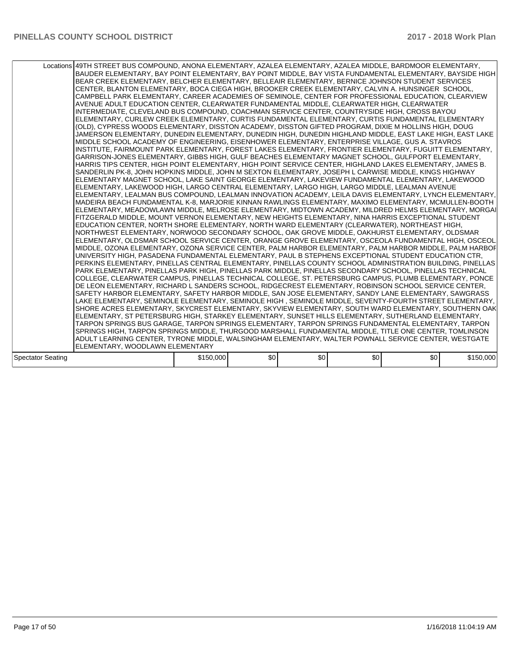|                   | Locations 49TH STREET BUS COMPOUND, ANONA ELEMENTARY, AZALEA ELEMENTARY, AZALEA MIDDLE, BARDMOOR ELEMENTARY,<br>BAUDER ELEMENTARY, BAY POINT ELEMENTARY, BAY POINT MIDDLE, BAY VISTA FUNDAMENTAL ELEMENTARY, BAYSIDE HIGH<br>BEAR CREEK ELEMENTARY, BELCHER ELEMENTARY, BELLEAIR ELEMENTARY, BERNICE JOHNSON STUDENT SERVICES<br>CENTER, BLANTON ELEMENTARY, BOCA CIEGA HIGH, BROOKER CREEK ELEMENTARY, CALVIN A. HUNSINGER SCHOOL,<br>CAMPBELL PARK ELEMENTARY, CAREER ACADEMIES OF SEMINOLE, CENTER FOR PROFESSIONAL EDUCATION, CLEARVIEW<br>AVENUE ADULT EDUCATION CENTER, CLEARWATER FUNDAMENTAL MIDDLE, CLEARWATER HIGH, CLEARWATER<br>INTERMEDIATE, CLEVELAND BUS COMPOUND, COACHMAN SERVICE CENTER, COUNTRYSIDE HIGH, CROSS BAYOU<br>ELEMENTARY, CURLEW CREEK ELEMENTARY, CURTIS FUNDAMENTAL ELEMENTARY, CURTIS FUNDAMENTAL ELEMENTARY<br>(OLD), CYPRESS WOODS ELEMENTARY, DISSTON ACADEMY, DISSTON GIFTED PROGRAM, DIXIE M HOLLINS HIGH, DOUG<br>JAMERSON ELEMENTARY, DUNEDIN ELEMENTARY, DUNEDIN HIGH, DUNEDIN HIGHLAND MIDDLE, EAST LAKE HIGH, EAST LAKE<br>MIDDLE SCHOOL ACADEMY OF ENGINEERING, EISENHOWER ELEMENTARY, ENTERPRISE VILLAGE, GUS A. STAVROS<br>INSTITUTE, FAIRMOUNT PARK ELEMENTARY, FOREST LAKES ELEMENTARY, FRONTIER ELEMENTARY, FUGUITT ELEMENTARY,<br>GARRISON-JONES ELEMENTARY, GIBBS HIGH, GULF BEACHES ELEMENTARY MAGNET SCHOOL, GULFPORT ELEMENTARY,<br>HARRIS TIPS CENTER, HIGH POINT ELEMENTARY, HIGH POINT SERVICE CENTER, HIGHLAND LAKES ELEMENTARY, JAMES B.<br>SANDERLIN PK-8, JOHN HOPKINS MIDDLE, JOHN M SEXTON ELEMENTARY, JOSEPH L CARWISE MIDDLE, KINGS HIGHWAY<br>ELEMENTARY MAGNET SCHOOL, LAKE SAINT GEORGE ELEMENTARY, LAKEVIEW FUNDAMENTAL ELEMENTARY, LAKEWOOD<br> ELEMENTARY, LAKEWOOD HIGH, LARGO CENTRAL ELEMENTARY, LARGO HIGH, LARGO MIDDLE, LEALMAN AVENUE<br>ELEMENTARY, LEALMAN BUS COMPOUND, LEALMAN INNOVATION ACADEMY, LEILA DAVIS ELEMENTARY, LYNCH ELEMENTARY,<br>IMADEIRA BEACH FUNDAMENTAL K-8. MARJORIE KINNAN RAWLINGS ELEMENTARY. MAXIMO ELEMENTARY. MCMULLEN-BOOTH<br>ELEMENTARY, MEADOWLAWN MIDDLE, MELROSE ELEMENTARY, MIDTOWN ACADEMY, MILDRED HELMS ELEMENTARY, MORGAI<br>FITZGERALD MIDDLE, MOUNT VERNON ELEMENTARY, NEW HEIGHTS ELEMENTARY, NINA HARRIS EXCEPTIONAL STUDENT<br>EDUCATION CENTER, NORTH SHORE ELEMENTARY, NORTH WARD ELEMENTARY (CLEARWATER), NORTHEAST HIGH,<br>NORTHWEST ELEMENTARY, NORWOOD SECONDARY SCHOOL, OAK GROVE MIDDLE, OAKHURST ELEMENTARY, OLDSMAR<br>IELEMENTARY, OLDSMAR SCHOOL SERVICE CENTER, ORANGE GROVE ELEMENTARY, OSCEOLA FUNDAMENTAL HIGH, OSCEOL<br>MIDDLE, OZONA ELEMENTARY, OZONA SERVICE CENTER, PALM HARBOR ELEMENTARY, PALM HARBOR MIDDLE, PALM HARBOF<br>UNIVERSITY HIGH, PASADENA FUNDAMENTAL ELEMENTARY, PAUL B STEPHENS EXCEPTIONAL STUDENT EDUCATION CTR,<br>PERKINS ELEMENTARY, PINELLAS CENTRAL ELEMENTARY, PINELLAS COUNTY SCHOOL ADMINISTRATION BUILDING, PINELLAS<br>PARK ELEMENTARY, PINELLAS PARK HIGH, PINELLAS PARK MIDDLE, PINELLAS SECONDARY SCHOOL, PINELLAS TECHNICAL<br>COLLEGE, CLEARWATER CAMPUS, PINELLAS TECHNICAL COLLEGE, ST. PETERSBURG CAMPUS, PLUMB ELEMENTARY, PONCE<br>DE LEON ELEMENTARY, RICHARD L SANDERS SCHOOL, RIDGECREST ELEMENTARY, ROBINSON SCHOOL SERVICE CENTER,<br>SAFETY HARBOR ELEMENTARY, SAFETY HARBOR MIDDLE, SAN JOSE ELEMENTARY, SANDY LANE ELEMENTARY, SAWGRASS<br>LAKE ELEMENTARY, SEMINOLE ELEMENTARY, SEMINOLE HIGH , SEMINOLE MIDDLE, SEVENTY-FOURTH STREET ELEMENTARY,<br>ISHORE ACRES ELEMENTARY, SKYCREST ELEMENTARY, SKYVIEW ELEMENTARY, SOUTH WARD ELEMENTARY, SOUTHERN OAK<br>ELEMENTARY, ST PETERSBURG HIGH, STARKEY ELEMENTARY, SUNSET HILLS ELEMENTARY, SUTHERLAND ELEMENTARY,<br>TARPON SPRINGS BUS GARAGE, TARPON SPRINGS ELEMENTARY, TARPON SPRINGS FUNDAMENTAL ELEMENTARY, TARPON<br>SPRINGS HIGH, TARPON SPRINGS MIDDLE, THURGOOD MARSHALL FUNDAMENTAL MIDDLE, TITLE ONE CENTER, TOMLINSON<br>ADULT LEARNING CENTER, TYRONE MIDDLE, WALSINGHAM ELEMENTARY, WALTER POWNALL SERVICE CENTER, WESTGATE |           |     |     |     |     |           |
|-------------------|------------------------------------------------------------------------------------------------------------------------------------------------------------------------------------------------------------------------------------------------------------------------------------------------------------------------------------------------------------------------------------------------------------------------------------------------------------------------------------------------------------------------------------------------------------------------------------------------------------------------------------------------------------------------------------------------------------------------------------------------------------------------------------------------------------------------------------------------------------------------------------------------------------------------------------------------------------------------------------------------------------------------------------------------------------------------------------------------------------------------------------------------------------------------------------------------------------------------------------------------------------------------------------------------------------------------------------------------------------------------------------------------------------------------------------------------------------------------------------------------------------------------------------------------------------------------------------------------------------------------------------------------------------------------------------------------------------------------------------------------------------------------------------------------------------------------------------------------------------------------------------------------------------------------------------------------------------------------------------------------------------------------------------------------------------------------------------------------------------------------------------------------------------------------------------------------------------------------------------------------------------------------------------------------------------------------------------------------------------------------------------------------------------------------------------------------------------------------------------------------------------------------------------------------------------------------------------------------------------------------------------------------------------------------------------------------------------------------------------------------------------------------------------------------------------------------------------------------------------------------------------------------------------------------------------------------------------------------------------------------------------------------------------------------------------------------------------------------------------------------------------------------------------------------------------------------------------------------------------------------------------------------------------------------------------------------------------------------------------------------------------------------------------------------------------------------------------------------------------------------------------------------------------------------------------------------------------------------------------------------------------------------------------------------------------------------------------------------------------------------------------------------------------------------------------------------------------------------------------------------------------------------------------------------------------------------------------------------------------------------|-----------|-----|-----|-----|-----|-----------|
|                   |                                                                                                                                                                                                                                                                                                                                                                                                                                                                                                                                                                                                                                                                                                                                                                                                                                                                                                                                                                                                                                                                                                                                                                                                                                                                                                                                                                                                                                                                                                                                                                                                                                                                                                                                                                                                                                                                                                                                                                                                                                                                                                                                                                                                                                                                                                                                                                                                                                                                                                                                                                                                                                                                                                                                                                                                                                                                                                                                                                                                                                                                                                                                                                                                                                                                                                                                                                                                                                                                                                                                                                                                                                                                                                                                                                                                                                                                                                                                                                                                |           |     |     |     |     |           |
|                   | IELEMENTARY. WOODLAWN ELEMENTARY                                                                                                                                                                                                                                                                                                                                                                                                                                                                                                                                                                                                                                                                                                                                                                                                                                                                                                                                                                                                                                                                                                                                                                                                                                                                                                                                                                                                                                                                                                                                                                                                                                                                                                                                                                                                                                                                                                                                                                                                                                                                                                                                                                                                                                                                                                                                                                                                                                                                                                                                                                                                                                                                                                                                                                                                                                                                                                                                                                                                                                                                                                                                                                                                                                                                                                                                                                                                                                                                                                                                                                                                                                                                                                                                                                                                                                                                                                                                                               |           |     |     |     |     |           |
|                   |                                                                                                                                                                                                                                                                                                                                                                                                                                                                                                                                                                                                                                                                                                                                                                                                                                                                                                                                                                                                                                                                                                                                                                                                                                                                                                                                                                                                                                                                                                                                                                                                                                                                                                                                                                                                                                                                                                                                                                                                                                                                                                                                                                                                                                                                                                                                                                                                                                                                                                                                                                                                                                                                                                                                                                                                                                                                                                                                                                                                                                                                                                                                                                                                                                                                                                                                                                                                                                                                                                                                                                                                                                                                                                                                                                                                                                                                                                                                                                                                |           |     |     |     |     |           |
| Spectator Seating |                                                                                                                                                                                                                                                                                                                                                                                                                                                                                                                                                                                                                                                                                                                                                                                                                                                                                                                                                                                                                                                                                                                                                                                                                                                                                                                                                                                                                                                                                                                                                                                                                                                                                                                                                                                                                                                                                                                                                                                                                                                                                                                                                                                                                                                                                                                                                                                                                                                                                                                                                                                                                                                                                                                                                                                                                                                                                                                                                                                                                                                                                                                                                                                                                                                                                                                                                                                                                                                                                                                                                                                                                                                                                                                                                                                                                                                                                                                                                                                                | \$150,000 | \$0 | \$0 | \$0 | \$0 | \$150,000 |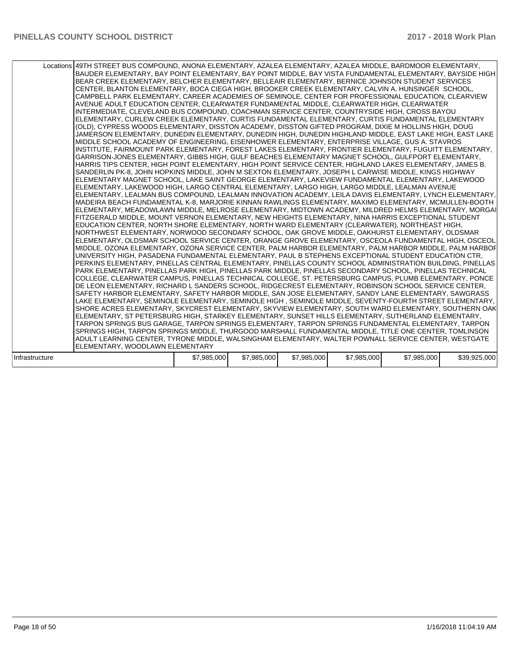| Locations 49TH STREET BUS COMPOUND, ANONA ELEMENTARY, AZALEA ELEMENTARY, AZALEA MIDDLE, BARDMOOR ELEMENTARY,<br>BAUDER ELEMENTARY, BAY POINT ELEMENTARY, BAY POINT MIDDLE, BAY VISTA FUNDAMENTAL ELEMENTARY, BAYSIDE HIGH<br>BEAR CREEK ELEMENTARY, BELCHER ELEMENTARY, BELLEAIR ELEMENTARY, BERNICE JOHNSON STUDENT SERVICES<br>CENTER, BLANTON ELEMENTARY, BOCA CIEGA HIGH, BROOKER CREEK ELEMENTARY, CALVIN A. HUNSINGER SCHOOL,<br>CAMPBELL PARK ELEMENTARY, CAREER ACADEMIES OF SEMINOLE, CENTER FOR PROFESSIONAL EDUCATION, CLEARVIEW<br>AVENUE ADULT EDUCATION CENTER, CLEARWATER FUNDAMENTAL MIDDLE, CLEARWATER HIGH, CLEARWATER<br>INTERMEDIATE, CLEVELAND BUS COMPOUND, COACHMAN SERVICE CENTER, COUNTRYSIDE HIGH, CROSS BAYOU<br>ELEMENTARY, CURLEW CREEK ELEMENTARY, CURTIS FUNDAMENTAL ELEMENTARY, CURTIS FUNDAMENTAL ELEMENTARY<br>(OLD), CYPRESS WOODS ELEMENTARY, DISSTON ACADEMY, DISSTON GIFTED PROGRAM, DIXIE M HOLLINS HIGH, DOUG<br>JAMERSON ELEMENTARY, DUNEDIN ELEMENTARY, DUNEDIN HIGH, DUNEDIN HIGHLAND MIDDLE, EAST LAKE HIGH, EAST LAKE<br>MIDDLE SCHOOL ACADEMY OF ENGINEERING, EISENHOWER ELEMENTARY, ENTERPRISE VILLAGE, GUS A. STAVROS<br>INSTITUTE, FAIRMOUNT PARK ELEMENTARY, FOREST LAKES ELEMENTARY, FRONTIER ELEMENTARY, FUGUITT ELEMENTARY,<br>GARRISON-JONES ELEMENTARY, GIBBS HIGH, GULF BEACHES ELEMENTARY MAGNET SCHOOL, GULFPORT ELEMENTARY,<br>HARRIS TIPS CENTER, HIGH POINT ELEMENTARY, HIGH POINT SERVICE CENTER, HIGHLAND LAKES ELEMENTARY, JAMES B.<br>SANDERLIN PK-8, JOHN HOPKINS MIDDLE, JOHN M SEXTON ELEMENTARY, JOSEPH L CARWISE MIDDLE, KINGS HIGHWAY<br>ELEMENTARY MAGNET SCHOOL, LAKE SAINT GEORGE ELEMENTARY, LAKEVIEW FUNDAMENTAL ELEMENTARY, LAKEWOOD<br>ELEMENTARY, LAKEWOOD HIGH, LARGO CENTRAL ELEMENTARY, LARGO HIGH, LARGO MIDDLE, LEALMAN AVENUE<br>IELEMENTARY. LEALMAN BUS COMPOUND. LEALMAN INNOVATION ACADEMY. LEILA DAVIS ELEMENTARY. LYNCH ELEMENTARY.<br>IMADEIRA BEACH FUNDAMENTAL K-8. MARJORIE KINNAN RAWLINGS ELEMENTARY. MAXIMO ELEMENTARY. MCMULLEN-BOOTH<br>ELEMENTARY, MEADOWLAWN MIDDLE, MELROSE ELEMENTARY, MIDTOWN ACADEMY, MILDRED HELMS ELEMENTARY, MORGAI<br>FITZGERALD MIDDLE, MOUNT VERNON ELEMENTARY, NEW HEIGHTS ELEMENTARY, NINA HARRIS EXCEPTIONAL STUDENT<br>EDUCATION CENTER, NORTH SHORE ELEMENTARY, NORTH WARD ELEMENTARY (CLEARWATER), NORTHEAST HIGH,<br>NORTHWEST ELEMENTARY, NORWOOD SECONDARY SCHOOL, OAK GROVE MIDDLE, OAKHURST ELEMENTARY, OLDSMAR<br>ELEMENTARY, OLDSMAR SCHOOL SERVICE CENTER, ORANGE GROVE ELEMENTARY, OSCEOLA FUNDAMENTAL HIGH, OSCEOL<br>MIDDLE, OZONA ELEMENTARY, OZONA SERVICE CENTER, PALM HARBOR ELEMENTARY, PALM HARBOR MIDDLE, PALM HARBOF<br>UNIVERSITY HIGH, PASADENA FUNDAMENTAL ELEMENTARY, PAUL B STEPHENS EXCEPTIONAL STUDENT EDUCATION CTR,<br>PERKINS ELEMENTARY, PINELLAS CENTRAL ELEMENTARY, PINELLAS COUNTY SCHOOL ADMINISTRATION BUILDING, PINELLAS<br>PARK ELEMENTARY, PINELLAS PARK HIGH, PINELLAS PARK MIDDLE, PINELLAS SECONDARY SCHOOL, PINELLAS TECHNICAL<br>COLLEGE, CLEARWATER CAMPUS, PINELLAS TECHNICAL COLLEGE, ST. PETERSBURG CAMPUS, PLUMB ELEMENTARY, PONCE<br>DE LEON ELEMENTARY, RICHARD L SANDERS SCHOOL, RIDGECREST ELEMENTARY, ROBINSON SCHOOL SERVICE CENTER,<br>ISAFETY HARBOR ELEMENTARY, SAFETY HARBOR MIDDLE, SAN JOSE ELEMENTARY, SANDY LANE ELEMENTARY, SAWGRASS<br>LAKE ELEMENTARY, SEMINOLE ELEMENTARY, SEMINOLE HIGH , SEMINOLE MIDDLE, SEVENTY-FOURTH STREET ELEMENTARY,<br>SHORE ACRES ELEMENTARY, SKYCREST ELEMENTARY, SKYVIEW ELEMENTARY, SOUTH WARD ELEMENTARY, SOUTHERN OAK<br>ELEMENTARY, ST PETERSBURG HIGH, STARKEY ELEMENTARY, SUNSET HILLS ELEMENTARY, SUTHERLAND ELEMENTARY,<br>TARPON SPRINGS BUS GARAGE, TARPON SPRINGS ELEMENTARY, TARPON SPRINGS FUNDAMENTAL ELEMENTARY, TARPON<br>SPRINGS HIGH, TARPON SPRINGS MIDDLE, THURGOOD MARSHALL FUNDAMENTAL MIDDLE, TITLE ONE CENTER, TOMLINSON<br>ADULT LEARNING CENTER, TYRONE MIDDLE, WALSINGHAM ELEMENTARY, WALTER POWNALL SERVICE CENTER, WESTGATE<br>ELEMENTARY, WOODLAWN ELEMENTARY<br>\$7,985,000<br>\$7,985,000<br>\$7,985,000<br>\$7,985,000<br>\$7,985,000 |                |  |  |  |              |
|-------------------------------------------------------------------------------------------------------------------------------------------------------------------------------------------------------------------------------------------------------------------------------------------------------------------------------------------------------------------------------------------------------------------------------------------------------------------------------------------------------------------------------------------------------------------------------------------------------------------------------------------------------------------------------------------------------------------------------------------------------------------------------------------------------------------------------------------------------------------------------------------------------------------------------------------------------------------------------------------------------------------------------------------------------------------------------------------------------------------------------------------------------------------------------------------------------------------------------------------------------------------------------------------------------------------------------------------------------------------------------------------------------------------------------------------------------------------------------------------------------------------------------------------------------------------------------------------------------------------------------------------------------------------------------------------------------------------------------------------------------------------------------------------------------------------------------------------------------------------------------------------------------------------------------------------------------------------------------------------------------------------------------------------------------------------------------------------------------------------------------------------------------------------------------------------------------------------------------------------------------------------------------------------------------------------------------------------------------------------------------------------------------------------------------------------------------------------------------------------------------------------------------------------------------------------------------------------------------------------------------------------------------------------------------------------------------------------------------------------------------------------------------------------------------------------------------------------------------------------------------------------------------------------------------------------------------------------------------------------------------------------------------------------------------------------------------------------------------------------------------------------------------------------------------------------------------------------------------------------------------------------------------------------------------------------------------------------------------------------------------------------------------------------------------------------------------------------------------------------------------------------------------------------------------------------------------------------------------------------------------------------------------------------------------------------------------------------------------------------------------------------------------------------------------------------------------------------------------------------------------------------------------------------------------------------------------------------------------------------------------------------------------------------------------------------------------------------------------------|----------------|--|--|--|--------------|
|                                                                                                                                                                                                                                                                                                                                                                                                                                                                                                                                                                                                                                                                                                                                                                                                                                                                                                                                                                                                                                                                                                                                                                                                                                                                                                                                                                                                                                                                                                                                                                                                                                                                                                                                                                                                                                                                                                                                                                                                                                                                                                                                                                                                                                                                                                                                                                                                                                                                                                                                                                                                                                                                                                                                                                                                                                                                                                                                                                                                                                                                                                                                                                                                                                                                                                                                                                                                                                                                                                                                                                                                                                                                                                                                                                                                                                                                                                                                                                                                                                                                                                             |                |  |  |  |              |
|                                                                                                                                                                                                                                                                                                                                                                                                                                                                                                                                                                                                                                                                                                                                                                                                                                                                                                                                                                                                                                                                                                                                                                                                                                                                                                                                                                                                                                                                                                                                                                                                                                                                                                                                                                                                                                                                                                                                                                                                                                                                                                                                                                                                                                                                                                                                                                                                                                                                                                                                                                                                                                                                                                                                                                                                                                                                                                                                                                                                                                                                                                                                                                                                                                                                                                                                                                                                                                                                                                                                                                                                                                                                                                                                                                                                                                                                                                                                                                                                                                                                                                             |                |  |  |  |              |
|                                                                                                                                                                                                                                                                                                                                                                                                                                                                                                                                                                                                                                                                                                                                                                                                                                                                                                                                                                                                                                                                                                                                                                                                                                                                                                                                                                                                                                                                                                                                                                                                                                                                                                                                                                                                                                                                                                                                                                                                                                                                                                                                                                                                                                                                                                                                                                                                                                                                                                                                                                                                                                                                                                                                                                                                                                                                                                                                                                                                                                                                                                                                                                                                                                                                                                                                                                                                                                                                                                                                                                                                                                                                                                                                                                                                                                                                                                                                                                                                                                                                                                             | Infrastructure |  |  |  | \$39,925,000 |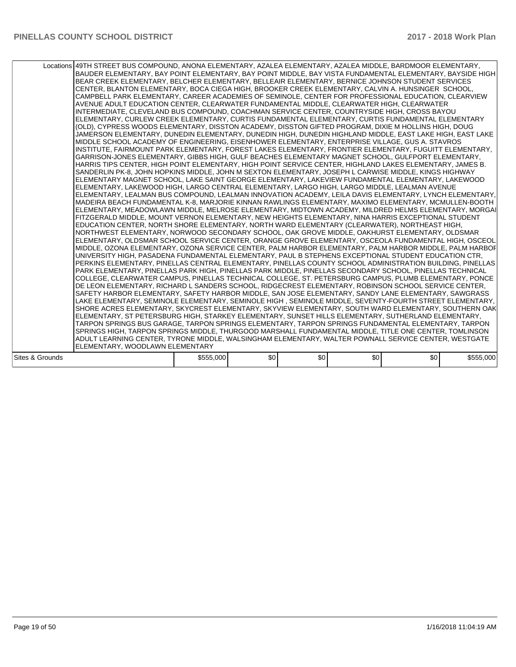|                 | Locations 49TH STREET BUS COMPOUND, ANONA ELEMENTARY, AZALEA ELEMENTARY, AZALEA MIDDLE, BARDMOOR ELEMENTARY,<br>BAUDER ELEMENTARY, BAY POINT ELEMENTARY, BAY POINT MIDDLE, BAY VISTA FUNDAMENTAL ELEMENTARY, BAYSIDE HIGH<br>BEAR CREEK ELEMENTARY, BELCHER ELEMENTARY, BELLEAIR ELEMENTARY, BERNICE JOHNSON STUDENT SERVICES<br>CENTER, BLANTON ELEMENTARY, BOCA CIEGA HIGH, BROOKER CREEK ELEMENTARY, CALVIN A. HUNSINGER SCHOOL,<br>CAMPBELL PARK ELEMENTARY, CAREER ACADEMIES OF SEMINOLE, CENTER FOR PROFESSIONAL EDUCATION, CLEARVIEW<br>AVENUE ADULT EDUCATION CENTER, CLEARWATER FUNDAMENTAL MIDDLE, CLEARWATER HIGH, CLEARWATER<br>INTERMEDIATE, CLEVELAND BUS COMPOUND, COACHMAN SERVICE CENTER, COUNTRYSIDE HIGH, CROSS BAYOU<br>ELEMENTARY, CURLEW CREEK ELEMENTARY, CURTIS FUNDAMENTAL ELEMENTARY, CURTIS FUNDAMENTAL ELEMENTARY<br>(OLD), CYPRESS WOODS ELEMENTARY, DISSTON ACADEMY, DISSTON GIFTED PROGRAM, DIXIE M HOLLINS HIGH, DOUG<br>JAMERSON ELEMENTARY, DUNEDIN ELEMENTARY, DUNEDIN HIGH, DUNEDIN HIGHLAND MIDDLE, EAST LAKE HIGH, EAST LAKE<br>MIDDLE SCHOOL ACADEMY OF ENGINEERING, EISENHOWER ELEMENTARY, ENTERPRISE VILLAGE, GUS A. STAVROS<br>INSTITUTE, FAIRMOUNT PARK ELEMENTARY, FOREST LAKES ELEMENTARY, FRONTIER ELEMENTARY, FUGUITT ELEMENTARY,<br>GARRISON-JONES ELEMENTARY, GIBBS HIGH, GULF BEACHES ELEMENTARY MAGNET SCHOOL, GULFPORT ELEMENTARY,<br>HARRIS TIPS CENTER, HIGH POINT ELEMENTARY, HIGH POINT SERVICE CENTER, HIGHLAND LAKES ELEMENTARY, JAMES B.<br>SANDERLIN PK-8, JOHN HOPKINS MIDDLE, JOHN M SEXTON ELEMENTARY, JOSEPH L CARWISE MIDDLE, KINGS HIGHWAY<br>ELEMENTARY MAGNET SCHOOL, LAKE SAINT GEORGE ELEMENTARY, LAKEVIEW FUNDAMENTAL ELEMENTARY, LAKEWOOD<br>ELEMENTARY, LAKEWOOD HIGH, LARGO CENTRAL ELEMENTARY, LARGO HIGH, LARGO MIDDLE, LEALMAN AVENUE<br>IELEMENTARY. LEALMAN BUS COMPOUND. LEALMAN INNOVATION ACADEMY. LEILA DAVIS ELEMENTARY. LYNCH ELEMENTARY.<br>MADEIRA BEACH FUNDAMENTAL K-8, MARJORIE KINNAN RAWLINGS ELEMENTARY, MAXIMO ELEMENTARY, MCMULLEN-BOOTH<br>ELEMENTARY, MEADOWLAWN MIDDLE, MELROSE ELEMENTARY, MIDTOWN ACADEMY, MILDRED HELMS ELEMENTARY, MORGAI<br>FITZGERALD MIDDLE. MOUNT VERNON ELEMENTARY. NEW HEIGHTS ELEMENTARY. NINA HARRIS EXCEPTIONAL STUDENT<br>EDUCATION CENTER, NORTH SHORE ELEMENTARY, NORTH WARD ELEMENTARY (CLEARWATER), NORTHEAST HIGH,<br>NORTHWEST ELEMENTARY, NORWOOD SECONDARY SCHOOL, OAK GROVE MIDDLE, OAKHURST ELEMENTARY, OLDSMAR<br>ELEMENTARY, OLDSMAR SCHOOL SERVICE CENTER, ORANGE GROVE ELEMENTARY, OSCEOLA FUNDAMENTAL HIGH, OSCEOL<br>MIDDLE, OZONA ELEMENTARY, OZONA SERVICE CENTER, PALM HARBOR ELEMENTARY, PALM HARBOR MIDDLE, PALM HARBOF<br>UNIVERSITY HIGH, PASADENA FUNDAMENTAL ELEMENTARY, PAUL B STEPHENS EXCEPTIONAL STUDENT EDUCATION CTR,<br>PERKINS ELEMENTARY, PINELLAS CENTRAL ELEMENTARY, PINELLAS COUNTY SCHOOL ADMINISTRATION BUILDING, PINELLAS<br>PARK ELEMENTARY, PINELLAS PARK HIGH, PINELLAS PARK MIDDLE, PINELLAS SECONDARY SCHOOL, PINELLAS TECHNICAL<br>COLLEGE, CLEARWATER CAMPUS, PINELLAS TECHNICAL COLLEGE, ST. PETERSBURG CAMPUS, PLUMB ELEMENTARY, PONCE<br>DE LEON ELEMENTARY, RICHARD L SANDERS SCHOOL, RIDGECREST ELEMENTARY, ROBINSON SCHOOL SERVICE CENTER,<br>SAFETY HARBOR ELEMENTARY, SAFETY HARBOR MIDDLE, SAN JOSE ELEMENTARY, SANDY LANE ELEMENTARY, SAWGRASS<br>LAKE ELEMENTARY, SEMINOLE ELEMENTARY, SEMINOLE HIGH , SEMINOLE MIDDLE, SEVENTY-FOURTH STREET ELEMENTARY,<br>ISHORE ACRES ELEMENTARY. SKYCREST ELEMENTARY. SKYVIEW ELEMENTARY. SOUTH WARD ELEMENTARY. SOUTHERN OAK<br>ELEMENTARY, ST PETERSBURG HIGH, STARKEY ELEMENTARY, SUNSET HILLS ELEMENTARY, SUTHERLAND ELEMENTARY,<br>TARPON SPRINGS BUS GARAGE, TARPON SPRINGS ELEMENTARY, TARPON SPRINGS FUNDAMENTAL ELEMENTARY, TARPON<br>SPRINGS HIGH, TARPON SPRINGS MIDDLE, THURGOOD MARSHALL FUNDAMENTAL MIDDLE, TITLE ONE CENTER, TOMLINSON<br>ADULT LEARNING CENTER, TYRONE MIDDLE, WALSINGHAM ELEMENTARY, WALTER POWNALL SERVICE CENTER, WESTGATE |           |     |     |     |     |           |
|-----------------|----------------------------------------------------------------------------------------------------------------------------------------------------------------------------------------------------------------------------------------------------------------------------------------------------------------------------------------------------------------------------------------------------------------------------------------------------------------------------------------------------------------------------------------------------------------------------------------------------------------------------------------------------------------------------------------------------------------------------------------------------------------------------------------------------------------------------------------------------------------------------------------------------------------------------------------------------------------------------------------------------------------------------------------------------------------------------------------------------------------------------------------------------------------------------------------------------------------------------------------------------------------------------------------------------------------------------------------------------------------------------------------------------------------------------------------------------------------------------------------------------------------------------------------------------------------------------------------------------------------------------------------------------------------------------------------------------------------------------------------------------------------------------------------------------------------------------------------------------------------------------------------------------------------------------------------------------------------------------------------------------------------------------------------------------------------------------------------------------------------------------------------------------------------------------------------------------------------------------------------------------------------------------------------------------------------------------------------------------------------------------------------------------------------------------------------------------------------------------------------------------------------------------------------------------------------------------------------------------------------------------------------------------------------------------------------------------------------------------------------------------------------------------------------------------------------------------------------------------------------------------------------------------------------------------------------------------------------------------------------------------------------------------------------------------------------------------------------------------------------------------------------------------------------------------------------------------------------------------------------------------------------------------------------------------------------------------------------------------------------------------------------------------------------------------------------------------------------------------------------------------------------------------------------------------------------------------------------------------------------------------------------------------------------------------------------------------------------------------------------------------------------------------------------------------------------------------------------------------------------------------------------------------------------------------------------------------------------------------------------------|-----------|-----|-----|-----|-----|-----------|
|                 |                                                                                                                                                                                                                                                                                                                                                                                                                                                                                                                                                                                                                                                                                                                                                                                                                                                                                                                                                                                                                                                                                                                                                                                                                                                                                                                                                                                                                                                                                                                                                                                                                                                                                                                                                                                                                                                                                                                                                                                                                                                                                                                                                                                                                                                                                                                                                                                                                                                                                                                                                                                                                                                                                                                                                                                                                                                                                                                                                                                                                                                                                                                                                                                                                                                                                                                                                                                                                                                                                                                                                                                                                                                                                                                                                                                                                                                                                                                                                                                              |           |     |     |     |     |           |
|                 | IELEMENTARY. WOODLAWN ELEMENTARY                                                                                                                                                                                                                                                                                                                                                                                                                                                                                                                                                                                                                                                                                                                                                                                                                                                                                                                                                                                                                                                                                                                                                                                                                                                                                                                                                                                                                                                                                                                                                                                                                                                                                                                                                                                                                                                                                                                                                                                                                                                                                                                                                                                                                                                                                                                                                                                                                                                                                                                                                                                                                                                                                                                                                                                                                                                                                                                                                                                                                                                                                                                                                                                                                                                                                                                                                                                                                                                                                                                                                                                                                                                                                                                                                                                                                                                                                                                                                             |           |     |     |     |     |           |
|                 |                                                                                                                                                                                                                                                                                                                                                                                                                                                                                                                                                                                                                                                                                                                                                                                                                                                                                                                                                                                                                                                                                                                                                                                                                                                                                                                                                                                                                                                                                                                                                                                                                                                                                                                                                                                                                                                                                                                                                                                                                                                                                                                                                                                                                                                                                                                                                                                                                                                                                                                                                                                                                                                                                                                                                                                                                                                                                                                                                                                                                                                                                                                                                                                                                                                                                                                                                                                                                                                                                                                                                                                                                                                                                                                                                                                                                                                                                                                                                                                              |           |     |     |     |     |           |
| Sites & Grounds |                                                                                                                                                                                                                                                                                                                                                                                                                                                                                                                                                                                                                                                                                                                                                                                                                                                                                                                                                                                                                                                                                                                                                                                                                                                                                                                                                                                                                                                                                                                                                                                                                                                                                                                                                                                                                                                                                                                                                                                                                                                                                                                                                                                                                                                                                                                                                                                                                                                                                                                                                                                                                                                                                                                                                                                                                                                                                                                                                                                                                                                                                                                                                                                                                                                                                                                                                                                                                                                                                                                                                                                                                                                                                                                                                                                                                                                                                                                                                                                              | \$555,000 | \$0 | \$0 | \$0 | \$0 | \$555,000 |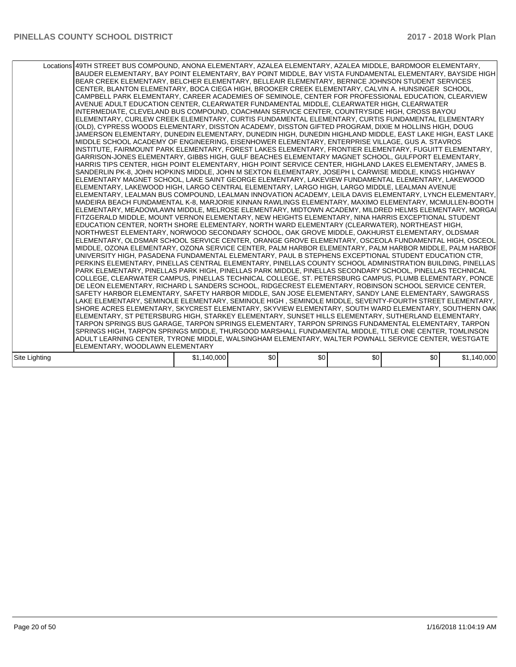|               | Locations 49TH STREET BUS COMPOUND, ANONA ELEMENTARY, AZALEA ELEMENTARY, AZALEA MIDDLE, BARDMOOR ELEMENTARY,<br>BAUDER ELEMENTARY, BAY POINT ELEMENTARY, BAY POINT MIDDLE, BAY VISTA FUNDAMENTAL ELEMENTARY, BAYSIDE HIGH<br>BEAR CREEK ELEMENTARY, BELCHER ELEMENTARY, BELLEAIR ELEMENTARY, BERNICE JOHNSON STUDENT SERVICES<br>CENTER, BLANTON ELEMENTARY, BOCA CIEGA HIGH, BROOKER CREEK ELEMENTARY, CALVIN A. HUNSINGER SCHOOL,<br>CAMPBELL PARK ELEMENTARY. CAREER ACADEMIES OF SEMINOLE. CENTER FOR PROFESSIONAL EDUCATION. CLEARVIEW<br>AVENUE ADULT EDUCATION CENTER, CLEARWATER FUNDAMENTAL MIDDLE, CLEARWATER HIGH, CLEARWATER<br>INTERMEDIATE, CLEVELAND BUS COMPOUND, COACHMAN SERVICE CENTER, COUNTRYSIDE HIGH, CROSS BAYOU<br>ELEMENTARY, CURLEW CREEK ELEMENTARY, CURTIS FUNDAMENTAL ELEMENTARY, CURTIS FUNDAMENTAL ELEMENTARY<br>(OLD), CYPRESS WOODS ELEMENTARY, DISSTON ACADEMY, DISSTON GIFTED PROGRAM, DIXIE M HOLLINS HIGH, DOUG<br>JAMERSON ELEMENTARY, DUNEDIN ELEMENTARY, DUNEDIN HIGH, DUNEDIN HIGHLAND MIDDLE, EAST LAKE HIGH, EAST LAKE<br>MIDDLE SCHOOL ACADEMY OF ENGINEERING, EISENHOWER ELEMENTARY, ENTERPRISE VILLAGE, GUS A. STAVROS<br>INSTITUTE, FAIRMOUNT PARK ELEMENTARY, FOREST LAKES ELEMENTARY, FRONTIER ELEMENTARY, FUGUITT ELEMENTARY,<br>GARRISON-JONES ELEMENTARY, GIBBS HIGH, GULF BEACHES ELEMENTARY MAGNET SCHOOL, GULFPORT ELEMENTARY,<br>HARRIS TIPS CENTER, HIGH POINT ELEMENTARY, HIGH POINT SERVICE CENTER, HIGHLAND LAKES ELEMENTARY, JAMES B.<br>SANDERLIN PK-8, JOHN HOPKINS MIDDLE, JOHN M SEXTON ELEMENTARY, JOSEPH L CARWISE MIDDLE, KINGS HIGHWAY<br>ELEMENTARY MAGNET SCHOOL, LAKE SAINT GEORGE ELEMENTARY, LAKEVIEW FUNDAMENTAL ELEMENTARY, LAKEWOOD<br> ELEMENTARY, LAKEWOOD HIGH, LARGO CENTRAL ELEMENTARY, LARGO HIGH, LARGO MIDDLE, LEALMAN AVENUE<br>IELEMENTARY. LEALMAN BUS COMPOUND. LEALMAN INNOVATION ACADEMY. LEILA DAVIS ELEMENTARY. LYNCH ELEMENTARY.<br>MADEIRA BEACH FUNDAMENTAL K-8, MARJORIE KINNAN RAWLINGS ELEMENTARY, MAXIMO ELEMENTARY, MCMULLEN-BOOTH<br>ELEMENTARY, MEADOWLAWN MIDDLE, MELROSE ELEMENTARY, MIDTOWN ACADEMY, MILDRED HELMS ELEMENTARY, MORGAI<br>FITZGERALD MIDDLE, MOUNT VERNON ELEMENTARY, NEW HEIGHTS ELEMENTARY, NINA HARRIS EXCEPTIONAL STUDENT<br>EDUCATION CENTER, NORTH SHORE ELEMENTARY, NORTH WARD ELEMENTARY (CLEARWATER), NORTHEAST HIGH,<br>NORTHWEST ELEMENTARY, NORWOOD SECONDARY SCHOOL, OAK GROVE MIDDLE, OAKHURST ELEMENTARY, OLDSMAR<br>ELEMENTARY, OLDSMAR SCHOOL SERVICE CENTER, ORANGE GROVE ELEMENTARY, OSCEOLA FUNDAMENTAL HIGH, OSCEOL<br>MIDDLE, OZONA ELEMENTARY, OZONA SERVICE CENTER, PALM HARBOR ELEMENTARY, PALM HARBOR MIDDLE, PALM HARBOF<br>UNIVERSITY HIGH, PASADENA FUNDAMENTAL ELEMENTARY, PAUL B STEPHENS EXCEPTIONAL STUDENT EDUCATION CTR,<br>PERKINS ELEMENTARY, PINELLAS CENTRAL ELEMENTARY, PINELLAS COUNTY SCHOOL ADMINISTRATION BUILDING, PINELLAS<br>PARK ELEMENTARY, PINELLAS PARK HIGH, PINELLAS PARK MIDDLE, PINELLAS SECONDARY SCHOOL, PINELLAS TECHNICAL<br>COLLEGE, CLEARWATER CAMPUS, PINELLAS TECHNICAL COLLEGE, ST. PETERSBURG CAMPUS, PLUMB ELEMENTARY, PONCE<br>DE LEON ELEMENTARY, RICHARD L SANDERS SCHOOL, RIDGECREST ELEMENTARY, ROBINSON SCHOOL SERVICE CENTER,<br>ISAFETY HARBOR ELEMENTARY, SAFETY HARBOR MIDDLE, SAN JOSE ELEMENTARY, SANDY LANE ELEMENTARY, SAWGRASS<br>LAKE ELEMENTARY, SEMINOLE ELEMENTARY, SEMINOLE HIGH , SEMINOLE MIDDLE, SEVENTY-FOURTH STREET ELEMENTARY,<br>SHORE ACRES ELEMENTARY, SKYCREST ELEMENTARY, SKYVIEW ELEMENTARY, SOUTH WARD ELEMENTARY, SOUTHERN OAK<br>ELEMENTARY, ST PETERSBURG HIGH, STARKEY ELEMENTARY, SUNSET HILLS ELEMENTARY, SUTHERLAND ELEMENTARY,<br>TARPON SPRINGS BUS GARAGE, TARPON SPRINGS ELEMENTARY, TARPON SPRINGS FUNDAMENTAL ELEMENTARY, TARPON<br>SPRINGS HIGH, TARPON SPRINGS MIDDLE, THURGOOD MARSHALL FUNDAMENTAL MIDDLE, TITLE ONE CENTER, TOMLINSON<br>ADULT LEARNING CENTER, TYRONE MIDDLE, WALSINGHAM ELEMENTARY, WALTER POWNALL SERVICE CENTER, WESTGATE<br>ELEMENTARY. WOODLAWN ELEMENTARY |             |     |     |     |     |             |
|---------------|----------------------------------------------------------------------------------------------------------------------------------------------------------------------------------------------------------------------------------------------------------------------------------------------------------------------------------------------------------------------------------------------------------------------------------------------------------------------------------------------------------------------------------------------------------------------------------------------------------------------------------------------------------------------------------------------------------------------------------------------------------------------------------------------------------------------------------------------------------------------------------------------------------------------------------------------------------------------------------------------------------------------------------------------------------------------------------------------------------------------------------------------------------------------------------------------------------------------------------------------------------------------------------------------------------------------------------------------------------------------------------------------------------------------------------------------------------------------------------------------------------------------------------------------------------------------------------------------------------------------------------------------------------------------------------------------------------------------------------------------------------------------------------------------------------------------------------------------------------------------------------------------------------------------------------------------------------------------------------------------------------------------------------------------------------------------------------------------------------------------------------------------------------------------------------------------------------------------------------------------------------------------------------------------------------------------------------------------------------------------------------------------------------------------------------------------------------------------------------------------------------------------------------------------------------------------------------------------------------------------------------------------------------------------------------------------------------------------------------------------------------------------------------------------------------------------------------------------------------------------------------------------------------------------------------------------------------------------------------------------------------------------------------------------------------------------------------------------------------------------------------------------------------------------------------------------------------------------------------------------------------------------------------------------------------------------------------------------------------------------------------------------------------------------------------------------------------------------------------------------------------------------------------------------------------------------------------------------------------------------------------------------------------------------------------------------------------------------------------------------------------------------------------------------------------------------------------------------------------------------------------------------------------------------------------------------------------------------------------------------------------------------------------|-------------|-----|-----|-----|-----|-------------|
|               |                                                                                                                                                                                                                                                                                                                                                                                                                                                                                                                                                                                                                                                                                                                                                                                                                                                                                                                                                                                                                                                                                                                                                                                                                                                                                                                                                                                                                                                                                                                                                                                                                                                                                                                                                                                                                                                                                                                                                                                                                                                                                                                                                                                                                                                                                                                                                                                                                                                                                                                                                                                                                                                                                                                                                                                                                                                                                                                                                                                                                                                                                                                                                                                                                                                                                                                                                                                                                                                                                                                                                                                                                                                                                                                                                                                                                                                                                                                                                                                                                                  |             |     |     |     |     |             |
| Site Lighting |                                                                                                                                                                                                                                                                                                                                                                                                                                                                                                                                                                                                                                                                                                                                                                                                                                                                                                                                                                                                                                                                                                                                                                                                                                                                                                                                                                                                                                                                                                                                                                                                                                                                                                                                                                                                                                                                                                                                                                                                                                                                                                                                                                                                                                                                                                                                                                                                                                                                                                                                                                                                                                                                                                                                                                                                                                                                                                                                                                                                                                                                                                                                                                                                                                                                                                                                                                                                                                                                                                                                                                                                                                                                                                                                                                                                                                                                                                                                                                                                                                  | \$1,140,000 | \$0 | \$0 | \$0 | \$0 | \$1,140,000 |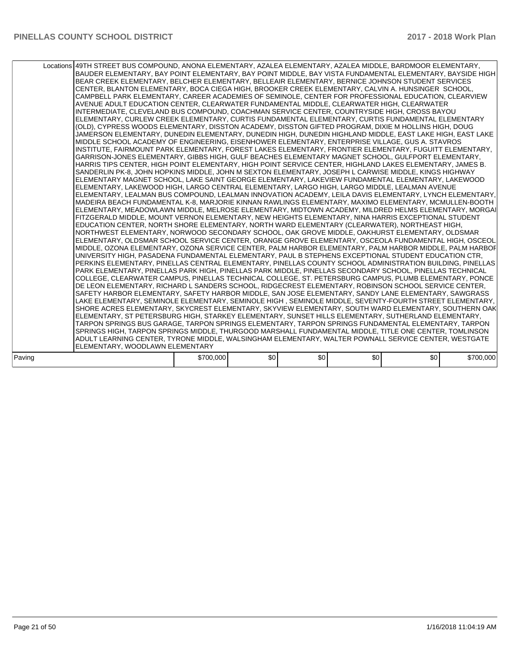|        | Locations 49TH STREET BUS COMPOUND, ANONA ELEMENTARY, AZALEA ELEMENTARY, AZALEA MIDDLE, BARDMOOR ELEMENTARY,<br>BAUDER ELEMENTARY, BAY POINT ELEMENTARY, BAY POINT MIDDLE, BAY VISTA FUNDAMENTAL ELEMENTARY, BAYSIDE HIGH<br>BEAR CREEK ELEMENTARY, BELCHER ELEMENTARY, BELLEAIR ELEMENTARY, BERNICE JOHNSON STUDENT SERVICES<br>CENTER, BLANTON ELEMENTARY, BOCA CIEGA HIGH, BROOKER CREEK ELEMENTARY, CALVIN A. HUNSINGER SCHOOL,<br>CAMPBELL PARK ELEMENTARY, CAREER ACADEMIES OF SEMINOLE, CENTER FOR PROFESSIONAL EDUCATION, CLEARVIEW<br>AVENUE ADULT EDUCATION CENTER, CLEARWATER FUNDAMENTAL MIDDLE, CLEARWATER HIGH, CLEARWATER<br>INTERMEDIATE, CLEVELAND BUS COMPOUND, COACHMAN SERVICE CENTER, COUNTRYSIDE HIGH, CROSS BAYOU<br>ELEMENTARY, CURLEW CREEK ELEMENTARY, CURTIS FUNDAMENTAL ELEMENTARY, CURTIS FUNDAMENTAL ELEMENTARY<br>(OLD), CYPRESS WOODS ELEMENTARY, DISSTON ACADEMY, DISSTON GIFTED PROGRAM, DIXIE M HOLLINS HIGH, DOUG<br>JAMERSON ELEMENTARY, DUNEDIN ELEMENTARY, DUNEDIN HIGH, DUNEDIN HIGHLAND MIDDLE, EAST LAKE HIGH, EAST LAKE<br>MIDDLE SCHOOL ACADEMY OF ENGINEERING, EISENHOWER ELEMENTARY, ENTERPRISE VILLAGE, GUS A. STAVROS<br>INSTITUTE, FAIRMOUNT PARK ELEMENTARY, FOREST LAKES ELEMENTARY, FRONTIER ELEMENTARY, FUGUITT ELEMENTARY,<br>GARRISON-JONES ELEMENTARY, GIBBS HIGH, GULF BEACHES ELEMENTARY MAGNET SCHOOL, GULFPORT ELEMENTARY,<br>HARRIS TIPS CENTER, HIGH POINT ELEMENTARY, HIGH POINT SERVICE CENTER, HIGHLAND LAKES ELEMENTARY, JAMES B.<br>SANDERLIN PK-8, JOHN HOPKINS MIDDLE, JOHN M SEXTON ELEMENTARY, JOSEPH L CARWISE MIDDLE, KINGS HIGHWAY<br>ELEMENTARY MAGNET SCHOOL, LAKE SAINT GEORGE ELEMENTARY, LAKEVIEW FUNDAMENTAL ELEMENTARY, LAKEWOOD<br>ELEMENTARY, LAKEWOOD HIGH, LARGO CENTRAL ELEMENTARY, LARGO HIGH, LARGO MIDDLE, LEALMAN AVENUE<br>IELEMENTARY. LEALMAN BUS COMPOUND. LEALMAN INNOVATION ACADEMY. LEILA DAVIS ELEMENTARY. LYNCH ELEMENTARY.<br>MADEIRA BEACH FUNDAMENTAL K-8, MARJORIE KINNAN RAWLINGS ELEMENTARY, MAXIMO ELEMENTARY, MCMULLEN-BOOTH<br>ELEMENTARY, MEADOWLAWN MIDDLE, MELROSE ELEMENTARY, MIDTOWN ACADEMY, MILDRED HELMS ELEMENTARY, MORGAI<br>FITZGERALD MIDDLE. MOUNT VERNON ELEMENTARY. NEW HEIGHTS ELEMENTARY. NINA HARRIS EXCEPTIONAL STUDENT<br>EDUCATION CENTER, NORTH SHORE ELEMENTARY, NORTH WARD ELEMENTARY (CLEARWATER), NORTHEAST HIGH,<br>NORTHWEST ELEMENTARY, NORWOOD SECONDARY SCHOOL, OAK GROVE MIDDLE, OAKHURST ELEMENTARY, OLDSMAR<br>ELEMENTARY, OLDSMAR SCHOOL SERVICE CENTER, ORANGE GROVE ELEMENTARY, OSCEOLA FUNDAMENTAL HIGH, OSCEOL<br>IMIDDLE, OZONA ELEMENTARY, OZONA SERVICE CENTER, PALM HARBOR ELEMENTARY, PALM HARBOR MIDDLE, PALM HARBOF<br>UNIVERSITY HIGH, PASADENA FUNDAMENTAL ELEMENTARY, PAUL B STEPHENS EXCEPTIONAL STUDENT EDUCATION CTR,<br>PERKINS ELEMENTARY, PINELLAS CENTRAL ELEMENTARY, PINELLAS COUNTY SCHOOL ADMINISTRATION BUILDING, PINELLAS<br>PARK ELEMENTARY, PINELLAS PARK HIGH, PINELLAS PARK MIDDLE, PINELLAS SECONDARY SCHOOL, PINELLAS TECHNICAL<br>COLLEGE, CLEARWATER CAMPUS, PINELLAS TECHNICAL COLLEGE, ST. PETERSBURG CAMPUS, PLUMB ELEMENTARY, PONCE<br>DE LEON ELEMENTARY, RICHARD L SANDERS SCHOOL, RIDGECREST ELEMENTARY, ROBINSON SCHOOL SERVICE CENTER,<br>SAFETY HARBOR ELEMENTARY, SAFETY HARBOR MIDDLE, SAN JOSE ELEMENTARY, SANDY LANE ELEMENTARY, SAWGRASS<br>LAKE ELEMENTARY, SEMINOLE ELEMENTARY, SEMINOLE HIGH , SEMINOLE MIDDLE, SEVENTY-FOURTH STREET ELEMENTARY,<br>ISHORE ACRES ELEMENTARY. SKYCREST ELEMENTARY. SKYVIEW ELEMENTARY. SOUTH WARD ELEMENTARY. SOUTHERN OAK<br>ELEMENTARY, ST PETERSBURG HIGH, STARKEY ELEMENTARY, SUNSET HILLS ELEMENTARY, SUTHERLAND ELEMENTARY,<br>TARPON SPRINGS BUS GARAGE, TARPON SPRINGS ELEMENTARY, TARPON SPRINGS FUNDAMENTAL ELEMENTARY, TARPON<br>SPRINGS HIGH, TARPON SPRINGS MIDDLE, THURGOOD MARSHALL FUNDAMENTAL MIDDLE, TITLE ONE CENTER, TOMLINSON<br>ADULT LEARNING CENTER, TYRONE MIDDLE, WALSINGHAM ELEMENTARY, WALTER POWNALL SERVICE CENTER, WESTGATE |           |     |     |     |     |           |  |
|--------|-----------------------------------------------------------------------------------------------------------------------------------------------------------------------------------------------------------------------------------------------------------------------------------------------------------------------------------------------------------------------------------------------------------------------------------------------------------------------------------------------------------------------------------------------------------------------------------------------------------------------------------------------------------------------------------------------------------------------------------------------------------------------------------------------------------------------------------------------------------------------------------------------------------------------------------------------------------------------------------------------------------------------------------------------------------------------------------------------------------------------------------------------------------------------------------------------------------------------------------------------------------------------------------------------------------------------------------------------------------------------------------------------------------------------------------------------------------------------------------------------------------------------------------------------------------------------------------------------------------------------------------------------------------------------------------------------------------------------------------------------------------------------------------------------------------------------------------------------------------------------------------------------------------------------------------------------------------------------------------------------------------------------------------------------------------------------------------------------------------------------------------------------------------------------------------------------------------------------------------------------------------------------------------------------------------------------------------------------------------------------------------------------------------------------------------------------------------------------------------------------------------------------------------------------------------------------------------------------------------------------------------------------------------------------------------------------------------------------------------------------------------------------------------------------------------------------------------------------------------------------------------------------------------------------------------------------------------------------------------------------------------------------------------------------------------------------------------------------------------------------------------------------------------------------------------------------------------------------------------------------------------------------------------------------------------------------------------------------------------------------------------------------------------------------------------------------------------------------------------------------------------------------------------------------------------------------------------------------------------------------------------------------------------------------------------------------------------------------------------------------------------------------------------------------------------------------------------------------------------------------------------------------------------------------------------------------------------------------------------------------|-----------|-----|-----|-----|-----|-----------|--|
|        |                                                                                                                                                                                                                                                                                                                                                                                                                                                                                                                                                                                                                                                                                                                                                                                                                                                                                                                                                                                                                                                                                                                                                                                                                                                                                                                                                                                                                                                                                                                                                                                                                                                                                                                                                                                                                                                                                                                                                                                                                                                                                                                                                                                                                                                                                                                                                                                                                                                                                                                                                                                                                                                                                                                                                                                                                                                                                                                                                                                                                                                                                                                                                                                                                                                                                                                                                                                                                                                                                                                                                                                                                                                                                                                                                                                                                                                                                                                                                                                               |           |     |     |     |     |           |  |
|        | ELEMENTARY. WOODLAWN ELEMENTARY                                                                                                                                                                                                                                                                                                                                                                                                                                                                                                                                                                                                                                                                                                                                                                                                                                                                                                                                                                                                                                                                                                                                                                                                                                                                                                                                                                                                                                                                                                                                                                                                                                                                                                                                                                                                                                                                                                                                                                                                                                                                                                                                                                                                                                                                                                                                                                                                                                                                                                                                                                                                                                                                                                                                                                                                                                                                                                                                                                                                                                                                                                                                                                                                                                                                                                                                                                                                                                                                                                                                                                                                                                                                                                                                                                                                                                                                                                                                                               |           |     |     |     |     |           |  |
|        |                                                                                                                                                                                                                                                                                                                                                                                                                                                                                                                                                                                                                                                                                                                                                                                                                                                                                                                                                                                                                                                                                                                                                                                                                                                                                                                                                                                                                                                                                                                                                                                                                                                                                                                                                                                                                                                                                                                                                                                                                                                                                                                                                                                                                                                                                                                                                                                                                                                                                                                                                                                                                                                                                                                                                                                                                                                                                                                                                                                                                                                                                                                                                                                                                                                                                                                                                                                                                                                                                                                                                                                                                                                                                                                                                                                                                                                                                                                                                                                               |           |     |     |     |     |           |  |
| Paving |                                                                                                                                                                                                                                                                                                                                                                                                                                                                                                                                                                                                                                                                                                                                                                                                                                                                                                                                                                                                                                                                                                                                                                                                                                                                                                                                                                                                                                                                                                                                                                                                                                                                                                                                                                                                                                                                                                                                                                                                                                                                                                                                                                                                                                                                                                                                                                                                                                                                                                                                                                                                                                                                                                                                                                                                                                                                                                                                                                                                                                                                                                                                                                                                                                                                                                                                                                                                                                                                                                                                                                                                                                                                                                                                                                                                                                                                                                                                                                                               | \$700,000 | \$0 | \$0 | \$0 | \$0 | \$700,000 |  |
|        |                                                                                                                                                                                                                                                                                                                                                                                                                                                                                                                                                                                                                                                                                                                                                                                                                                                                                                                                                                                                                                                                                                                                                                                                                                                                                                                                                                                                                                                                                                                                                                                                                                                                                                                                                                                                                                                                                                                                                                                                                                                                                                                                                                                                                                                                                                                                                                                                                                                                                                                                                                                                                                                                                                                                                                                                                                                                                                                                                                                                                                                                                                                                                                                                                                                                                                                                                                                                                                                                                                                                                                                                                                                                                                                                                                                                                                                                                                                                                                                               |           |     |     |     |     |           |  |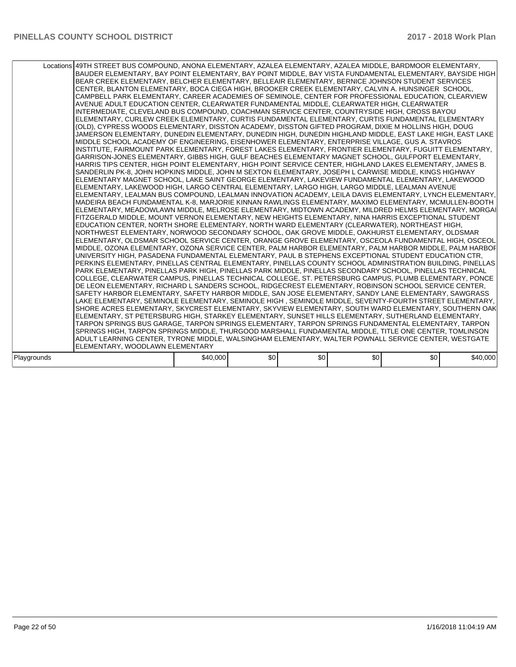|             | Locations 49TH STREET BUS COMPOUND, ANONA ELEMENTARY, AZALEA ELEMENTARY, AZALEA MIDDLE, BARDMOOR ELEMENTARY,<br>BAUDER ELEMENTARY, BAY POINT ELEMENTARY, BAY POINT MIDDLE, BAY VISTA FUNDAMENTAL ELEMENTARY, BAYSIDE HIGH<br>BEAR CREEK ELEMENTARY, BELCHER ELEMENTARY, BELLEAIR ELEMENTARY, BERNICE JOHNSON STUDENT SERVICES<br>CENTER, BLANTON ELEMENTARY, BOCA CIEGA HIGH, BROOKER CREEK ELEMENTARY, CALVIN A. HUNSINGER SCHOOL,<br>CAMPBELL PARK ELEMENTARY. CAREER ACADEMIES OF SEMINOLE. CENTER FOR PROFESSIONAL EDUCATION. CLEARVIEW<br>AVENUE ADULT EDUCATION CENTER, CLEARWATER FUNDAMENTAL MIDDLE, CLEARWATER HIGH, CLEARWATER<br>INTERMEDIATE, CLEVELAND BUS COMPOUND, COACHMAN SERVICE CENTER, COUNTRYSIDE HIGH, CROSS BAYOU<br>ELEMENTARY, CURLEW CREEK ELEMENTARY, CURTIS FUNDAMENTAL ELEMENTARY, CURTIS FUNDAMENTAL ELEMENTARY<br>(OLD), CYPRESS WOODS ELEMENTARY, DISSTON ACADEMY, DISSTON GIFTED PROGRAM, DIXIE M HOLLINS HIGH, DOUG<br>JAMERSON ELEMENTARY, DUNEDIN ELEMENTARY, DUNEDIN HIGH, DUNEDIN HIGHLAND MIDDLE, EAST LAKE HIGH, EAST LAKE<br>MIDDLE SCHOOL ACADEMY OF ENGINEERING, EISENHOWER ELEMENTARY, ENTERPRISE VILLAGE, GUS A. STAVROS<br>INSTITUTE, FAIRMOUNT PARK ELEMENTARY, FOREST LAKES ELEMENTARY, FRONTIER ELEMENTARY, FUGUITT ELEMENTARY,<br>GARRISON-JONES ELEMENTARY, GIBBS HIGH, GULF BEACHES ELEMENTARY MAGNET SCHOOL, GULFPORT ELEMENTARY,<br>HARRIS TIPS CENTER, HIGH POINT ELEMENTARY, HIGH POINT SERVICE CENTER, HIGHLAND LAKES ELEMENTARY, JAMES B.<br>SANDERLIN PK-8, JOHN HOPKINS MIDDLE, JOHN M SEXTON ELEMENTARY, JOSEPH L CARWISE MIDDLE, KINGS HIGHWAY<br>ELEMENTARY MAGNET SCHOOL, LAKE SAINT GEORGE ELEMENTARY, LAKEVIEW FUNDAMENTAL ELEMENTARY, LAKEWOOD<br> ELEMENTARY, LAKEWOOD HIGH, LARGO CENTRAL ELEMENTARY, LARGO HIGH, LARGO MIDDLE, LEALMAN AVENUE<br>IELEMENTARY. LEALMAN BUS COMPOUND. LEALMAN INNOVATION ACADEMY. LEILA DAVIS ELEMENTARY. LYNCH ELEMENTARY.<br>MADEIRA BEACH FUNDAMENTAL K-8, MARJORIE KINNAN RAWLINGS ELEMENTARY, MAXIMO ELEMENTARY, MCMULLEN-BOOTH<br>ELEMENTARY, MEADOWLAWN MIDDLE, MELROSE ELEMENTARY, MIDTOWN ACADEMY, MILDRED HELMS ELEMENTARY, MORGAI<br>FITZGERALD MIDDLE, MOUNT VERNON ELEMENTARY, NEW HEIGHTS ELEMENTARY, NINA HARRIS EXCEPTIONAL STUDENT<br>EDUCATION CENTER, NORTH SHORE ELEMENTARY, NORTH WARD ELEMENTARY (CLEARWATER), NORTHEAST HIGH,<br>NORTHWEST ELEMENTARY, NORWOOD SECONDARY SCHOOL, OAK GROVE MIDDLE, OAKHURST ELEMENTARY, OLDSMAR<br>ELEMENTARY, OLDSMAR SCHOOL SERVICE CENTER, ORANGE GROVE ELEMENTARY, OSCEOLA FUNDAMENTAL HIGH, OSCEOL<br>MIDDLE, OZONA ELEMENTARY, OZONA SERVICE CENTER, PALM HARBOR ELEMENTARY, PALM HARBOR MIDDLE, PALM HARBOF<br>UNIVERSITY HIGH, PASADENA FUNDAMENTAL ELEMENTARY, PAUL B STEPHENS EXCEPTIONAL STUDENT EDUCATION CTR,<br>PERKINS ELEMENTARY, PINELLAS CENTRAL ELEMENTARY, PINELLAS COUNTY SCHOOL ADMINISTRATION BUILDING, PINELLAS<br>PARK ELEMENTARY, PINELLAS PARK HIGH, PINELLAS PARK MIDDLE, PINELLAS SECONDARY SCHOOL, PINELLAS TECHNICAL<br>COLLEGE, CLEARWATER CAMPUS, PINELLAS TECHNICAL COLLEGE, ST. PETERSBURG CAMPUS, PLUMB ELEMENTARY, PONCE<br>DE LEON ELEMENTARY, RICHARD L SANDERS SCHOOL, RIDGECREST ELEMENTARY, ROBINSON SCHOOL SERVICE CENTER,<br>ISAFETY HARBOR ELEMENTARY, SAFETY HARBOR MIDDLE, SAN JOSE ELEMENTARY, SANDY LANE ELEMENTARY, SAWGRASS<br>LAKE ELEMENTARY, SEMINOLE ELEMENTARY, SEMINOLE HIGH , SEMINOLE MIDDLE, SEVENTY-FOURTH STREET ELEMENTARY,<br>SHORE ACRES ELEMENTARY, SKYCREST ELEMENTARY, SKYVIEW ELEMENTARY, SOUTH WARD ELEMENTARY, SOUTHERN OAK<br>ELEMENTARY, ST PETERSBURG HIGH, STARKEY ELEMENTARY, SUNSET HILLS ELEMENTARY, SUTHERLAND ELEMENTARY,<br>TARPON SPRINGS BUS GARAGE, TARPON SPRINGS ELEMENTARY, TARPON SPRINGS FUNDAMENTAL ELEMENTARY, TARPON<br>SPRINGS HIGH, TARPON SPRINGS MIDDLE, THURGOOD MARSHALL FUNDAMENTAL MIDDLE, TITLE ONE CENTER, TOMLINSON<br>ADULT LEARNING CENTER, TYRONE MIDDLE, WALSINGHAM ELEMENTARY, WALTER POWNALL SERVICE CENTER, WESTGATE<br>ELEMENTARY. WOODLAWN ELEMENTARY |          |     |     |     |     |          |
|-------------|----------------------------------------------------------------------------------------------------------------------------------------------------------------------------------------------------------------------------------------------------------------------------------------------------------------------------------------------------------------------------------------------------------------------------------------------------------------------------------------------------------------------------------------------------------------------------------------------------------------------------------------------------------------------------------------------------------------------------------------------------------------------------------------------------------------------------------------------------------------------------------------------------------------------------------------------------------------------------------------------------------------------------------------------------------------------------------------------------------------------------------------------------------------------------------------------------------------------------------------------------------------------------------------------------------------------------------------------------------------------------------------------------------------------------------------------------------------------------------------------------------------------------------------------------------------------------------------------------------------------------------------------------------------------------------------------------------------------------------------------------------------------------------------------------------------------------------------------------------------------------------------------------------------------------------------------------------------------------------------------------------------------------------------------------------------------------------------------------------------------------------------------------------------------------------------------------------------------------------------------------------------------------------------------------------------------------------------------------------------------------------------------------------------------------------------------------------------------------------------------------------------------------------------------------------------------------------------------------------------------------------------------------------------------------------------------------------------------------------------------------------------------------------------------------------------------------------------------------------------------------------------------------------------------------------------------------------------------------------------------------------------------------------------------------------------------------------------------------------------------------------------------------------------------------------------------------------------------------------------------------------------------------------------------------------------------------------------------------------------------------------------------------------------------------------------------------------------------------------------------------------------------------------------------------------------------------------------------------------------------------------------------------------------------------------------------------------------------------------------------------------------------------------------------------------------------------------------------------------------------------------------------------------------------------------------------------------------------------------------------------------------------------------|----------|-----|-----|-----|-----|----------|
|             |                                                                                                                                                                                                                                                                                                                                                                                                                                                                                                                                                                                                                                                                                                                                                                                                                                                                                                                                                                                                                                                                                                                                                                                                                                                                                                                                                                                                                                                                                                                                                                                                                                                                                                                                                                                                                                                                                                                                                                                                                                                                                                                                                                                                                                                                                                                                                                                                                                                                                                                                                                                                                                                                                                                                                                                                                                                                                                                                                                                                                                                                                                                                                                                                                                                                                                                                                                                                                                                                                                                                                                                                                                                                                                                                                                                                                                                                                                                                                                                                                                  |          |     |     |     |     |          |
| Playgrounds |                                                                                                                                                                                                                                                                                                                                                                                                                                                                                                                                                                                                                                                                                                                                                                                                                                                                                                                                                                                                                                                                                                                                                                                                                                                                                                                                                                                                                                                                                                                                                                                                                                                                                                                                                                                                                                                                                                                                                                                                                                                                                                                                                                                                                                                                                                                                                                                                                                                                                                                                                                                                                                                                                                                                                                                                                                                                                                                                                                                                                                                                                                                                                                                                                                                                                                                                                                                                                                                                                                                                                                                                                                                                                                                                                                                                                                                                                                                                                                                                                                  | \$40,000 | \$0 | \$0 | \$0 | \$0 | \$40,000 |
|             |                                                                                                                                                                                                                                                                                                                                                                                                                                                                                                                                                                                                                                                                                                                                                                                                                                                                                                                                                                                                                                                                                                                                                                                                                                                                                                                                                                                                                                                                                                                                                                                                                                                                                                                                                                                                                                                                                                                                                                                                                                                                                                                                                                                                                                                                                                                                                                                                                                                                                                                                                                                                                                                                                                                                                                                                                                                                                                                                                                                                                                                                                                                                                                                                                                                                                                                                                                                                                                                                                                                                                                                                                                                                                                                                                                                                                                                                                                                                                                                                                                  |          |     |     |     |     |          |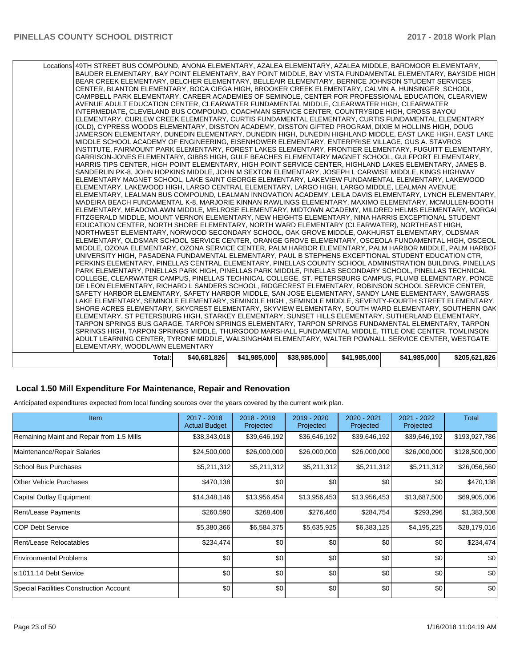| Locations 49TH STREET BUS COMPOUND, ANONA ELEMENTARY, AZALEA ELEMENTARY, AZALEA MIDDLE, BARDMOOR ELEMENTARY,<br>BAUDER ELEMENTARY, BAY POINT ELEMENTARY, BAY POINT MIDDLE, BAY VISTA FUNDAMENTAL ELEMENTARY, BAYSIDE HIGH<br>BEAR CREEK ELEMENTARY, BELCHER ELEMENTARY, BELLEAIR ELEMENTARY, BERNICE JOHNSON STUDENT SERVICES<br>ICENTER. BLANTON ELEMENTARY. BOCA CIEGA HIGH. BROOKER CREEK ELEMENTARY. CALVIN A. HUNSINGER  SCHOOL.<br>CAMPBELL PARK ELEMENTARY, CAREER ACADEMIES OF SEMINOLE, CENTER FOR PROFESSIONAL EDUCATION, CLEARVIEW<br>AVENUE ADULT EDUCATION CENTER, CLEARWATER FUNDAMENTAL MIDDLE, CLEARWATER HIGH, CLEARWATER<br>INTERMEDIATE, CLEVELAND BUS COMPOUND, COACHMAN SERVICE CENTER, COUNTRYSIDE HIGH, CROSS BAYOU<br>ELEMENTARY, CURLEW CREEK ELEMENTARY, CURTIS FUNDAMENTAL ELEMENTARY, CURTIS FUNDAMENTAL ELEMENTARY<br>(OLD), CYPRESS WOODS ELEMENTARY, DISSTON ACADEMY, DISSTON GIFTED PROGRAM, DIXIE M HOLLINS HIGH, DOUG |              |              |              |              |              |               |
|---------------------------------------------------------------------------------------------------------------------------------------------------------------------------------------------------------------------------------------------------------------------------------------------------------------------------------------------------------------------------------------------------------------------------------------------------------------------------------------------------------------------------------------------------------------------------------------------------------------------------------------------------------------------------------------------------------------------------------------------------------------------------------------------------------------------------------------------------------------------------------------------------------------------------------------------------------|--------------|--------------|--------------|--------------|--------------|---------------|
| JAMERSON ELEMENTARY, DUNEDIN ELEMENTARY, DUNEDIN HIGH, DUNEDIN HIGHLAND MIDDLE, EAST LAKE HIGH, EAST LAKE<br>MIDDLE SCHOOL ACADEMY OF ENGINEERING, EISENHOWER ELEMENTARY, ENTERPRISE VILLAGE, GUS A. STAVROS                                                                                                                                                                                                                                                                                                                                                                                                                                                                                                                                                                                                                                                                                                                                            |              |              |              |              |              |               |
| INSTITUTE, FAIRMOUNT PARK ELEMENTARY, FOREST LAKES ELEMENTARY, FRONTIER ELEMENTARY, FUGUITT ELEMENTARY,<br>GARRISON-JONES ELEMENTARY, GIBBS HIGH, GULF BEACHES ELEMENTARY MAGNET SCHOOL, GULFPORT ELEMENTARY,                                                                                                                                                                                                                                                                                                                                                                                                                                                                                                                                                                                                                                                                                                                                           |              |              |              |              |              |               |
| HARRIS TIPS CENTER, HIGH POINT ELEMENTARY, HIGH POINT SERVICE CENTER, HIGHLAND LAKES ELEMENTARY, JAMES B.<br>SANDERLIN PK-8, JOHN HOPKINS MIDDLE, JOHN M SEXTON ELEMENTARY, JOSEPH L CARWISE MIDDLE, KINGS HIGHWAY                                                                                                                                                                                                                                                                                                                                                                                                                                                                                                                                                                                                                                                                                                                                      |              |              |              |              |              |               |
| ELEMENTARY MAGNET SCHOOL, LAKE SAINT GEORGE ELEMENTARY, LAKEVIEW FUNDAMENTAL ELEMENTARY, LAKEWOOD<br>ELEMENTARY, LAKEWOOD HIGH, LARGO CENTRAL ELEMENTARY, LARGO HIGH, LARGO MIDDLE, LEALMAN AVENUE                                                                                                                                                                                                                                                                                                                                                                                                                                                                                                                                                                                                                                                                                                                                                      |              |              |              |              |              |               |
| IELEMENTARY. LEALMAN BUS COMPOUND. LEALMAN INNOVATION ACADEMY. LEILA DAVIS ELEMENTARY. LYNCH ELEMENTARY.<br>MADEIRA BEACH FUNDAMENTAL K-8, MARJORIE KINNAN RAWLINGS ELEMENTARY, MAXIMO ELEMENTARY, MCMULLEN-BOOTH                                                                                                                                                                                                                                                                                                                                                                                                                                                                                                                                                                                                                                                                                                                                       |              |              |              |              |              |               |
| ELEMENTARY, MEADOWLAWN MIDDLE, MELROSE ELEMENTARY, MIDTOWN ACADEMY, MILDRED HELMS ELEMENTARY, MORGAI                                                                                                                                                                                                                                                                                                                                                                                                                                                                                                                                                                                                                                                                                                                                                                                                                                                    |              |              |              |              |              |               |
| FITZGERALD MIDDLE, MOUNT VERNON ELEMENTARY, NEW HEIGHTS ELEMENTARY, NINA HARRIS EXCEPTIONAL STUDENT<br>EDUCATION CENTER, NORTH SHORE ELEMENTARY, NORTH WARD ELEMENTARY (CLEARWATER), NORTHEAST HIGH,                                                                                                                                                                                                                                                                                                                                                                                                                                                                                                                                                                                                                                                                                                                                                    |              |              |              |              |              |               |
| NORTHWEST ELEMENTARY, NORWOOD SECONDARY SCHOOL, OAK GROVE MIDDLE, OAKHURST ELEMENTARY, OLDSMAR<br>ELEMENTARY, OLDSMAR SCHOOL SERVICE CENTER, ORANGE GROVE ELEMENTARY, OSCEOLA FUNDAMENTAL HIGH, OSCEOL                                                                                                                                                                                                                                                                                                                                                                                                                                                                                                                                                                                                                                                                                                                                                  |              |              |              |              |              |               |
| MIDDLE, OZONA ELEMENTARY, OZONA SERVICE CENTER, PALM HARBOR ELEMENTARY, PALM HARBOR MIDDLE, PALM HARBOF<br>UNIVERSITY HIGH, PASADENA FUNDAMENTAL ELEMENTARY, PAUL B STEPHENS EXCEPTIONAL STUDENT EDUCATION CTR,                                                                                                                                                                                                                                                                                                                                                                                                                                                                                                                                                                                                                                                                                                                                         |              |              |              |              |              |               |
| PERKINS ELEMENTARY, PINELLAS CENTRAL ELEMENTARY, PINELLAS COUNTY SCHOOL ADMINISTRATION BUILDING, PINELLAS<br>PARK ELEMENTARY, PINELLAS PARK HIGH, PINELLAS PARK MIDDLE, PINELLAS SECONDARY SCHOOL, PINELLAS TECHNICAL                                                                                                                                                                                                                                                                                                                                                                                                                                                                                                                                                                                                                                                                                                                                   |              |              |              |              |              |               |
| COLLEGE, CLEARWATER CAMPUS, PINELLAS TECHNICAL COLLEGE, ST. PETERSBURG CAMPUS, PLUMB ELEMENTARY, PONCE<br>DE LEON ELEMENTARY, RICHARD L SANDERS SCHOOL, RIDGECREST ELEMENTARY, ROBINSON SCHOOL SERVICE CENTER,                                                                                                                                                                                                                                                                                                                                                                                                                                                                                                                                                                                                                                                                                                                                          |              |              |              |              |              |               |
| SAFETY HARBOR ELEMENTARY, SAFETY HARBOR MIDDLE, SAN JOSE ELEMENTARY, SANDY LANE ELEMENTARY, SAWGRASS<br>LAKE ELEMENTARY, SEMINOLE ELEMENTARY, SEMINOLE HIGH , SEMINOLE MIDDLE, SEVENTY-FOURTH STREET ELEMENTARY,                                                                                                                                                                                                                                                                                                                                                                                                                                                                                                                                                                                                                                                                                                                                        |              |              |              |              |              |               |
| SHORE ACRES ELEMENTARY, SKYCREST ELEMENTARY, SKYVIEW ELEMENTARY, SOUTH WARD ELEMENTARY, SOUTHERN OAK<br>ELEMENTARY, ST PETERSBURG HIGH, STARKEY ELEMENTARY, SUNSET HILLS ELEMENTARY, SUTHERLAND ELEMENTARY,                                                                                                                                                                                                                                                                                                                                                                                                                                                                                                                                                                                                                                                                                                                                             |              |              |              |              |              |               |
| TARPON SPRINGS BUS GARAGE, TARPON SPRINGS ELEMENTARY, TARPON SPRINGS FUNDAMENTAL ELEMENTARY, TARPON                                                                                                                                                                                                                                                                                                                                                                                                                                                                                                                                                                                                                                                                                                                                                                                                                                                     |              |              |              |              |              |               |
| ISPRINGS HIGH. TARPON SPRINGS MIDDLE. THURGOOD MARSHALL FUNDAMENTAL MIDDLE. TITLE ONE CENTER. TOMLINSON<br>ADULT LEARNING CENTER, TYRONE MIDDLE, WALSINGHAM ELEMENTARY, WALTER POWNALL SERVICE CENTER, WESTGATE<br>ELEMENTARY, WOODLAWN ELEMENTARY                                                                                                                                                                                                                                                                                                                                                                                                                                                                                                                                                                                                                                                                                                      |              |              |              |              |              |               |
| Total:                                                                                                                                                                                                                                                                                                                                                                                                                                                                                                                                                                                                                                                                                                                                                                                                                                                                                                                                                  | \$40,681,826 | \$41,985,000 | \$38,985,000 | \$41,985,000 | \$41,985,000 | \$205,621,826 |
|                                                                                                                                                                                                                                                                                                                                                                                                                                                                                                                                                                                                                                                                                                                                                                                                                                                                                                                                                         |              |              |              |              |              |               |

#### **Local 1.50 Mill Expenditure For Maintenance, Repair and Renovation**

Anticipated expenditures expected from local funding sources over the years covered by the current work plan.

| <b>Item</b>                               | 2017 - 2018<br><b>Actual Budget</b> | 2018 - 2019<br>Projected | 2019 - 2020<br>Projected | 2020 - 2021<br>Projected | 2021 - 2022<br>Projected | <b>Total</b>  |
|-------------------------------------------|-------------------------------------|--------------------------|--------------------------|--------------------------|--------------------------|---------------|
| Remaining Maint and Repair from 1.5 Mills | \$38,343,018                        | \$39,646,192             | \$36,646,192             | \$39,646,192             | \$39,646,192             | \$193,927,786 |
| Maintenance/Repair Salaries               | \$24,500,000                        | \$26,000,000             | \$26,000,000             | \$26,000,000             | \$26,000,000             | \$128,500,000 |
| <b>School Bus Purchases</b>               | \$5,211,312                         | \$5,211,312              | \$5,211,312              | \$5,211,312              | \$5,211,312              | \$26,056,560  |
| <b>Other Vehicle Purchases</b>            | \$470,138                           | \$0                      | \$0                      | \$0                      | \$0                      | \$470,138     |
| Capital Outlay Equipment                  | \$14,348,146                        | \$13,956,454             | \$13,956,453             | \$13,956,453             | \$13,687,500             | \$69,905,006  |
| Rent/Lease Payments                       | \$260,590                           | \$268,408                | \$276,460                | \$284,754                | \$293,296                | \$1,383,508   |
| <b>COP Debt Service</b>                   | \$5,380,366                         | \$6,584,375              | \$5,635,925              | \$6,383,125              | \$4,195,225              | \$28,179,016  |
| Rent/Lease Relocatables                   | \$234,474                           | \$0                      | \$0                      | \$0                      | \$0                      | \$234,474     |
| <b>Environmental Problems</b>             | \$0                                 | \$0                      | \$0                      | \$0                      | \$0                      | \$0           |
| s.1011.14 Debt Service                    | \$0                                 | \$0                      | \$0                      | \$0                      | \$0                      | \$0           |
| Special Facilities Construction Account   | \$0                                 | \$0                      | \$0                      | \$0                      | \$0                      | \$0           |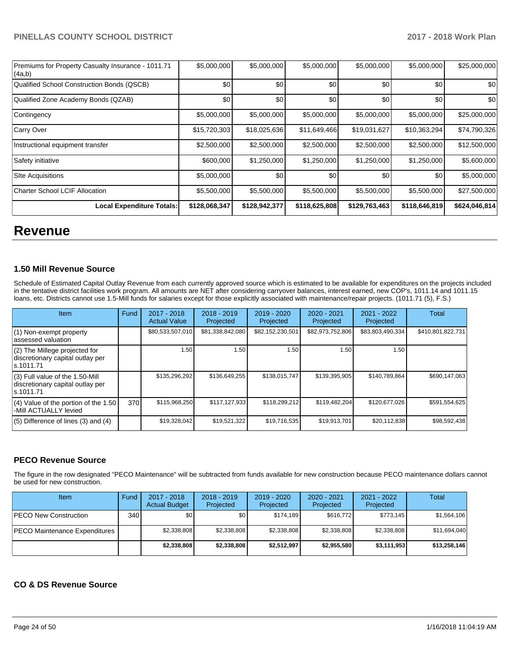| Premiums for Property Casualty Insurance - 1011.71<br> (4a,b) | \$5,000,000   | \$5,000,000   | \$5,000,000   | \$5,000,000   | \$5,000,000   | \$25,000,000  |
|---------------------------------------------------------------|---------------|---------------|---------------|---------------|---------------|---------------|
| Qualified School Construction Bonds (QSCB)                    | \$0           | \$0           | \$0           | \$0           | \$0           | \$0           |
| Qualified Zone Academy Bonds (QZAB)                           | \$0           | \$0           | \$0           | \$0           | \$0           | \$0           |
| Contingency                                                   | \$5,000,000   | \$5,000,000   | \$5,000,000   | \$5,000,000   | \$5,000,000   | \$25,000,000  |
| Carry Over                                                    | \$15,720,303  | \$18,025,636  | \$11,649,466  | \$19,031,627  | \$10,363,294  | \$74,790,326  |
| Instructional equipment transfer                              | \$2,500,000   | \$2,500,000   | \$2,500,000   | \$2,500,000   | \$2,500,000   | \$12,500,000  |
| Safety initiative                                             | \$600,000     | \$1,250,000   | \$1,250,000   | \$1,250,000   | \$1,250,000   | \$5,600,000   |
| <b>Site Acquisitions</b>                                      | \$5,000,000   | \$0           | \$0           | \$0           | \$0           | \$5,000,000   |
| Charter School LCIF Allocation                                | \$5,500,000   | \$5,500,000   | \$5,500,000   | \$5,500,000   | \$5,500,000   | \$27,500,000  |
| <b>Local Expenditure Totals:</b>                              | \$128,068,347 | \$128,942,377 | \$118,625,808 | \$129,763,463 | \$118,646,819 | \$624,046,814 |

# **Revenue**

#### **1.50 Mill Revenue Source**

Schedule of Estimated Capital Outlay Revenue from each currently approved source which is estimated to be available for expenditures on the projects included in the tentative district facilities work program. All amounts are NET after considering carryover balances, interest earned, new COP's, 1011.14 and 1011.15 loans, etc. Districts cannot use 1.5-Mill funds for salaries except for those explicitly associated with maintenance/repair projects. (1011.71 (5), F.S.)

| <b>Item</b>                                                                         | Fund | $2017 - 2018$<br><b>Actual Value</b> | $2018 - 2019$<br>Projected | $2019 - 2020$<br>Projected | $2020 - 2021$<br>Projected | 2021 - 2022<br>Projected | <b>Total</b>      |
|-------------------------------------------------------------------------------------|------|--------------------------------------|----------------------------|----------------------------|----------------------------|--------------------------|-------------------|
| $(1)$ Non-exempt property<br>lassessed valuation                                    |      | \$80,533,507,010                     | \$81,338,842,080           | \$82,152,230,501           | \$82,973,752,806           | \$83,803,490,334         | \$410,801,822,731 |
| (2) The Millege projected for<br>discretionary capital outlay per<br>ls.1011.71     |      | 1.50                                 | 1.50                       | 1.50                       | 1.50                       | 1.50                     |                   |
| $(3)$ Full value of the 1.50-Mill<br>discretionary capital outlay per<br>ls.1011.71 |      | \$135,296,292                        | \$136.649.255              | \$138.015.747              | \$139,395,905              | \$140,789,864            | \$690.147.063     |
| $(4)$ Value of the portion of the 1.50<br>-Mill ACTUALLY levied                     | 370  | \$115,968,250                        | \$117,127,933              | \$118.299.212              | \$119,482,204              | \$120,677,026            | \$591,554,625     |
| $(5)$ Difference of lines $(3)$ and $(4)$                                           |      | \$19,328,042                         | \$19,521,322               | \$19,716,535               | \$19.913.701               | \$20,112,838             | \$98,592,438      |

#### **PECO Revenue Source**

The figure in the row designated "PECO Maintenance" will be subtracted from funds available for new construction because PECO maintenance dollars cannot be used for new construction.

| Item                          | Fund | $2017 - 2018$<br><b>Actual Budget</b> | $2018 - 2019$<br>Projected | 2019 - 2020<br>Projected | $2020 - 2021$<br>Projected | 2021 - 2022<br>Projected | Total        |
|-------------------------------|------|---------------------------------------|----------------------------|--------------------------|----------------------------|--------------------------|--------------|
| <b>PECO New Construction</b>  | 340  | \$0 <sub>1</sub>                      | ا S0                       | \$174.189                | \$616,772                  | \$773.145                | \$1,564,106  |
| PECO Maintenance Expenditures |      | \$2,338,808                           | \$2,338,808                | \$2,338,808              | \$2,338,808                | \$2,338,808              | \$11.694.040 |
|                               |      | \$2,338,808                           | \$2,338,808                | \$2.512.997              | \$2,955,580                | \$3,111,953              | \$13,258,146 |

#### **CO & DS Revenue Source**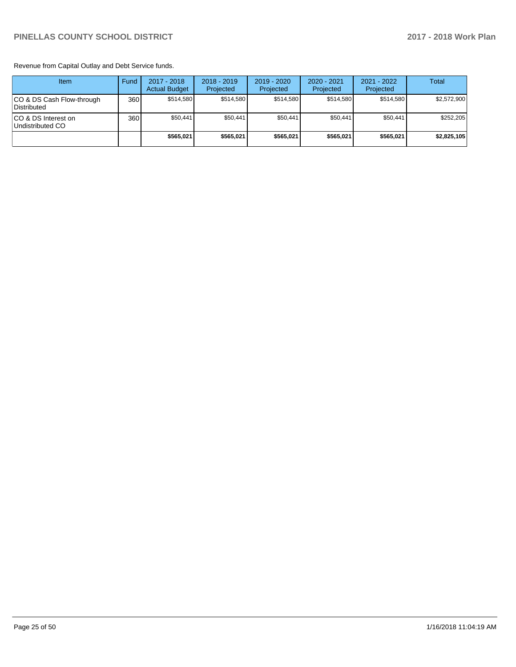Revenue from Capital Outlay and Debt Service funds.

| Item                                      | Fund | $2017 - 2018$<br><b>Actual Budget</b> | $2018 - 2019$<br>Projected | 2019 - 2020<br>Projected | $2020 - 2021$<br>Projected | 2021 - 2022<br>Projected | <b>Total</b> |
|-------------------------------------------|------|---------------------------------------|----------------------------|--------------------------|----------------------------|--------------------------|--------------|
| ICO & DS Cash Flow-through<br>Distributed | 360  | \$514.580                             | \$514.580                  | \$514.580                | \$514.580                  | \$514.580                | \$2,572,900  |
| ICO & DS Interest on<br>Undistributed CO  | 360  | \$50,441                              | \$50.441                   | \$50.441                 | \$50,441                   | \$50,441                 | \$252.205    |
|                                           |      | \$565,021                             | \$565.021                  | \$565.021                | \$565.021                  | \$565.021                | \$2,825,105  |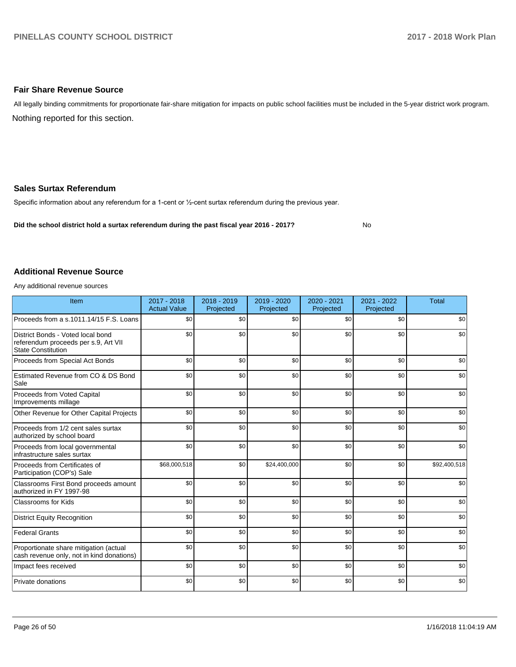#### **Fair Share Revenue Source**

Nothing reported for this section. All legally binding commitments for proportionate fair-share mitigation for impacts on public school facilities must be included in the 5-year district work program.

#### **Sales Surtax Referendum**

Specific information about any referendum for a 1-cent or 1/2-cent surtax referendum during the previous year.

**Did the school district hold a surtax referendum during the past fiscal year 2016 - 2017?**

No

#### **Additional Revenue Source**

Any additional revenue sources

| Item                                                                                                   | 2017 - 2018<br><b>Actual Value</b> | 2018 - 2019<br>Projected | 2019 - 2020<br>Projected | 2020 - 2021<br>Projected | 2021 - 2022<br>Projected | <b>Total</b> |
|--------------------------------------------------------------------------------------------------------|------------------------------------|--------------------------|--------------------------|--------------------------|--------------------------|--------------|
| Proceeds from a s.1011.14/15 F.S. Loans                                                                | \$0                                | \$0                      | \$0                      | \$0                      | \$0                      | \$0          |
| District Bonds - Voted local bond<br>referendum proceeds per s.9, Art VII<br><b>State Constitution</b> | \$0                                | \$0                      | \$0                      | \$0                      | \$0                      | \$0          |
| Proceeds from Special Act Bonds                                                                        | \$0                                | \$0                      | \$0                      | \$0                      | \$0                      | \$0          |
| Estimated Revenue from CO & DS Bond<br>Sale                                                            | \$0                                | \$0                      | \$0                      | \$0                      | \$0                      | \$0          |
| Proceeds from Voted Capital<br>Improvements millage                                                    | \$0                                | \$0                      | \$0                      | \$0                      | \$0                      | \$0          |
| Other Revenue for Other Capital Projects                                                               | \$0                                | \$0                      | \$0                      | \$0                      | \$0                      | \$0          |
| Proceeds from 1/2 cent sales surtax<br>authorized by school board                                      | \$0                                | \$0                      | \$0                      | \$0                      | \$0                      | \$0          |
| Proceeds from local governmental<br>infrastructure sales surtax                                        | \$0                                | \$0                      | \$0                      | \$0                      | \$0                      | \$0          |
| Proceeds from Certificates of<br>Participation (COP's) Sale                                            | \$68,000,518                       | \$0                      | \$24,400,000             | \$0                      | \$0                      | \$92,400,518 |
| Classrooms First Bond proceeds amount<br>authorized in FY 1997-98                                      | \$0                                | \$0                      | \$0                      | \$0                      | \$0                      | \$0          |
| Classrooms for Kids                                                                                    | \$0                                | \$0                      | \$0                      | \$0                      | \$0                      | \$0          |
| <b>District Equity Recognition</b>                                                                     | \$0                                | \$0                      | \$0                      | \$0                      | \$0                      | \$0          |
| <b>Federal Grants</b>                                                                                  | \$0                                | \$0                      | \$0                      | \$0                      | \$0                      | \$0          |
| Proportionate share mitigation (actual<br>cash revenue only, not in kind donations)                    | \$0                                | \$0                      | \$0                      | \$0                      | \$0                      | \$0          |
| Impact fees received                                                                                   | \$0                                | \$0                      | \$0                      | \$0                      | \$0                      | \$0          |
| Private donations                                                                                      | \$0                                | \$0                      | \$0                      | \$0                      | \$0                      | \$0          |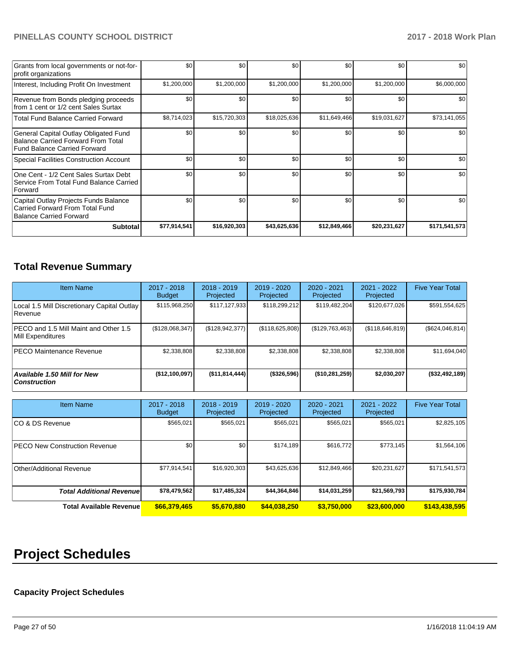| Grants from local governments or not-for-<br>profit organizations                                                         | \$0          | \$0          | \$0          | \$0          | \$0          | \$0           |
|---------------------------------------------------------------------------------------------------------------------------|--------------|--------------|--------------|--------------|--------------|---------------|
| Interest, Including Profit On Investment                                                                                  | \$1,200,000  | \$1,200,000  | \$1,200,000  | \$1,200,000  | \$1,200,000  | \$6,000,000   |
| Revenue from Bonds pledging proceeds<br>from 1 cent or 1/2 cent Sales Surtax                                              | \$0          | \$0          | \$0          | \$0          | \$0          | \$0           |
| <b>Total Fund Balance Carried Forward</b>                                                                                 | \$8,714,023  | \$15,720,303 | \$18,025,636 | \$11,649,466 | \$19,031,627 | \$73,141,055  |
| General Capital Outlay Obligated Fund<br><b>Balance Carried Forward From Total</b><br><b>Fund Balance Carried Forward</b> | \$0          | \$0          | \$0          | \$0          | \$0          | \$0           |
| <b>Special Facilities Construction Account</b>                                                                            | \$0          | \$0          | \$0          | \$0          | \$0          | \$0           |
| One Cent - 1/2 Cent Sales Surtax Debt<br>Service From Total Fund Balance Carried<br>Forward                               | \$0          | \$0          | \$0          | \$0          | \$0          | \$0           |
| Capital Outlay Projects Funds Balance<br>Carried Forward From Total Fund<br><b>Balance Carried Forward</b>                | \$0          | \$0          | \$0          | \$0          | \$0          | \$0           |
| <b>Subtotal</b>                                                                                                           | \$77,914,541 | \$16,920,303 | \$43,625,636 | \$12,849,466 | \$20,231,627 | \$171,541,573 |

# **Total Revenue Summary**

| <b>Item Name</b>                                           | 2017 - 2018<br><b>Budget</b> | $2018 - 2019$<br>Projected | 2019 - 2020<br>Projected | 2020 - 2021<br>Projected | 2021 - 2022<br>Projected | <b>Five Year Total</b> |
|------------------------------------------------------------|------------------------------|----------------------------|--------------------------|--------------------------|--------------------------|------------------------|
| Local 1.5 Mill Discretionary Capital Outlay<br>l Revenue   | \$115,968,250                | \$117,127,933              | \$118,299,212            | \$119,482,204            | \$120.677.026            | \$591,554,625          |
| PECO and 1.5 Mill Maint and Other 1.5<br>Mill Expenditures | (\$128,068,347)              | (\$128, 942, 377)          | (\$118,625,808)          | (\$129,763,463)          | (\$118,646,819)          | (\$624,046,814)        |
| <b>PECO Maintenance Revenue</b>                            | \$2,338,808                  | \$2,338,808                | \$2,338,808              | \$2,338,808              | \$2,338,808              | \$11,694,040           |
| Available 1.50 Mill for New<br><b>Construction</b>         | (\$12,100,097)               | ( \$11, 814, 444]          | (\$326,596)              | (\$10,281,259)           | \$2,030,207              | (\$32,492,189)         |

| <b>Item Name</b>                      | 2017 - 2018<br><b>Budget</b> | $2018 - 2019$<br>Projected | 2019 - 2020<br>Projected | 2020 - 2021<br>Projected | 2021 - 2022<br>Projected | <b>Five Year Total</b> |
|---------------------------------------|------------------------------|----------------------------|--------------------------|--------------------------|--------------------------|------------------------|
| ICO & DS Revenue                      | \$565,021                    | \$565,021                  | \$565,021                | \$565,021                | \$565,021                | \$2,825,105            |
| <b>IPECO New Construction Revenue</b> | \$0                          | \$0                        | \$174,189                | \$616,772                | \$773,145                | \$1,564,106            |
| Other/Additional Revenue              | \$77,914,541                 | \$16,920,303               | \$43,625,636             | \$12,849,466             | \$20,231,627             | \$171,541,573          |
| <b>Total Additional Revenuel</b>      | \$78,479,562                 | \$17,485,324               | \$44,364,846             | \$14,031,259             | \$21,569,793             | \$175,930,784          |
| <b>Total Available Revenue</b>        | \$66,379,465                 | \$5,670,880                | \$44,038,250             | \$3,750,000              | \$23,600,000             | \$143,438,595          |

# **Project Schedules**

# **Capacity Project Schedules**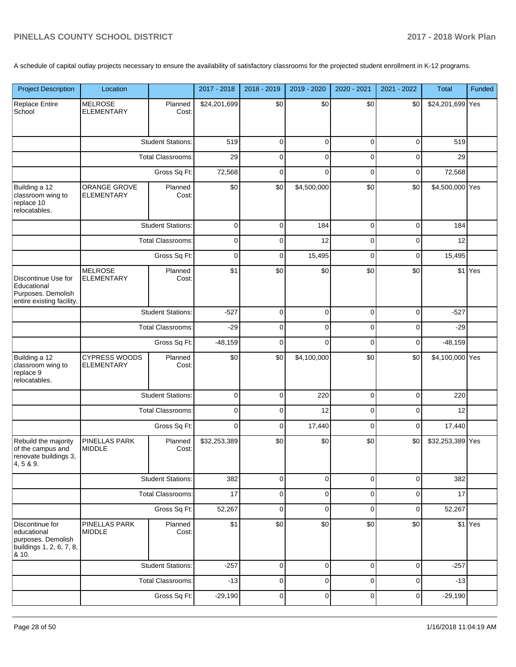A schedule of capital outlay projects necessary to ensure the availability of satisfactory classrooms for the projected student enrollment in K-12 programs.

| <b>Project Description</b>                                                                | Location                                  |                          | 2017 - 2018  | 2018 - 2019 | 2019 - 2020 | 2020 - 2021 | 2021 - 2022 | <b>Total</b>     | Funded  |
|-------------------------------------------------------------------------------------------|-------------------------------------------|--------------------------|--------------|-------------|-------------|-------------|-------------|------------------|---------|
| <b>Replace Entire</b><br>School                                                           | <b>MELROSE</b><br><b>ELEMENTARY</b>       | Planned<br>Cost:         | \$24,201,699 | \$0         | \$0         | \$0         | \$0         | \$24,201,699 Yes |         |
|                                                                                           |                                           | <b>Student Stations:</b> | 519          | $\mathbf 0$ | 0           | $\mathbf 0$ | 0           | 519              |         |
|                                                                                           |                                           | <b>Total Classrooms:</b> | 29           | $\mathbf 0$ | $\mathbf 0$ | $\mathbf 0$ | 0           | 29               |         |
|                                                                                           |                                           | Gross Sq Ft:             | 72,568       | $\mathbf 0$ | $\mathbf 0$ | $\mathbf 0$ | 0           | 72,568           |         |
| Building a 12<br>classroom wing to<br>replace 10<br>relocatables.                         | <b>ORANGE GROVE</b><br><b>ELEMENTARY</b>  | Planned<br>Cost:         | \$0          | \$0         | \$4,500,000 | \$0         | \$0         | \$4,500,000 Yes  |         |
|                                                                                           |                                           | <b>Student Stations:</b> | $\mathbf 0$  | $\mathbf 0$ | 184         | $\mathbf 0$ | 0           | 184              |         |
|                                                                                           |                                           | <b>Total Classrooms:</b> | $\pmb{0}$    | $\mathbf 0$ | 12          | $\mathbf 0$ | 0           | 12               |         |
|                                                                                           |                                           | Gross Sq Ft:             | $\mathbf 0$  | $\mathbf 0$ | 15,495      | $\mathbf 0$ | 0           | 15,495           |         |
| Discontinue Use for<br>Educational<br>Purposes. Demolish<br>entire existing facility.     | <b>MELROSE</b><br><b>ELEMENTARY</b>       | Planned<br>Cost:         | \$1          | \$0         | \$0         | \$0         | \$0         |                  | \$1 Yes |
|                                                                                           |                                           | <b>Student Stations:</b> | $-527$       | $\pmb{0}$   | $\pmb{0}$   | $\mathbf 0$ | 0           | $-527$           |         |
|                                                                                           | <b>Total Classrooms:</b>                  |                          | $-29$        | $\mathbf 0$ | $\mathbf 0$ | $\mathbf 0$ | 0           | $-29$            |         |
|                                                                                           | Gross Sq Ft:                              |                          | $-48,159$    | $\pmb{0}$   | $\mathbf 0$ | $\mathbf 0$ | 0           | $-48,159$        |         |
| Building a 12<br>classroom wing to<br>replace 9<br>relocatables.                          | <b>CYPRESS WOODS</b><br><b>ELEMENTARY</b> | Planned<br>Cost:         | \$0          | \$0         | \$4,100,000 | \$0         | \$0         | \$4,100,000 Yes  |         |
|                                                                                           | <b>Student Stations:</b>                  |                          | $\pmb{0}$    | 0           | 220         | $\mathbf 0$ | 0           | 220              |         |
|                                                                                           |                                           | <b>Total Classrooms:</b> | $\pmb{0}$    | 0           | 12          | $\mathbf 0$ | 0           | 12               |         |
|                                                                                           |                                           | Gross Sq Ft:             | $\mathbf 0$  | $\mathbf 0$ | 17,440      | $\mathbf 0$ | 0           | 17,440           |         |
| Rebuild the majority<br>of the campus and<br>renovate buildings 3,<br>4, 5 & 9.           | <b>PINELLAS PARK</b><br><b>MIDDLE</b>     | Planned<br>Cost:         | \$32,253,389 | \$0         | \$0         | \$0         | \$0         | \$32,253,389 Yes |         |
|                                                                                           |                                           | <b>Student Stations:</b> | 382          | $\pmb{0}$   | $\pmb{0}$   | $\mathbf 0$ | 0           | 382              |         |
|                                                                                           |                                           | <b>Total Classrooms:</b> | 17           | $\mathbf 0$ | $\pmb{0}$   | $\mathbf 0$ | 0           | 17               |         |
|                                                                                           |                                           | Gross Sq Ft:             | 52,267       | $\mathbf 0$ | $\pmb{0}$   | $\mathbf 0$ | 0           | 52,267           |         |
| Discontinue for<br>educational<br>purposes. Demolish<br>buildings 1, 2, 6, 7, 8,<br>& 10. | PINELLAS PARK<br><b>MIDDLE</b>            | Planned<br>Cost:         | \$1          | \$0         | \$0         | \$0         | \$0         |                  | \$1 Yes |
|                                                                                           |                                           | <b>Student Stations:</b> | $-257$       | $\mathbf 0$ | $\mathbf 0$ | $\mathbf 0$ | 0           | $-257$           |         |
|                                                                                           |                                           | <b>Total Classrooms:</b> | $-13$        | $\mathbf 0$ | $\mathbf 0$ | $\mathbf 0$ | 0           | $-13$            |         |
|                                                                                           |                                           | Gross Sq Ft:             | $-29,190$    | $\pmb{0}$   | $\pmb{0}$   | $\mathbf 0$ | 0           | $-29,190$        |         |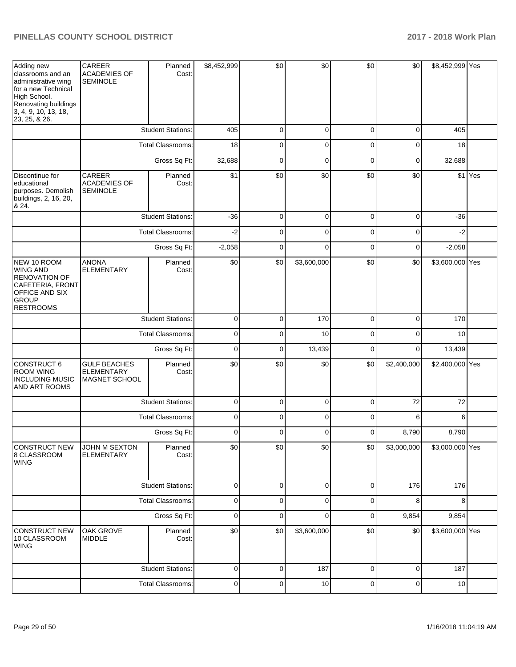| Adding new<br>classrooms and an<br>administrative wing<br>for a new Technical<br>High School.<br>Renovating buildings<br>3, 4, 9, 10, 13, 18,<br>23, 25, & 26. | CAREER<br><b>ACADEMIES OF</b><br><b>SEMINOLE</b>          | Planned<br>Cost:         | \$8,452,999 | \$0         | \$0         | \$0         | \$0         | \$8,452,999 Yes |         |
|----------------------------------------------------------------------------------------------------------------------------------------------------------------|-----------------------------------------------------------|--------------------------|-------------|-------------|-------------|-------------|-------------|-----------------|---------|
|                                                                                                                                                                |                                                           | <b>Student Stations:</b> | 405         | $\mathbf 0$ | $\mathbf 0$ | $\mathbf 0$ | $\mathbf 0$ | 405             |         |
|                                                                                                                                                                |                                                           | <b>Total Classrooms:</b> | 18          | $\mathbf 0$ | $\mathbf 0$ | $\mathbf 0$ | $\mathbf 0$ | 18              |         |
|                                                                                                                                                                |                                                           | Gross Sq Ft:             | 32,688      | $\mathbf 0$ | $\mathbf 0$ | $\mathbf 0$ | $\mathbf 0$ | 32,688          |         |
| Discontinue for<br>educational<br>purposes. Demolish<br>buildings, 2, 16, 20,<br>8. 24.                                                                        | CAREER<br><b>ACADEMIES OF</b><br><b>SEMINOLE</b>          | Planned<br>Cost:         | \$1         | \$0         | \$0         | \$0         | \$0         |                 | \$1 Yes |
|                                                                                                                                                                |                                                           | <b>Student Stations:</b> | $-36$       | $\mathbf 0$ | $\mathbf 0$ | $\mathbf 0$ | $\mathbf 0$ | $-36$           |         |
|                                                                                                                                                                |                                                           | <b>Total Classrooms:</b> | $-2$        | $\mathbf 0$ | $\mathbf 0$ | $\mathbf 0$ | $\mathbf 0$ | $-2$            |         |
|                                                                                                                                                                |                                                           | Gross Sq Ft:             | $-2,058$    | $\mathbf 0$ | $\mathbf 0$ | $\mathbf 0$ | 0           | $-2,058$        |         |
| NEW 10 ROOM<br>WING AND<br><b>RENOVATION OF</b><br>CAFETERIA, FRONT<br><b>OFFICE AND SIX</b><br><b>GROUP</b><br><b>RESTROOMS</b>                               | <b>ANONA</b><br><b>ELEMENTARY</b>                         | Planned<br>Cost:         | \$0         | \$0         | \$3,600,000 | \$0         | \$0         | \$3,600,000 Yes |         |
|                                                                                                                                                                |                                                           | <b>Student Stations:</b> | $\pmb{0}$   | $\mathbf 0$ | 170         | $\mathbf 0$ | $\mathbf 0$ | 170             |         |
|                                                                                                                                                                |                                                           | <b>Total Classrooms:</b> | $\pmb{0}$   | $\mathbf 0$ | 10          | $\mathbf 0$ | $\mathbf 0$ | 10              |         |
|                                                                                                                                                                |                                                           | Gross Sq Ft:             | $\pmb{0}$   | $\mathbf 0$ | 13,439      | $\mathbf 0$ | $\mathbf 0$ | 13,439          |         |
| CONSTRUCT 6<br><b>ROOM WING</b><br><b>INCLUDING MUSIC</b><br>AND ART ROOMS                                                                                     | <b>GULF BEACHES</b><br><b>ELEMENTARY</b><br>MAGNET SCHOOL | Planned<br>Cost:         | \$0         | \$0         | \$0         | \$0         | \$2,400,000 | \$2,400,000 Yes |         |
|                                                                                                                                                                |                                                           | <b>Student Stations:</b> | $\pmb{0}$   | 0           | $\pmb{0}$   | $\mathbf 0$ | 72          | 72              |         |
|                                                                                                                                                                |                                                           | Total Classrooms:        | $\pmb{0}$   | 0           | $\pmb{0}$   | $\mathbf 0$ | 6           | 6               |         |
|                                                                                                                                                                |                                                           | Gross Sq Ft:             | 0           | $\mathbf 0$ | $\mathbf 0$ | $\mathbf 0$ | 8,790       | 8,790           |         |
| CONSTRUCT NEW<br>8 CLASSROOM<br>WING                                                                                                                           | JOHN M SEXTON<br>ELEMENTARY                               | Planned<br>Cost:         | \$0         | \$0         | \$0         | \$0         | \$3,000,000 | \$3,000,000 Yes |         |
|                                                                                                                                                                |                                                           | <b>Student Stations:</b> | $\pmb{0}$   | $\pmb{0}$   | $\pmb{0}$   | $\pmb{0}$   | 176         | 176             |         |
|                                                                                                                                                                |                                                           | <b>Total Classrooms:</b> | $\pmb{0}$   | $\pmb{0}$   | $\pmb{0}$   | $\pmb{0}$   | 8           | 8               |         |
|                                                                                                                                                                |                                                           | Gross Sq Ft:             | $\pmb{0}$   | $\pmb{0}$   | $\pmb{0}$   | 0           | 9,854       | 9,854           |         |
| CONSTRUCT NEW<br>10 CLASSROOM<br>WING                                                                                                                          | OAK GROVE<br><b>MIDDLE</b>                                | Planned<br>Cost:         | \$0         | \$0         | \$3,600,000 | \$0         | \$0         | \$3,600,000 Yes |         |
|                                                                                                                                                                |                                                           | <b>Student Stations:</b> | $\pmb{0}$   | 0           | 187         | 0           | 0           | 187             |         |
|                                                                                                                                                                |                                                           | <b>Total Classrooms:</b> | $\pmb{0}$   | $\pmb{0}$   | 10          | $\pmb{0}$   | $\pmb{0}$   | 10              |         |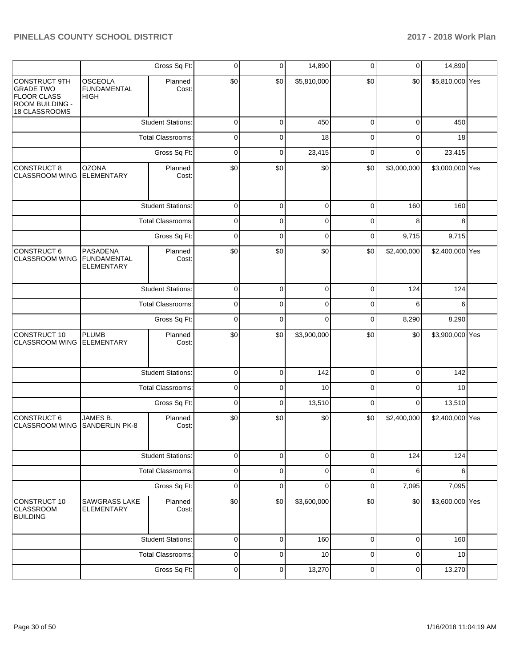|                                                                                                    |                                                            | Gross Sq Ft:             | 0           | $\mathbf 0$ | 14,890      | 0           | 0           | 14,890          |  |
|----------------------------------------------------------------------------------------------------|------------------------------------------------------------|--------------------------|-------------|-------------|-------------|-------------|-------------|-----------------|--|
| <b>CONSTRUCT 9TH</b><br><b>GRADE TWO</b><br><b>FLOOR CLASS</b><br>ROOM BUILDING -<br>18 CLASSROOMS | OSCEOLA<br><b>FUNDAMENTAL</b><br><b>HIGH</b>               | Planned<br>Cost:         | \$0         | \$0         | \$5,810,000 | \$0         | \$0         | \$5,810,000 Yes |  |
|                                                                                                    |                                                            | <b>Student Stations:</b> | 0           | 0           | 450         | 0           | 0           | 450             |  |
|                                                                                                    |                                                            | <b>Total Classrooms:</b> | 0           | 0           | 18          | 0           | 0           | 18              |  |
|                                                                                                    |                                                            | Gross Sq Ft:             | 0           | 0           | 23,415      | 0           | 0           | 23,415          |  |
| CONSTRUCT 8<br><b>CLASSROOM WING</b>                                                               | <b>OZONA</b><br><b>ELEMENTARY</b>                          | Planned<br>Cost:         | \$0         | \$0         | \$0         | \$0         | \$3,000,000 | \$3,000,000 Yes |  |
|                                                                                                    |                                                            | <b>Student Stations:</b> | $\mathbf 0$ | $\mathbf 0$ | $\mathbf 0$ | 0           | 160         | 160             |  |
|                                                                                                    |                                                            | <b>Total Classrooms:</b> | 0           | 0           | $\mathbf 0$ | 0           | 8           | 8               |  |
|                                                                                                    |                                                            | Gross Sq Ft:             | $\mathbf 0$ | 0           | 0           | $\mathbf 0$ | 9,715       | 9,715           |  |
| <b>CONSTRUCT 6</b><br><b>CLASSROOM WING</b>                                                        | <b>PASADENA</b><br><b>FUNDAMENTAL</b><br><b>ELEMENTARY</b> | Planned<br>Cost:         | \$0         | \$0         | \$0         | \$0         | \$2,400,000 | \$2,400,000 Yes |  |
|                                                                                                    |                                                            | <b>Student Stations:</b> | 0           | 0           | 0           | 0           | 124         | 124             |  |
|                                                                                                    |                                                            | <b>Total Classrooms:</b> | 0           | 0           | 0           | 0           | 6           | 6               |  |
|                                                                                                    |                                                            | Gross Sq Ft:             | 0           | 0           | 0           | 0           | 8,290       | 8,290           |  |
| CONSTRUCT 10<br><b>CLASSROOM WING</b>                                                              | <b>PLUMB</b><br>ELEMENTARY                                 | Planned<br>Cost:         | \$0         | \$0         | \$3,900,000 | \$0         | \$0         | \$3,900,000 Yes |  |
|                                                                                                    |                                                            | <b>Student Stations:</b> | $\mathsf 0$ | $\mathbf 0$ | 142         | $\mathbf 0$ | $\mathbf 0$ | 142             |  |
|                                                                                                    |                                                            | <b>Total Classrooms:</b> | $\mathbf 0$ | 0           | 10          | 0           | 0           | 10              |  |
|                                                                                                    |                                                            | Gross Sq Ft:             | $\mathbf 0$ | 0           | 13,510      | $\mathbf 0$ | $\mathbf 0$ | 13,510          |  |
| CONSTRUCT 6<br><b>CLASSROOM WING</b>                                                               | JAMES B.<br><b>SANDERLIN PK-8</b>                          | Planned<br>Cost:         | \$0         | \$0         | \$0         | \$0         | \$2,400,000 | \$2,400,000 Yes |  |
|                                                                                                    |                                                            | <b>Student Stations:</b> | 0           | 0           | 0           | 0           | 124         | 124             |  |
|                                                                                                    |                                                            | <b>Total Classrooms:</b> | 0           | 0           | 0           | 0           | 6           | 6               |  |
|                                                                                                    |                                                            | Gross Sq Ft:             | 0           | 0           | 0           | 0           | 7,095       | 7,095           |  |
| CONSTRUCT 10<br><b>CLASSROOM</b><br><b>BUILDING</b>                                                | <b>SAWGRASS LAKE</b><br><b>ELEMENTARY</b>                  | Planned<br>Cost:         | \$0         | \$0         | \$3,600,000 | \$0         | \$0         | \$3,600,000 Yes |  |
|                                                                                                    |                                                            | <b>Student Stations:</b> | $\pmb{0}$   | 0           | 160         | $\mathbf 0$ | $\mathbf 0$ | 160             |  |
|                                                                                                    |                                                            | <b>Total Classrooms:</b> | 0           | 0           | 10          | 0           | 0           | 10              |  |
|                                                                                                    |                                                            | Gross Sq Ft:             | $\mathbf 0$ | $\mathbf 0$ | 13,270      | $\pmb{0}$   | 0           | 13,270          |  |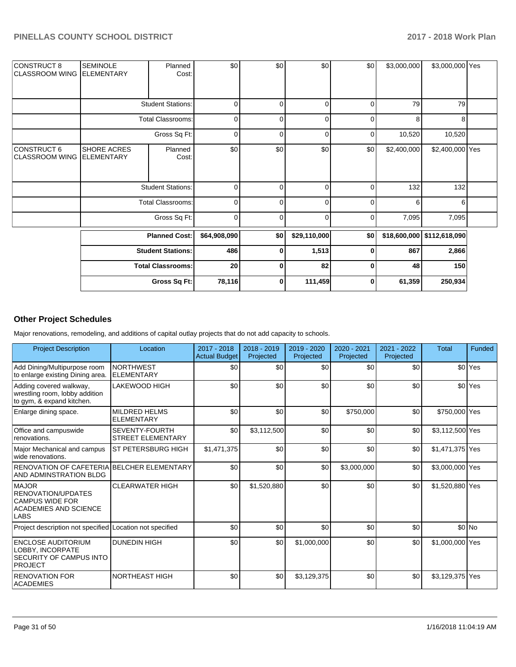| CONSTRUCT 8<br><b>CLASSROOM WING</b> | <b>SEMINOLE</b><br><b>ELEMENTARY</b>    | Planned<br>Cost:         | \$0          | \$0      | \$0          | \$0            | \$3,000,000 | \$3,000,000 Yes            |  |
|--------------------------------------|-----------------------------------------|--------------------------|--------------|----------|--------------|----------------|-------------|----------------------------|--|
|                                      |                                         | <b>Student Stations:</b> | 0            | $\Omega$ | 0            | $\overline{0}$ | 79          | 79                         |  |
|                                      |                                         | <b>Total Classrooms:</b> | $\mathbf 0$  | $\Omega$ | 0            | $\overline{0}$ | 8           | 8                          |  |
|                                      |                                         | Gross Sq Ft:             | 0            | 0        | 0            | $\overline{0}$ | 10,520      | 10,520                     |  |
| CONSTRUCT 6<br>CLASSROOM WING        | <b>SHORE ACRES</b><br><b>ELEMENTARY</b> | Planned<br>Cost:         | \$0          | \$0      | \$0          | \$0            | \$2,400,000 | \$2,400,000 Yes            |  |
|                                      |                                         | <b>Student Stations:</b> | $\mathbf 0$  | $\Omega$ | $\mathbf 0$  | $\Omega$       | 132         | 132                        |  |
|                                      |                                         | <b>Total Classrooms:</b> | 0            | $\Omega$ | 0            | $\overline{0}$ | 6           | 6                          |  |
|                                      |                                         | Gross Sq Ft:             | $\mathbf 0$  | $\Omega$ | $\mathbf 0$  | $\overline{0}$ | 7,095       | 7,095                      |  |
|                                      |                                         | <b>Planned Cost:</b>     | \$64,908,090 | \$0      | \$29,110,000 | \$0            |             | \$18,600,000 \$112,618,090 |  |
|                                      |                                         | <b>Student Stations:</b> | 486          | 0        | 1,513        | 0              | 867         | 2,866                      |  |
|                                      |                                         | <b>Total Classrooms:</b> | 20           | $\bf{0}$ | 82           | $\bf{0}$       | 48          | 150                        |  |
|                                      |                                         | Gross Sq Ft:             | 78,116       | 0        | 111,459      | $\mathbf{0}$   | 61,359      | 250,934                    |  |

#### **Other Project Schedules**

Major renovations, remodeling, and additions of capital outlay projects that do not add capacity to schools.

| <b>Project Description</b>                                                                                  | Location                                   | 2017 - 2018<br><b>Actual Budget</b> | 2018 - 2019<br>Projected | 2019 - 2020<br>Projected | 2020 - 2021<br>Projected | 2021 - 2022<br>Projected | <b>Total</b>    | Funded             |
|-------------------------------------------------------------------------------------------------------------|--------------------------------------------|-------------------------------------|--------------------------|--------------------------|--------------------------|--------------------------|-----------------|--------------------|
| Add Dining/Multipurpose room<br>to enlarge existing Dining area.                                            | <b>NORTHWEST</b><br>ELEMENTARY             | \$0                                 | \$0                      | \$0                      | \$0                      | \$0                      |                 | \$0 <sup>Yes</sup> |
| Adding covered walkway,<br>wrestling room, lobby addition<br>to gym, & expand kitchen.                      | LAKEWOOD HIGH                              | \$0                                 | \$0                      | \$0                      | \$0                      | \$0                      |                 | \$0 <sup>Yes</sup> |
| Enlarge dining space.                                                                                       | <b>MILDRED HELMS</b><br>ELEMENTARY         | \$0                                 | \$0                      | \$0                      | \$750,000                | \$0                      | \$750,000 Yes   |                    |
| Office and campuswide<br>renovations.                                                                       | SEVENTY-FOURTH<br><b>STREET ELEMENTARY</b> | \$0                                 | \$3,112,500              | \$0                      | \$0                      | \$0                      | \$3,112,500 Yes |                    |
| Major Mechanical and campus<br>wide renovations.                                                            | <b>ST PETERSBURG HIGH</b>                  | \$1,471,375                         | \$0                      | \$0                      | \$0                      | \$0                      | \$1,471,375 Yes |                    |
| RENOVATION OF CAFETERIA BELCHER ELEMENTARY<br>AND ADMINSTRATION BLDG                                        |                                            | \$0                                 | \$0                      | \$0                      | \$3,000,000              | \$0                      | \$3,000,000 Yes |                    |
| <b>MAJOR</b><br>RENOVATION/UPDATES<br><b>CAMPUS WIDE FOR</b><br><b>ACADEMIES AND SCIENCE</b><br><b>LABS</b> | <b>CLEARWATER HIGH</b>                     | \$0                                 | \$1,520,880              | \$0                      | \$0                      | \$0                      | \$1,520,880 Yes |                    |
| Project description not specified Location not specified                                                    |                                            | \$0                                 | \$0                      | \$0                      | \$0                      | \$0                      |                 | $$0$ No            |
| <b>ENCLOSE AUDITORIUM</b><br>LOBBY. INCORPATE<br>SECURITY OF CAMPUS INTO<br><b>PROJECT</b>                  | <b>DUNEDIN HIGH</b>                        | \$0                                 | \$0                      | \$1,000,000              | \$0                      | \$0                      | \$1,000,000 Yes |                    |
| <b>RENOVATION FOR</b><br><b>ACADEMIES</b>                                                                   | <b>NORTHEAST HIGH</b>                      | \$0                                 | \$0                      | \$3,129,375              | \$0                      | \$0                      | \$3,129,375 Yes |                    |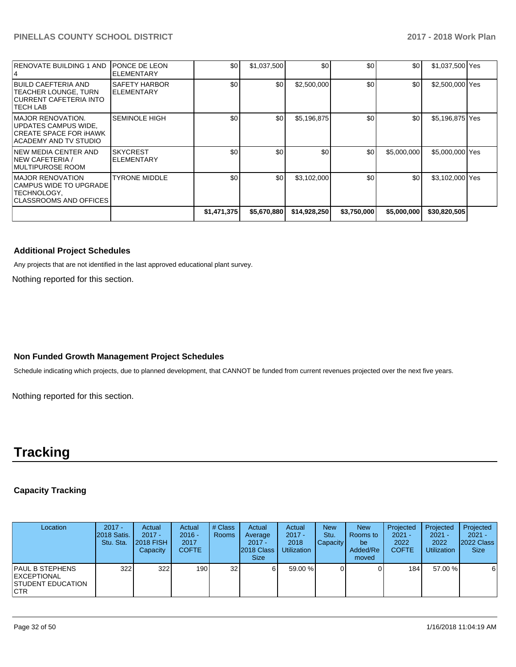| <b>RENOVATE BUILDING 1 AND</b>                                                                      | PONCE DE LEON<br><b>ELEMENTARY</b>   | \$0         | \$1,037,500 | \$0          | \$0         | \$0 <sub>1</sub> | \$1,037,500 Yes |  |
|-----------------------------------------------------------------------------------------------------|--------------------------------------|-------------|-------------|--------------|-------------|------------------|-----------------|--|
| BUILD CAEFTERIA AND<br><b>TEACHER LOUNGE, TURN</b><br>CURRENT CAFETERIA INTO<br>TECH LAB            | SAFETY HARBOR<br><b>ELEMENTARY</b>   | \$0         | \$0         | \$2,500,000  | \$0         | \$0 <sub>1</sub> | \$2,500,000 Yes |  |
| <b>MAJOR RENOVATION.</b><br>UPDATES CAMPUS WIDE.<br>CREATE SPACE FOR IHAWK<br>ACADEMY AND TV STUDIO | <b>SEMINOLE HIGH</b>                 | \$0         | \$0         | \$5,196,875  | \$0         | \$0 <sub>1</sub> | \$5,196,875 Yes |  |
| NEW MEDIA CENTER AND<br>INEW CAFETERIA /<br>IMULTIPUROSE ROOM                                       | <b>SKYCREST</b><br><b>ELEMENTARY</b> | \$0         | \$0         | \$0          | \$0         | \$5,000,000      | \$5,000,000 Yes |  |
| <b>MAJOR RENOVATION</b><br>CAMPUS WIDE TO UPGRADE<br>TECHNOLOGY,<br>CLASSROOMS AND OFFICES I        | <b>TYRONE MIDDLE</b>                 | \$0         | \$0         | \$3,102,000  | \$0         | \$0 <sub>1</sub> | \$3,102,000 Yes |  |
|                                                                                                     |                                      | \$1,471,375 | \$5,670,880 | \$14,928,250 | \$3,750,000 | \$5,000,000      | \$30,820,505    |  |

#### **Additional Project Schedules**

Any projects that are not identified in the last approved educational plant survey.

Nothing reported for this section.

#### **Non Funded Growth Management Project Schedules**

Schedule indicating which projects, due to planned development, that CANNOT be funded from current revenues projected over the next five years.

Nothing reported for this section.

# **Tracking**

#### **Capacity Tracking**

| Location                                                                          | $2017 -$<br>2018 Satis.<br>Stu. Sta. | Actual<br>$2017 -$<br><b>2018 FISH</b><br>Capacity | Actual<br>$2016 -$<br>2017<br><b>COFTE</b> | # Class<br><b>Rooms</b> | Actual<br>Average<br>$2017 -$<br><b>2018 Class</b><br><b>Size</b> | Actual<br>$2017 -$<br>2018<br><b>Utilization</b> | <b>New</b><br>Stu.<br><b>Capacity</b> | <b>New</b><br>Rooms to<br>be<br>Added/Re<br>moved | Projected<br>$2021 -$<br>2022<br><b>COFTE</b> | Projected<br>$2021 -$<br>2022<br><b>Utilization</b> | Projected<br>$2021 -$<br>2022 Class<br><b>Size</b> |
|-----------------------------------------------------------------------------------|--------------------------------------|----------------------------------------------------|--------------------------------------------|-------------------------|-------------------------------------------------------------------|--------------------------------------------------|---------------------------------------|---------------------------------------------------|-----------------------------------------------|-----------------------------------------------------|----------------------------------------------------|
| <b>PAUL B STEPHENS</b><br><b>IEXCEPTIONAL</b><br>ISTUDENT EDUCATION<br><b>CTR</b> | 322                                  | 322                                                | 190                                        | 32 <sub>l</sub>         | 6                                                                 | 59.00 %                                          |                                       |                                                   | 184                                           | 57.00 %                                             | 6                                                  |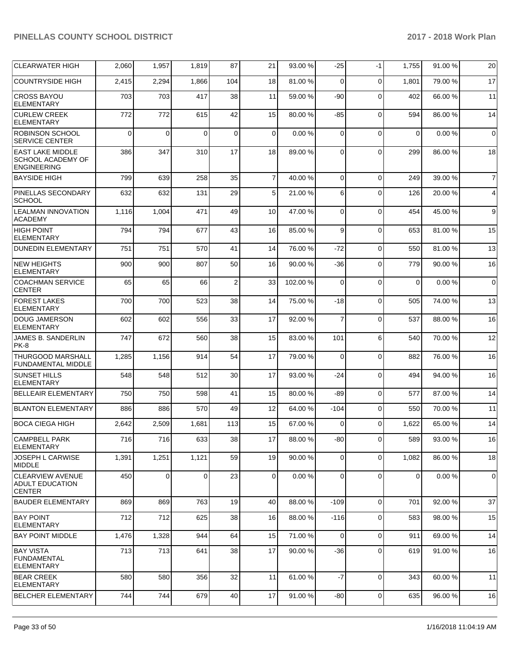| <b>CLEARWATER HIGH</b>                                             | 2,060    | 1,957 | 1,819    | 87             | 21             | 93.00 % | -25         | $-1$        | 1,755       | 91.00 %   | 20             |
|--------------------------------------------------------------------|----------|-------|----------|----------------|----------------|---------|-------------|-------------|-------------|-----------|----------------|
| <b>COUNTRYSIDE HIGH</b>                                            | 2,415    | 2,294 | 1,866    | 104            | 18             | 81.00 % | 0           | $\Omega$    | 1,801       | 79.00 %   | 17             |
| <b>CROSS BAYOU</b><br><b>ELEMENTARY</b>                            | 703      | 703   | 417      | 38             | 11             | 59.00 % | -90         | $\Omega$    | 402         | 66.00 %   | 11             |
| <b>CURLEW CREEK</b><br><b>ELEMENTARY</b>                           | 772      | 772   | 615      | 42             | 15             | 80.00 % | -85         | $\Omega$    | 594         | 86.00 %   | 14             |
| <b>ROBINSON SCHOOL</b><br><b>SERVICE CENTER</b>                    | $\Omega$ | 0     | $\Omega$ | $\mathbf 0$    | $\mathbf 0$    | 0.00%   | $\mathbf 0$ | $\Omega$    | $\mathbf 0$ | 0.00%     | $\mathbf 0$    |
| <b>EAST LAKE MIDDLE</b><br>SCHOOL ACADEMY OF<br><b>ENGINEERING</b> | 386      | 347   | 310      | 17             | 18             | 89.00 % | 0           | $\Omega$    | 299         | 86.00 %   | 18             |
| <b>BAYSIDE HIGH</b>                                                | 799      | 639   | 258      | 35             | $\overline{7}$ | 40.00%  | $\mathbf 0$ | $\Omega$    | 249         | 39.00 %   | $\overline{7}$ |
| PINELLAS SECONDARY<br><b>SCHOOL</b>                                | 632      | 632   | 131      | 29             | 5              | 21.00%  | 6           | $\Omega$    | 126         | 20.00 %   | 4              |
| <b>LEALMAN INNOVATION</b><br><b>ACADEMY</b>                        | 1,116    | 1,004 | 471      | 49             | 10             | 47.00 % | $\mathbf 0$ | $\Omega$    | 454         | 45.00 %   | 9              |
| <b>HIGH POINT</b><br><b>ELEMENTARY</b>                             | 794      | 794   | 677      | 43             | 16             | 85.00 % | 9           | $\Omega$    | 653         | 81.00 %   | 15             |
| <b>DUNEDIN ELEMENTARY</b>                                          | 751      | 751   | 570      | 41             | 14             | 76.00 % | $-72$       | $\Omega$    | 550         | 81.00%    | 13             |
| <b>NEW HEIGHTS</b><br><b>ELEMENTARY</b>                            | 900      | 900   | 807      | 50             | 16             | 90.00 % | -36         | $\Omega$    | 779         | 90.00 %   | 16             |
| <b>COACHMAN SERVICE</b><br><b>CENTER</b>                           | 65       | 65    | 66       | $\overline{c}$ | 33             | 102.00% | $\Omega$    | $\Omega$    | $\mathbf 0$ | 0.00%     | $\mathbf 0$    |
| <b>FOREST LAKES</b><br><b>ELEMENTARY</b>                           | 700      | 700   | 523      | 38             | 14             | 75.00 % | $-18$       | $\Omega$    | 505         | 74.00 %   | 13             |
| <b>DOUG JAMERSON</b><br><b>ELEMENTARY</b>                          | 602      | 602   | 556      | 33             | 17             | 92.00 % | 7           | $\Omega$    | 537         | 88.00 %   | 16             |
| JAMES B. SANDERLIN<br>PK-8                                         | 747      | 672   | 560      | 38             | 15             | 83.00 % | 101         | 6           | 540         | 70.00 %   | 12             |
| <b>THURGOOD MARSHALL</b><br>FUNDAMENTAL MIDDLE                     | 1,285    | 1,156 | 914      | 54             | 17             | 79.00 % | $\mathbf 0$ | $\Omega$    | 882         | 76.00 %   | 16             |
| <b>SUNSET HILLS</b><br><b>ELEMENTARY</b>                           | 548      | 548   | 512      | 30             | 17             | 93.00 % | $-24$       | $\Omega$    | 494         | 94.00 %   | 16             |
| <b>BELLEAIR ELEMENTARY</b>                                         | 750      | 750   | 598      | 41             | 15             | 80.00 % | $-89$       | $\Omega$    | 577         | 87.00 %   | 14             |
| <b>BLANTON ELEMENTARY</b>                                          | 886      | 886   | 570      | 49             | 12             | 64.00%  | $-104$      | $\Omega$    | 550         | 70.00 %   | 11             |
| BOCA CIEGA HIGH                                                    | 2,642    | 2,509 | 1,681    | 113            | 15             | 67.00 % | 0           | $\Omega$    | 1,622       | 65.00 %   | 14             |
| CAMPBELL PARK<br><b>ELEMENTARY</b>                                 | 716      | 716   | 633      | 38             | 17             | 88.00 % | $-80$       | 0           | 589         | 93.00 %   | 16             |
| JOSEPH L CARWISE<br><b>MIDDLE</b>                                  | 1,391    | 1,251 | 1,121    | 59             | 19             | 90.00 % | $\mathbf 0$ | $\Omega$    | 1,082       | 86.00 %   | 18             |
| <b>CLEARVIEW AVENUE</b><br><b>ADULT EDUCATION</b><br><b>CENTER</b> | 450      | 0     | 0        | 23             | 0              | 0.00%   | 0           | $\Omega$    | 0           | $0.00 \%$ | $\mathbf 0$    |
| <b>BAUDER ELEMENTARY</b>                                           | 869      | 869   | 763      | 19             | 40             | 88.00 % | $-109$      | $\Omega$    | 701         | 92.00 %   | 37             |
| <b>BAY POINT</b><br><b>ELEMENTARY</b>                              | 712      | 712   | 625      | 38             | 16             | 88.00 % | $-116$      | $\Omega$    | 583         | 98.00 %   | 15             |
| <b>BAY POINT MIDDLE</b>                                            | 1,476    | 1,328 | 944      | 64             | 15             | 71.00 % | 0           | $\mathbf 0$ | 911         | 69.00 %   | 14             |
| BAY VISTA<br><b>FUNDAMENTAL</b><br><b>ELEMENTARY</b>               | 713      | 713   | 641      | 38             | 17             | 90.00 % | $-36$       | $\mathbf 0$ | 619         | 91.00 %   | 16             |
| <b>BEAR CREEK</b><br>ELEMENTARY                                    | 580      | 580   | 356      | 32             | 11             | 61.00%  | $-7$        | $\mathbf 0$ | 343         | 60.00 %   | 11             |
| <b>BELCHER ELEMENTARY</b>                                          | 744      | 744   | 679      | 40             | 17             | 91.00 % | $-80$       | $\pmb{0}$   | 635         | 96.00 %   | 16             |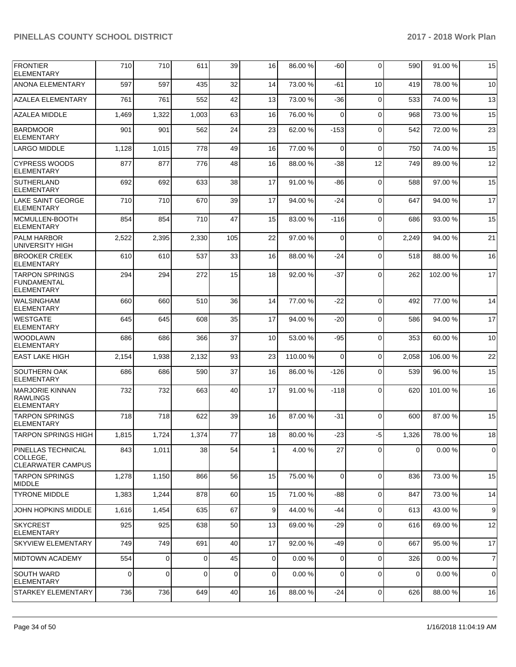| <b>FRONTIER</b><br><b>ELEMENTARY</b>                             | 710         | 710         | 611      | 39  | 16              | 86.00 % | -60         | $\Omega$    | 590   | 91.00%  | 15             |
|------------------------------------------------------------------|-------------|-------------|----------|-----|-----------------|---------|-------------|-------------|-------|---------|----------------|
| <b>ANONA ELEMENTARY</b>                                          | 597         | 597         | 435      | 32  | 14              | 73.00 % | -61         | 10          | 419   | 78.00 % | 10             |
| <b>AZALEA ELEMENTARY</b>                                         | 761         | 761         | 552      | 42  | 13              | 73.00 % | -36         | $\mathbf 0$ | 533   | 74.00 % | 13             |
| <b>AZALEA MIDDLE</b>                                             | 1,469       | 1,322       | 1,003    | 63  | 16              | 76.00 % | 0           | $\Omega$    | 968   | 73.00 % | 15             |
| <b>BARDMOOR</b><br><b>ELEMENTARY</b>                             | 901         | 901         | 562      | 24  | 23              | 62.00 % | $-153$      | $\Omega$    | 542   | 72.00 % | 23             |
| <b>LARGO MIDDLE</b>                                              | 1,128       | 1,015       | 778      | 49  | 16              | 77.00 % | $\mathbf 0$ | $\Omega$    | 750   | 74.00 % | 15             |
| <b>CYPRESS WOODS</b><br><b>ELEMENTARY</b>                        | 877         | 877         | 776      | 48  | 16              | 88.00 % | $-38$       | 12          | 749   | 89.00 % | 12             |
| <b>SUTHERLAND</b><br><b>ELEMENTARY</b>                           | 692         | 692         | 633      | 38  | 17              | 91.00 % | -86         | $\Omega$    | 588   | 97.00 % | 15             |
| LAKE SAINT GEORGE<br><b>ELEMENTARY</b>                           | 710         | 710         | 670      | 39  | 17              | 94.00 % | -24         | $\Omega$    | 647   | 94.00 % | 17             |
| MCMULLEN-BOOTH<br><b>ELEMENTARY</b>                              | 854         | 854         | 710      | 47  | 15              | 83.00 % | $-116$      | $\Omega$    | 686   | 93.00 % | 15             |
| <b>PALM HARBOR</b><br>UNIVERSITY HIGH                            | 2,522       | 2,395       | 2,330    | 105 | 22              | 97.00 % | 0           | $\Omega$    | 2,249 | 94.00 % | 21             |
| <b>BROOKER CREEK</b><br><b>ELEMENTARY</b>                        | 610         | 610         | 537      | 33  | 16              | 88.00 % | -24         | $\Omega$    | 518   | 88.00 % | 16             |
| <b>TARPON SPRINGS</b><br><b>FUNDAMENTAL</b><br><b>ELEMENTARY</b> | 294         | 294         | 272      | 15  | 18              | 92.00 % | $-37$       | $\Omega$    | 262   | 102.00% | 17             |
| <b>WALSINGHAM</b><br><b>ELEMENTARY</b>                           | 660         | 660         | 510      | 36  | 14              | 77.00 % | $-22$       | $\Omega$    | 492   | 77.00 % | 14             |
| <b>WESTGATE</b><br><b>ELEMENTARY</b>                             | 645         | 645         | 608      | 35  | 17              | 94.00 % | $-20$       | $\Omega$    | 586   | 94.00 % | 17             |
| <b>WOODLAWN</b><br><b>ELEMENTARY</b>                             | 686         | 686         | 366      | 37  | 10              | 53.00 % | $-95$       | $\Omega$    | 353   | 60.00 % | 10             |
| <b>EAST LAKE HIGH</b>                                            | 2,154       | 1,938       | 2,132    | 93  | 23              | 110.00% | $\Omega$    | $\Omega$    | 2,058 | 106.00% | 22             |
| <b>SOUTHERN OAK</b><br><b>ELEMENTARY</b>                         | 686         | 686         | 590      | 37  | 16              | 86.00 % | $-126$      | $\Omega$    | 539   | 96.00 % | 15             |
| <b>MARJORIE KINNAN</b><br><b>RAWLINGS</b><br><b>ELEMENTARY</b>   | 732         | 732         | 663      | 40  | 17              | 91.00%  | $-118$      | $\Omega$    | 620   | 101.00% | 16             |
| <b>TARPON SPRINGS</b><br>ELEMENTARY                              | 718         | 718         | 622      | 39  | 16              | 87.00 % | $-31$       | $\Omega$    | 600   | 87.00 % | 15             |
| <b>TARPON SPRINGS HIGH</b>                                       | 1,815       | 1.724       | 1.374    | 77  | 18 <sup>l</sup> | 80.00 % | -231        | $-5$        | 1.326 | 78.00 % | 18             |
| PINELLAS TECHNICAL<br>COLLEGE.<br><b>CLEARWATER CAMPUS</b>       | 843         | 1,011       | 38       | 54  | 1               | 4.00 %  | 27          | $\Omega$    | 0     | 0.00%   | 0              |
| <b>TARPON SPRINGS</b><br><b>MIDDLE</b>                           | 1,278       | 1,150       | 866      | 56  | 15              | 75.00 % | $\mathbf 0$ | $\Omega$    | 836   | 73.00 % | 15             |
| <b>TYRONE MIDDLE</b>                                             | 1,383       | 1,244       | 878      | 60  | 15              | 71.00 % | $-88$       | $\mathbf 0$ | 847   | 73.00 % | 14             |
| JOHN HOPKINS MIDDLE                                              | 1,616       | 1,454       | 635      | 67  | 9               | 44.00%  | -44         | $\mathbf 0$ | 613   | 43.00 % | 9              |
| <b>SKYCREST</b><br><b>ELEMENTARY</b>                             | 925         | 925         | 638      | 50  | 13              | 69.00 % | $-29$       | $\mathbf 0$ | 616   | 69.00 % | 12             |
| <b>SKYVIEW ELEMENTARY</b>                                        | 749         | 749         | 691      | 40  | 17              | 92.00 % | -49         | $\Omega$    | 667   | 95.00 % | 17             |
| <b>MIDTOWN ACADEMY</b>                                           | 554         | $\mathbf 0$ | $\Omega$ | 45  | $\overline{0}$  | 0.00%   | $\mathbf 0$ | $\Omega$    | 326   | 0.00%   | $\overline{7}$ |
| <b>SOUTH WARD</b><br><b>ELEMENTARY</b>                           | $\mathbf 0$ | $\mathbf 0$ | 0        | 0   | $\overline{0}$  | 0.00%   | $\mathbf 0$ | $\Omega$    | 0     | 0.00%   | 0              |
| STARKEY ELEMENTARY                                               | 736         | 736         | 649      | 40  | 16              | 88.00 % | $-24$       | 0           | 626   | 88.00 % | 16             |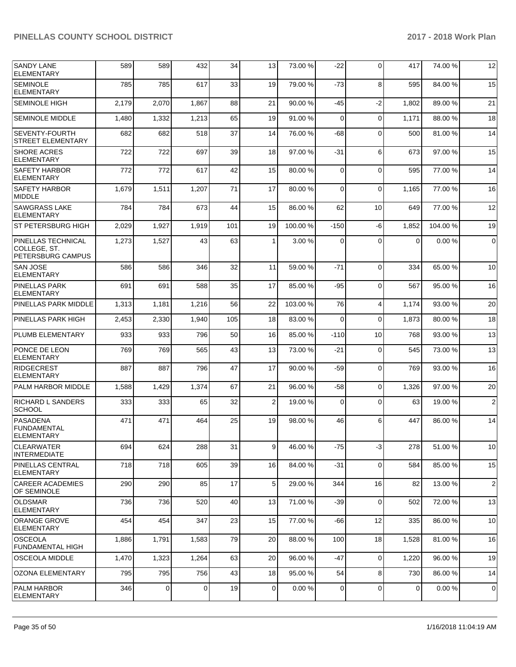| <b>SANDY LANE</b><br><b>ELEMENTARY</b>                         | 589   | 589       | 432   | 34  | 13             | 73.00 % | $-22$       | $\Omega$       | 417         | 74.00 % | 12             |
|----------------------------------------------------------------|-------|-----------|-------|-----|----------------|---------|-------------|----------------|-------------|---------|----------------|
| <b>SEMINOLE</b><br><b>ELEMENTARY</b>                           | 785   | 785       | 617   | 33  | 19             | 79.00 % | $-73$       | 8              | 595         | 84.00 % | 15             |
| <b>SEMINOLE HIGH</b>                                           | 2.179 | 2.070     | 1,867 | 88  | 21             | 90.00 % | $-45$       | $-2$           | 1,802       | 89.00 % | 21             |
| <b>SEMINOLE MIDDLE</b>                                         | 1,480 | 1,332     | 1,213 | 65  | 19             | 91.00%  | $\mathbf 0$ | $\Omega$       | 1,171       | 88.00 % | 18             |
| <b>SEVENTY-FOURTH</b><br>STREET ELEMENTARY                     | 682   | 682       | 518   | 37  | 14             | 76.00 % | $-68$       | $\Omega$       | 500         | 81.00 % | 14             |
| <b>SHORE ACRES</b><br><b>ELEMENTARY</b>                        | 722   | 722       | 697   | 39  | 18             | 97.00 % | -31         | 6              | 673         | 97.00 % | 15             |
| SAFETY HARBOR<br><b>ELEMENTARY</b>                             | 772   | 772       | 617   | 42  | 15             | 80.00%  | $\Omega$    | $\Omega$       | 595         | 77.00 % | 14             |
| <b>SAFETY HARBOR</b><br><b>MIDDLE</b>                          | 1,679 | 1,511     | 1,207 | 71  | 17             | 80.00 % | $\Omega$    | $\Omega$       | 1,165       | 77.00 % | 16             |
| <b>SAWGRASS LAKE</b><br><b>ELEMENTARY</b>                      | 784   | 784       | 673   | 44  | 15             | 86.00 % | 62          | 10             | 649         | 77.00 % | 12             |
| ST PETERSBURG HIGH                                             | 2,029 | 1,927     | 1,919 | 101 | 19             | 100.00% | $-150$      | -6             | 1,852       | 104.00% | 19             |
| <b>PINELLAS TECHNICAL</b><br>COLLEGE, ST.<br>PETERSBURG CAMPUS | 1,273 | 1,527     | 43    | 63  | 1              | 3.00 %  | $\Omega$    | $\Omega$       | $\Omega$    | 0.00%   | $\mathbf 0$    |
| <b>SAN JOSE</b><br>ELEMENTARY                                  | 586   | 586       | 346   | 32  | 11             | 59.00 % | $-71$       | $\Omega$       | 334         | 65.00 % | 10             |
| PINELLAS PARK<br><b>ELEMENTARY</b>                             | 691   | 691       | 588   | 35  | 17             | 85.00 % | $-95$       | $\Omega$       | 567         | 95.00 % | 16             |
| PINELLAS PARK MIDDLE                                           | 1,313 | 1,181     | 1,216 | 56  | 22             | 103.00% | 76          | $\overline{4}$ | 1,174       | 93.00 % | 20             |
| <b>PINELLAS PARK HIGH</b>                                      | 2,453 | 2,330     | 1,940 | 105 | 18             | 83.00 % | 0           | $\Omega$       | 1,873       | 80.00 % | 18             |
| PLUMB ELEMENTARY                                               | 933   | 933       | 796   | 50  | 16             | 85.00 % | $-110$      | 10             | 768         | 93.00 % | 13             |
| PONCE DE LEON<br><b>ELEMENTARY</b>                             | 769   | 769       | 565   | 43  | 13             | 73.00 % | $-21$       | $\Omega$       | 545         | 73.00 % | 13             |
| RIDGECREST<br><b>ELEMENTARY</b>                                | 887   | 887       | 796   | 47  | 17             | 90.00 % | $-59$       | $\mathbf 0$    | 769         | 93.00 % | 16             |
| <b>PALM HARBOR MIDDLE</b>                                      | 1,588 | 1,429     | 1,374 | 67  | 21             | 96.00 % | -58         | $\mathbf 0$    | 1,326       | 97.00 % | 20             |
| <b>RICHARD L SANDERS</b><br><b>SCHOOL</b>                      | 333   | 333       | 65    | 32  | $\overline{2}$ | 19.00 % | $\Omega$    | $\Omega$       | 63          | 19.00 % | $\overline{2}$ |
| <b>PASADENA</b><br><b>FUNDAMENTAL</b><br>ELEMENTARY            | 471   | 471       | 464   | 25  | 19             | 98.00 % | 46          | 6              | 447         | 86.00 % | 14             |
| <b>CLEARWATER</b><br><b>INTERMEDIATE</b>                       | 694   | 624       | 288   | 31  | 9              | 46.00 % | $-75$       | $-3$           | 278         | 51.00 % | 10             |
| <b>PINELLAS CENTRAL</b><br><b>ELEMENTARY</b>                   | 718   | 718       | 605   | 39  | 16             | 84.00 % | $-31$       | $\mathbf 0$    | 584         | 85.00 % | 15             |
| <b>CAREER ACADEMIES</b><br>OF SEMINOLE                         | 290   | 290       | 85    | 17  | 5 <sub>5</sub> | 29.00 % | 344         | 16             | 82          | 13.00 % | $\overline{2}$ |
| <b>OLDSMAR</b><br><b>ELEMENTARY</b>                            | 736   | 736       | 520   | 40  | 13             | 71.00 % | $-39$       | $\mathbf 0$    | 502         | 72.00 % | 13             |
| <b>ORANGE GROVE</b><br>ELEMENTARY                              | 454   | 454       | 347   | 23  | 15             | 77.00 % | -66         | 12             | 335         | 86.00 % | 10             |
| <b>OSCEOLA</b><br>FUNDAMENTAL HIGH                             | 1,886 | 1,791     | 1,583 | 79  | 20             | 88.00 % | 100         | 18             | 1,528       | 81.00 % | 16             |
| OSCEOLA MIDDLE                                                 | 1,470 | 1,323     | 1,264 | 63  | 20             | 96.00 % | $-47$       | $\mathbf 0$    | 1,220       | 96.00 % | 19             |
| <b>OZONA ELEMENTARY</b>                                        | 795   | 795       | 756   | 43  | 18             | 95.00 % | 54          | 8              | 730         | 86.00 % | 14             |
| PALM HARBOR<br><b>ELEMENTARY</b>                               | 346   | $\pmb{0}$ | 0     | 19  | $\overline{0}$ | 0.00%   | 0           | $\mathbf 0$    | $\mathbf 0$ | 0.00%   | $\mathbf 0$    |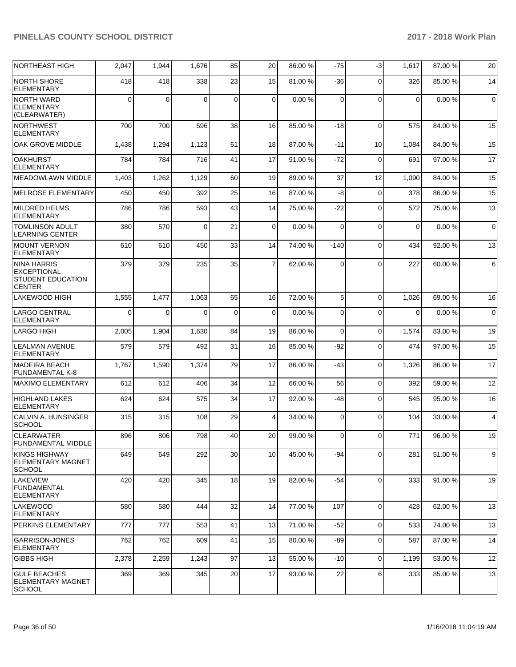| NORTHEAST HIGH                                                                        | 2,047       | 1,944 | 1,676    | 85          | 20             | 86.00 % | $-75$       | $-3$        | 1,617       | 87.00 % | 20          |
|---------------------------------------------------------------------------------------|-------------|-------|----------|-------------|----------------|---------|-------------|-------------|-------------|---------|-------------|
| <b>NORTH SHORE</b><br><b>ELEMENTARY</b>                                               | 418         | 418   | 338      | 23          | 15             | 81.00 % | -36         | $\Omega$    | 326         | 85.00 % | 14          |
| <b>NORTH WARD</b><br><b>ELEMENTARY</b><br>(CLEARWATER)                                | $\Omega$    | 0     | 0        | 0           | $\mathbf 0$    | 0.00%   | $\mathbf 0$ | $\Omega$    | $\mathbf 0$ | 0.00%   | 0           |
| NORTHWEST<br><b>ELEMENTARY</b>                                                        | 700         | 700   | 596      | 38          | 16             | 85.00 % | $-18$       | $\Omega$    | 575         | 84.00 % | 15          |
| OAK GROVE MIDDLE                                                                      | 1,438       | 1,294 | 1,123    | 61          | 18             | 87.00 % | -11         | 10          | 1,084       | 84.00 % | 15          |
| <b>OAKHURST</b><br><b>ELEMENTARY</b>                                                  | 784         | 784   | 716      | 41          | 17             | 91.00%  | $-72$       | $\Omega$    | 691         | 97.00 % | 17          |
| <b>MEADOWLAWN MIDDLE</b>                                                              | 1,403       | 1,262 | 1,129    | 60          | 19             | 89.00 % | 37          | 12          | 1,090       | 84.00 % | 15          |
| MELROSE ELEMENTARY                                                                    | 450         | 450   | 392      | 25          | 16             | 87.00 % | -8          | $\Omega$    | 378         | 86.00 % | 15          |
| <b>MILDRED HELMS</b><br><b>ELEMENTARY</b>                                             | 786         | 786   | 593      | 43          | 14             | 75.00 % | -22         | $\Omega$    | 572         | 75.00 % | 13          |
| <b>TOMLINSON ADULT</b><br><b>LEARNING CENTER</b>                                      | 380         | 570   | $\Omega$ | 21          | 0              | 0.00%   | 0           | $\mathbf 0$ | $\mathbf 0$ | 0.00%   | $\mathbf 0$ |
| MOUNT VERNON<br><b>ELEMENTARY</b>                                                     | 610         | 610   | 450      | 33          | 14             | 74.00 % | $-140$      | $\Omega$    | 434         | 92.00 % | 13          |
| <b>NINA HARRIS</b><br><b>EXCEPTIONAL</b><br><b>STUDENT EDUCATION</b><br><b>CENTER</b> | 379         | 379   | 235      | 35          | $\overline{7}$ | 62.00%  | 0           | $\Omega$    | 227         | 60.00 % | 6           |
| <b>LAKEWOOD HIGH</b>                                                                  | 1,555       | 1,477 | 1,063    | 65          | 16             | 72.00 % | 5           | $\mathbf 0$ | 1,026       | 69.00 % | 16          |
| LARGO CENTRAL<br><b>ELEMENTARY</b>                                                    | $\mathbf 0$ | 0     | 0        | $\mathbf 0$ | 0              | 0.00%   | 0           | $\mathbf 0$ | 0           | 0.00%   | $\mathbf 0$ |
| LARGO HIGH                                                                            | 2,005       | 1,904 | 1,630    | 84          | 19             | 86.00 % | $\Omega$    | $\Omega$    | 1,574       | 83.00 % | 19          |
| <b>LEALMAN AVENUE</b><br><b>ELEMENTARY</b>                                            | 579         | 579   | 492      | 31          | 16             | 85.00 % | -92         | $\Omega$    | 474         | 97.00 % | 15          |
| <b>MADEIRA BEACH</b><br><b>FUNDAMENTAL K-8</b>                                        | 1,767       | 1,590 | 1,374    | 79          | 17             | 86.00 % | -43         | $\Omega$    | 1,326       | 86.00 % | 17          |
| <b>MAXIMO ELEMENTARY</b>                                                              | 612         | 612   | 406      | 34          | 12             | 66.00 % | 56          | $\mathbf 0$ | 392         | 59.00 % | 12          |
| <b>HIGHLAND LAKES</b><br><b>ELEMENTARY</b>                                            | 624         | 624   | 575      | 34          | 17             | 92.00 % | -48         | $\Omega$    | 545         | 95.00 % | 16          |
| <b>CALVIN A. HUNSINGER</b><br><b>SCHOOL</b>                                           | 315         | 315   | 108      | 29          | 4              | 34.00 % | $\mathbf 0$ | $\Omega$    | 104         | 33.00 % | 4           |
| CLEARWATER<br><b>FUNDAMENTAL MIDDLE</b>                                               | 896         | 806   | 798      | 40          | 20             | 99.00 % | $\Omega$    | $\Omega$    | 771         | 96.00%  | 19          |
| <b>KINGS HIGHWAY</b><br><b>ELEMENTARY MAGNET</b><br><b>SCHOOL</b>                     | 649         | 649   | 292      | 30          | 10             | 45.00 % | -94         | $\mathbf 0$ | 281         | 51.00 % | 9           |
| LAKEVIEW<br><b>FUNDAMENTAL</b><br>ELEMENTARY                                          | 420         | 420   | 345      | 18          | 19             | 82.00 % | $-54$       | $\mathbf 0$ | 333         | 91.00 % | 19          |
| <b>LAKEWOOD</b><br><b>ELEMENTARY</b>                                                  | 580         | 580   | 444      | 32          | 14             | 77.00 % | 107         | 0           | 428         | 62.00 % | 13          |
| PERKINS ELEMENTARY                                                                    | 777         | 777   | 553      | 41          | 13             | 71.00 % | $-52$       | $\mathbf 0$ | 533         | 74.00 % | 13          |
| <b>GARRISON-JONES</b><br>ELEMENTARY                                                   | 762         | 762   | 609      | 41          | 15             | 80.00 % | -89         | $\mathbf 0$ | 587         | 87.00 % | 14          |
| <b>GIBBS HIGH</b>                                                                     | 2,378       | 2,259 | 1,243    | 97          | 13             | 55.00 % | $-10$       | $\Omega$    | 1,199       | 53.00 % | 12          |
| <b>GULF BEACHES</b><br>ELEMENTARY MAGNET<br> SCHOOL                                   | 369         | 369   | 345      | 20          | 17             | 93.00 % | 22          | 6           | 333         | 85.00 % | 13          |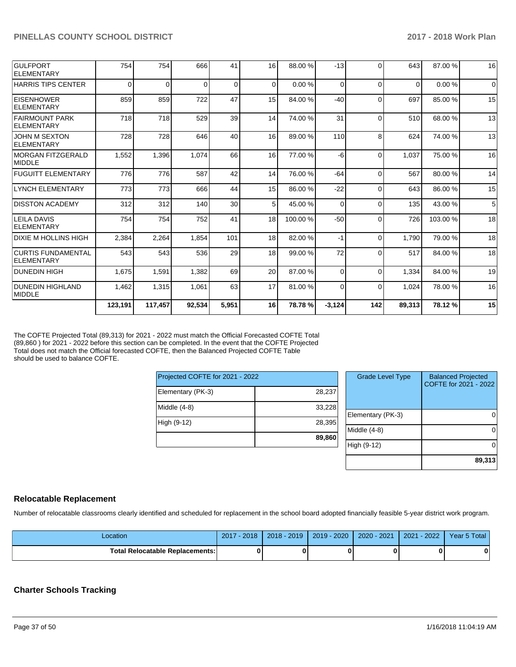| <b>GULFPORT</b><br>ELEMENTARY            | 754      | 754      | 666      | 41              | 16       | 88.00 % | $-13$    | $\Omega$ | 643      | 87.00 % | 16       |
|------------------------------------------|----------|----------|----------|-----------------|----------|---------|----------|----------|----------|---------|----------|
| <b>HARRIS TIPS CENTER</b>                | $\Omega$ | $\Omega$ | $\Omega$ | $\Omega$        | $\Omega$ | 0.00%   | $\Omega$ | $\Omega$ | $\Omega$ | 0.00%   | $\Omega$ |
| <b>EISENHOWER</b><br>ELEMENTARY          | 859      | 859      | 722      | 47              | 15       | 84.00 % | $-40$    | $\Omega$ | 697      | 85.00 % | 15       |
| <b>FAIRMOUNT PARK</b><br>ELEMENTARY      | 718      | 718      | 529      | 39              | 14       | 74.00 % | 31       | $\Omega$ | 510      | 68.00 % | 13       |
| <b>JOHN M SEXTON</b><br>ELEMENTARY       | 728      | 728      | 646      | 40              | 16       | 89.00 % | 110      | 8        | 624      | 74.00 % | 13       |
| MORGAN FITZGERALD<br><b>IMIDDLE</b>      | 1,552    | 1,396    | 1,074    | 66              | 16       | 77.00 % | $-6$     | $\Omega$ | 1,037    | 75.00 % | 16       |
| <b>FUGUITT ELEMENTARY</b>                | 776      | 776      | 587      | 42              | 14       | 76.00 % | $-64$    | $\Omega$ | 567      | 80.00%  | 14       |
| LYNCH ELEMENTARY                         | 773      | 773      | 666      | 44              | 15       | 86.00 % | $-22$    | $\Omega$ | 643      | 86.00 % | 15       |
| <b>IDISSTON ACADEMY</b>                  | 312      | 312      | 140      | 30 <sup>°</sup> | 5        | 45.00 % | 0        | $\Omega$ | 135      | 43.00 % | 5        |
| <b>LEILA DAVIS</b><br>ELEMENTARY         | 754      | 754      | 752      | 41              | 18       | 100.00% | $-50$    | $\Omega$ | 726      | 103.00% | 18       |
| IDIXIE M HOLLINS HIGH                    | 2,384    | 2,264    | 1.854    | 101             | 18       | 82.00 % | $-1$     | $\Omega$ | 1.790    | 79.00 % | 18       |
| <b>CURTIS FUNDAMENTAL</b><br>ELEMENTARY  | 543      | 543      | 536      | 29              | 18       | 99.00 % | 72       | $\Omega$ | 517      | 84.00 % | 18       |
| DUNEDIN HIGH                             | 1.675    | 1,591    | 1,382    | 69              | 20       | 87.00 % | $\Omega$ | $\Omega$ | 1,334    | 84.00 % | 19       |
| <b>DUNEDIN HIGHLAND</b><br><b>MIDDLE</b> | 1,462    | 1,315    | 1,061    | 63              | 17       | 81.00%  | $\Omega$ | $\Omega$ | 1,024    | 78.00 % | 16       |
|                                          | 123,191  | 117,457  | 92,534   | 5,951           | 16       | 78.78%  | $-3,124$ | 142      | 89,313   | 78.12%  | 15       |

The COFTE Projected Total (89,313) for 2021 - 2022 must match the Official Forecasted COFTE Total (89,860 ) for 2021 - 2022 before this section can be completed. In the event that the COFTE Projected Total does not match the Official forecasted COFTE, then the Balanced Projected COFTE Table should be used to balance COFTE.

| Projected COFTE for 2021 - 2022 |        |  |  |  |  |  |  |
|---------------------------------|--------|--|--|--|--|--|--|
| Elementary (PK-3)               | 28,237 |  |  |  |  |  |  |
| Middle (4-8)                    | 33,228 |  |  |  |  |  |  |
| High (9-12)                     | 28,395 |  |  |  |  |  |  |
|                                 | 89,860 |  |  |  |  |  |  |

| <b>Grade Level Type</b> | <b>Balanced Projected</b><br>COFTE for 2021 - 2022 |
|-------------------------|----------------------------------------------------|
| Elementary (PK-3)       |                                                    |
| Middle $(4-8)$          |                                                    |
| High (9-12)             |                                                    |
|                         | 89,313                                             |

#### **Relocatable Replacement**

Number of relocatable classrooms clearly identified and scheduled for replacement in the school board adopted financially feasible 5-year district work program.

| Location                               | $-2018$<br>2017 | $2018 - 2019$ | $2019 - 2020$ | 2020 - 2021 | $2021 - 2022$ | Year 5 Total |
|----------------------------------------|-----------------|---------------|---------------|-------------|---------------|--------------|
| <b>Total Relocatable Replacements:</b> |                 |               |               |             |               |              |

#### **Charter Schools Tracking**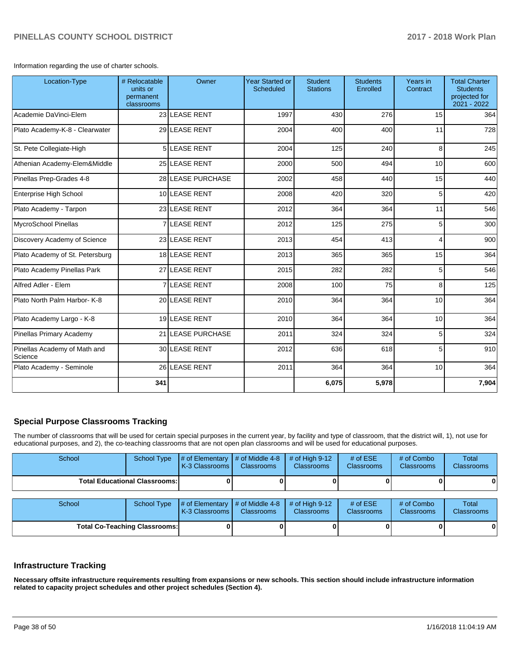Information regarding the use of charter schools.

| Location-Type                           | # Relocatable<br>units or<br>permanent<br>classrooms | Owner             | <b>Year Started or</b><br>Scheduled | <b>Student</b><br><b>Stations</b> | <b>Students</b><br>Enrolled | Years in<br>Contract | <b>Total Charter</b><br><b>Students</b><br>projected for<br>2021 - 2022 |
|-----------------------------------------|------------------------------------------------------|-------------------|-------------------------------------|-----------------------------------|-----------------------------|----------------------|-------------------------------------------------------------------------|
| Academie DaVinci-Elem                   |                                                      | 23 LEASE RENT     | 1997                                | 430                               | 276                         | 15                   | 364                                                                     |
| Plato Academy-K-8 - Clearwater          |                                                      | 29 LEASE RENT     | 2004                                | 400                               | 400                         | 11                   | 728                                                                     |
| St. Pete Collegiate-High                |                                                      | 5LEASE RENT       | 2004                                | 125                               | 240                         | 8                    | 245                                                                     |
| Athenian Academy-Elem&Middle            |                                                      | 25 LEASE RENT     | 2000                                | 500                               | 494                         | 10                   | 600                                                                     |
| Pinellas Prep-Grades 4-8                |                                                      | 28 LEASE PURCHASE | 2002                                | 458                               | 440                         | 15                   | 440                                                                     |
| Enterprise High School                  |                                                      | 10 LEASE RENT     | 2008                                | 420                               | 320                         | 5                    | 420                                                                     |
| Plato Academy - Tarpon                  |                                                      | 23 LEASE RENT     | 2012                                | 364                               | 364                         | 11                   | 546                                                                     |
| MycroSchool Pinellas                    |                                                      | <b>LEASE RENT</b> | 2012                                | 125                               | 275                         | 5                    | 300                                                                     |
| Discovery Academy of Science            |                                                      | 23 LEASE RENT     | 2013                                | 454                               | 413                         | 4                    | 900                                                                     |
| Plato Academy of St. Petersburg         |                                                      | 18 LEASE RENT     | 2013                                | 365                               | 365                         | 15                   | 364                                                                     |
| Plato Academy Pinellas Park             |                                                      | 27 LEASE RENT     | 2015                                | 282                               | 282                         | 5                    | 546                                                                     |
| Alfred Adler - Elem                     | $\overline{7}$                                       | <b>LEASE RENT</b> | 2008                                | 100                               | 75                          | 8                    | 125                                                                     |
| Plato North Palm Harbor- K-8            |                                                      | 20 LEASE RENT     | 2010                                | 364                               | 364                         | 10                   | 364                                                                     |
| Plato Academy Largo - K-8               |                                                      | 19 LEASE RENT     | 2010                                | 364                               | 364                         | 10                   | 364                                                                     |
| Pinellas Primary Academy                |                                                      | 21 LEASE PURCHASE | 2011                                | 324                               | 324                         | 5                    | 324                                                                     |
| Pinellas Academy of Math and<br>Science |                                                      | 30 LEASE RENT     | 2012                                | 636                               | 618                         | 5                    | 910                                                                     |
| Plato Academy - Seminole                |                                                      | 26 LEASE RENT     | 2011                                | 364                               | 364                         | 10                   | 364                                                                     |
|                                         | 341                                                  |                   |                                     | 6,075                             | 5,978                       |                      | 7,904                                                                   |

#### **Special Purpose Classrooms Tracking**

The number of classrooms that will be used for certain special purposes in the current year, by facility and type of classroom, that the district will, 1), not use for educational purposes, and 2), the co-teaching classrooms that are not open plan classrooms and will be used for educational purposes.

| School | <b>School Type</b>                   | # of Elementary<br>K-3 Classrooms | # of Middle 4-8<br><b>Classrooms</b> | # of High $9-12$<br><b>Classrooms</b> | # of $ESE$<br>Classrooms | # of Combo<br><b>Classrooms</b> | Total<br>Classrooms |
|--------|--------------------------------------|-----------------------------------|--------------------------------------|---------------------------------------|--------------------------|---------------------------------|---------------------|
|        | <b>Total Educational Classrooms:</b> |                                   |                                      |                                       |                          |                                 | 0                   |
| School | <b>School Type</b>                   | # of Elementary<br>K-3 Classrooms | # of Middle 4-8<br><b>Classrooms</b> | # of High $9-12$<br><b>Classrooms</b> | # of $ESE$<br>Classrooms | # of Combo<br><b>Classrooms</b> | Total<br>Classrooms |
|        | <b>Total Co-Teaching Classrooms:</b> |                                   | n.                                   |                                       |                          |                                 | 0                   |

#### **Infrastructure Tracking**

**Necessary offsite infrastructure requirements resulting from expansions or new schools. This section should include infrastructure information related to capacity project schedules and other project schedules (Section 4).**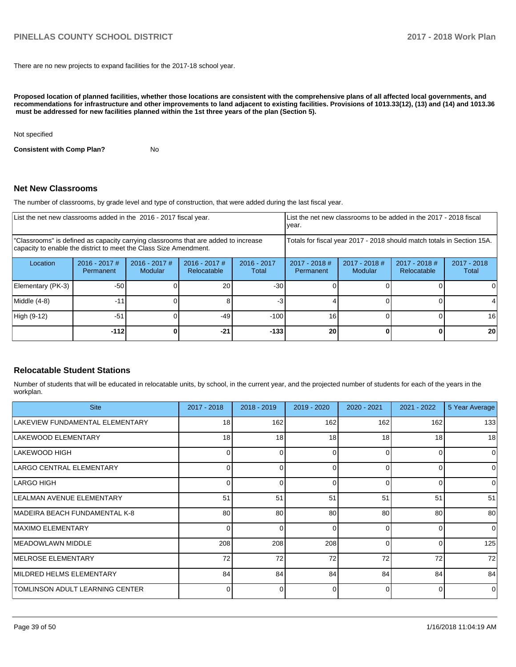There are no new projects to expand facilities for the 2017-18 school year.

**Proposed location of planned facilities, whether those locations are consistent with the comprehensive plans of all affected local governments, and recommendations for infrastructure and other improvements to land adjacent to existing facilities. Provisions of 1013.33(12), (13) and (14) and 1013.36** must be addressed for new facilities planned within the 1st three years of the plan (Section 5).

Not specified

**Consistent with Comp Plan?** No

#### **Net New Classrooms**

The number of classrooms, by grade level and type of construction, that were added during the last fiscal year.

|                                                                                                                                                         | List the net new classrooms added in the 2016 - 2017 fiscal year. |                            |                                                                        |                        |                              | List the net new classrooms to be added in the 2017 - 2018 fiscal<br>year. |                              |                        |
|---------------------------------------------------------------------------------------------------------------------------------------------------------|-------------------------------------------------------------------|----------------------------|------------------------------------------------------------------------|------------------------|------------------------------|----------------------------------------------------------------------------|------------------------------|------------------------|
| "Classrooms" is defined as capacity carrying classrooms that are added to increase<br>capacity to enable the district to meet the Class Size Amendment. |                                                                   |                            | Totals for fiscal year 2017 - 2018 should match totals in Section 15A. |                        |                              |                                                                            |                              |                        |
| Location                                                                                                                                                | $2016 - 2017$ #<br>Permanent                                      | $2016 - 2017$ #<br>Modular | $2016 - 2017$ #<br>Relocatable                                         | $2016 - 2017$<br>Total | $2017 - 2018$ #<br>Permanent | $2017 - 2018$ #<br>Modular                                                 | 2017 - 2018 #<br>Relocatable | $2017 - 2018$<br>Total |
| Elementary (PK-3)                                                                                                                                       | $-50$                                                             |                            | 20                                                                     | $-30$                  |                              |                                                                            |                              |                        |
| Middle (4-8)                                                                                                                                            | $-11$                                                             |                            |                                                                        |                        |                              |                                                                            |                              |                        |
| High (9-12)                                                                                                                                             | $-51$                                                             |                            | $-49$                                                                  | $-100$                 | 16                           |                                                                            |                              | 16                     |
|                                                                                                                                                         | -1121                                                             |                            | $-21$                                                                  | $-133$                 | 20                           |                                                                            |                              | 20                     |

#### **Relocatable Student Stations**

Number of students that will be educated in relocatable units, by school, in the current year, and the projected number of students for each of the years in the workplan.

| <b>Site</b>                     | 2017 - 2018 | 2018 - 2019 | 2019 - 2020 | $2020 - 2021$ | $2021 - 2022$ | 5 Year Average |
|---------------------------------|-------------|-------------|-------------|---------------|---------------|----------------|
| LAKEVIEW FUNDAMENTAL ELEMENTARY | 18          | 162         | 162         | 162           | 162           | 133            |
| LAKEWOOD ELEMENTARY             | 18          | 18          | 18          | 18            | 18            | 18             |
| LAKEWOOD HIGH                   | 0           | 0           | 0           | $\Omega$      | 0             | $\Omega$       |
| LARGO CENTRAL ELEMENTARY        |             | O           |             | $\Omega$      | 0             | $\Omega$       |
| LARGO HIGH                      |             | 0           | $\Omega$    | $\Omega$      | 0             | $\Omega$       |
| LEALMAN AVENUE ELEMENTARY       | 51          | 51          | 51          | 51            | 51            | 51             |
| MADEIRA BEACH FUNDAMENTAL K-8   | 80          | 80          | 80          | 80            | 80            | 80             |
| <b>IMAXIMO ELEMENTARY</b>       | $\Omega$    | $\Omega$    | 0           | $\Omega$      | 0             | 0              |
| <b>IMEADOWLAWN MIDDLE</b>       | 208         | 208         | 208         | $\Omega$      | $\Omega$      | 125            |
| <b>IMELROSE ELEMENTARY</b>      | 72          | 72          | 72          | 72            | 72            | 72             |
| MILDRED HELMS ELEMENTARY        | 84          | 84          | 84          | 84            | 84            | 84             |
| TOMLINSON ADULT LEARNING CENTER |             | $\Omega$    | 0           | $\Omega$      | $\Omega$      | n l            |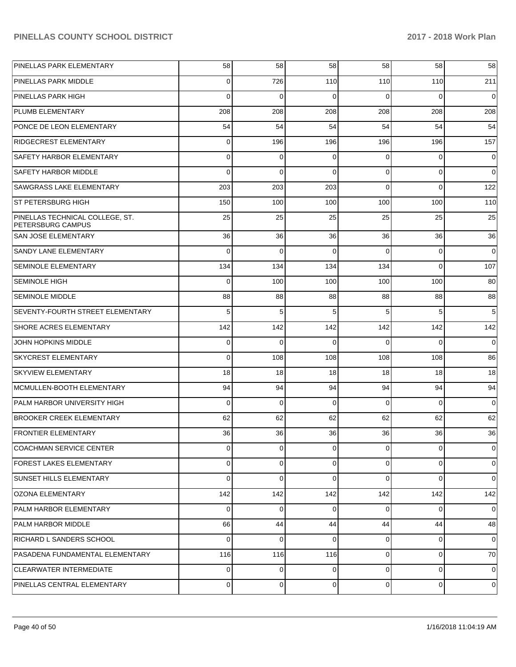| PINELLAS PARK ELEMENTARY                                    | 58       | 58          | 58          | 58             | 58          | 58             |
|-------------------------------------------------------------|----------|-------------|-------------|----------------|-------------|----------------|
| PINELLAS PARK MIDDLE                                        | 0        | 726         | 110         | 110            | 110         | 211            |
| <b>PINELLAS PARK HIGH</b>                                   | 0        | $\mathbf 0$ | 0           | 0              | $\Omega$    | $\mathbf 0$    |
| PLUMB ELEMENTARY                                            | 208      | 208         | 208         | 208            | 208         | 208            |
| PONCE DE LEON ELEMENTARY                                    | 54       | 54          | 54          | 54             | 54          | 54             |
| RIDGECREST ELEMENTARY                                       | 0        | 196         | 196         | 196            | 196         | 157            |
| SAFETY HARBOR ELEMENTARY                                    | 0        | 0           | 0           | 0              | 0           | 0              |
| <b>SAFETY HARBOR MIDDLE</b>                                 | 0        | 0           | 0           | $\Omega$       | $\mathbf 0$ | $\mathbf 0$    |
| <b>SAWGRASS LAKE ELEMENTARY</b>                             | 203      | 203         | 203         | $\Omega$       | $\Omega$    | 122            |
| ST PETERSBURG HIGH                                          | 150      | 100         | 100         | 100            | 100         | 110            |
| PINELLAS TECHNICAL COLLEGE, ST.<br><b>PETERSBURG CAMPUS</b> | 25       | 25          | 25          | 25             | 25          | 25             |
| <b>SAN JOSE ELEMENTARY</b>                                  | 36       | 36          | 36          | 36             | 36          | 36             |
| SANDY LANE ELEMENTARY                                       | $\Omega$ | $\mathbf 0$ | $\Omega$    | $\Omega$       | $\mathbf 0$ | $\mathbf 0$    |
| <b>SEMINOLE ELEMENTARY</b>                                  | 134      | 134         | 134         | 134            | $\Omega$    | 107            |
| <b>SEMINOLE HIGH</b>                                        | 0        | 100         | 100         | 100            | 100         | 80             |
| <b>SEMINOLE MIDDLE</b>                                      | 88       | 88          | 88          | 88             | 88          | 88             |
| <b>SEVENTY-FOURTH STREET ELEMENTARY</b>                     | 5        | 5           | 5           | 5              | 5           | 5              |
| SHORE ACRES ELEMENTARY                                      | 142      | 142         | 142         | 142            | 142         | 142            |
| JOHN HOPKINS MIDDLE                                         | 0        | $\mathbf 0$ | $\Omega$    | $\Omega$       | $\Omega$    | $\mathbf 0$    |
| <b>SKYCREST ELEMENTARY</b>                                  | $\Omega$ | 108         | 108         | 108            | 108         | 86             |
| <b>SKYVIEW ELEMENTARY</b>                                   | 18       | 18          | 18          | 18             | 18          | 18             |
| MCMULLEN-BOOTH ELEMENTARY                                   | 94       | 94          | 94          | 94             | 94          | 94             |
| PALM HARBOR UNIVERSITY HIGH                                 | 0        | $\mathbf 0$ | $\Omega$    | $\Omega$       | $\Omega$    | 0              |
| <b>BROOKER CREEK ELEMENTARY</b>                             | 62       | 62          | 62          | 62             | 62          | 62             |
| <b>FRONTIER ELEMENTARY</b>                                  | 36       | 36          | 36          | 36             | 36          | 36             |
| COACHMAN SERVICE CENTER                                     | $\Omega$ | $\mathbf 0$ | $\Omega$    | $\overline{0}$ | $\Omega$    | $\overline{0}$ |
| <b>FOREST LAKES ELEMENTARY</b>                              | 0        | $\mathbf 0$ | $\Omega$    | $\overline{0}$ | $\mathbf 0$ | $\overline{0}$ |
| SUNSET HILLS ELEMENTARY                                     | 0        | $\mathbf 0$ | $\Omega$    | $\Omega$       | $\Omega$    | $\Omega$       |
| OZONA ELEMENTARY                                            | 142      | 142         | 142         | 142            | 142         | 142            |
| PALM HARBOR ELEMENTARY                                      | $\Omega$ | 0           | $\Omega$    | $\overline{0}$ | 0           | $\Omega$       |
| PALM HARBOR MIDDLE                                          | 66       | 44          | 44          | 44             | 44          | 48             |
| RICHARD L SANDERS SCHOOL                                    | $\Omega$ | $\mathbf 0$ | $\Omega$    | $\overline{0}$ | 0           | $\Omega$       |
| PASADENA FUNDAMENTAL ELEMENTARY                             | 116      | 116         | 116         | $\Omega$       | $\Omega$    | 70 l           |
| CLEARWATER INTERMEDIATE                                     | 0        | $\mathbf 0$ | $\Omega$    | $\overline{0}$ | $\Omega$    | 0              |
| PINELLAS CENTRAL ELEMENTARY                                 | 0        | 0           | $\mathbf 0$ | $\overline{0}$ | 0           | 0              |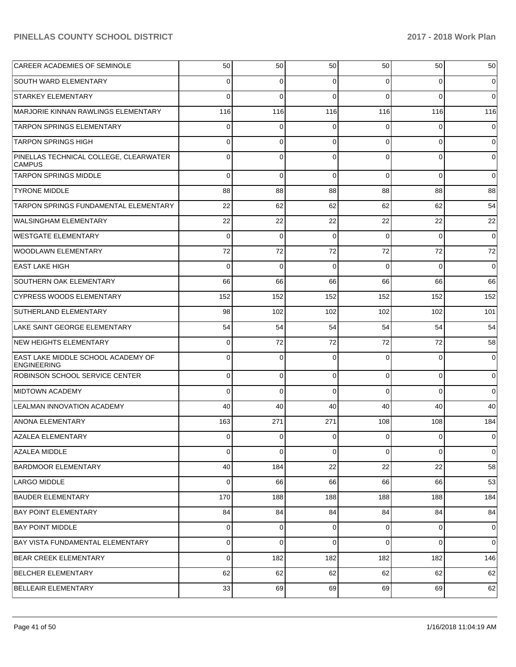| CAREER ACADEMIES OF SEMINOLE                                    | 50  | 50          | 50          | 50       | 50          | 50          |
|-----------------------------------------------------------------|-----|-------------|-------------|----------|-------------|-------------|
| SOUTH WARD ELEMENTARY                                           | 0   | 0           | $\Omega$    | $\Omega$ | $\Omega$    | 0           |
| <b>STARKEY ELEMENTARY</b>                                       | 0   | $\Omega$    | $\Omega$    | $\Omega$ | $\Omega$    | $\Omega$    |
| MARJORIE KINNAN RAWLINGS ELEMENTARY                             | 116 | 116         | 116         | 116      | 116         | 116         |
| <b>TARPON SPRINGS ELEMENTARY</b>                                | 0   | 0           | $\Omega$    | $\Omega$ | $\Omega$    | 0           |
| <b>TARPON SPRINGS HIGH</b>                                      | 0   | 0           | $\Omega$    | $\Omega$ | $\Omega$    | 0           |
| PINELLAS TECHNICAL COLLEGE, CLEARWATER<br><b>CAMPUS</b>         | 0   | $\Omega$    | $\Omega$    | $\Omega$ | $\Omega$    | $\Omega$    |
| <b>TARPON SPRINGS MIDDLE</b>                                    | 0   | $\mathbf 0$ | $\Omega$    | $\Omega$ | $\mathbf 0$ | $\mathbf 0$ |
| <b>TYRONE MIDDLE</b>                                            | 88  | 88          | 88          | 88       | 88          | 88          |
| TARPON SPRINGS FUNDAMENTAL ELEMENTARY                           | 22  | 62          | 62          | 62       | 62          | 54          |
| <b>WALSINGHAM ELEMENTARY</b>                                    | 22  | 22          | 22          | 22       | 22          | 22          |
| <b>WESTGATE ELEMENTARY</b>                                      | 0   | $\mathbf 0$ | $\Omega$    | $\Omega$ | 0           | $\mathbf 0$ |
| WOODLAWN ELEMENTARY                                             | 72  | 72          | 72          | 72       | 72          | 72          |
| EAST LAKE HIGH                                                  | 0   | $\mathbf 0$ | $\Omega$    | $\Omega$ | $\Omega$    | $\mathbf 0$ |
| SOUTHERN OAK ELEMENTARY                                         | 66  | 66          | 66          | 66       | 66          | 66          |
| <b>CYPRESS WOODS ELEMENTARY</b>                                 | 152 | 152         | 152         | 152      | 152         | 152         |
| SUTHERLAND ELEMENTARY                                           | 98  | 102         | 102         | 102      | 102         | 101         |
| LAKE SAINT GEORGE ELEMENTARY                                    | 54  | 54          | 54          | 54       | 54          | 54          |
| <b>NEW HEIGHTS ELEMENTARY</b>                                   | 0   | 72          | 72          | 72       | 72          | 58          |
| <b>EAST LAKE MIDDLE SCHOOL ACADEMY OF</b><br><b>ENGINEERING</b> | 0   | 0           | $\Omega$    | $\Omega$ | 0           | 0           |
| <b>ROBINSON SCHOOL SERVICE CENTER</b>                           | 0   | 0           | $\Omega$    | $\Omega$ | $\mathbf 0$ | 0           |
| <b>MIDTOWN ACADEMY</b>                                          | 0   | 0           | $\Omega$    | $\Omega$ | $\Omega$    | $\mathbf 0$ |
| <b>LEALMAN INNOVATION ACADEMY</b>                               | 40  | 40          | 40          | 40       | 40          | 40          |
| ANONA ELEMENTARY                                                | 163 | 271         | 271         | 108      | 108         | 184         |
| <b>AZALEA ELEMENTARY</b>                                        | 0   | $\Omega$    | $\Omega$    | $\Omega$ | $\Omega$    | $\Omega$    |
| <b>AZALEA MIDDLE</b>                                            | 0   | 0           | $\mathbf 0$ | $\Omega$ | $\mathbf 0$ | $\mathbf 0$ |
| <b>BARDMOOR ELEMENTARY</b>                                      | 40  | 184         | 22          | 22       | 22          | 58          |
| LARGO MIDDLE                                                    | 0   | 66          | 66          | 66       | 66          | 53          |
| <b>BAUDER ELEMENTARY</b>                                        | 170 | 188         | 188         | 188      | 188         | 184         |
| <b>BAY POINT ELEMENTARY</b>                                     | 84  | 84          | 84          | 84       | 84          | 84          |
| <b>BAY POINT MIDDLE</b>                                         | 0   | 0           | 0           | 0        | 0           | 0           |
| BAY VISTA FUNDAMENTAL ELEMENTARY                                | 0   | 0           | 0           | 0        | $\mathbf 0$ | $\mathbf 0$ |
| <b>BEAR CREEK ELEMENTARY</b>                                    | 0   | 182         | 182         | 182      | 182         | 146         |
| <b>BELCHER ELEMENTARY</b>                                       | 62  | 62          | 62          | 62       | 62          | 62          |
| <b>BELLEAIR ELEMENTARY</b>                                      | 33  | 69          | 69          | 69       | 69          | 62          |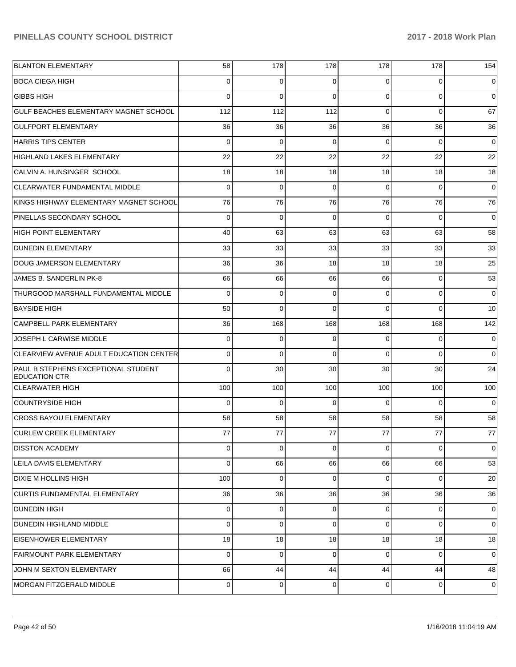| <b>BLANTON ELEMENTARY</b>                                   | 58          | 178         | 178            | 178            | 178         | 154             |
|-------------------------------------------------------------|-------------|-------------|----------------|----------------|-------------|-----------------|
| <b>BOCA CIEGA HIGH</b>                                      | 0           | $\Omega$    | $\Omega$       | 0              | $\Omega$    | $\overline{0}$  |
| <b>GIBBS HIGH</b>                                           | $\Omega$    | $\Omega$    | $\Omega$       | $\Omega$       | $\Omega$    | $\Omega$        |
| GULF BEACHES ELEMENTARY MAGNET SCHOOL                       | 112         | 112         | 112            | $\Omega$       | $\Omega$    | 67              |
| <b>GULFPORT ELEMENTARY</b>                                  | 36          | 36          | 36             | 36             | 36          | 36              |
| <b>HARRIS TIPS CENTER</b>                                   | $\Omega$    | $\Omega$    | $\Omega$       | $\Omega$       | $\Omega$    | 0               |
| <b>HIGHLAND LAKES ELEMENTARY</b>                            | 22          | 22          | 22             | 22             | 22          | 22              |
| CALVIN A. HUNSINGER SCHOOL                                  | 18          | 18          | 18             | 18             | 18          | 18              |
| <b>CLEARWATER FUNDAMENTAL MIDDLE</b>                        | $\Omega$    | $\Omega$    | $\Omega$       | $\Omega$       | $\Omega$    | $\Omega$        |
| KINGS HIGHWAY ELEMENTARY MAGNET SCHOOL                      | 76          | 76          | 76             | 76             | 76          | 76              |
| PINELLAS SECONDARY SCHOOL                                   | $\Omega$    | $\Omega$    | $\Omega$       | $\Omega$       | $\Omega$    | $\Omega$        |
| <b>HIGH POINT ELEMENTARY</b>                                | 40          | 63          | 63             | 63             | 63          | 58              |
| <b>DUNEDIN ELEMENTARY</b>                                   | 33          | 33          | 33             | 33             | 33          | 33              |
| DOUG JAMERSON ELEMENTARY                                    | 36          | 36          | 18             | 18             | 18          | 25              |
| JAMES B. SANDERLIN PK-8                                     | 66          | 66          | 66             | 66             | $\Omega$    | 53              |
| THURGOOD MARSHALL FUNDAMENTAL MIDDLE                        | $\Omega$    | 0           | 0              | $\Omega$       | $\Omega$    | 0               |
| <b>BAYSIDE HIGH</b>                                         | 50          | $\Omega$    | $\Omega$       | $\Omega$       | $\Omega$    | 10              |
| CAMPBELL PARK ELEMENTARY                                    | 36          | 168         | 168            | 168            | 168         | 142             |
| JOSEPH L CARWISE MIDDLE                                     | $\Omega$    | $\Omega$    | $\Omega$       | $\Omega$       | $\Omega$    | $\Omega$        |
| CLEARVIEW AVENUE ADULT EDUCATION CENTER                     | 0           | $\Omega$    | $\Omega$       | $\Omega$       | $\Omega$    | $\overline{0}$  |
| PAUL B STEPHENS EXCEPTIONAL STUDENT<br><b>EDUCATION CTR</b> | 0           | 30          | 30             | 30             | 30          | 24              |
| <b>CLEARWATER HIGH</b>                                      | 100         | 100         | 100            | 100            | 100         | 100             |
| <b>COUNTRYSIDE HIGH</b>                                     | $\Omega$    | $\mathbf 0$ | $\Omega$       | $\Omega$       | $\Omega$    | 0               |
| <b>CROSS BAYOU ELEMENTARY</b>                               | 58          | 58          | 58             | 58             | 58          | 58              |
| <b>CURLEW CREEK ELEMENTARY</b>                              | 77          | 77          | 77             | 77             | 77          | 77              |
| <b>DISSTON ACADEMY</b>                                      | 0           | 0           | $\Omega$       | $\Omega$       | $\Omega$    | $\overline{0}$  |
| LEILA DAVIS ELEMENTARY                                      | 0           | 66          | 66             | 66             | 66          | 53              |
| <b>DIXIE M HOLLINS HIGH</b>                                 | 100         | $\mathbf 0$ | $\Omega$       | $\Omega$       | $\Omega$    | 20 <sup>1</sup> |
| CURTIS FUNDAMENTAL ELEMENTARY                               | 36          | 36          | 36             | 36             | 36          | 36              |
| <b>DUNEDIN HIGH</b>                                         | $\mathbf 0$ | $\mathbf 0$ | 0              | $\Omega$       | $\mathbf 0$ | $\overline{0}$  |
| <b>DUNEDIN HIGHLAND MIDDLE</b>                              | 0           | $\mathbf 0$ | $\Omega$       | $\Omega$       | $\mathbf 0$ | $\overline{0}$  |
| <b>EISENHOWER ELEMENTARY</b>                                | 18          | 18          | 18             | 18             | 18          | 18              |
| <b>FAIRMOUNT PARK ELEMENTARY</b>                            | $\mathbf 0$ | $\mathbf 0$ | $\overline{0}$ | $\Omega$       | $\mathbf 0$ | $\overline{0}$  |
| JOHN M SEXTON ELEMENTARY                                    | 66          | 44          | 44             | 44             | 44          | 48              |
| MORGAN FITZGERALD MIDDLE                                    | 0           | 0           | 0              | $\overline{0}$ | $\mathbf 0$ | 0               |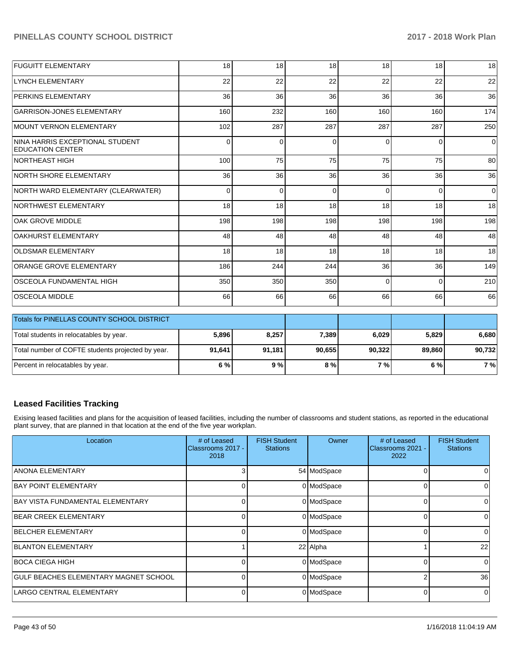| Total students in relocatables by year.                     | 5.896 | 8.257    | 7.389    | 6.029    | 5.829    | 6.680 |
|-------------------------------------------------------------|-------|----------|----------|----------|----------|-------|
| <b>Totals for PINELLAS COUNTY SCHOOL DISTRICT</b>           |       |          |          |          |          |       |
| <b>OSCEOLA MIDDLE</b>                                       | 66    | 66       | 66       | 66       | 66       | 66    |
| IOSCEOLA FUNDAMENTAL HIGH                                   | 350   | 350      | 350      | $\Omega$ | $\Omega$ | 210   |
| <b>ORANGE GROVE ELEMENTARY</b>                              | 186   | 244      | 244      | 36       | 36       | 149   |
| <b>OLDSMAR ELEMENTARY</b>                                   | 18    | 18       | 18       | 18       | 18       | 18    |
| <b>OAKHURST ELEMENTARY</b>                                  | 48    | 48       | 48       | 48       | 48       | 48    |
| <b>OAK GROVE MIDDLE</b>                                     | 198   | 198      | 198      | 198      | 198      | 198   |
| NORTHWEST ELEMENTARY                                        | 18    | 18       | 18       | 18       | 18       | 18    |
| NORTH WARD ELEMENTARY (CLEARWATER)                          | 0     | $\Omega$ | $\Omega$ | $\Omega$ | $\Omega$ | 0     |
| NORTH SHORE ELEMENTARY                                      | 36    | 36       | 36       | 36       | 36       | 36    |
| INORTHEAST HIGH                                             | 100   | 75       | 75       | 75       | 75       | 80    |
| ININA HARRIS EXCEPTIONAL STUDENT<br><b>EDUCATION CENTER</b> | 0     | $\Omega$ | 0        | $\Omega$ | $\Omega$ | 0     |
| MOUNT VERNON ELEMENTARY                                     | 102   | 287      | 287      | 287      | 287      | 250   |
| <b>GARRISON-JONES ELEMENTARY</b>                            | 160   | 232      | 160      | 160      | 160      | 174   |
| <b>PERKINS ELEMENTARY</b>                                   | 36    | 36       | 36       | 36       | 36       | 36    |
| LYNCH ELEMENTARY                                            | 22    | 22       | 22       | 22       | 22       | 22    |
| <b>FUGUITT ELEMENTARY</b>                                   | 18    | 18       | 18       | 18       | 18       | 18    |
|                                                             |       |          |          |          |          |       |

| TRUBBER TOP PINELLAS COUNTY SCHOOL DISTRICT       |        |        |        |        |        |        |
|---------------------------------------------------|--------|--------|--------|--------|--------|--------|
| Total students in relocatables by year.           | 5.896  | 8.257  | 7.389  | 6.029  | 5.829  | 6.680  |
| Total number of COFTE students projected by year. | 91.641 | 91.181 | 90.655 | 90.322 | 89.860 | 90,732 |
| Percent in relocatables by year.                  | 6 % l  | 9%     | 8 % l  | 7 % I  | 6 % l  | 7 %    |

# **Leased Facilities Tracking**

Exising leased facilities and plans for the acquisition of leased facilities, including the number of classrooms and student stations, as reported in the educational plant survey, that are planned in that location at the end of the five year workplan.

| Location                              | # of Leased<br>Classrooms 2017 -<br>2018 | <b>FISH Student</b><br><b>Stations</b> | Owner       | # of Leased<br>Classrooms 2021 -<br>2022 | <b>FISH Student</b><br><b>Stations</b> |
|---------------------------------------|------------------------------------------|----------------------------------------|-------------|------------------------------------------|----------------------------------------|
| <b>ANONA ELEMENTARY</b>               | 3                                        |                                        | 54 ModSpace |                                          |                                        |
| <b>BAY POINT ELEMENTARY</b>           | 0                                        |                                        | 0 ModSpace  | 0                                        | 0                                      |
| BAY VISTA FUNDAMENTAL ELEMENTARY      | $\Omega$                                 |                                        | 0 ModSpace  | 0                                        | 0                                      |
| <b>BEAR CREEK ELEMENTARY</b>          | $\Omega$                                 |                                        | 0 ModSpace  | 0                                        | 0                                      |
| <b>BELCHER ELEMENTARY</b>             | 0                                        |                                        | 0 ModSpace  | 0                                        | 0                                      |
| <b>BLANTON ELEMENTARY</b>             |                                          |                                        | 22 Alpha    |                                          | 22                                     |
| BOCA CIEGA HIGH                       | $\Omega$                                 |                                        | 0 ModSpace  | $\Omega$                                 | $\Omega$                               |
| GULF BEACHES ELEMENTARY MAGNET SCHOOL | 0                                        |                                        | 0 ModSpace  | 2                                        | 36                                     |
| LARGO CENTRAL ELEMENTARY              | 0                                        |                                        | 0 ModSpace  | $\Omega$                                 | $\Omega$                               |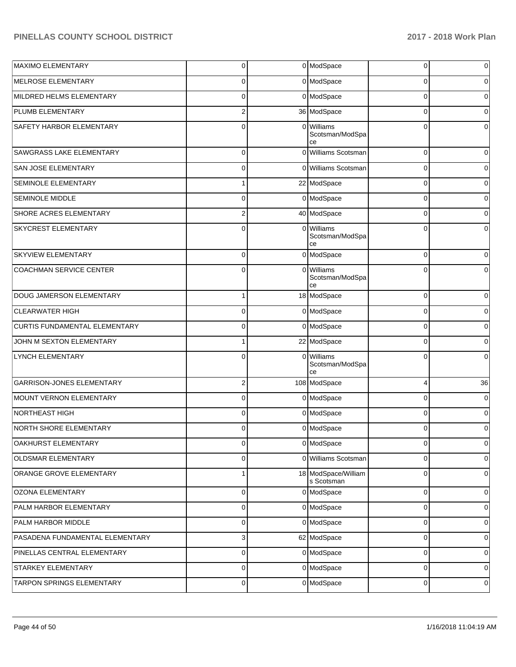| <b>MAXIMO ELEMENTARY</b>             | $\overline{0}$ |          | 0 ModSpace                          | 0           | $\pmb{0}$      |
|--------------------------------------|----------------|----------|-------------------------------------|-------------|----------------|
| MELROSE ELEMENTARY                   | $\overline{0}$ |          | 0 ModSpace                          | 0           | 0              |
| MILDRED HELMS ELEMENTARY             | $\overline{0}$ |          | 0 ModSpace                          | $\Omega$    | 0              |
| PLUMB ELEMENTARY                     | $\overline{2}$ |          | 36 ModSpace                         | 0           | 0              |
| SAFETY HARBOR ELEMENTARY             | $\Omega$       |          | 0 Williams<br>Scotsman/ModSpa<br>ce | $\Omega$    | 0              |
| SAWGRASS LAKE ELEMENTARY             | $\mathbf 0$    | $\Omega$ | Williams Scotsman                   | 0           | 0              |
| SAN JOSE ELEMENTARY                  | 0              |          | 0 Williams Scotsman                 | $\Omega$    | $\overline{0}$ |
| SEMINOLE ELEMENTARY                  | 1              |          | 22 ModSpace                         | 0           | $\overline{0}$ |
| <b>SEMINOLE MIDDLE</b>               | 0              |          | 0 ModSpace                          | 0           | $\overline{0}$ |
| SHORE ACRES ELEMENTARY               | $\overline{c}$ |          | 40 ModSpace                         | 0           | $\overline{0}$ |
| <b>SKYCREST ELEMENTARY</b>           | 0              | $\Omega$ | Williams<br>Scotsman/ModSpa<br>ce   | C           | 0              |
| <b>SKYVIEW ELEMENTARY</b>            | $\overline{0}$ |          | 0 ModSpace                          | 0           | $\overline{0}$ |
| <b>COACHMAN SERVICE CENTER</b>       | $\mathbf 0$    | $\Omega$ | Williams<br>Scotsman/ModSpa<br>ce   | $\Omega$    | 0              |
| DOUG JAMERSON ELEMENTARY             | $\mathbf{1}$   |          | 18 ModSpace                         | $\Omega$    | 0              |
| <b>CLEARWATER HIGH</b>               | $\overline{0}$ |          | 0 ModSpace                          | $\mathbf 0$ | 0              |
| <b>CURTIS FUNDAMENTAL ELEMENTARY</b> | $\overline{0}$ |          | 0 ModSpace                          | $\mathbf 0$ | $\overline{0}$ |
| JOHN M SEXTON ELEMENTARY             | $\mathbf{1}$   |          | 22 ModSpace                         | $\mathbf 0$ | $\mathbf 0$    |
| LYNCH ELEMENTARY                     | $\Omega$       |          | 0 Williams<br>Scotsman/ModSpa<br>ce | $\Omega$    | $\mathbf 0$    |
| <b>GARRISON-JONES ELEMENTARY</b>     | $\overline{2}$ |          | 108 ModSpace                        | 4           | 36             |
| MOUNT VERNON ELEMENTARY              | $\overline{0}$ |          | 0 ModSpace                          | $\Omega$    | $\overline{0}$ |
| <b>NORTHEAST HIGH</b>                | $\overline{0}$ |          | 0 ModSpace                          | 0           | $\pmb{0}$      |
| NORTH SHORE ELEMENTARY               | $\overline{0}$ |          | 0 ModSpace                          | 0           | 0              |
| OAKHURST ELEMENTARY                  | $\circ$        |          | 0 ModSpace                          | 0           | $\pmb{0}$      |
| <b>OLDSMAR ELEMENTARY</b>            | $\overline{0}$ |          | 0 Williams Scotsman                 | 0           | $\overline{0}$ |
| ORANGE GROVE ELEMENTARY              | $\mathbf{1}$   |          | 18 ModSpace/William<br>s Scotsman   | $\mathbf 0$ | $\overline{0}$ |
| <b>OZONA ELEMENTARY</b>              | $\overline{0}$ |          | 0 ModSpace                          | 0           | $\mathbf 0$    |
| PALM HARBOR ELEMENTARY               | $\mathbf 0$    |          | 0 ModSpace                          | $\mathbf 0$ | $\mathbf 0$    |
| PALM HARBOR MIDDLE                   | $\mathbf 0$    |          | 0 ModSpace                          | 0           | $\mathbf 0$    |
| PASADENA FUNDAMENTAL ELEMENTARY      | $\overline{3}$ |          | 62 ModSpace                         | 0           | $\mathbf 0$    |
| PINELLAS CENTRAL ELEMENTARY          | $\mathbf 0$    |          | 0 ModSpace                          | 0           | $\mathbf 0$    |
| STARKEY ELEMENTARY                   | $\mathbf 0$    |          | 0 ModSpace                          | 0           | $\mathbf 0$    |
| TARPON SPRINGS ELEMENTARY            | $\overline{0}$ |          | 0 ModSpace                          | 0           | 0              |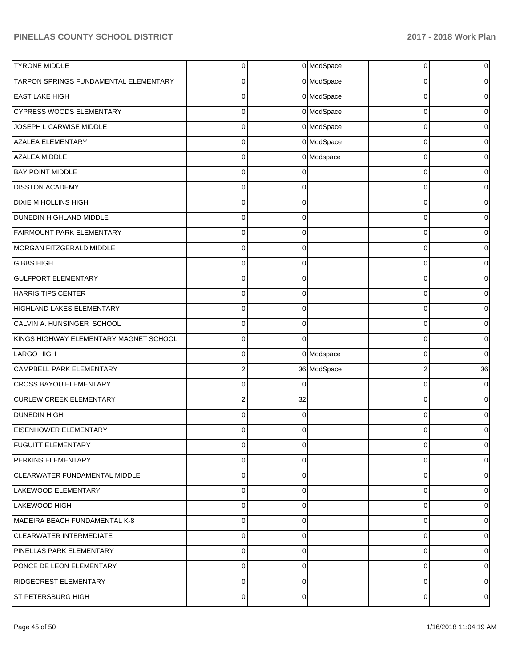| <b>TYRONE MIDDLE</b>                   | $\mathbf 0$    |          | 0 ModSpace  | 0        | 0              |
|----------------------------------------|----------------|----------|-------------|----------|----------------|
| TARPON SPRINGS FUNDAMENTAL ELEMENTARY  | 0              |          | 0 ModSpace  | 0        | 0              |
| <b>EAST LAKE HIGH</b>                  | 0              |          | 0 ModSpace  | 0        | 0              |
| <b>CYPRESS WOODS ELEMENTARY</b>        | $\mathbf 0$    |          | 0 ModSpace  | 0        | 0              |
| JOSEPH L CARWISE MIDDLE                | 0              |          | 0 ModSpace  | 0        | 0              |
| <b>AZALEA ELEMENTARY</b>               | $\mathbf 0$    |          | 0 ModSpace  | 0        | 0              |
| AZALEA MIDDLE                          | 0              |          | 0 Modspace  | 0        | 0              |
| <b>BAY POINT MIDDLE</b>                | $\Omega$       | ſ        |             | 0        | 0              |
| <b>DISSTON ACADEMY</b>                 | 0              | $\Omega$ |             | 0        | 0              |
| DIXIE M HOLLINS HIGH                   | 0              | $\Omega$ |             | 0        | 0              |
| <b>DUNEDIN HIGHLAND MIDDLE</b>         | 0              | $\Omega$ |             | 0        | 0              |
| <b>FAIRMOUNT PARK ELEMENTARY</b>       | 0              | $\Omega$ |             | 0        | 0              |
| MORGAN FITZGERALD MIDDLE               | 0              | $\Omega$ |             | 0        | 0              |
| <b>GIBBS HIGH</b>                      | 0              | $\Omega$ |             | 0        | 0              |
| <b>GULFPORT ELEMENTARY</b>             | 0              | $\Omega$ |             | $\Omega$ | 0              |
| HARRIS TIPS CENTER                     | 0              | $\Omega$ |             | 0        | 0              |
| HIGHLAND LAKES ELEMENTARY              | 0              | $\Omega$ |             | 0        | 0              |
| CALVIN A. HUNSINGER SCHOOL             | $\Omega$       | $\Omega$ |             | 0        | 0              |
| KINGS HIGHWAY ELEMENTARY MAGNET SCHOOL | 0              | $\Omega$ |             | 0        | 0              |
| <b>LARGO HIGH</b>                      | 0              |          | 0 Modspace  | 0        | 0              |
| CAMPBELL PARK ELEMENTARY               | 2              |          | 36 ModSpace | 2        | 36             |
| CROSS BAYOU ELEMENTARY                 | $\Omega$       | C        |             | 0        | 0              |
| <b>CURLEW CREEK ELEMENTARY</b>         | 2              | 32       |             | 0        | 0              |
| <b>DUNEDIN HIGH</b>                    | 0              | $\Omega$ |             | 0        | 0              |
| EISENHOWER ELEMENTARY                  | 0              | 0        |             | 0        | 0              |
| <b>FUGUITT ELEMENTARY</b>              | 0              | $\Omega$ |             | 0        | 0              |
| PERKINS ELEMENTARY                     | 0              | 0        |             | 0        | $\overline{0}$ |
| CLEARWATER FUNDAMENTAL MIDDLE          | $\mathbf 0$    | $\Omega$ |             | 0        | $\overline{0}$ |
| LAKEWOOD ELEMENTARY                    | $\mathbf 0$    | 0        |             | 0        | $\overline{0}$ |
| LAKEWOOD HIGH                          | 0              | $\Omega$ |             | 0        | $\overline{0}$ |
| MADEIRA BEACH FUNDAMENTAL K-8          | $\mathbf 0$    | $\Omega$ |             | 0        | $\overline{0}$ |
| CLEARWATER INTERMEDIATE                | 0              | $\Omega$ |             | 0        | $\overline{0}$ |
| PINELLAS PARK ELEMENTARY               | $\mathbf 0$    | $\Omega$ |             | 0        | $\overline{0}$ |
| PONCE DE LEON ELEMENTARY               | 0              | $\Omega$ |             | 0        | $\overline{0}$ |
| RIDGECREST ELEMENTARY                  | $\mathbf 0$    | $\Omega$ |             | 0        | $\overline{0}$ |
| ST PETERSBURG HIGH                     | $\overline{0}$ | 0        |             | 0        | 0              |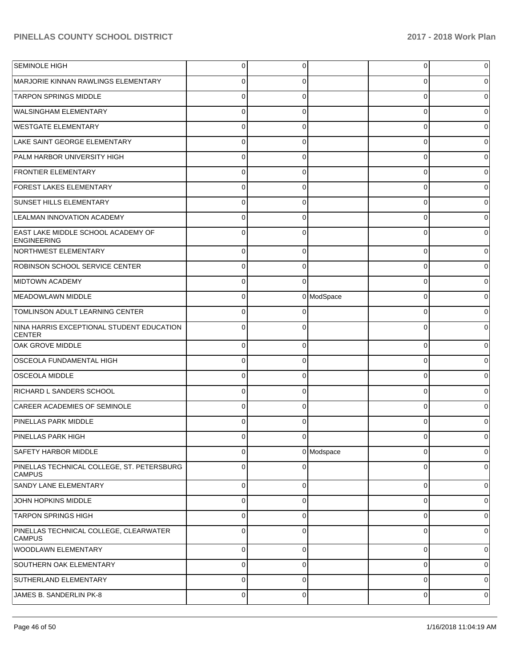| SEMINOLE HIGH                                               | 0           | 0           |            | $\overline{0}$ | 0        |
|-------------------------------------------------------------|-------------|-------------|------------|----------------|----------|
| MARJORIE KINNAN RAWLINGS ELEMENTARY                         | 0           | 0           |            | 0              | 0        |
| <b>TARPON SPRINGS MIDDLE</b>                                | $\Omega$    | 0           |            | 0              | 0        |
| <b>WALSINGHAM ELEMENTARY</b>                                | $\Omega$    | 0           |            | 0              | 0        |
| <b>WESTGATE ELEMENTARY</b>                                  | $\Omega$    | 0           |            | 0              |          |
| LAKE SAINT GEORGE ELEMENTARY                                | 0           | 0           |            | 0              | 0        |
| PALM HARBOR UNIVERSITY HIGH                                 | $\Omega$    | 0           |            | 0              |          |
| <b>FRONTIER ELEMENTARY</b>                                  | $\Omega$    | 0           |            | 0              | 0        |
| <b>FOREST LAKES ELEMENTARY</b>                              | $\Omega$    | 0           |            | 0              |          |
| <b>SUNSET HILLS ELEMENTARY</b>                              | $\Omega$    | 0           |            | 0              | 0        |
| <b>LEALMAN INNOVATION ACADEMY</b>                           | $\Omega$    | 0           |            | 0              |          |
| EAST LAKE MIDDLE SCHOOL ACADEMY OF<br>ENGINEERING           | $\Omega$    | 0           |            | $\Omega$       |          |
| NORTHWEST ELEMENTARY                                        | $\Omega$    | 0           |            | 0              |          |
| ROBINSON SCHOOL SERVICE CENTER                              | $\Omega$    | 0           |            | 0              |          |
| MIDTOWN ACADEMY                                             | $\Omega$    | 0           |            | 0              |          |
| MEADOWLAWN MIDDLE                                           | $\Omega$    |             | 0 ModSpace | 0              |          |
| TOMLINSON ADULT LEARNING CENTER                             | $\Omega$    | 0           |            | 0              |          |
| NINA HARRIS EXCEPTIONAL STUDENT EDUCATION<br><b>CENTER</b>  | $\Omega$    | 0           |            | $\mathbf 0$    |          |
| <b>OAK GROVE MIDDLE</b>                                     | $\mathbf 0$ | $\Omega$    |            | 0              |          |
| OSCEOLA FUNDAMENTAL HIGH                                    | C           | 0           |            | 0              |          |
| <b>OSCEOLA MIDDLE</b>                                       | $\Omega$    | 0           |            | 0              |          |
| RICHARD L SANDERS SCHOOL                                    | C           | 0           |            | 0              |          |
| CAREER ACADEMIES OF SEMINOLE                                | 0           | 0           |            | 0              |          |
| <b>PINELLAS PARK MIDDLE</b>                                 |             | 0           |            | 0              |          |
| PINELLAS PARK HIGH                                          |             | O           |            | U              |          |
| <b>SAFETY HARBOR MIDDLE</b>                                 | 0           |             | 0 Modspace | 0              | 0        |
| PINELLAS TECHNICAL COLLEGE, ST. PETERSBURG<br><b>CAMPUS</b> | $\Omega$    | 0           |            | 0              | $\Omega$ |
| SANDY LANE ELEMENTARY                                       | $\Omega$    | 0           |            | $\mathbf 0$    | $\Omega$ |
| JOHN HOPKINS MIDDLE                                         | $\Omega$    | 0           |            | $\mathbf 0$    | 0        |
| <b>TARPON SPRINGS HIGH</b>                                  | $\Omega$    | $\Omega$    |            | 0              | 0        |
| PINELLAS TECHNICAL COLLEGE, CLEARWATER<br><b>CAMPUS</b>     | $\Omega$    | $\Omega$    |            | $\mathbf 0$    | 0        |
| WOODLAWN ELEMENTARY                                         | 0           | 0           |            | 0              | 0        |
| SOUTHERN OAK ELEMENTARY                                     | 0           | $\mathbf 0$ |            | 0              | 0        |
| SUTHERLAND ELEMENTARY                                       | 0           | 0           |            | 0              | 0        |
| JAMES B. SANDERLIN PK-8                                     | 0           | $\mathbf 0$ |            | 0              | 0        |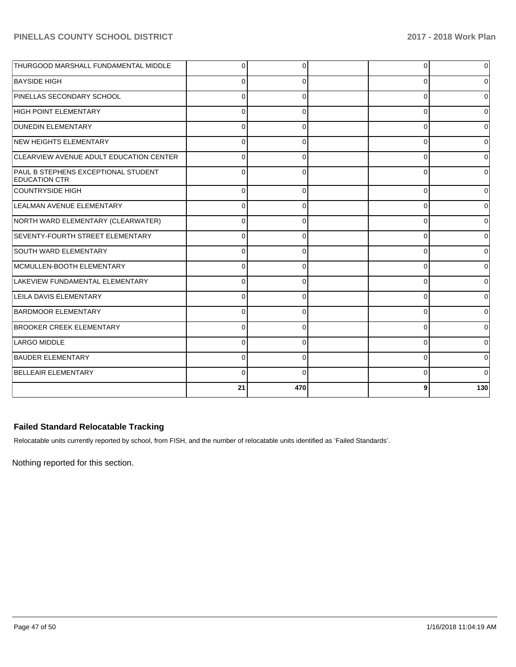| THURGOOD MARSHALL FUNDAMENTAL MIDDLE                        | $\Omega$ | 0        | 0        | 0            |
|-------------------------------------------------------------|----------|----------|----------|--------------|
| <b>BAYSIDE HIGH</b>                                         | 0        | 0        | 0        | 0            |
| PINELLAS SECONDARY SCHOOL                                   | $\Omega$ | 0        | 0        |              |
| <b>HIGH POINT ELEMENTARY</b>                                | $\Omega$ | $\Omega$ | $\Omega$ |              |
| <b>DUNEDIN ELEMENTARY</b>                                   | $\Omega$ | $\Omega$ | 0        | $\Omega$     |
| NEW HEIGHTS ELEMENTARY                                      | $\Omega$ | 0        | 0        | <sup>0</sup> |
| CLEARVIEW AVENUE ADULT EDUCATION CENTER                     | C        | 0        | $\Omega$ |              |
| PAUL B STEPHENS EXCEPTIONAL STUDENT<br><b>EDUCATION CTR</b> | $\Omega$ | $\Omega$ | $\Omega$ | $\Omega$     |
| COUNTRYSIDE HIGH                                            | $\Omega$ | 0        | 0        |              |
| LEALMAN AVENUE ELEMENTARY                                   | O        | 0        | $\Omega$ | <sup>0</sup> |
| NORTH WARD ELEMENTARY (CLEARWATER)                          | 0        | $\Omega$ | $\Omega$ |              |
| SEVENTY-FOURTH STREET ELEMENTARY                            | $\Omega$ | 0        | $\Omega$ |              |
| <b>SOUTH WARD ELEMENTARY</b>                                | $\Omega$ | 0        | 0        | <sup>0</sup> |
| MCMULLEN-BOOTH ELEMENTARY                                   | C        | $\Omega$ | $\Omega$ | 0            |
| LAKEVIEW FUNDAMENTAL ELEMENTARY                             | $\Omega$ | 0        | $\Omega$ |              |
| <b>LEILA DAVIS ELEMENTARY</b>                               | $\Omega$ | $\Omega$ | 0        |              |
| <b>BARDMOOR ELEMENTARY</b>                                  | $\Omega$ | $\Omega$ | $\Omega$ | 0            |
| <b>BROOKER CREEK ELEMENTARY</b>                             | $\Omega$ | 0        | 0        | $\Omega$     |
| LARGO MIDDLE                                                | 0        | 0        | 0        | n            |
| <b>BAUDER ELEMENTARY</b>                                    | $\Omega$ | $\Omega$ | $\Omega$ | 0            |
| <b>BELLEAIR ELEMENTARY</b>                                  | $\Omega$ | $\Omega$ | 0        |              |
|                                                             | 21       | 470      | 9        | 130          |

# **Failed Standard Relocatable Tracking**

Relocatable units currently reported by school, from FISH, and the number of relocatable units identified as 'Failed Standards'.

Nothing reported for this section.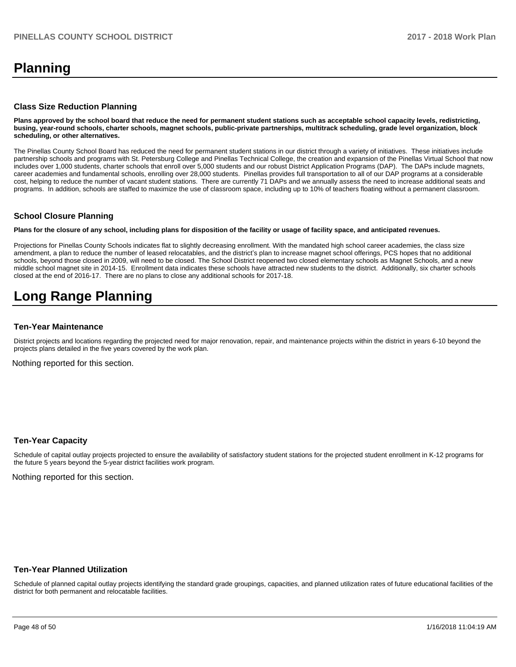# **Planning**

#### **Class Size Reduction Planning**

**Plans approved by the school board that reduce the need for permanent student stations such as acceptable school capacity levels, redistricting, busing, year-round schools, charter schools, magnet schools, public-private partnerships, multitrack scheduling, grade level organization, block scheduling, or other alternatives.**

The Pinellas County School Board has reduced the need for permanent student stations in our district through a variety of initiatives. These initiatives include partnership schools and programs with St. Petersburg College and Pinellas Technical College, the creation and expansion of the Pinellas Virtual School that now includes over 1,000 students, charter schools that enroll over 5,000 students and our robust District Application Programs (DAP). The DAPs include magnets, career academies and fundamental schools, enrolling over 28,000 students. Pinellas provides full transportation to all of our DAP programs at a considerable cost, helping to reduce the number of vacant student stations. There are currently 71 DAPs and we annually assess the need to increase additional seats and programs. In addition, schools are staffed to maximize the use of classroom space, including up to 10% of teachers floating without a permanent classroom.

#### **School Closure Planning**

**Plans for the closure of any school, including plans for disposition of the facility or usage of facility space, and anticipated revenues.** 

Projections for Pinellas County Schools indicates flat to slightly decreasing enrollment. With the mandated high school career academies, the class size amendment, a plan to reduce the number of leased relocatables, and the district's plan to increase magnet school offerings, PCS hopes that no additional schools, beyond those closed in 2009, will need to be closed. The School District reopened two closed elementary schools as Magnet Schools, and a new middle school magnet site in 2014-15. Enrollment data indicates these schools have attracted new students to the district. Additionally, six charter schools closed at the end of 2016-17. There are no plans to close any additional schools for 2017-18.

# **Long Range Planning**

#### **Ten-Year Maintenance**

District projects and locations regarding the projected need for major renovation, repair, and maintenance projects within the district in years 6-10 beyond the projects plans detailed in the five years covered by the work plan.

Nothing reported for this section.

#### **Ten-Year Capacity**

Schedule of capital outlay projects projected to ensure the availability of satisfactory student stations for the projected student enrollment in K-12 programs for the future 5 years beyond the 5-year district facilities work program.

Nothing reported for this section.

#### **Ten-Year Planned Utilization**

Schedule of planned capital outlay projects identifying the standard grade groupings, capacities, and planned utilization rates of future educational facilities of the district for both permanent and relocatable facilities.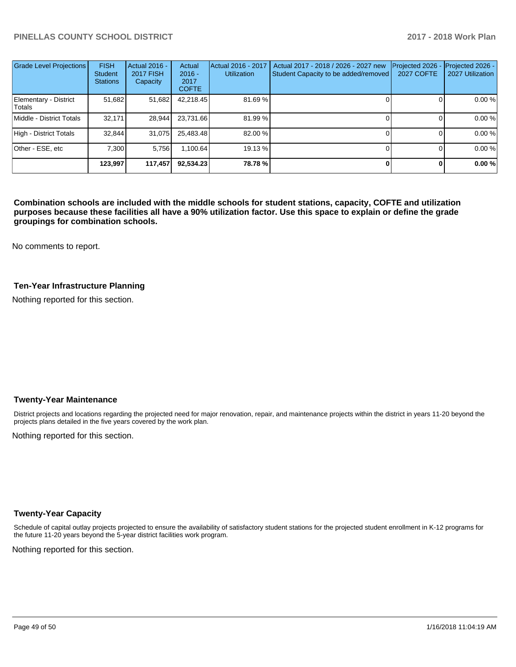| <b>Grade Level Projections</b>  | <b>FISH</b><br><b>Student</b><br><b>Stations</b> | Actual 2016 -<br><b>2017 FISH</b><br>Capacity | Actual<br>$2016 -$<br>2017<br><b>COFTE</b> | Actual 2016 - 2017<br><b>Utilization</b> | Actual 2017 - 2018 / 2026 - 2027 new<br>Student Capacity to be added/removed | Projected 2026<br><b>2027 COFTE</b> | Projected 2026 -<br>2027 Utilization |
|---------------------------------|--------------------------------------------------|-----------------------------------------------|--------------------------------------------|------------------------------------------|------------------------------------------------------------------------------|-------------------------------------|--------------------------------------|
| Elementary - District<br>Totals | 51,682                                           | 51,682                                        | 42,218.45                                  | 81.69%                                   |                                                                              |                                     | 0.00%                                |
| Middle - District Totals        | 32.171                                           | 28.944                                        | 23.731.66                                  | 81.99 %                                  |                                                                              |                                     | 0.00%                                |
| High - District Totals          | 32,844                                           | 31,075                                        | 25,483.48                                  | 82.00 %                                  |                                                                              |                                     | 0.00%                                |
| Other - ESE, etc                | 7.300                                            | 5.756                                         | 1.100.64                                   | 19.13 %                                  |                                                                              |                                     | 0.00%                                |
|                                 | 123.997                                          | 117,457                                       | 92,534.23                                  | 78.78%                                   |                                                                              |                                     | 0.00%                                |

**Combination schools are included with the middle schools for student stations, capacity, COFTE and utilization purposes because these facilities all have a 90% utilization factor. Use this space to explain or define the grade groupings for combination schools.** 

No comments to report.

#### **Ten-Year Infrastructure Planning**

Nothing reported for this section.

#### **Twenty-Year Maintenance**

District projects and locations regarding the projected need for major renovation, repair, and maintenance projects within the district in years 11-20 beyond the projects plans detailed in the five years covered by the work plan.

Nothing reported for this section.

#### **Twenty-Year Capacity**

Schedule of capital outlay projects projected to ensure the availability of satisfactory student stations for the projected student enrollment in K-12 programs for the future 11-20 years beyond the 5-year district facilities work program.

Nothing reported for this section.